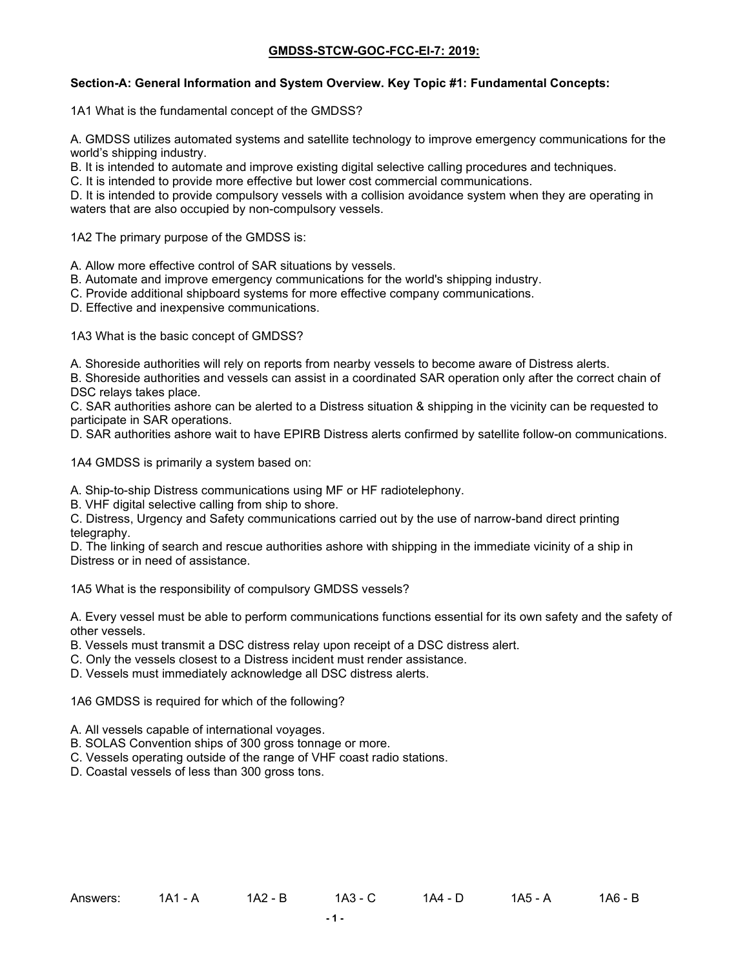### **Section-A: General Information and System Overview. Key Topic #1: Fundamental Concepts:**

1A1 What is the fundamental concept of the GMDSS?

A. GMDSS utilizes automated systems and satellite technology to improve emergency communications for the world's shipping industry.

B. It is intended to automate and improve existing digital selective calling procedures and techniques.

C. It is intended to provide more effective but lower cost commercial communications.

D. It is intended to provide compulsory vessels with a collision avoidance system when they are operating in waters that are also occupied by non-compulsory vessels.

1A2 The primary purpose of the GMDSS is:

A. Allow more effective control of SAR situations by vessels.

B. Automate and improve emergency communications for the world's shipping industry.

C. Provide additional shipboard systems for more effective company communications.

D. Effective and inexpensive communications.

1A3 What is the basic concept of GMDSS?

A. Shoreside authorities will rely on reports from nearby vessels to become aware of Distress alerts.

B. Shoreside authorities and vessels can assist in a coordinated SAR operation only after the correct chain of DSC relays takes place.

C. SAR authorities ashore can be alerted to a Distress situation & shipping in the vicinity can be requested to participate in SAR operations.

D. SAR authorities ashore wait to have EPIRB Distress alerts confirmed by satellite follow-on communications.

1A4 GMDSS is primarily a system based on:

A. Ship-to-ship Distress communications using MF or HF radiotelephony.

B. VHF digital selective calling from ship to shore.

C. Distress, Urgency and Safety communications carried out by the use of narrow-band direct printing telegraphy.

D. The linking of search and rescue authorities ashore with shipping in the immediate vicinity of a ship in Distress or in need of assistance.

1A5 What is the responsibility of compulsory GMDSS vessels?

A. Every vessel must be able to perform communications functions essential for its own safety and the safety of other vessels.

B. Vessels must transmit a DSC distress relay upon receipt of a DSC distress alert.

C. Only the vessels closest to a Distress incident must render assistance.

D. Vessels must immediately acknowledge all DSC distress alerts.

1A6 GMDSS is required for which of the following?

A. All vessels capable of international voyages.

B. SOLAS Convention ships of 300 gross tonnage or more.

C. Vessels operating outside of the range of VHF coast radio stations.

D. Coastal vessels of less than 300 gross tons.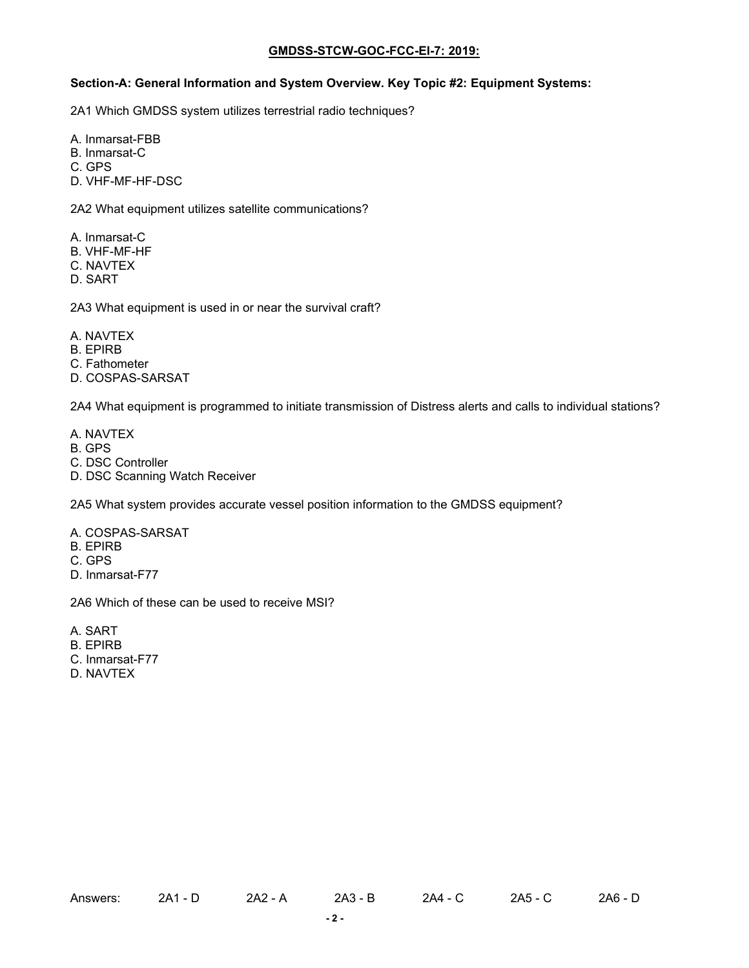# **Section-A: General Information and System Overview. Key Topic #2: Equipment Systems:**

2A1 Which GMDSS system utilizes terrestrial radio techniques?

A. Inmarsat-FBB

B. Inmarsat-C

C. GPS

D. VHF-MF-HF-DSC

2A2 What equipment utilizes satellite communications?

A. Inmarsat-C

B. VHF-MF-HF

C. NAVTEX

D. SART

2A3 What equipment is used in or near the survival craft?

A. NAVTEX

B. EPIRB

C. Fathometer

D. COSPAS-SARSAT

2A4 What equipment is programmed to initiate transmission of Distress alerts and calls to individual stations?

A. NAVTEX

- B. GPS
- C. DSC Controller
- D. DSC Scanning Watch Receiver

2A5 What system provides accurate vessel position information to the GMDSS equipment?

- A. COSPAS-SARSAT
- B. EPIRB

C. GPS

D. Inmarsat-F77

2A6 Which of these can be used to receive MSI?

A. SART

B. EPIRB

- C. Inmarsat-F77
- D. NAVTEX

Answers: 2A1 - D 2A2 - A 2A3 - B 2A4 - C 2A5 - C 2A6 - D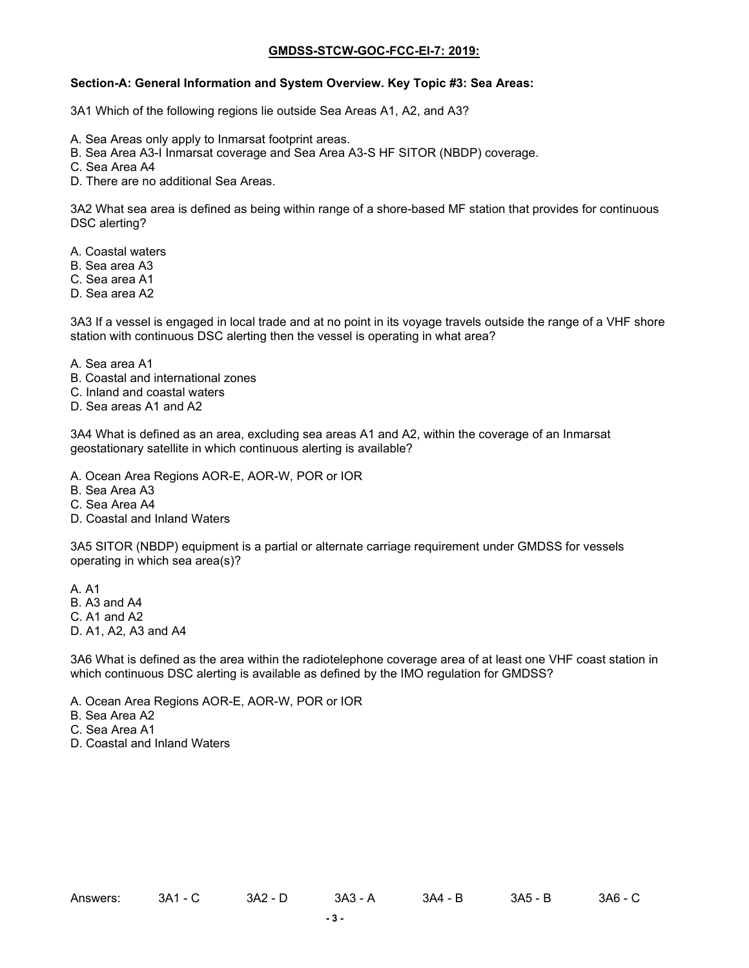# **Section-A: General Information and System Overview. Key Topic #3: Sea Areas:**

3A1 Which of the following regions lie outside Sea Areas A1, A2, and A3?

- A. Sea Areas only apply to Inmarsat footprint areas.
- B. Sea Area A3-I Inmarsat coverage and Sea Area A3-S HF SITOR (NBDP) coverage.
- C. Sea Area A4
- D. There are no additional Sea Areas.

3A2 What sea area is defined as being within range of a shore-based MF station that provides for continuous DSC alerting?

- A. Coastal waters
- B. Sea area A3
- C. Sea area A1
- D. Sea area A2

3A3 If a vessel is engaged in local trade and at no point in its voyage travels outside the range of a VHF shore station with continuous DSC alerting then the vessel is operating in what area?

- A. Sea area A1
- B. Coastal and international zones
- C. Inland and coastal waters
- D. Sea areas A1 and A2

3A4 What is defined as an area, excluding sea areas A1 and A2, within the coverage of an Inmarsat geostationary satellite in which continuous alerting is available?

- A. Ocean Area Regions AOR-E, AOR-W, POR or IOR
- B. Sea Area A3
- C. Sea Area A4
- D. Coastal and Inland Waters

3A5 SITOR (NBDP) equipment is a partial or alternate carriage requirement under GMDSS for vessels operating in which sea area(s)?

- A. A1
- B. A3 and A4
- C. A1 and A2
- D. A1, A2, A3 and A4

3A6 What is defined as the area within the radiotelephone coverage area of at least one VHF coast station in which continuous DSC alerting is available as defined by the IMO regulation for GMDSS?

- A. Ocean Area Regions AOR-E, AOR-W, POR or IOR
- B. Sea Area A2
- C. Sea Area A1
- D. Coastal and Inland Waters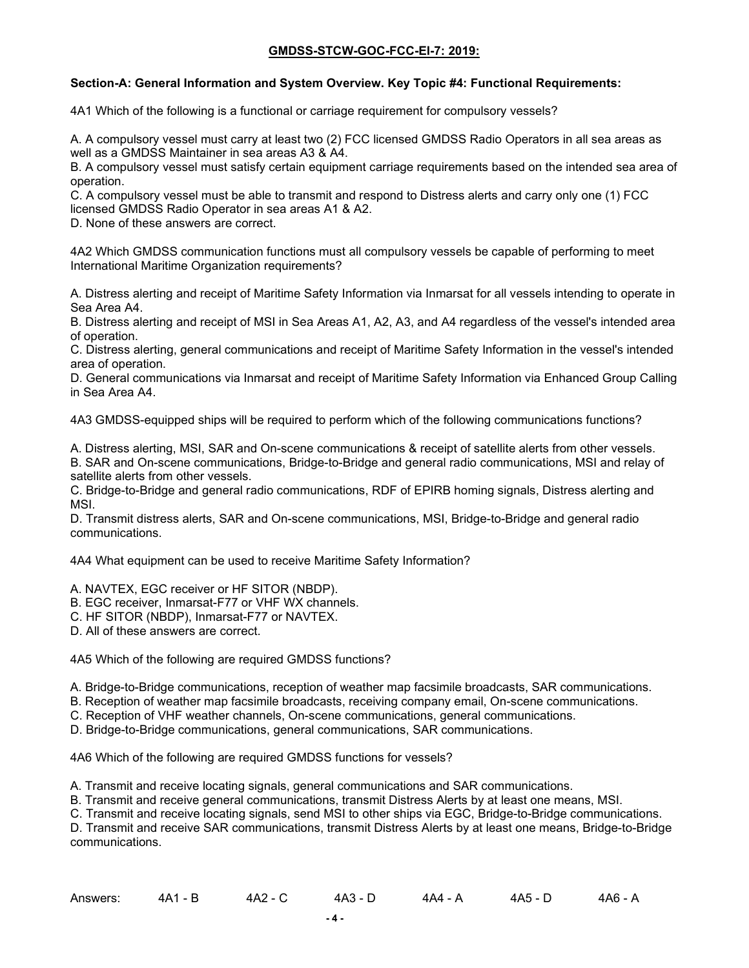### **Section-A: General Information and System Overview. Key Topic #4: Functional Requirements:**

4A1 Which of the following is a functional or carriage requirement for compulsory vessels?

A. A compulsory vessel must carry at least two (2) FCC licensed GMDSS Radio Operators in all sea areas as well as a GMDSS Maintainer in sea areas A3 & A4.

B. A compulsory vessel must satisfy certain equipment carriage requirements based on the intended sea area of operation.

C. A compulsory vessel must be able to transmit and respond to Distress alerts and carry only one (1) FCC licensed GMDSS Radio Operator in sea areas A1 & A2.

D. None of these answers are correct.

4A2 Which GMDSS communication functions must all compulsory vessels be capable of performing to meet International Maritime Organization requirements?

A. Distress alerting and receipt of Maritime Safety Information via Inmarsat for all vessels intending to operate in Sea Area A4.

B. Distress alerting and receipt of MSI in Sea Areas A1, A2, A3, and A4 regardless of the vessel's intended area of operation.

C. Distress alerting, general communications and receipt of Maritime Safety Information in the vessel's intended area of operation.

D. General communications via Inmarsat and receipt of Maritime Safety Information via Enhanced Group Calling in Sea Area A4.

4A3 GMDSS-equipped ships will be required to perform which of the following communications functions?

A. Distress alerting, MSI, SAR and On-scene communications & receipt of satellite alerts from other vessels. B. SAR and On-scene communications, Bridge-to-Bridge and general radio communications, MSI and relay of satellite alerts from other vessels.

C. Bridge-to-Bridge and general radio communications, RDF of EPIRB homing signals, Distress alerting and MSI.

D. Transmit distress alerts, SAR and On-scene communications, MSI, Bridge-to-Bridge and general radio communications.

4A4 What equipment can be used to receive Maritime Safety Information?

A. NAVTEX, EGC receiver or HF SITOR (NBDP).

- B. EGC receiver, Inmarsat-F77 or VHF WX channels.
- C. HF SITOR (NBDP), Inmarsat-F77 or NAVTEX.

D. All of these answers are correct.

4A5 Which of the following are required GMDSS functions?

A. Bridge-to-Bridge communications, reception of weather map facsimile broadcasts, SAR communications.

- B. Reception of weather map facsimile broadcasts, receiving company email, On-scene communications.
- C. Reception of VHF weather channels, On-scene communications, general communications.

D. Bridge-to-Bridge communications, general communications, SAR communications.

4A6 Which of the following are required GMDSS functions for vessels?

A. Transmit and receive locating signals, general communications and SAR communications.

B. Transmit and receive general communications, transmit Distress Alerts by at least one means, MSI.

C. Transmit and receive locating signals, send MSI to other ships via EGC, Bridge-to-Bridge communications.

D. Transmit and receive SAR communications, transmit Distress Alerts by at least one means, Bridge-to-Bridge communications.

| Answers: | $-$ R<br>4A1 | 4A2 - | 4A3 - [ | 4A4 -<br>$\mathbf{v}$ | 4A5 -<br>$\sim$ | 4A6 - A<br>______ |
|----------|--------------|-------|---------|-----------------------|-----------------|-------------------|
|----------|--------------|-------|---------|-----------------------|-----------------|-------------------|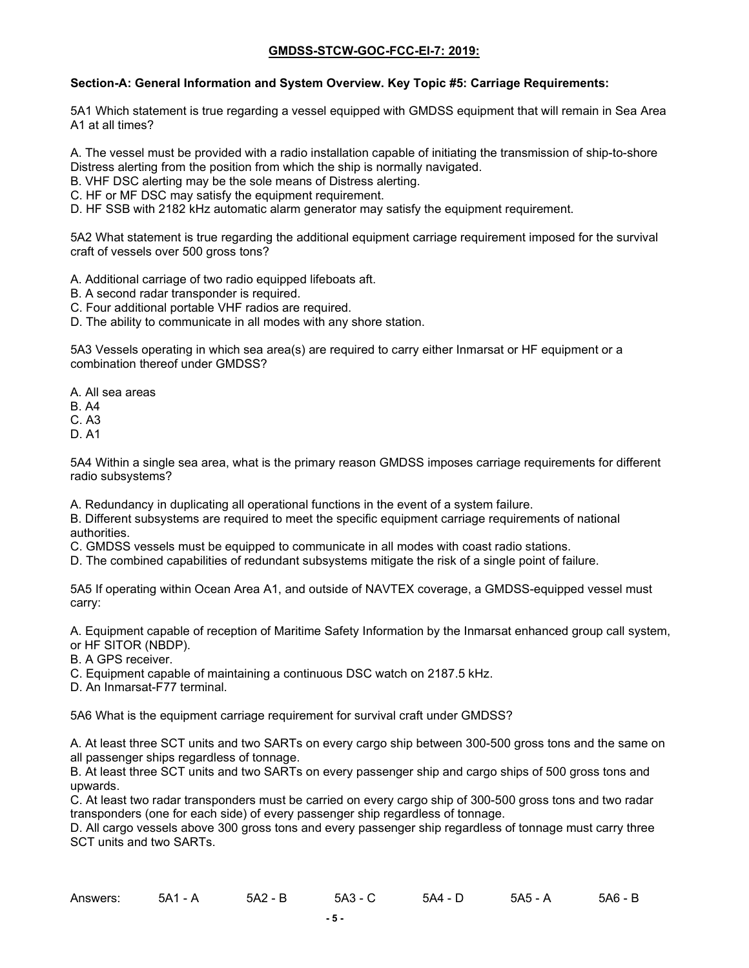### **Section-A: General Information and System Overview. Key Topic #5: Carriage Requirements:**

5A1 Which statement is true regarding a vessel equipped with GMDSS equipment that will remain in Sea Area A1 at all times?

A. The vessel must be provided with a radio installation capable of initiating the transmission of ship-to-shore Distress alerting from the position from which the ship is normally navigated.

- B. VHF DSC alerting may be the sole means of Distress alerting.
- C. HF or MF DSC may satisfy the equipment requirement.

D. HF SSB with 2182 kHz automatic alarm generator may satisfy the equipment requirement.

5A2 What statement is true regarding the additional equipment carriage requirement imposed for the survival craft of vessels over 500 gross tons?

- A. Additional carriage of two radio equipped lifeboats aft.
- B. A second radar transponder is required.
- C. Four additional portable VHF radios are required.
- D. The ability to communicate in all modes with any shore station.

5A3 Vessels operating in which sea area(s) are required to carry either Inmarsat or HF equipment or a combination thereof under GMDSS?

- A. All sea areas
- B. A4
- C. A3
- D. A1

5A4 Within a single sea area, what is the primary reason GMDSS imposes carriage requirements for different radio subsystems?

A. Redundancy in duplicating all operational functions in the event of a system failure.

B. Different subsystems are required to meet the specific equipment carriage requirements of national authorities.

C. GMDSS vessels must be equipped to communicate in all modes with coast radio stations.

D. The combined capabilities of redundant subsystems mitigate the risk of a single point of failure.

5A5 If operating within Ocean Area A1, and outside of NAVTEX coverage, a GMDSS-equipped vessel must carry:

A. Equipment capable of reception of Maritime Safety Information by the Inmarsat enhanced group call system, or HF SITOR (NBDP).

B. A GPS receiver.

C. Equipment capable of maintaining a continuous DSC watch on 2187.5 kHz.

D. An Inmarsat-F77 terminal.

5A6 What is the equipment carriage requirement for survival craft under GMDSS?

A. At least three SCT units and two SARTs on every cargo ship between 300-500 gross tons and the same on all passenger ships regardless of tonnage.

B. At least three SCT units and two SARTs on every passenger ship and cargo ships of 500 gross tons and upwards.

C. At least two radar transponders must be carried on every cargo ship of 300-500 gross tons and two radar transponders (one for each side) of every passenger ship regardless of tonnage.

D. All cargo vessels above 300 gross tons and every passenger ship regardless of tonnage must carry three SCT units and two SARTs.

| Answers: | 5A1<br>$ \rightarrow$ | 5A2<br>D<br>- B | - 5A3 - | 5A4 - | 5A5 - A | 5A6 |
|----------|-----------------------|-----------------|---------|-------|---------|-----|
|----------|-----------------------|-----------------|---------|-------|---------|-----|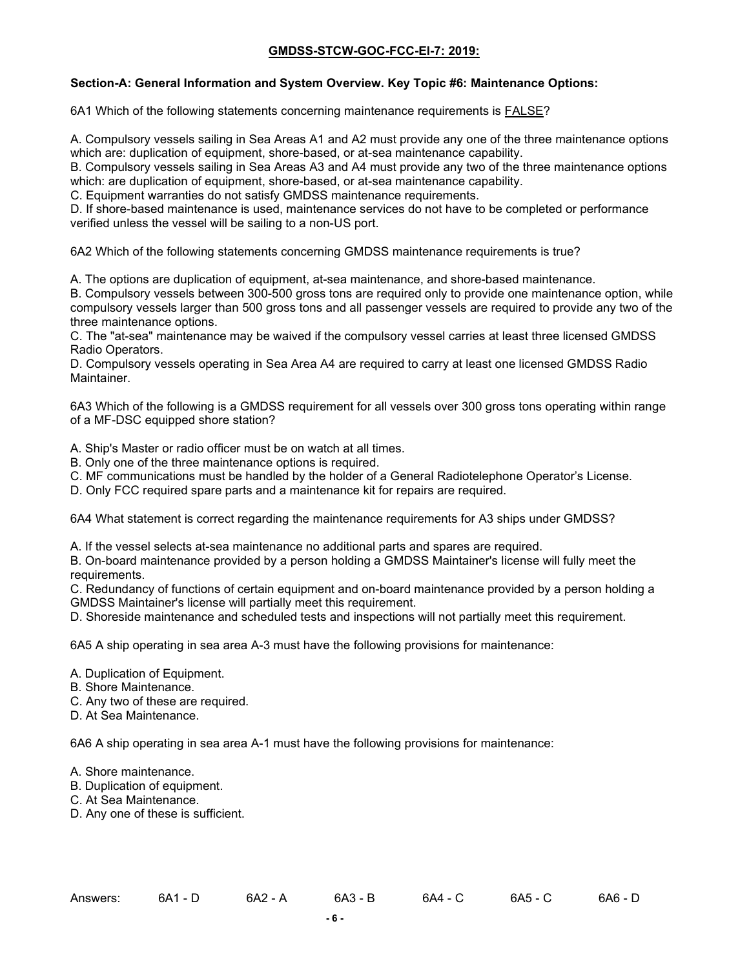### **Section-A: General Information and System Overview. Key Topic #6: Maintenance Options:**

6A1 Which of the following statements concerning maintenance requirements is FALSE?

A. Compulsory vessels sailing in Sea Areas A1 and A2 must provide any one of the three maintenance options which are: duplication of equipment, shore-based, or at-sea maintenance capability.

B. Compulsory vessels sailing in Sea Areas A3 and A4 must provide any two of the three maintenance options which: are duplication of equipment, shore-based, or at-sea maintenance capability.

C. Equipment warranties do not satisfy GMDSS maintenance requirements.

D. If shore-based maintenance is used, maintenance services do not have to be completed or performance verified unless the vessel will be sailing to a non-US port.

6A2 Which of the following statements concerning GMDSS maintenance requirements is true?

A. The options are duplication of equipment, at-sea maintenance, and shore-based maintenance.

B. Compulsory vessels between 300-500 gross tons are required only to provide one maintenance option, while compulsory vessels larger than 500 gross tons and all passenger vessels are required to provide any two of the three maintenance options.

C. The "at-sea" maintenance may be waived if the compulsory vessel carries at least three licensed GMDSS Radio Operators.

D. Compulsory vessels operating in Sea Area A4 are required to carry at least one licensed GMDSS Radio Maintainer.

6A3 Which of the following is a GMDSS requirement for all vessels over 300 gross tons operating within range of a MF-DSC equipped shore station?

A. Ship's Master or radio officer must be on watch at all times.

- B. Only one of the three maintenance options is required.
- C. MF communications must be handled by the holder of a General Radiotelephone Operator's License.

D. Only FCC required spare parts and a maintenance kit for repairs are required.

6A4 What statement is correct regarding the maintenance requirements for A3 ships under GMDSS?

A. If the vessel selects at-sea maintenance no additional parts and spares are required.

B. On-board maintenance provided by a person holding a GMDSS Maintainer's license will fully meet the requirements.

C. Redundancy of functions of certain equipment and on-board maintenance provided by a person holding a GMDSS Maintainer's license will partially meet this requirement.

D. Shoreside maintenance and scheduled tests and inspections will not partially meet this requirement.

6A5 A ship operating in sea area A-3 must have the following provisions for maintenance:

- A. Duplication of Equipment.
- B. Shore Maintenance.
- C. Any two of these are required.
- D. At Sea Maintenance.

6A6 A ship operating in sea area A-1 must have the following provisions for maintenance:

A. Shore maintenance.

- B. Duplication of equipment.
- C. At Sea Maintenance.
- D. Any one of these is sufficient.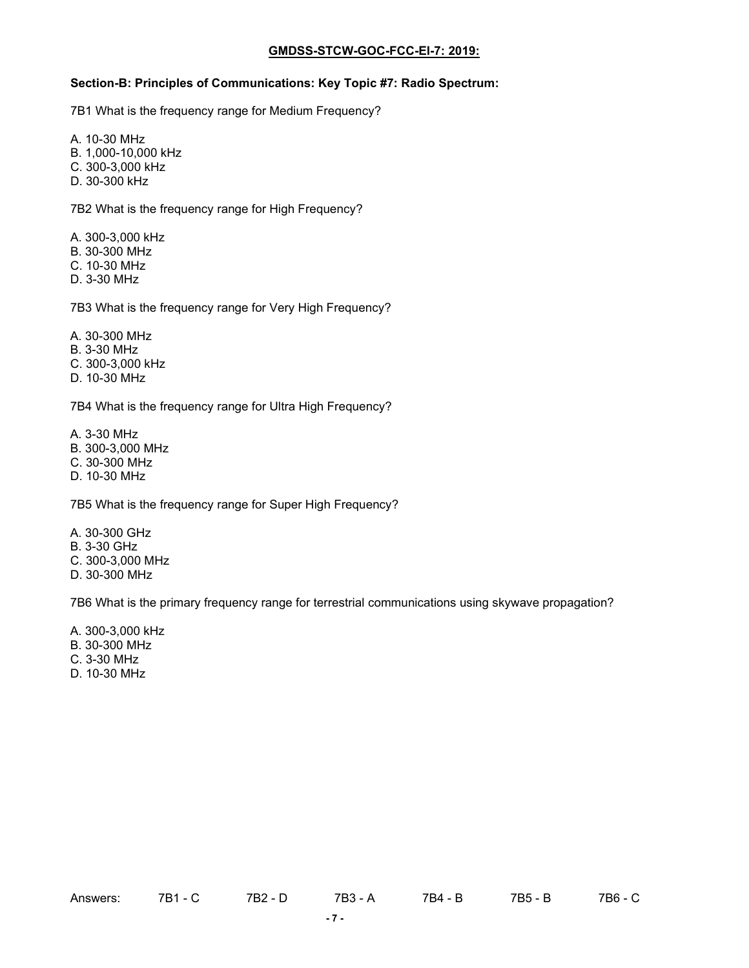# **Section-B: Principles of Communications: Key Topic #7: Radio Spectrum:**

7B1 What is the frequency range for Medium Frequency?

A. 10-30 MHz

- B. 1,000-10,000 kHz
- C. 300-3,000 kHz
- D. 30-300 kHz

7B2 What is the frequency range for High Frequency?

A. 300-3,000 kHz B. 30-300 MHz C. 10-30 MHz

D. 3-30 MHz

7B3 What is the frequency range for Very High Frequency?

- A. 30-300 MHz
- B. 3-30 MHz
- C. 300-3,000 kHz

D. 10-30 MHz

7B4 What is the frequency range for Ultra High Frequency?

A. 3-30 MHz B. 300-3,000 MHz

- C. 30-300 MHz
- D. 10-30 MHz

7B5 What is the frequency range for Super High Frequency?

A. 30-300 GHz B. 3-30 GHz C. 300-3,000 MHz D. 30-300 MHz

7B6 What is the primary frequency range for terrestrial communications using skywave propagation?

A. 300-3,000 kHz

B. 30-300 MHz

C. 3-30 MHz

D. 10-30 MHz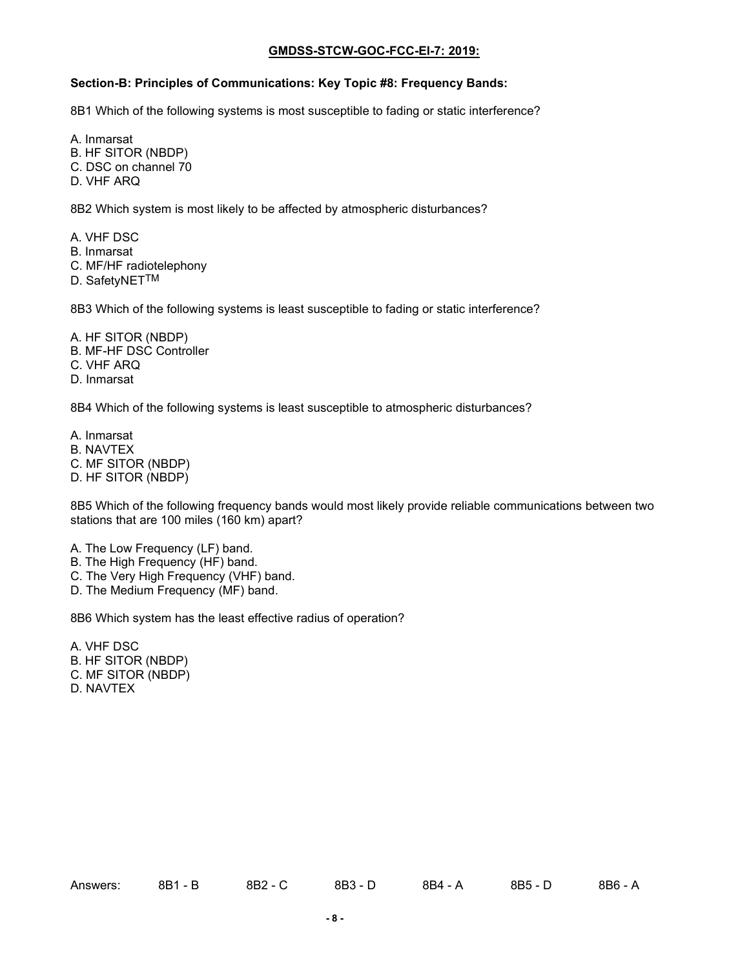# **Section-B: Principles of Communications: Key Topic #8: Frequency Bands:**

8B1 Which of the following systems is most susceptible to fading or static interference?

A. Inmarsat

- B. HF SITOR (NBDP)
- C. DSC on channel 70
- D. VHF ARQ

8B2 Which system is most likely to be affected by atmospheric disturbances?

- A. VHF DSC
- B. Inmarsat
- C. MF/HF radiotelephony
- D. SafetyNETTM

8B3 Which of the following systems is least susceptible to fading or static interference?

- A. HF SITOR (NBDP)
- B. MF-HF DSC Controller
- C. VHF ARQ
- D. Inmarsat

8B4 Which of the following systems is least susceptible to atmospheric disturbances?

- A. Inmarsat
- B. NAVTEX
- C. MF SITOR (NBDP)
- D. HF SITOR (NBDP)

8B5 Which of the following frequency bands would most likely provide reliable communications between two stations that are 100 miles (160 km) apart?

- A. The Low Frequency (LF) band.
- B. The High Frequency (HF) band.
- C. The Very High Frequency (VHF) band.
- D. The Medium Frequency (MF) band.

8B6 Which system has the least effective radius of operation?

A. VHF DSC

- B. HF SITOR (NBDP)
- C. MF SITOR (NBDP)
- D. NAVTEX

| Answers: | 0D 1<br>D<br>- D<br>OD I | 8B2 | 8B3<br>3 = L | 8B4 | 8B5 - | 8B6 - A |
|----------|--------------------------|-----|--------------|-----|-------|---------|
|          |                          |     |              |     |       |         |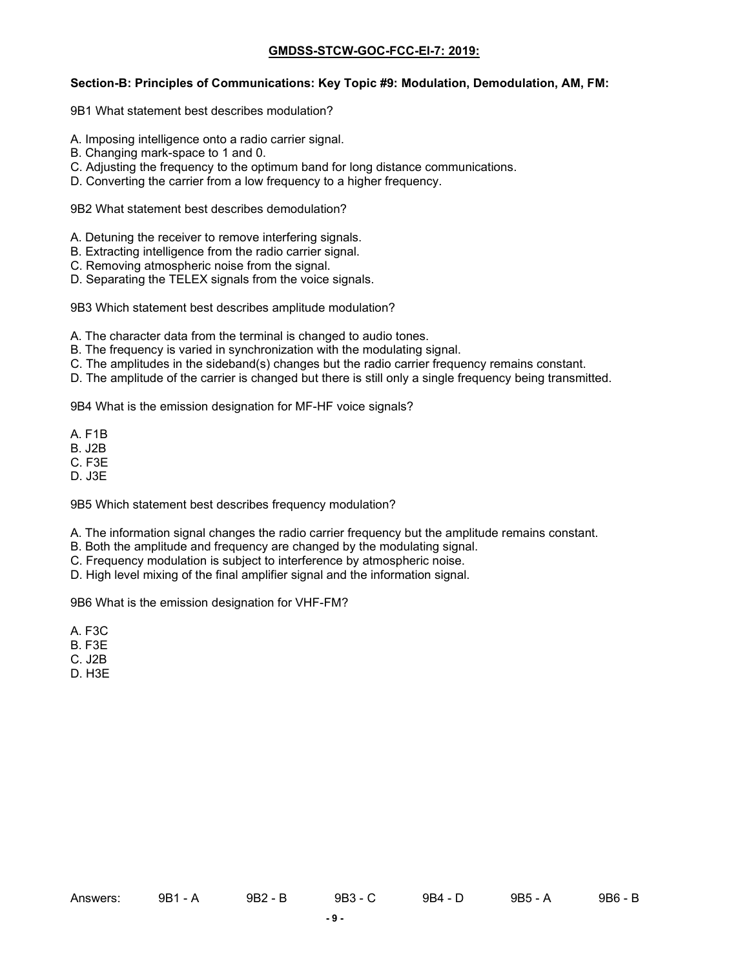#### **Section-B: Principles of Communications: Key Topic #9: Modulation, Demodulation, AM, FM:**

9B1 What statement best describes modulation?

- A. Imposing intelligence onto a radio carrier signal.
- B. Changing mark-space to 1 and 0.
- C. Adjusting the frequency to the optimum band for long distance communications.
- D. Converting the carrier from a low frequency to a higher frequency.

9B2 What statement best describes demodulation?

- A. Detuning the receiver to remove interfering signals.
- B. Extracting intelligence from the radio carrier signal.
- C. Removing atmospheric noise from the signal.
- D. Separating the TELEX signals from the voice signals.

9B3 Which statement best describes amplitude modulation?

- A. The character data from the terminal is changed to audio tones.
- B. The frequency is varied in synchronization with the modulating signal.
- C. The amplitudes in the sideband(s) changes but the radio carrier frequency remains constant.
- D. The amplitude of the carrier is changed but there is still only a single frequency being transmitted.

9B4 What is the emission designation for MF-HF voice signals?

- A. F1B
- B. J2B
- C. F3E
- D. J3E

9B5 Which statement best describes frequency modulation?

- A. The information signal changes the radio carrier frequency but the amplitude remains constant.
- B. Both the amplitude and frequency are changed by the modulating signal.
- C. Frequency modulation is subject to interference by atmospheric noise.
- D. High level mixing of the final amplifier signal and the information signal.

9B6 What is the emission designation for VHF-FM?

- A. F3C
- B. F3E
- C. J2B
- D. H3E

Answers: 9B1 - A 9B2 - B 9B3 - C 9B4 - D 9B5 - A 9B6 - B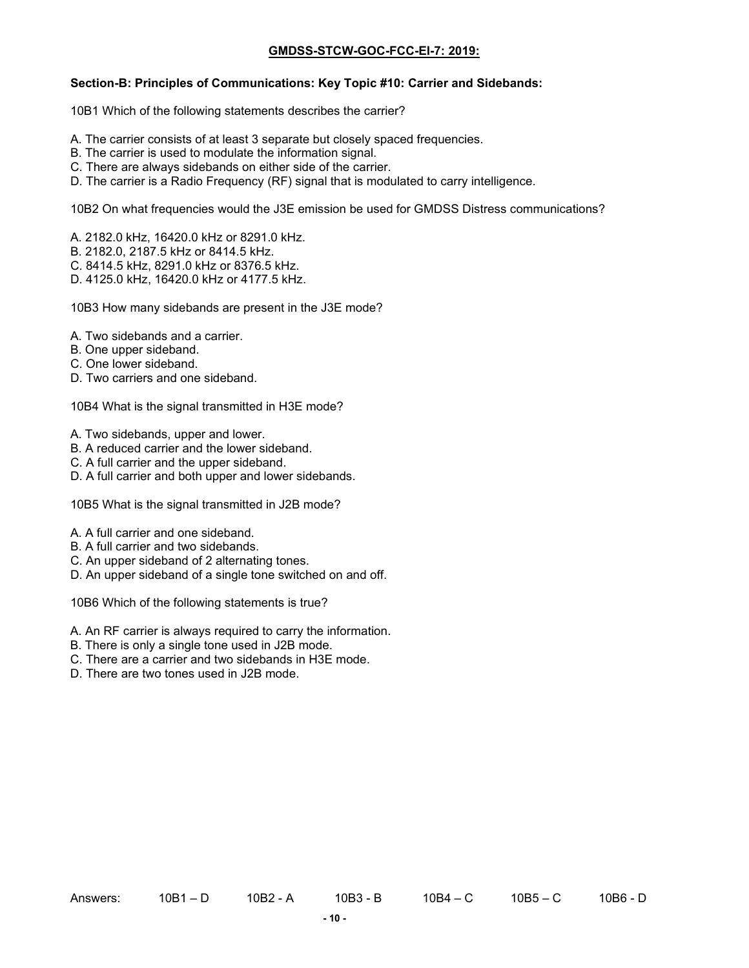#### **Section-B: Principles of Communications: Key Topic #10: Carrier and Sidebands:**

10B1 Which of the following statements describes the carrier?

- A. The carrier consists of at least 3 separate but closely spaced frequencies.
- B. The carrier is used to modulate the information signal.
- C. There are always sidebands on either side of the carrier.
- D. The carrier is a Radio Frequency (RF) signal that is modulated to carry intelligence.

10B2 On what frequencies would the J3E emission be used for GMDSS Distress communications?

- A. 2182.0 kHz, 16420.0 kHz or 8291.0 kHz.
- B. 2182.0, 2187.5 kHz or 8414.5 kHz.
- C. 8414.5 kHz, 8291.0 kHz or 8376.5 kHz.
- D. 4125.0 kHz, 16420.0 kHz or 4177.5 kHz.

10B3 How many sidebands are present in the J3E mode?

- A. Two sidebands and a carrier.
- B. One upper sideband.
- C. One lower sideband.
- D. Two carriers and one sideband.

10B4 What is the signal transmitted in H3E mode?

- A. Two sidebands, upper and lower.
- B. A reduced carrier and the lower sideband.
- C. A full carrier and the upper sideband.
- D. A full carrier and both upper and lower sidebands.

10B5 What is the signal transmitted in J2B mode?

- A. A full carrier and one sideband.
- B. A full carrier and two sidebands.
- C. An upper sideband of 2 alternating tones.
- D. An upper sideband of a single tone switched on and off.

10B6 Which of the following statements is true?

- A. An RF carrier is always required to carry the information.
- B. There is only a single tone used in J2B mode.
- C. There are a carrier and two sidebands in H3E mode.
- D. There are two tones used in J2B mode.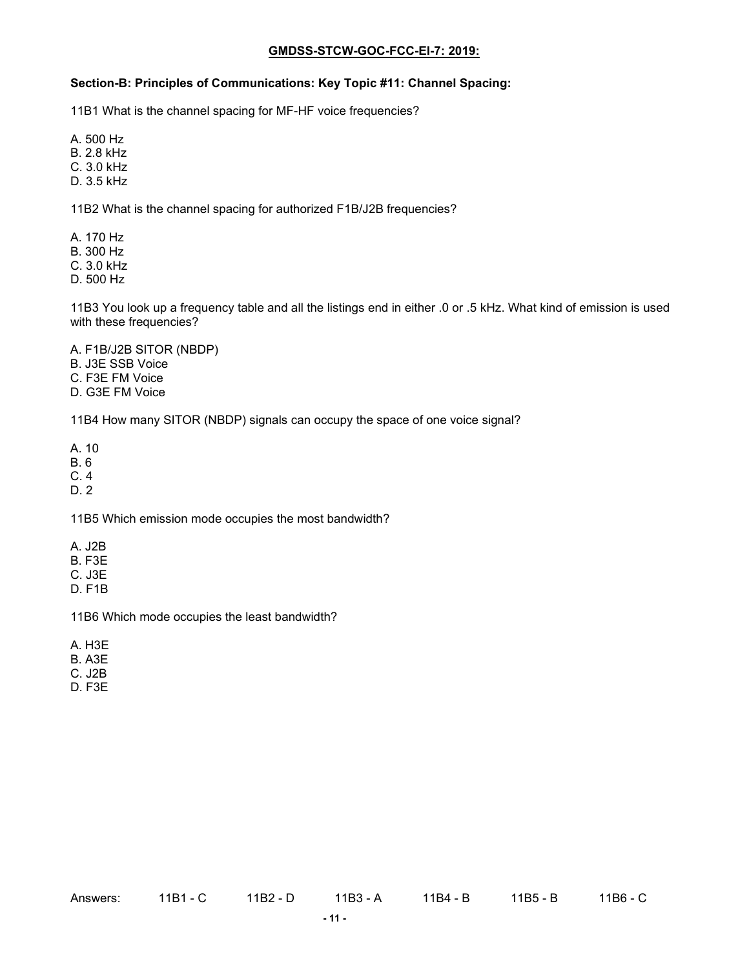#### **Section-B: Principles of Communications: Key Topic #11: Channel Spacing:**

11B1 What is the channel spacing for MF-HF voice frequencies?

A. 500 Hz

B. 2.8 kHz

C. 3.0 kHz

D. 3.5 kHz

11B2 What is the channel spacing for authorized F1B/J2B frequencies?

A. 170 Hz

B. 300 Hz

C. 3.0 kHz

D. 500 Hz

11B3 You look up a frequency table and all the listings end in either .0 or .5 kHz. What kind of emission is used with these frequencies?

A. F1B/J2B SITOR (NBDP)

B. J3E SSB Voice

C. F3E FM Voice

D. G3E FM Voice

11B4 How many SITOR (NBDP) signals can occupy the space of one voice signal?

A. 10

B. 6

C. 4

D. 2

11B5 Which emission mode occupies the most bandwidth?

A. J2B

B. F3E

C. J3E

D. F1B

11B6 Which mode occupies the least bandwidth?

A. H3E

B. A3E

C. J2B

D. F3E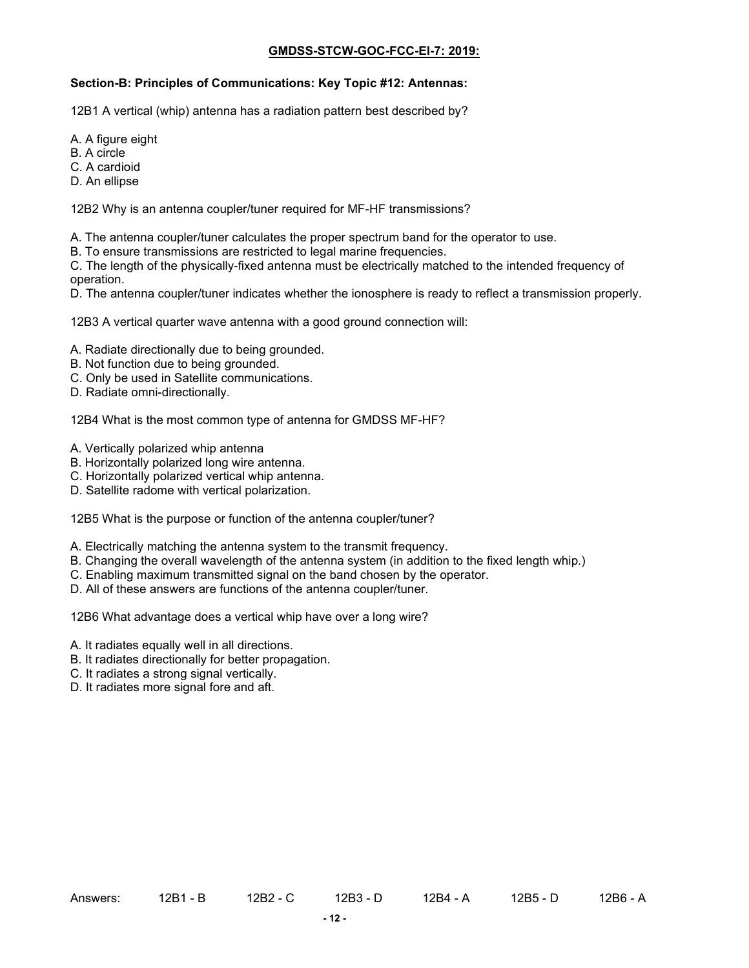### **Section-B: Principles of Communications: Key Topic #12: Antennas:**

12B1 A vertical (whip) antenna has a radiation pattern best described by?

- A. A figure eight
- B. A circle
- C. A cardioid
- D. An ellipse

12B2 Why is an antenna coupler/tuner required for MF-HF transmissions?

- A. The antenna coupler/tuner calculates the proper spectrum band for the operator to use.
- B. To ensure transmissions are restricted to legal marine frequencies.

C. The length of the physically-fixed antenna must be electrically matched to the intended frequency of operation.

D. The antenna coupler/tuner indicates whether the ionosphere is ready to reflect a transmission properly.

12B3 A vertical quarter wave antenna with a good ground connection will:

- A. Radiate directionally due to being grounded.
- B. Not function due to being grounded.
- C. Only be used in Satellite communications.
- D. Radiate omni-directionally.

12B4 What is the most common type of antenna for GMDSS MF-HF?

- A. Vertically polarized whip antenna
- B. Horizontally polarized long wire antenna.
- C. Horizontally polarized vertical whip antenna.
- D. Satellite radome with vertical polarization.

12B5 What is the purpose or function of the antenna coupler/tuner?

- A. Electrically matching the antenna system to the transmit frequency.
- B. Changing the overall wavelength of the antenna system (in addition to the fixed length whip.)
- C. Enabling maximum transmitted signal on the band chosen by the operator.
- D. All of these answers are functions of the antenna coupler/tuner.

12B6 What advantage does a vertical whip have over a long wire?

- A. It radiates equally well in all directions.
- B. It radiates directionally for better propagation.
- C. It radiates a strong signal vertically.
- D. It radiates more signal fore and aft.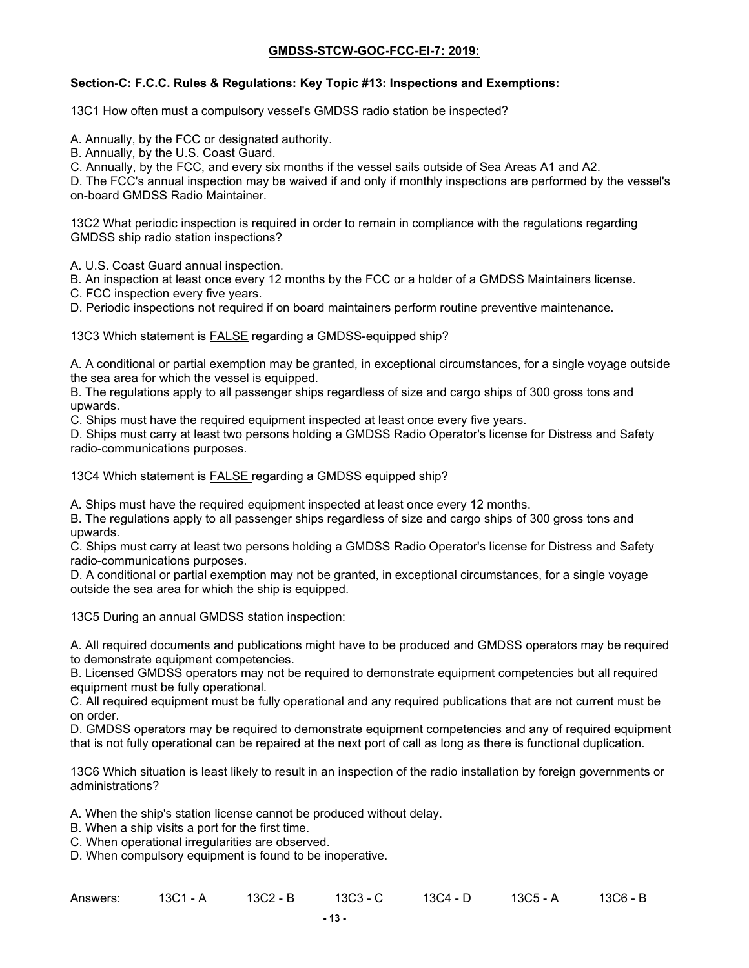### **Section**-**C: F.C.C. Rules & Regulations: Key Topic #13: Inspections and Exemptions:**

13C1 How often must a compulsory vessel's GMDSS radio station be inspected?

A. Annually, by the FCC or designated authority.

B. Annually, by the U.S. Coast Guard.

C. Annually, by the FCC, and every six months if the vessel sails outside of Sea Areas A1 and A2.

D. The FCC's annual inspection may be waived if and only if monthly inspections are performed by the vessel's on-board GMDSS Radio Maintainer.

13C2 What periodic inspection is required in order to remain in compliance with the regulations regarding GMDSS ship radio station inspections?

A. U.S. Coast Guard annual inspection.

B. An inspection at least once every 12 months by the FCC or a holder of a GMDSS Maintainers license.

C. FCC inspection every five years.

D. Periodic inspections not required if on board maintainers perform routine preventive maintenance.

13C3 Which statement is FALSE regarding a GMDSS-equipped ship?

A. A conditional or partial exemption may be granted, in exceptional circumstances, for a single voyage outside the sea area for which the vessel is equipped.

B. The regulations apply to all passenger ships regardless of size and cargo ships of 300 gross tons and upwards.

C. Ships must have the required equipment inspected at least once every five years.

D. Ships must carry at least two persons holding a GMDSS Radio Operator's license for Distress and Safety radio-communications purposes.

13C4 Which statement is FALSE regarding a GMDSS equipped ship?

A. Ships must have the required equipment inspected at least once every 12 months.

B. The regulations apply to all passenger ships regardless of size and cargo ships of 300 gross tons and upwards.

C. Ships must carry at least two persons holding a GMDSS Radio Operator's license for Distress and Safety radio-communications purposes.

D. A conditional or partial exemption may not be granted, in exceptional circumstances, for a single voyage outside the sea area for which the ship is equipped.

13C5 During an annual GMDSS station inspection:

A. All required documents and publications might have to be produced and GMDSS operators may be required to demonstrate equipment competencies.

B. Licensed GMDSS operators may not be required to demonstrate equipment competencies but all required equipment must be fully operational.

C. All required equipment must be fully operational and any required publications that are not current must be on order.

D. GMDSS operators may be required to demonstrate equipment competencies and any of required equipment that is not fully operational can be repaired at the next port of call as long as there is functional duplication.

13C6 Which situation is least likely to result in an inspection of the radio installation by foreign governments or administrations?

A. When the ship's station license cannot be produced without delay.

- B. When a ship visits a port for the first time.
- C. When operational irregularities are observed.

D. When compulsory equipment is found to be inoperative.

| Answers: | 13C1 - A | 13C2 - B | 13C3 - C | 13C4 - D | 13C5 - A | 13C6 - B |
|----------|----------|----------|----------|----------|----------|----------|
|----------|----------|----------|----------|----------|----------|----------|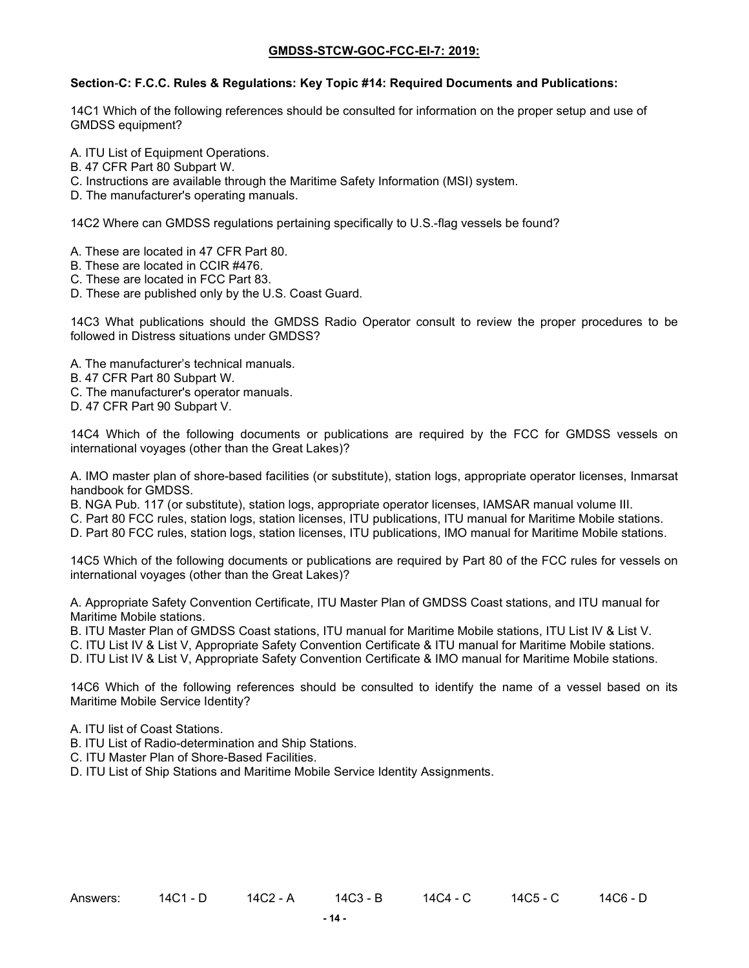#### **Section**-**C: F.C.C. Rules & Regulations: Key Topic #14: Required Documents and Publications:**

14C1 Which of the following references should be consulted for information on the proper setup and use of GMDSS equipment?

- A. ITU List of Equipment Operations.
- B. 47 CFR Part 80 Subpart W.
- C. Instructions are available through the Maritime Safety Information (MSI) system.
- D. The manufacturer's operating manuals.

14C2 Where can GMDSS regulations pertaining specifically to U.S.-flag vessels be found?

- A. These are located in 47 CFR Part 80.
- B. These are located in CCIR #476.
- C. These are located in FCC Part 83.
- D. These are published only by the U.S. Coast Guard.

14C3 What publications should the GMDSS Radio Operator consult to review the proper procedures to be followed in Distress situations under GMDSS?

- A. The manufacturer's technical manuals.
- B. 47 CFR Part 80 Subpart W.
- C. The manufacturer's operator manuals.
- D. 47 CFR Part 90 Subpart V.

14C4 Which of the following documents or publications are required by the FCC for GMDSS vessels on international voyages (other than the Great Lakes)?

A. IMO master plan of shore-based facilities (or substitute), station logs, appropriate operator licenses, Inmarsat handbook for GMDSS.

B. NGA Pub. 117 (or substitute), station logs, appropriate operator licenses, IAMSAR manual volume III.

C. Part 80 FCC rules, station logs, station licenses, ITU publications, ITU manual for Maritime Mobile stations.

D. Part 80 FCC rules, station logs, station licenses, ITU publications, IMO manual for Maritime Mobile stations.

14C5 Which of the following documents or publications are required by Part 80 of the FCC rules for vessels on international voyages (other than the Great Lakes)?

A. Appropriate Safety Convention Certificate, ITU Master Plan of GMDSS Coast stations, and ITU manual for Maritime Mobile stations.

B. ITU Master Plan of GMDSS Coast stations, ITU manual for Maritime Mobile stations, ITU List IV & List V.

C. ITU List IV & List V, Appropriate Safety Convention Certificate & ITU manual for Maritime Mobile stations.

D. ITU List IV & List V, Appropriate Safety Convention Certificate & IMO manual for Maritime Mobile stations.

14C6 Which of the following references should be consulted to identify the name of a vessel based on its Maritime Mobile Service Identity?

A. ITU list of Coast Stations.

B. ITU List of Radio-determination and Ship Stations.

C. ITU Master Plan of Shore-Based Facilities.

D. ITU List of Ship Stations and Maritime Mobile Service Identity Assignments.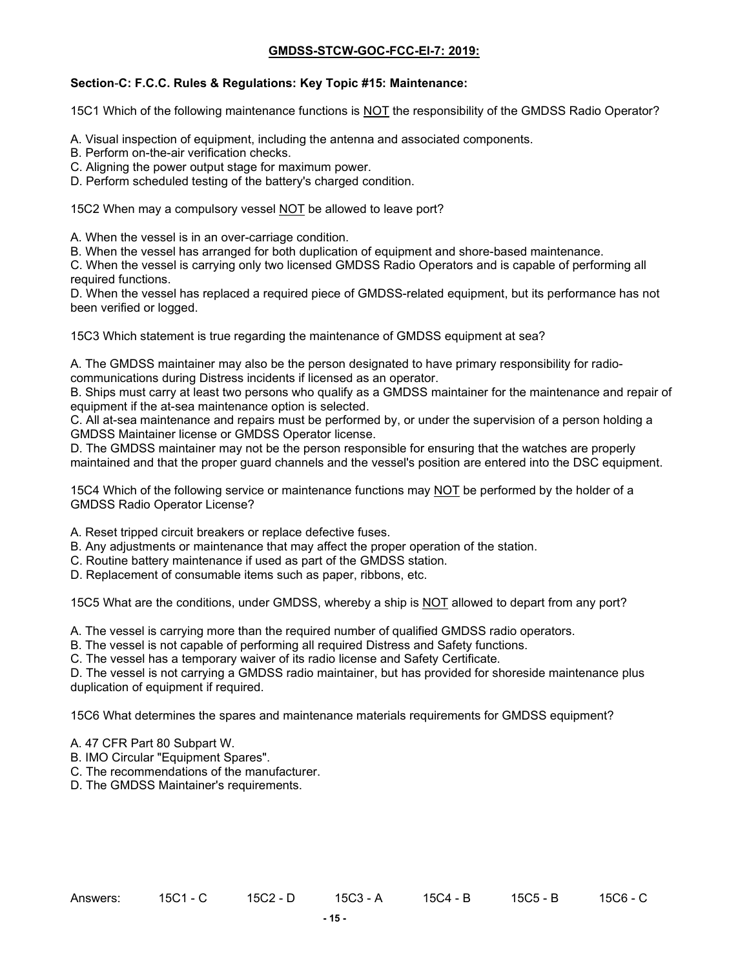### **Section**-**C: F.C.C. Rules & Regulations: Key Topic #15: Maintenance:**

15C1 Which of the following maintenance functions is NOT the responsibility of the GMDSS Radio Operator?

- A. Visual inspection of equipment, including the antenna and associated components.
- B. Perform on-the-air verification checks.
- C. Aligning the power output stage for maximum power.
- D. Perform scheduled testing of the battery's charged condition.

15C2 When may a compulsory vessel NOT be allowed to leave port?

A. When the vessel is in an over-carriage condition.

B. When the vessel has arranged for both duplication of equipment and shore-based maintenance.

C. When the vessel is carrying only two licensed GMDSS Radio Operators and is capable of performing all required functions.

D. When the vessel has replaced a required piece of GMDSS-related equipment, but its performance has not been verified or logged.

15C3 Which statement is true regarding the maintenance of GMDSS equipment at sea?

A. The GMDSS maintainer may also be the person designated to have primary responsibility for radiocommunications during Distress incidents if licensed as an operator.

B. Ships must carry at least two persons who qualify as a GMDSS maintainer for the maintenance and repair of equipment if the at-sea maintenance option is selected.

C. All at-sea maintenance and repairs must be performed by, or under the supervision of a person holding a GMDSS Maintainer license or GMDSS Operator license.

D. The GMDSS maintainer may not be the person responsible for ensuring that the watches are properly maintained and that the proper guard channels and the vessel's position are entered into the DSC equipment.

15C4 Which of the following service or maintenance functions may NOT be performed by the holder of a GMDSS Radio Operator License?

A. Reset tripped circuit breakers or replace defective fuses.

- B. Any adjustments or maintenance that may affect the proper operation of the station.
- C. Routine battery maintenance if used as part of the GMDSS station.
- D. Replacement of consumable items such as paper, ribbons, etc.

15C5 What are the conditions, under GMDSS, whereby a ship is NOT allowed to depart from any port?

A. The vessel is carrying more than the required number of qualified GMDSS radio operators.

B. The vessel is not capable of performing all required Distress and Safety functions.

C. The vessel has a temporary waiver of its radio license and Safety Certificate.

D. The vessel is not carrying a GMDSS radio maintainer, but has provided for shoreside maintenance plus duplication of equipment if required.

15C6 What determines the spares and maintenance materials requirements for GMDSS equipment?

- A. 47 CFR Part 80 Subpart W.
- B. IMO Circular "Equipment Spares".
- C. The recommendations of the manufacturer.
- D. The GMDSS Maintainer's requirements.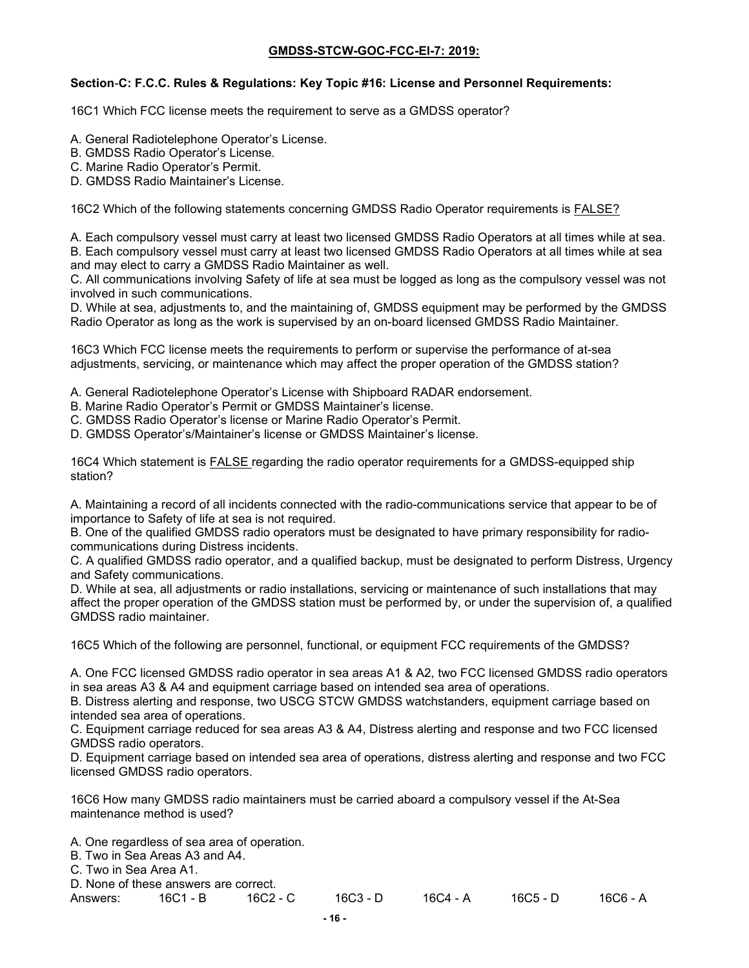### **Section**-**C: F.C.C. Rules & Regulations: Key Topic #16: License and Personnel Requirements:**

16C1 Which FCC license meets the requirement to serve as a GMDSS operator?

- A. General Radiotelephone Operator's License.
- B. GMDSS Radio Operator's License.

C. Marine Radio Operator's Permit.

D. GMDSS Radio Maintainer's License.

16C2 Which of the following statements concerning GMDSS Radio Operator requirements is FALSE?

A. Each compulsory vessel must carry at least two licensed GMDSS Radio Operators at all times while at sea. B. Each compulsory vessel must carry at least two licensed GMDSS Radio Operators at all times while at sea and may elect to carry a GMDSS Radio Maintainer as well.

C. All communications involving Safety of life at sea must be logged as long as the compulsory vessel was not involved in such communications.

D. While at sea, adjustments to, and the maintaining of, GMDSS equipment may be performed by the GMDSS Radio Operator as long as the work is supervised by an on-board licensed GMDSS Radio Maintainer.

16C3 Which FCC license meets the requirements to perform or supervise the performance of at-sea adjustments, servicing, or maintenance which may affect the proper operation of the GMDSS station?

A. General Radiotelephone Operator's License with Shipboard RADAR endorsement.

- B. Marine Radio Operator's Permit or GMDSS Maintainer's license.
- C. GMDSS Radio Operator's license or Marine Radio Operator's Permit.
- D. GMDSS Operator's/Maintainer's license or GMDSS Maintainer's license.

16C4 Which statement is FALSE regarding the radio operator requirements for a GMDSS-equipped ship station?

A. Maintaining a record of all incidents connected with the radio-communications service that appear to be of importance to Safety of life at sea is not required.

B. One of the qualified GMDSS radio operators must be designated to have primary responsibility for radiocommunications during Distress incidents.

C. A qualified GMDSS radio operator, and a qualified backup, must be designated to perform Distress, Urgency and Safety communications.

D. While at sea, all adjustments or radio installations, servicing or maintenance of such installations that may affect the proper operation of the GMDSS station must be performed by, or under the supervision of, a qualified GMDSS radio maintainer.

16C5 Which of the following are personnel, functional, or equipment FCC requirements of the GMDSS?

A. One FCC licensed GMDSS radio operator in sea areas A1 & A2, two FCC licensed GMDSS radio operators in sea areas A3 & A4 and equipment carriage based on intended sea area of operations.

B. Distress alerting and response, two USCG STCW GMDSS watchstanders, equipment carriage based on intended sea area of operations.

C. Equipment carriage reduced for sea areas A3 & A4, Distress alerting and response and two FCC licensed GMDSS radio operators.

D. Equipment carriage based on intended sea area of operations, distress alerting and response and two FCC licensed GMDSS radio operators.

16C6 How many GMDSS radio maintainers must be carried aboard a compulsory vessel if the At-Sea maintenance method is used?

A. One regardless of sea area of operation.

B. Two in Sea Areas A3 and A4.

C. Two in Sea Area A1.

D. None of these answers are correct. Answers: 16C1 - B 16C2 - C 16C3 - D 16C4 - A 16C5 - D 16C6 - A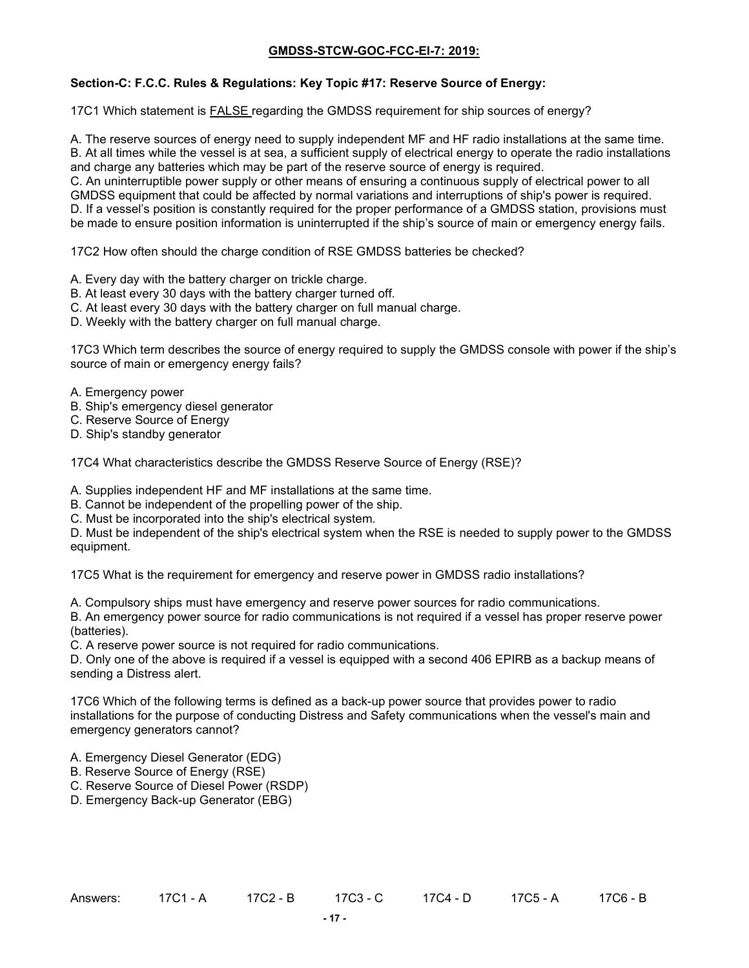## **Section-C: F.C.C. Rules & Regulations: Key Topic #17: Reserve Source of Energy:**

17C1 Which statement is FALSE regarding the GMDSS requirement for ship sources of energy?

A. The reserve sources of energy need to supply independent MF and HF radio installations at the same time. B. At all times while the vessel is at sea, a sufficient supply of electrical energy to operate the radio installations and charge any batteries which may be part of the reserve source of energy is required.

C. An uninterruptible power supply or other means of ensuring a continuous supply of electrical power to all GMDSS equipment that could be affected by normal variations and interruptions of ship's power is required. D. If a vessel's position is constantly required for the proper performance of a GMDSS station, provisions must be made to ensure position information is uninterrupted if the ship's source of main or emergency energy fails.

17C2 How often should the charge condition of RSE GMDSS batteries be checked?

- A. Every day with the battery charger on trickle charge.
- B. At least every 30 days with the battery charger turned off.
- C. At least every 30 days with the battery charger on full manual charge.
- D. Weekly with the battery charger on full manual charge.

17C3 Which term describes the source of energy required to supply the GMDSS console with power if the ship's source of main or emergency energy fails?

- A. Emergency power
- B. Ship's emergency diesel generator
- C. Reserve Source of Energy
- D. Ship's standby generator

17C4 What characteristics describe the GMDSS Reserve Source of Energy (RSE)?

A. Supplies independent HF and MF installations at the same time.

- B. Cannot be independent of the propelling power of the ship.
- C. Must be incorporated into the ship's electrical system.

D. Must be independent of the ship's electrical system when the RSE is needed to supply power to the GMDSS equipment.

17C5 What is the requirement for emergency and reserve power in GMDSS radio installations?

A. Compulsory ships must have emergency and reserve power sources for radio communications.

B. An emergency power source for radio communications is not required if a vessel has proper reserve power (batteries).

C. A reserve power source is not required for radio communications.

D. Only one of the above is required if a vessel is equipped with a second 406 EPIRB as a backup means of sending a Distress alert.

17C6 Which of the following terms is defined as a back-up power source that provides power to radio installations for the purpose of conducting Distress and Safety communications when the vessel's main and emergency generators cannot?

- A. Emergency Diesel Generator (EDG)
- B. Reserve Source of Energy (RSE)
- C. Reserve Source of Diesel Power (RSDP)
- D. Emergency Back-up Generator (EBG)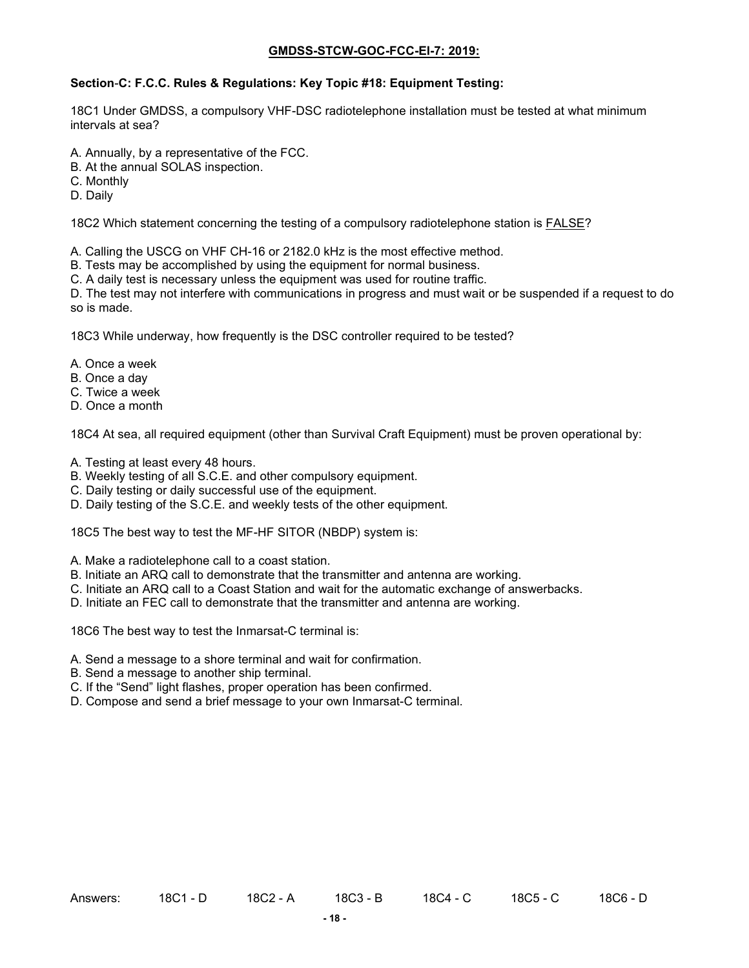## **Section**-**C: F.C.C. Rules & Regulations: Key Topic #18: Equipment Testing:**

18C1 Under GMDSS, a compulsory VHF-DSC radiotelephone installation must be tested at what minimum intervals at sea?

- A. Annually, by a representative of the FCC.
- B. At the annual SOLAS inspection.
- C. Monthly
- D. Daily

18C2 Which statement concerning the testing of a compulsory radiotelephone station is FALSE?

A. Calling the USCG on VHF CH-16 or 2182.0 kHz is the most effective method.

B. Tests may be accomplished by using the equipment for normal business.

C. A daily test is necessary unless the equipment was used for routine traffic.

D. The test may not interfere with communications in progress and must wait or be suspended if a request to do so is made.

18C3 While underway, how frequently is the DSC controller required to be tested?

- A. Once a week
- B. Once a day
- C. Twice a week
- D. Once a month

18C4 At sea, all required equipment (other than Survival Craft Equipment) must be proven operational by:

- A. Testing at least every 48 hours.
- B. Weekly testing of all S.C.E. and other compulsory equipment.
- C. Daily testing or daily successful use of the equipment.
- D. Daily testing of the S.C.E. and weekly tests of the other equipment.

18C5 The best way to test the MF-HF SITOR (NBDP) system is:

- A. Make a radiotelephone call to a coast station.
- B. Initiate an ARQ call to demonstrate that the transmitter and antenna are working.
- C. Initiate an ARQ call to a Coast Station and wait for the automatic exchange of answerbacks.
- D. Initiate an FEC call to demonstrate that the transmitter and antenna are working.

18C6 The best way to test the Inmarsat-C terminal is:

- A. Send a message to a shore terminal and wait for confirmation.
- B. Send a message to another ship terminal.
- C. If the "Send" light flashes, proper operation has been confirmed.
- D. Compose and send a brief message to your own Inmarsat-C terminal.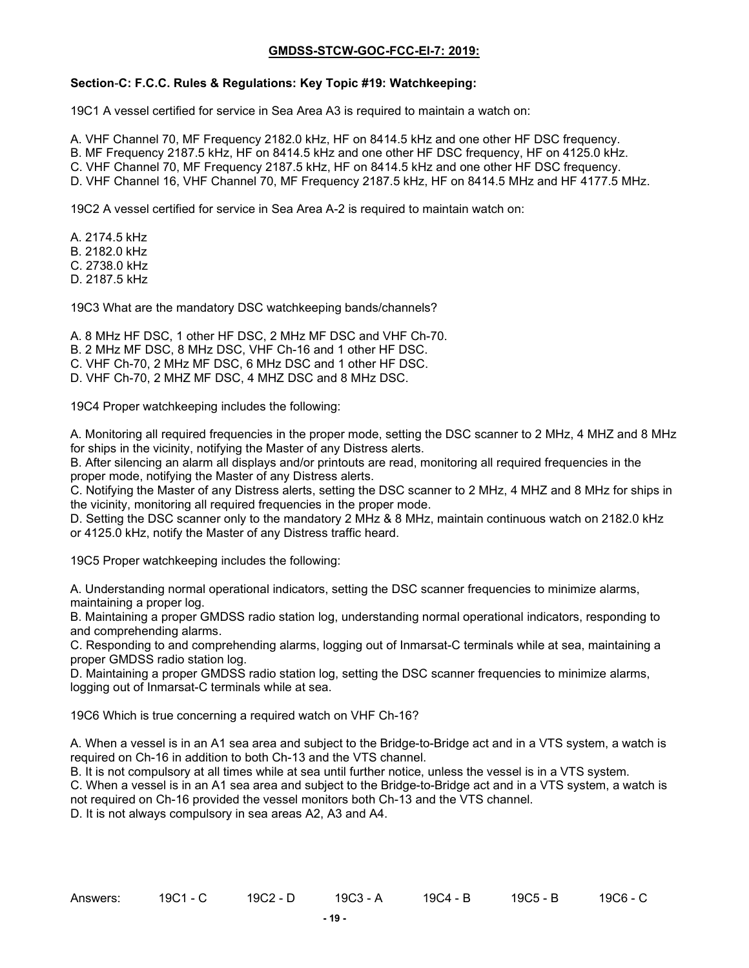#### **Section**-**C: F.C.C. Rules & Regulations: Key Topic #19: Watchkeeping:**

19C1 A vessel certified for service in Sea Area A3 is required to maintain a watch on:

A. VHF Channel 70, MF Frequency 2182.0 kHz, HF on 8414.5 kHz and one other HF DSC frequency. B. MF Frequency 2187.5 kHz, HF on 8414.5 kHz and one other HF DSC frequency, HF on 4125.0 kHz. C. VHF Channel 70, MF Frequency 2187.5 kHz, HF on 8414.5 kHz and one other HF DSC frequency. D. VHF Channel 16, VHF Channel 70, MF Frequency 2187.5 kHz, HF on 8414.5 MHz and HF 4177.5 MHz.

19C2 A vessel certified for service in Sea Area A-2 is required to maintain watch on:

A. 2174.5 kHz B. 2182.0 kHz C. 2738.0 kHz D. 2187.5 kHz

19C3 What are the mandatory DSC watchkeeping bands/channels?

A. 8 MHz HF DSC, 1 other HF DSC, 2 MHz MF DSC and VHF Ch-70.

B. 2 MHz MF DSC, 8 MHz DSC, VHF Ch-16 and 1 other HF DSC.

C. VHF Ch-70, 2 MHz MF DSC, 6 MHz DSC and 1 other HF DSC.

D. VHF Ch-70, 2 MHZ MF DSC, 4 MHZ DSC and 8 MHz DSC.

19C4 Proper watchkeeping includes the following:

A. Monitoring all required frequencies in the proper mode, setting the DSC scanner to 2 MHz, 4 MHZ and 8 MHz for ships in the vicinity, notifying the Master of any Distress alerts.

B. After silencing an alarm all displays and/or printouts are read, monitoring all required frequencies in the proper mode, notifying the Master of any Distress alerts.

C. Notifying the Master of any Distress alerts, setting the DSC scanner to 2 MHz, 4 MHZ and 8 MHz for ships in the vicinity, monitoring all required frequencies in the proper mode.

D. Setting the DSC scanner only to the mandatory 2 MHz & 8 MHz, maintain continuous watch on 2182.0 kHz or 4125.0 kHz, notify the Master of any Distress traffic heard.

19C5 Proper watchkeeping includes the following:

A. Understanding normal operational indicators, setting the DSC scanner frequencies to minimize alarms, maintaining a proper log.

B. Maintaining a proper GMDSS radio station log, understanding normal operational indicators, responding to and comprehending alarms.

C. Responding to and comprehending alarms, logging out of Inmarsat-C terminals while at sea, maintaining a proper GMDSS radio station log.

D. Maintaining a proper GMDSS radio station log, setting the DSC scanner frequencies to minimize alarms, logging out of Inmarsat-C terminals while at sea.

19C6 Which is true concerning a required watch on VHF Ch-16?

A. When a vessel is in an A1 sea area and subject to the Bridge-to-Bridge act and in a VTS system, a watch is required on Ch-16 in addition to both Ch-13 and the VTS channel.

B. It is not compulsory at all times while at sea until further notice, unless the vessel is in a VTS system.

C. When a vessel is in an A1 sea area and subject to the Bridge-to-Bridge act and in a VTS system, a watch is not required on Ch-16 provided the vessel monitors both Ch-13 and the VTS channel.

D. It is not always compulsory in sea areas A2, A3 and A4.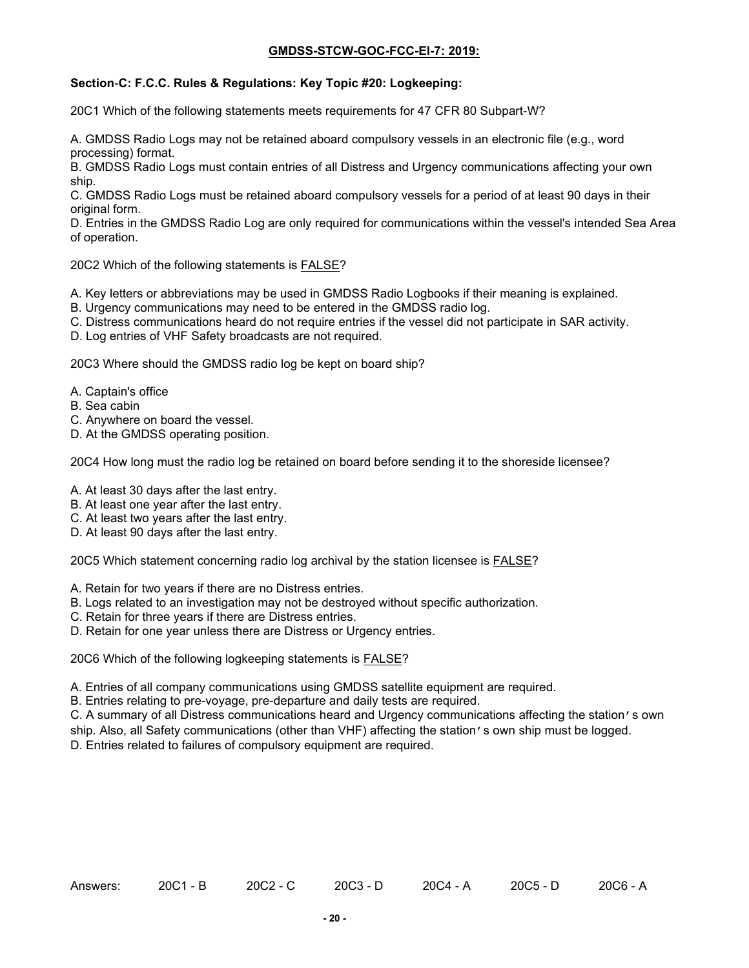### **Section**-**C: F.C.C. Rules & Regulations: Key Topic #20: Logkeeping:**

20C1 Which of the following statements meets requirements for 47 CFR 80 Subpart-W?

A. GMDSS Radio Logs may not be retained aboard compulsory vessels in an electronic file (e.g., word processing) format.

B. GMDSS Radio Logs must contain entries of all Distress and Urgency communications affecting your own ship.

C. GMDSS Radio Logs must be retained aboard compulsory vessels for a period of at least 90 days in their original form.

D. Entries in the GMDSS Radio Log are only required for communications within the vessel's intended Sea Area of operation.

20C2 Which of the following statements is FALSE?

A. Key letters or abbreviations may be used in GMDSS Radio Logbooks if their meaning is explained.

- B. Urgency communications may need to be entered in the GMDSS radio log.
- C. Distress communications heard do not require entries if the vessel did not participate in SAR activity.

D. Log entries of VHF Safety broadcasts are not required.

20C3 Where should the GMDSS radio log be kept on board ship?

- A. Captain's office
- B. Sea cabin
- C. Anywhere on board the vessel.
- D. At the GMDSS operating position.

20C4 How long must the radio log be retained on board before sending it to the shoreside licensee?

- A. At least 30 days after the last entry.
- B. At least one year after the last entry.
- C. At least two years after the last entry.
- D. At least 90 days after the last entry.

20C5 Which statement concerning radio log archival by the station licensee is FALSE?

- A. Retain for two years if there are no Distress entries.
- B. Logs related to an investigation may not be destroyed without specific authorization.
- C. Retain for three years if there are Distress entries.
- D. Retain for one year unless there are Distress or Urgency entries.

20C6 Which of the following logkeeping statements is FALSE?

- A. Entries of all company communications using GMDSS satellite equipment are required.
- B. Entries relating to pre-voyage, pre-departure and daily tests are required.

C. A summary of all Distress communications heard and Urgency communications affecting the station's own ship. Also, all Safety communications (other than VHF) affecting the station's own ship must be logged.

D. Entries related to failures of compulsory equipment are required.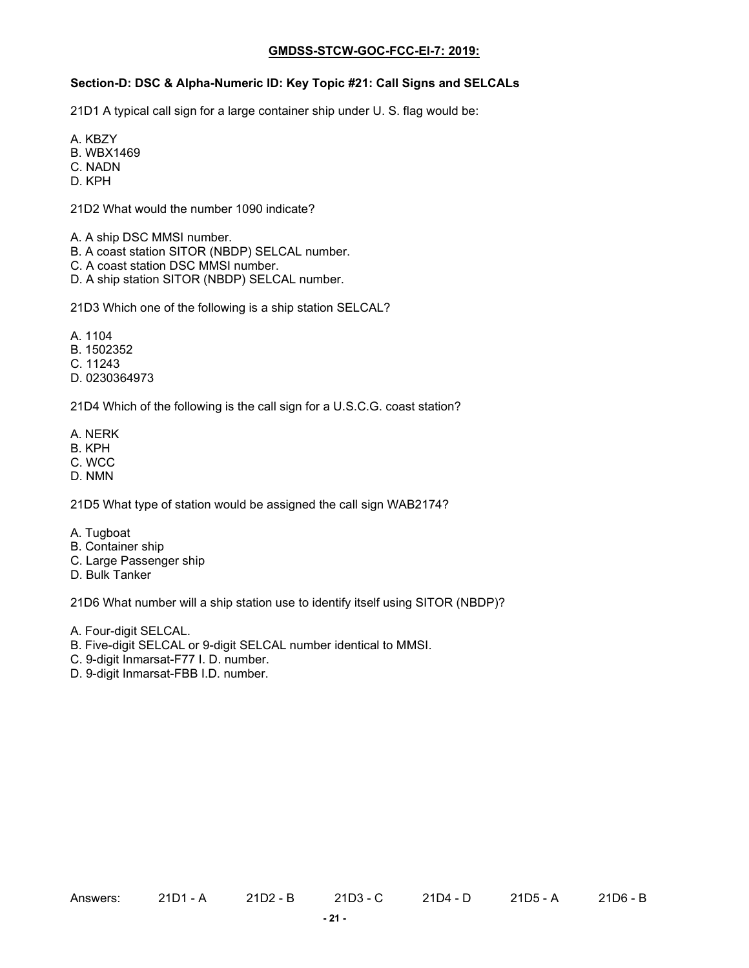# **Section-D: DSC & Alpha-Numeric ID: Key Topic #21: Call Signs and SELCALs**

21D1 A typical call sign for a large container ship under U. S. flag would be:

A. KBZY

- B. WBX1469
- C. NADN
- D. KPH

21D2 What would the number 1090 indicate?

- A. A ship DSC MMSI number.
- B. A coast station SITOR (NBDP) SELCAL number.
- C. A coast station DSC MMSI number.
- D. A ship station SITOR (NBDP) SELCAL number.

21D3 Which one of the following is a ship station SELCAL?

- A. 1104
- B. 1502352
- C. 11243
- D. 0230364973

21D4 Which of the following is the call sign for a U.S.C.G. coast station?

- A. NERK
- B. KPH
- C. WCC
- D. NMN

21D5 What type of station would be assigned the call sign WAB2174?

- A. Tugboat
- B. Container ship
- C. Large Passenger ship
- D. Bulk Tanker

21D6 What number will a ship station use to identify itself using SITOR (NBDP)?

- A. Four-digit SELCAL.
- B. Five-digit SELCAL or 9-digit SELCAL number identical to MMSI.
- C. 9-digit Inmarsat-F77 I. D. number.
- D. 9-digit Inmarsat-FBB I.D. number.

Answers: 21D1 - A 21D2 - B 21D3 - C 21D4 - D 21D5 - A 21D6 - B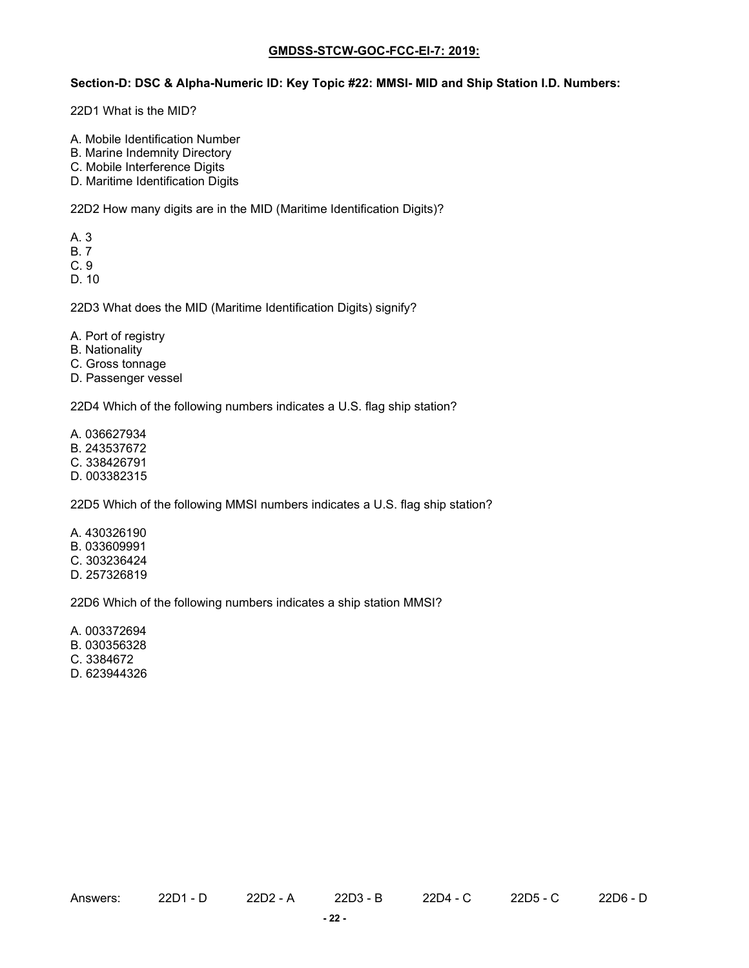#### **Section-D: DSC & Alpha-Numeric ID: Key Topic #22: MMSI- MID and Ship Station I.D. Numbers:**

22D1 What is the MID?

- A. Mobile Identification Number
- B. Marine Indemnity Directory
- C. Mobile Interference Digits
- D. Maritime Identification Digits

22D2 How many digits are in the MID (Maritime Identification Digits)?

- A. 3
- B. 7
- C. 9
- D. 10

22D3 What does the MID (Maritime Identification Digits) signify?

- A. Port of registry
- B. Nationality
- C. Gross tonnage
- D. Passenger vessel

22D4 Which of the following numbers indicates a U.S. flag ship station?

- A. 036627934
- B. 243537672
- C. 338426791
- D. 003382315

22D5 Which of the following MMSI numbers indicates a U.S. flag ship station?

A. 430326190 B. 033609991 C. 303236424 D. 257326819

22D6 Which of the following numbers indicates a ship station MMSI?

A. 003372694 B. 030356328 C. 3384672

D. 623944326

Answers: 22D1 - D 22D2 - A 22D3 - B 22D4 - C 22D5 - C 22D6 - D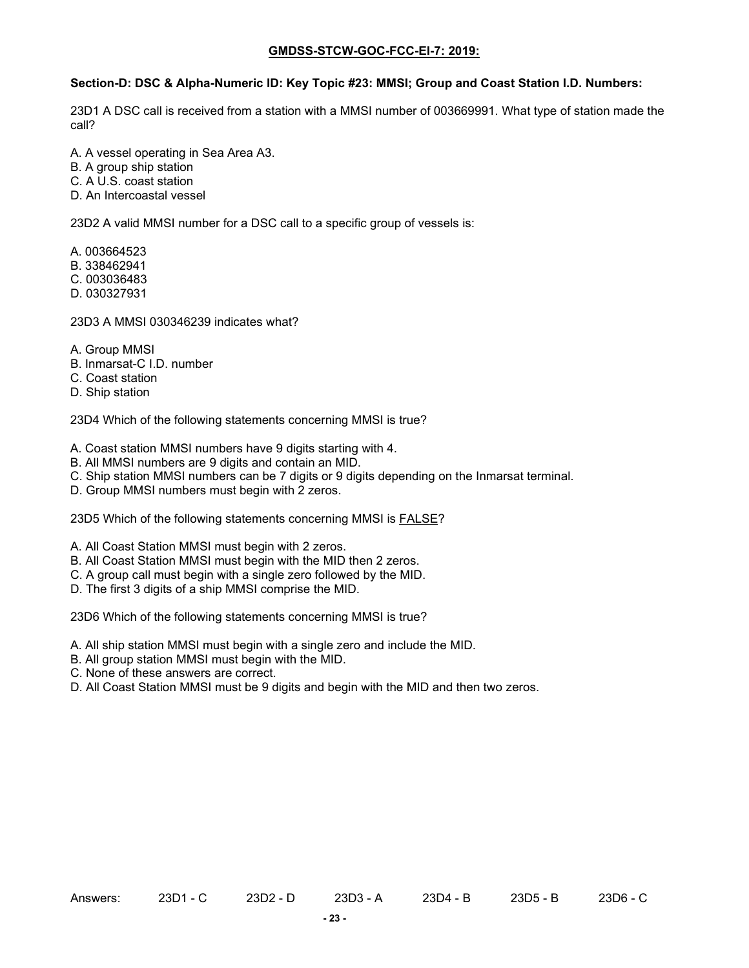#### **Section-D: DSC & Alpha-Numeric ID: Key Topic #23: MMSI; Group and Coast Station I.D. Numbers:**

23D1 A DSC call is received from a station with a MMSI number of 003669991. What type of station made the call?

A. A vessel operating in Sea Area A3.

B. A group ship station

- C. A U.S. coast station
- D. An Intercoastal vessel

23D2 A valid MMSI number for a DSC call to a specific group of vessels is:

- A. 003664523
- B. 338462941
- C. 003036483
- D. 030327931

23D3 A MMSI 030346239 indicates what?

- A. Group MMSI
- B. Inmarsat-C I.D. number
- C. Coast station
- D. Ship station

23D4 Which of the following statements concerning MMSI is true?

- A. Coast station MMSI numbers have 9 digits starting with 4.
- B. All MMSI numbers are 9 digits and contain an MID.
- C. Ship station MMSI numbers can be 7 digits or 9 digits depending on the Inmarsat terminal.
- D. Group MMSI numbers must begin with 2 zeros.

23D5 Which of the following statements concerning MMSI is **FALSE?** 

- A. All Coast Station MMSI must begin with 2 zeros.
- B. All Coast Station MMSI must begin with the MID then 2 zeros.
- C. A group call must begin with a single zero followed by the MID.
- D. The first 3 digits of a ship MMSI comprise the MID.

23D6 Which of the following statements concerning MMSI is true?

- A. All ship station MMSI must begin with a single zero and include the MID.
- B. All group station MMSI must begin with the MID.
- C. None of these answers are correct.
- D. All Coast Station MMSI must be 9 digits and begin with the MID and then two zeros.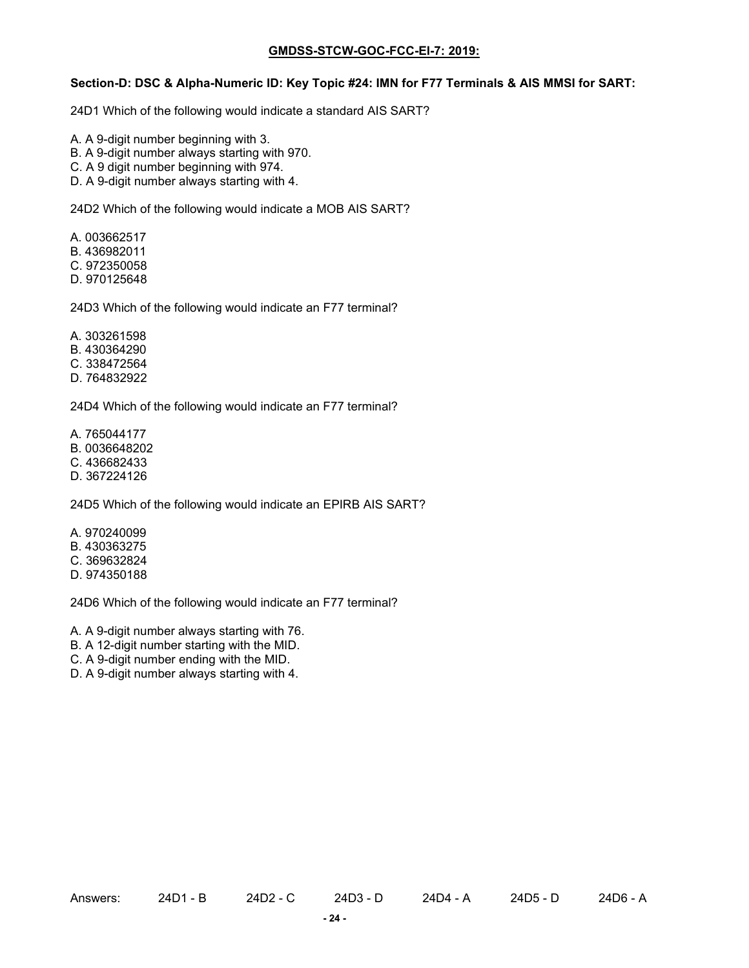#### **Section-D: DSC & Alpha-Numeric ID: Key Topic #24: IMN for F77 Terminals & AIS MMSI for SART:**

24D1 Which of the following would indicate a standard AIS SART?

- A. A 9-digit number beginning with 3.
- B. A 9-digit number always starting with 970.
- C. A 9 digit number beginning with 974.
- D. A 9-digit number always starting with 4.

24D2 Which of the following would indicate a MOB AIS SART?

- A. 003662517 B. 436982011
- C. 972350058
- D. 970125648

24D3 Which of the following would indicate an F77 terminal?

- A. 303261598 B. 430364290
- C. 338472564
- D. 764832922

24D4 Which of the following would indicate an F77 terminal?

- A. 765044177
- B. 0036648202
- C. 436682433
- D. 367224126

24D5 Which of the following would indicate an EPIRB AIS SART?

A. 970240099 B. 430363275 C. 369632824 D. 974350188

24D6 Which of the following would indicate an F77 terminal?

A. A 9-digit number always starting with 76.

- B. A 12-digit number starting with the MID.
- C. A 9-digit number ending with the MID.
- D. A 9-digit number always starting with 4.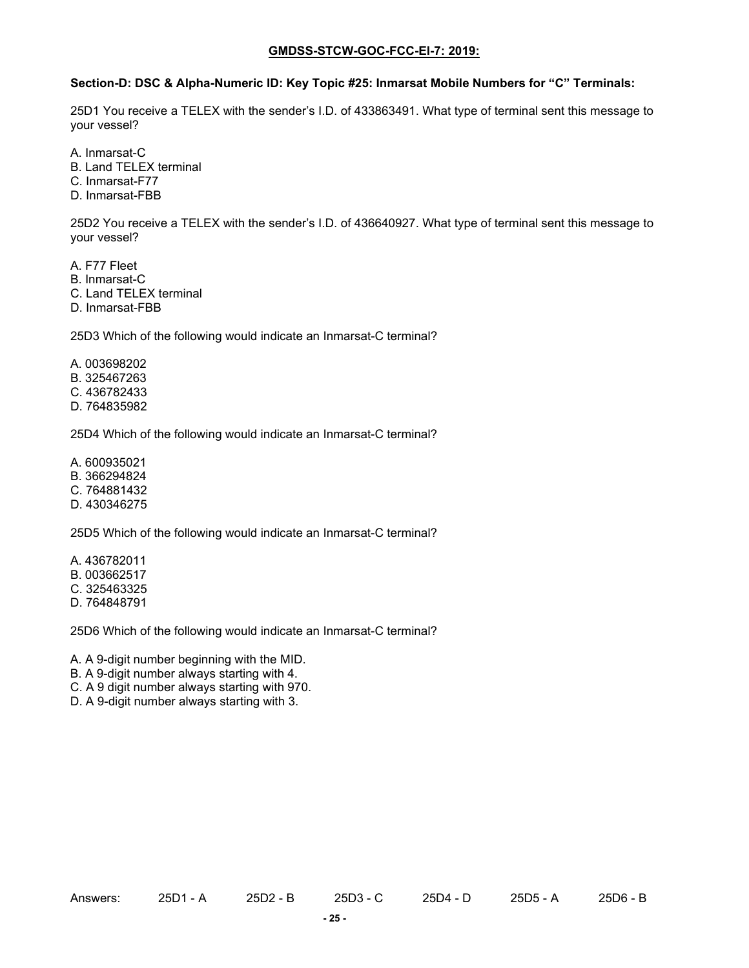#### **Section-D: DSC & Alpha-Numeric ID: Key Topic #25: Inmarsat Mobile Numbers for "C" Terminals:**

25D1 You receive a TELEX with the sender's I.D. of 433863491. What type of terminal sent this message to your vessel?

A. Inmarsat-C

B. Land TELEX terminal

C. Inmarsat-F77

D. Inmarsat-FBB

25D2 You receive a TELEX with the sender's I.D. of 436640927. What type of terminal sent this message to your vessel?

A. F77 Fleet

B. Inmarsat-C

C. Land TELEX terminal

D. Inmarsat-FBB

25D3 Which of the following would indicate an Inmarsat-C terminal?

A. 003698202 B. 325467263

C. 436782433

D. 764835982

25D4 Which of the following would indicate an Inmarsat-C terminal?

A. 600935021

B. 366294824

C. 764881432

D. 430346275

25D5 Which of the following would indicate an Inmarsat-C terminal?

A. 436782011 B. 003662517 C. 325463325 D. 764848791

25D6 Which of the following would indicate an Inmarsat-C terminal?

A. A 9-digit number beginning with the MID.

B. A 9-digit number always starting with 4.

C. A 9 digit number always starting with 970.

D. A 9-digit number always starting with 3.

Answers: 25D1 - A 25D2 - B 25D3 - C 25D4 - D 25D5 - A 25D6 - B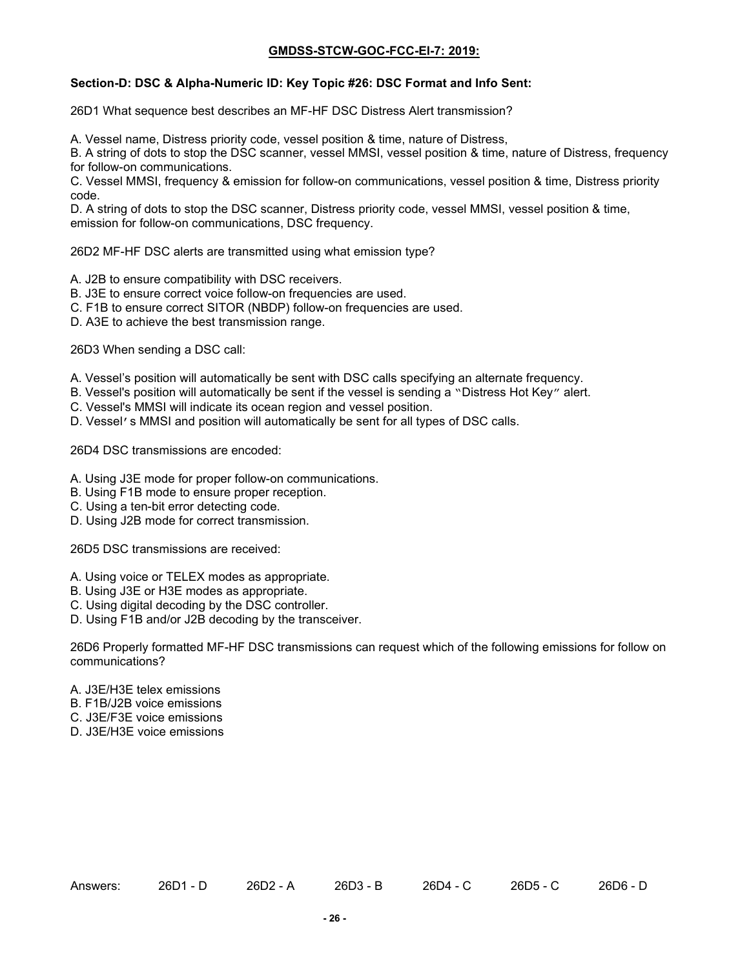# **Section-D: DSC & Alpha-Numeric ID: Key Topic #26: DSC Format and Info Sent:**

26D1 What sequence best describes an MF-HF DSC Distress Alert transmission?

A. Vessel name, Distress priority code, vessel position & time, nature of Distress,

B. A string of dots to stop the DSC scanner, vessel MMSI, vessel position & time, nature of Distress, frequency for follow-on communications.

C. Vessel MMSI, frequency & emission for follow-on communications, vessel position & time, Distress priority code.

D. A string of dots to stop the DSC scanner, Distress priority code, vessel MMSI, vessel position & time, emission for follow-on communications, DSC frequency.

26D2 MF-HF DSC alerts are transmitted using what emission type?

- A. J2B to ensure compatibility with DSC receivers.
- B. J3E to ensure correct voice follow-on frequencies are used.
- C. F1B to ensure correct SITOR (NBDP) follow-on frequencies are used.
- D. A3E to achieve the best transmission range.

26D3 When sending a DSC call:

- A. Vessel's position will automatically be sent with DSC calls specifying an alternate frequency.
- B. Vessel's position will automatically be sent if the vessel is sending a "Distress Hot Key" alert.
- C. Vessel's MMSI will indicate its ocean region and vessel position.
- D. Vessel's MMSI and position will automatically be sent for all types of DSC calls.

26D4 DSC transmissions are encoded:

- A. Using J3E mode for proper follow-on communications.
- B. Using F1B mode to ensure proper reception.
- C. Using a ten-bit error detecting code.
- D. Using J2B mode for correct transmission.

26D5 DSC transmissions are received:

- A. Using voice or TELEX modes as appropriate.
- B. Using J3E or H3E modes as appropriate.
- C. Using digital decoding by the DSC controller.
- D. Using F1B and/or J2B decoding by the transceiver.

26D6 Properly formatted MF-HF DSC transmissions can request which of the following emissions for follow on communications?

- A. J3E/H3E telex emissions
- B. F1B/J2B voice emissions
- C. J3E/F3E voice emissions
- D. J3E/H3E voice emissions

Answers: 26D1 - D 26D2 - A 26D3 - B 26D4 - C 26D5 - C 26D6 - D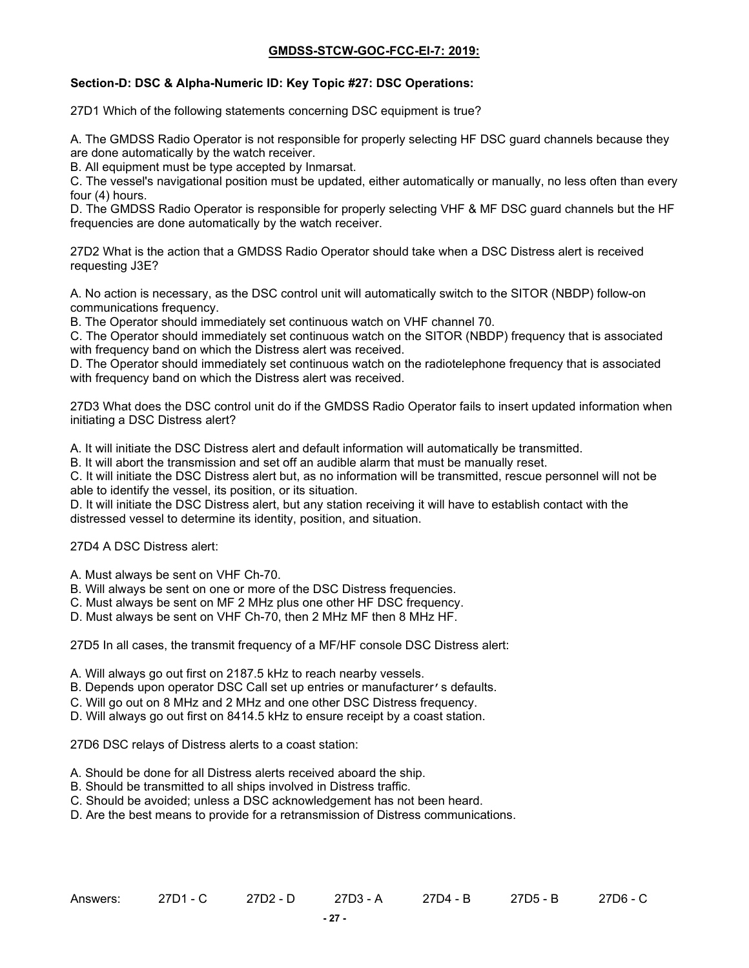### **Section-D: DSC & Alpha-Numeric ID: Key Topic #27: DSC Operations:**

27D1 Which of the following statements concerning DSC equipment is true?

A. The GMDSS Radio Operator is not responsible for properly selecting HF DSC guard channels because they are done automatically by the watch receiver.

B. All equipment must be type accepted by Inmarsat.

C. The vessel's navigational position must be updated, either automatically or manually, no less often than every four (4) hours.

D. The GMDSS Radio Operator is responsible for properly selecting VHF & MF DSC guard channels but the HF frequencies are done automatically by the watch receiver.

27D2 What is the action that a GMDSS Radio Operator should take when a DSC Distress alert is received requesting J3E?

A. No action is necessary, as the DSC control unit will automatically switch to the SITOR (NBDP) follow-on communications frequency.

B. The Operator should immediately set continuous watch on VHF channel 70.

C. The Operator should immediately set continuous watch on the SITOR (NBDP) frequency that is associated with frequency band on which the Distress alert was received.

D. The Operator should immediately set continuous watch on the radiotelephone frequency that is associated with frequency band on which the Distress alert was received.

27D3 What does the DSC control unit do if the GMDSS Radio Operator fails to insert updated information when initiating a DSC Distress alert?

A. It will initiate the DSC Distress alert and default information will automatically be transmitted.

B. It will abort the transmission and set off an audible alarm that must be manually reset.

C. It will initiate the DSC Distress alert but, as no information will be transmitted, rescue personnel will not be able to identify the vessel, its position, or its situation.

D. It will initiate the DSC Distress alert, but any station receiving it will have to establish contact with the distressed vessel to determine its identity, position, and situation.

27D4 A DSC Distress alert:

A. Must always be sent on VHF Ch-70.

B. Will always be sent on one or more of the DSC Distress frequencies.

C. Must always be sent on MF 2 MHz plus one other HF DSC frequency.

D. Must always be sent on VHF Ch-70, then 2 MHz MF then 8 MHz HF.

27D5 In all cases, the transmit frequency of a MF/HF console DSC Distress alert:

A. Will always go out first on 2187.5 kHz to reach nearby vessels.

B. Depends upon operator DSC Call set up entries or manufacturer's defaults.

C. Will go out on 8 MHz and 2 MHz and one other DSC Distress frequency.

D. Will always go out first on 8414.5 kHz to ensure receipt by a coast station.

27D6 DSC relays of Distress alerts to a coast station:

- A. Should be done for all Distress alerts received aboard the ship.
- B. Should be transmitted to all ships involved in Distress traffic.

C. Should be avoided; unless a DSC acknowledgement has not been heard.

D. Are the best means to provide for a retransmission of Distress communications.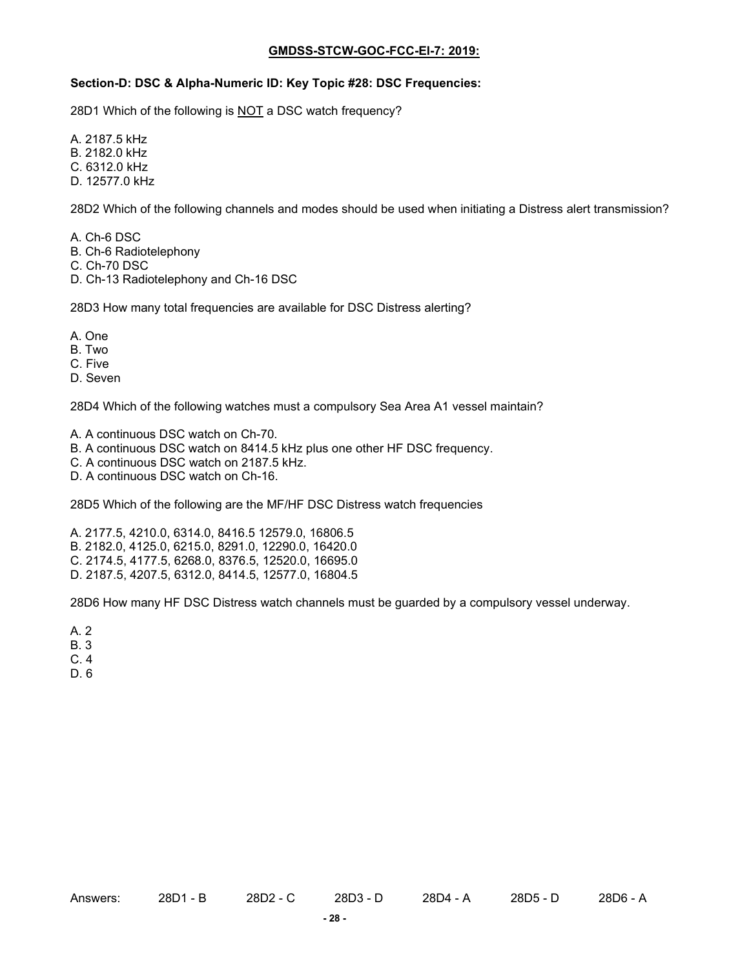#### **Section-D: DSC & Alpha-Numeric ID: Key Topic #28: DSC Frequencies:**

28D1 Which of the following is NOT a DSC watch frequency?

A. 2187.5 kHz B. 2182.0 kHz C. 6312.0 kHz D. 12577.0 kHz

28D2 Which of the following channels and modes should be used when initiating a Distress alert transmission?

A. Ch-6 DSC B. Ch-6 Radiotelephony

- C. Ch-70 DSC
- D. Ch-13 Radiotelephony and Ch-16 DSC

28D3 How many total frequencies are available for DSC Distress alerting?

- A. One
- B. Two
- C. Five
- D. Seven

28D4 Which of the following watches must a compulsory Sea Area A1 vessel maintain?

- A. A continuous DSC watch on Ch-70.
- B. A continuous DSC watch on 8414.5 kHz plus one other HF DSC frequency.
- C. A continuous DSC watch on 2187.5 kHz.
- D. A continuous DSC watch on Ch-16.

28D5 Which of the following are the MF/HF DSC Distress watch frequencies

A. 2177.5, 4210.0, 6314.0, 8416.5 12579.0, 16806.5 B. 2182.0, 4125.0, 6215.0, 8291.0, 12290.0, 16420.0 C. 2174.5, 4177.5, 6268.0, 8376.5, 12520.0, 16695.0 D. 2187.5, 4207.5, 6312.0, 8414.5, 12577.0, 16804.5

28D6 How many HF DSC Distress watch channels must be guarded by a compulsory vessel underway.

- A. 2
- B. 3
- C. 4
- D. 6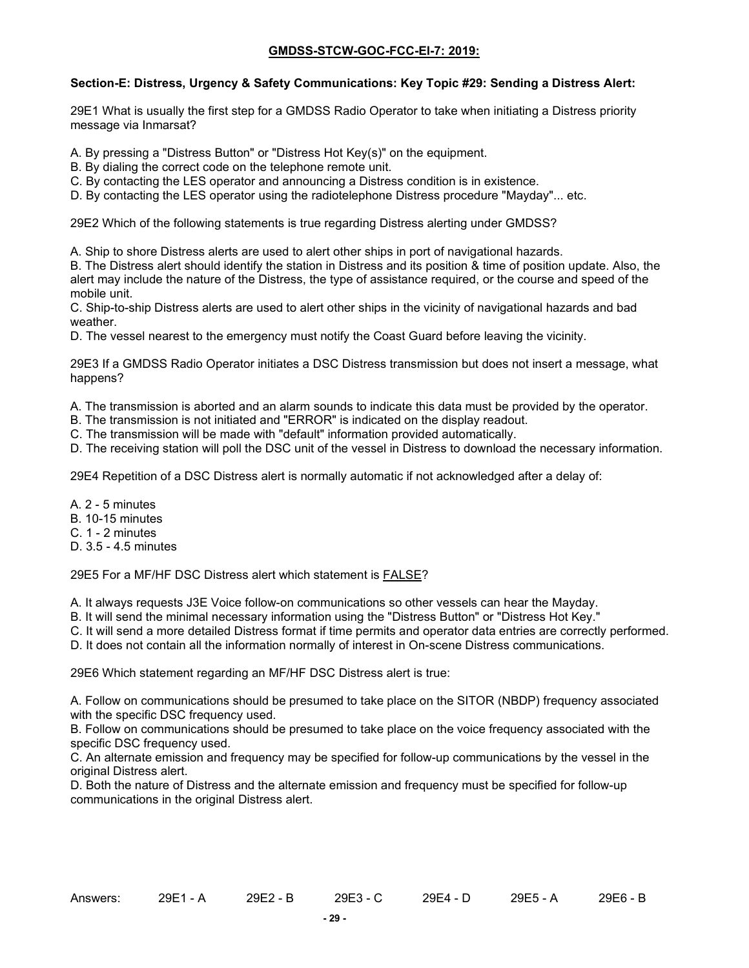## **Section-E: Distress, Urgency & Safety Communications: Key Topic #29: Sending a Distress Alert:**

29E1 What is usually the first step for a GMDSS Radio Operator to take when initiating a Distress priority message via Inmarsat?

A. By pressing a "Distress Button" or "Distress Hot Key(s)" on the equipment.

B. By dialing the correct code on the telephone remote unit.

- C. By contacting the LES operator and announcing a Distress condition is in existence.
- D. By contacting the LES operator using the radiotelephone Distress procedure "Mayday"... etc.

29E2 Which of the following statements is true regarding Distress alerting under GMDSS?

A. Ship to shore Distress alerts are used to alert other ships in port of navigational hazards.

B. The Distress alert should identify the station in Distress and its position & time of position update. Also, the alert may include the nature of the Distress, the type of assistance required, or the course and speed of the mobile unit.

C. Ship-to-ship Distress alerts are used to alert other ships in the vicinity of navigational hazards and bad weather.

D. The vessel nearest to the emergency must notify the Coast Guard before leaving the vicinity.

29E3 If a GMDSS Radio Operator initiates a DSC Distress transmission but does not insert a message, what happens?

A. The transmission is aborted and an alarm sounds to indicate this data must be provided by the operator.

B. The transmission is not initiated and "ERROR" is indicated on the display readout.

C. The transmission will be made with "default" information provided automatically.

D. The receiving station will poll the DSC unit of the vessel in Distress to download the necessary information.

29E4 Repetition of a DSC Distress alert is normally automatic if not acknowledged after a delay of:

A. 2 - 5 minutes

- B. 10-15 minutes
- C. 1 2 minutes
- D. 3.5 4.5 minutes

29E5 For a MF/HF DSC Distress alert which statement is FALSE?

A. It always requests J3E Voice follow-on communications so other vessels can hear the Mayday.

B. It will send the minimal necessary information using the "Distress Button" or "Distress Hot Key."

C. It will send a more detailed Distress format if time permits and operator data entries are correctly performed.

D. It does not contain all the information normally of interest in On-scene Distress communications.

29E6 Which statement regarding an MF/HF DSC Distress alert is true:

A. Follow on communications should be presumed to take place on the SITOR (NBDP) frequency associated with the specific DSC frequency used.

B. Follow on communications should be presumed to take place on the voice frequency associated with the specific DSC frequency used.

C. An alternate emission and frequency may be specified for follow-up communications by the vessel in the original Distress alert.

D. Both the nature of Distress and the alternate emission and frequency must be specified for follow-up communications in the original Distress alert.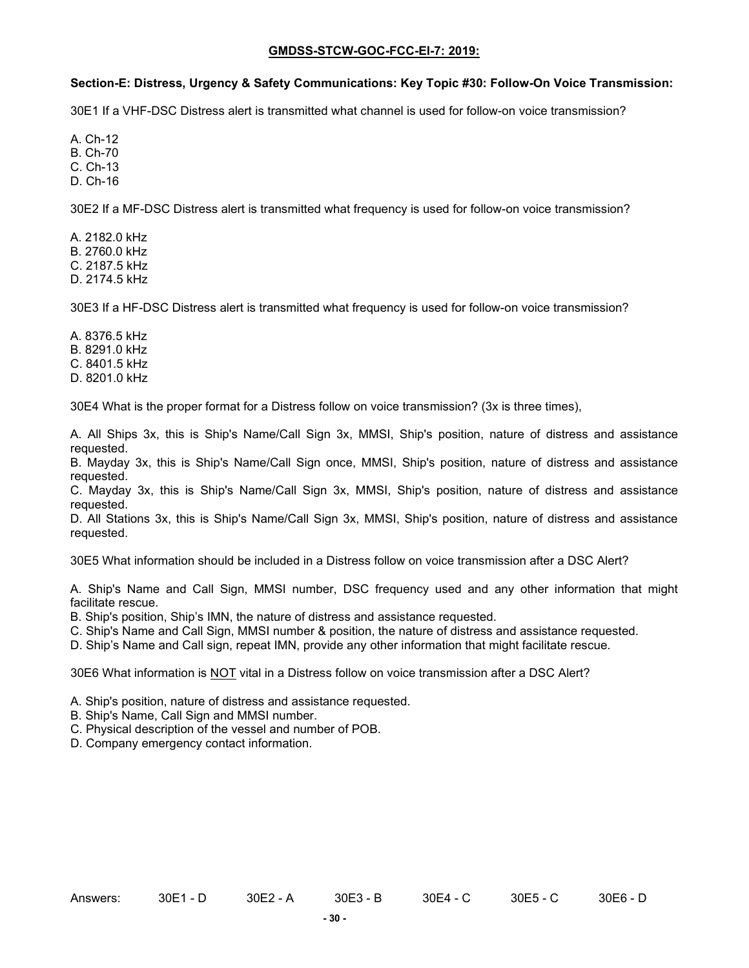### **Section-E: Distress, Urgency & Safety Communications: Key Topic #30: Follow-On Voice Transmission:**

30E1 If a VHF-DSC Distress alert is transmitted what channel is used for follow-on voice transmission?

A. Ch-12 B. Ch-70 C. Ch-13 D. Ch-16

30E2 If a MF-DSC Distress alert is transmitted what frequency is used for follow-on voice transmission?

A. 2182.0 kHz B. 2760.0 kHz C. 2187.5 kHz D. 2174.5 kHz

30E3 If a HF-DSC Distress alert is transmitted what frequency is used for follow-on voice transmission?

A. 8376.5 kHz B. 8291.0 kHz C. 8401.5 kHz D. 8201.0 kHz

30E4 What is the proper format for a Distress follow on voice transmission? (3x is three times),

A. All Ships 3x, this is Ship's Name/Call Sign 3x, MMSI, Ship's position, nature of distress and assistance requested.

B. Mayday 3x, this is Ship's Name/Call Sign once, MMSI, Ship's position, nature of distress and assistance requested.

C. Mayday 3x, this is Ship's Name/Call Sign 3x, MMSI, Ship's position, nature of distress and assistance requested.

D. All Stations 3x, this is Ship's Name/Call Sign 3x, MMSI, Ship's position, nature of distress and assistance requested.

30E5 What information should be included in a Distress follow on voice transmission after a DSC Alert?

A. Ship's Name and Call Sign, MMSI number, DSC frequency used and any other information that might facilitate rescue.

B. Ship's position, Ship's IMN, the nature of distress and assistance requested.

C. Ship's Name and Call Sign, MMSI number & position, the nature of distress and assistance requested.

D. Ship's Name and Call sign, repeat IMN, provide any other information that might facilitate rescue.

30E6 What information is NOT vital in a Distress follow on voice transmission after a DSC Alert?

- A. Ship's position, nature of distress and assistance requested.
- B. Ship's Name, Call Sign and MMSI number.
- C. Physical description of the vessel and number of POB.

D. Company emergency contact information.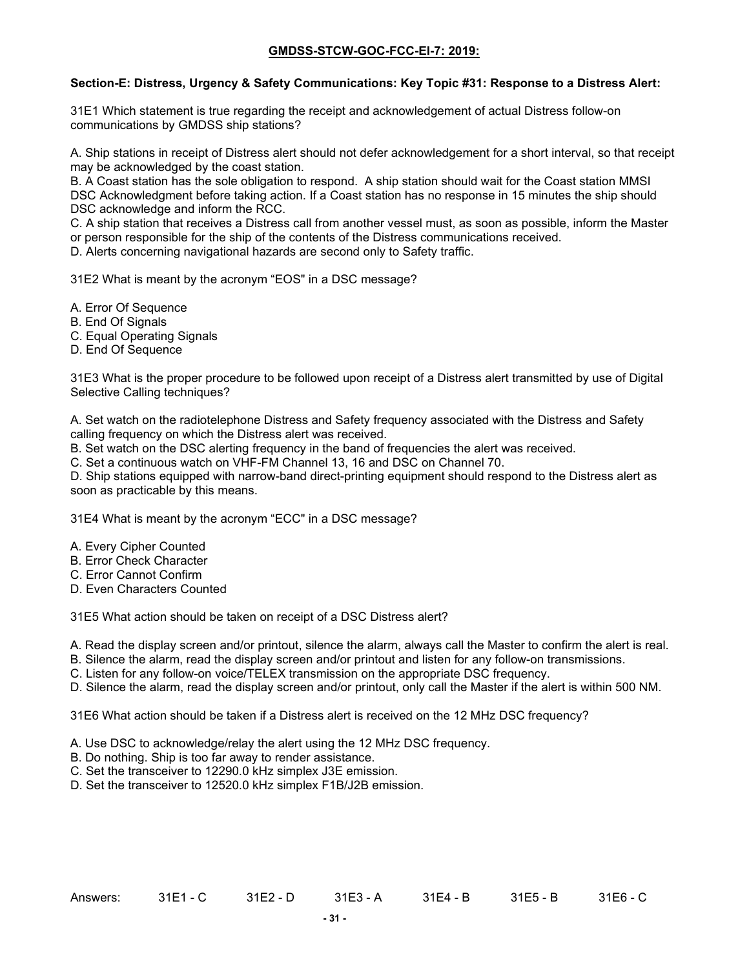### **Section-E: Distress, Urgency & Safety Communications: Key Topic #31: Response to a Distress Alert:**

31E1 Which statement is true regarding the receipt and acknowledgement of actual Distress follow-on communications by GMDSS ship stations?

A. Ship stations in receipt of Distress alert should not defer acknowledgement for a short interval, so that receipt may be acknowledged by the coast station.

B. A Coast station has the sole obligation to respond. A ship station should wait for the Coast station MMSI DSC Acknowledgment before taking action. If a Coast station has no response in 15 minutes the ship should DSC acknowledge and inform the RCC.

C. A ship station that receives a Distress call from another vessel must, as soon as possible, inform the Master or person responsible for the ship of the contents of the Distress communications received.

D. Alerts concerning navigational hazards are second only to Safety traffic.

31E2 What is meant by the acronym "EOS" in a DSC message?

- A. Error Of Sequence
- B. End Of Signals
- C. Equal Operating Signals
- D. End Of Sequence

31E3 What is the proper procedure to be followed upon receipt of a Distress alert transmitted by use of Digital Selective Calling techniques?

A. Set watch on the radiotelephone Distress and Safety frequency associated with the Distress and Safety calling frequency on which the Distress alert was received.

B. Set watch on the DSC alerting frequency in the band of frequencies the alert was received.

C. Set a continuous watch on VHF-FM Channel 13, 16 and DSC on Channel 70.

D. Ship stations equipped with narrow-band direct-printing equipment should respond to the Distress alert as soon as practicable by this means.

31E4 What is meant by the acronym "ECC" in a DSC message?

- A. Every Cipher Counted
- B. Error Check Character
- C. Error Cannot Confirm
- D. Even Characters Counted

31E5 What action should be taken on receipt of a DSC Distress alert?

A. Read the display screen and/or printout, silence the alarm, always call the Master to confirm the alert is real.

B. Silence the alarm, read the display screen and/or printout and listen for any follow-on transmissions.

C. Listen for any follow-on voice/TELEX transmission on the appropriate DSC frequency.

D. Silence the alarm, read the display screen and/or printout, only call the Master if the alert is within 500 NM.

31E6 What action should be taken if a Distress alert is received on the 12 MHz DSC frequency?

- A. Use DSC to acknowledge/relay the alert using the 12 MHz DSC frequency.
- B. Do nothing. Ship is too far away to render assistance.
- C. Set the transceiver to 12290.0 kHz simplex J3E emission.

D. Set the transceiver to 12520.0 kHz simplex F1B/J2B emission.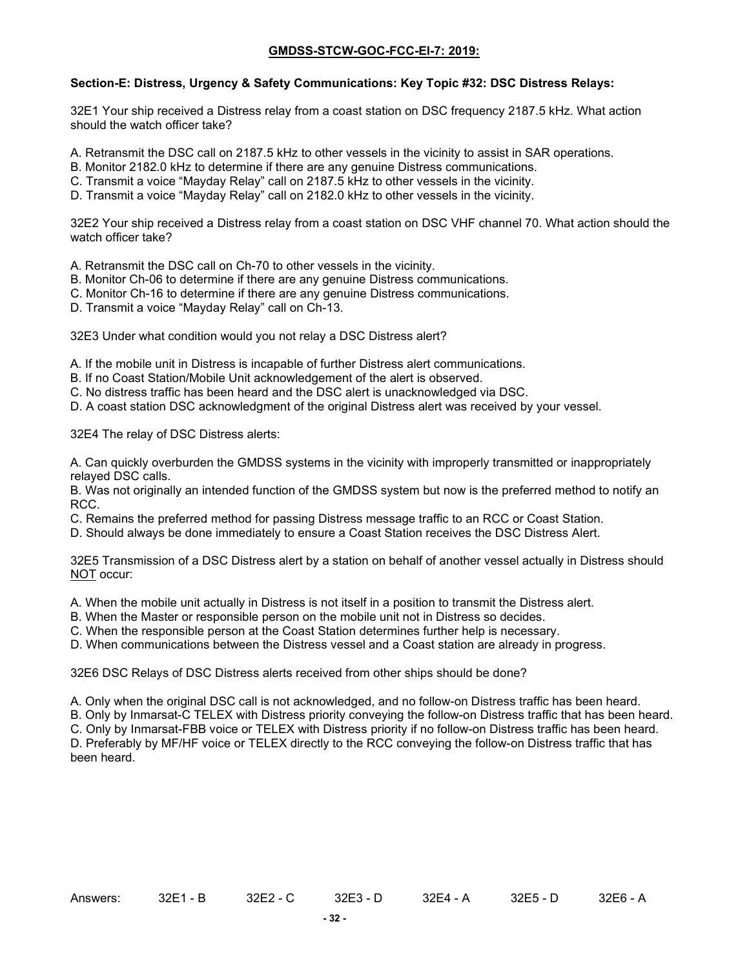### **Section-E: Distress, Urgency & Safety Communications: Key Topic #32: DSC Distress Relays:**

32E1 Your ship received a Distress relay from a coast station on DSC frequency 2187.5 kHz. What action should the watch officer take?

A. Retransmit the DSC call on 2187.5 kHz to other vessels in the vicinity to assist in SAR operations.

- B. Monitor 2182.0 kHz to determine if there are any genuine Distress communications.
- C. Transmit a voice "Mayday Relay" call on 2187.5 kHz to other vessels in the vicinity.
- D. Transmit a voice "Mayday Relay" call on 2182.0 kHz to other vessels in the vicinity.

32E2 Your ship received a Distress relay from a coast station on DSC VHF channel 70. What action should the watch officer take?

A. Retransmit the DSC call on Ch-70 to other vessels in the vicinity.

- B. Monitor Ch-06 to determine if there are any genuine Distress communications.
- C. Monitor Ch-16 to determine if there are any genuine Distress communications.
- D. Transmit a voice "Mayday Relay" call on Ch-13.

32E3 Under what condition would you not relay a DSC Distress alert?

A. If the mobile unit in Distress is incapable of further Distress alert communications.

- B. If no Coast Station/Mobile Unit acknowledgement of the alert is observed.
- C. No distress traffic has been heard and the DSC alert is unacknowledged via DSC.
- D. A coast station DSC acknowledgment of the original Distress alert was received by your vessel.

32E4 The relay of DSC Distress alerts:

A. Can quickly overburden the GMDSS systems in the vicinity with improperly transmitted or inappropriately relayed DSC calls.

B. Was not originally an intended function of the GMDSS system but now is the preferred method to notify an RCC.

C. Remains the preferred method for passing Distress message traffic to an RCC or Coast Station.

D. Should always be done immediately to ensure a Coast Station receives the DSC Distress Alert.

32E5 Transmission of a DSC Distress alert by a station on behalf of another vessel actually in Distress should NOT occur:

A. When the mobile unit actually in Distress is not itself in a position to transmit the Distress alert.

B. When the Master or responsible person on the mobile unit not in Distress so decides.

C. When the responsible person at the Coast Station determines further help is necessary.

D. When communications between the Distress vessel and a Coast station are already in progress.

32E6 DSC Relays of DSC Distress alerts received from other ships should be done?

A. Only when the original DSC call is not acknowledged, and no follow-on Distress traffic has been heard.

B. Only by Inmarsat-C TELEX with Distress priority conveying the follow-on Distress traffic that has been heard.

C. Only by Inmarsat-FBB voice or TELEX with Distress priority if no follow-on Distress traffic has been heard. D. Preferably by MF/HF voice or TELEX directly to the RCC conveying the follow-on Distress traffic that has been heard.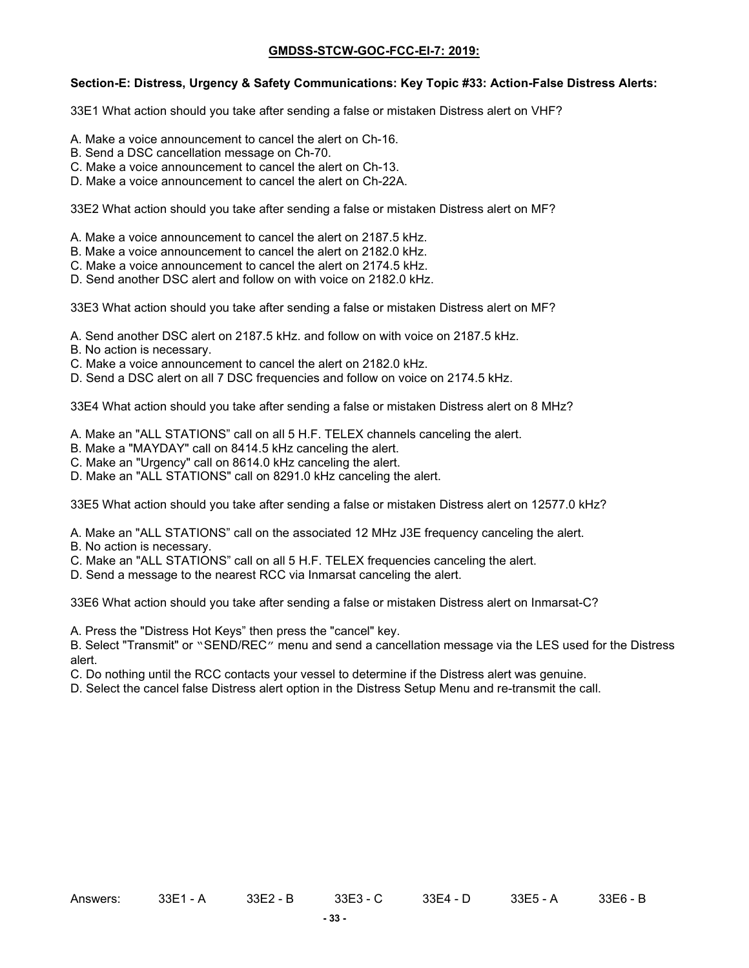#### **Section-E: Distress, Urgency & Safety Communications: Key Topic #33: Action-False Distress Alerts:**

33E1 What action should you take after sending a false or mistaken Distress alert on VHF?

- A. Make a voice announcement to cancel the alert on Ch-16.
- B. Send a DSC cancellation message on Ch-70.
- C. Make a voice announcement to cancel the alert on Ch-13.
- D. Make a voice announcement to cancel the alert on Ch-22A.

33E2 What action should you take after sending a false or mistaken Distress alert on MF?

- A. Make a voice announcement to cancel the alert on 2187.5 kHz.
- B. Make a voice announcement to cancel the alert on 2182.0 kHz.
- C. Make a voice announcement to cancel the alert on 2174.5 kHz.
- D. Send another DSC alert and follow on with voice on 2182.0 kHz.

33E3 What action should you take after sending a false or mistaken Distress alert on MF?

- A. Send another DSC alert on 2187.5 kHz. and follow on with voice on 2187.5 kHz.
- B. No action is necessary.
- C. Make a voice announcement to cancel the alert on 2182.0 kHz.
- D. Send a DSC alert on all 7 DSC frequencies and follow on voice on 2174.5 kHz.

33E4 What action should you take after sending a false or mistaken Distress alert on 8 MHz?

- A. Make an "ALL STATIONS" call on all 5 H.F. TELEX channels canceling the alert.
- B. Make a "MAYDAY" call on 8414.5 kHz canceling the alert.
- C. Make an "Urgency" call on 8614.0 kHz canceling the alert.
- D. Make an "ALL STATIONS" call on 8291.0 kHz canceling the alert.

33E5 What action should you take after sending a false or mistaken Distress alert on 12577.0 kHz?

- A. Make an "ALL STATIONS" call on the associated 12 MHz J3E frequency canceling the alert.
- B. No action is necessary.
- C. Make an "ALL STATIONS" call on all 5 H.F. TELEX frequencies canceling the alert.
- D. Send a message to the nearest RCC via Inmarsat canceling the alert.

33E6 What action should you take after sending a false or mistaken Distress alert on Inmarsat-C?

A. Press the "Distress Hot Keys" then press the "cancel" key.

B. Select "Transmit" or "SEND/REC" menu and send a cancellation message via the LES used for the Distress alert.

C. Do nothing until the RCC contacts your vessel to determine if the Distress alert was genuine.

D. Select the cancel false Distress alert option in the Distress Setup Menu and re-transmit the call.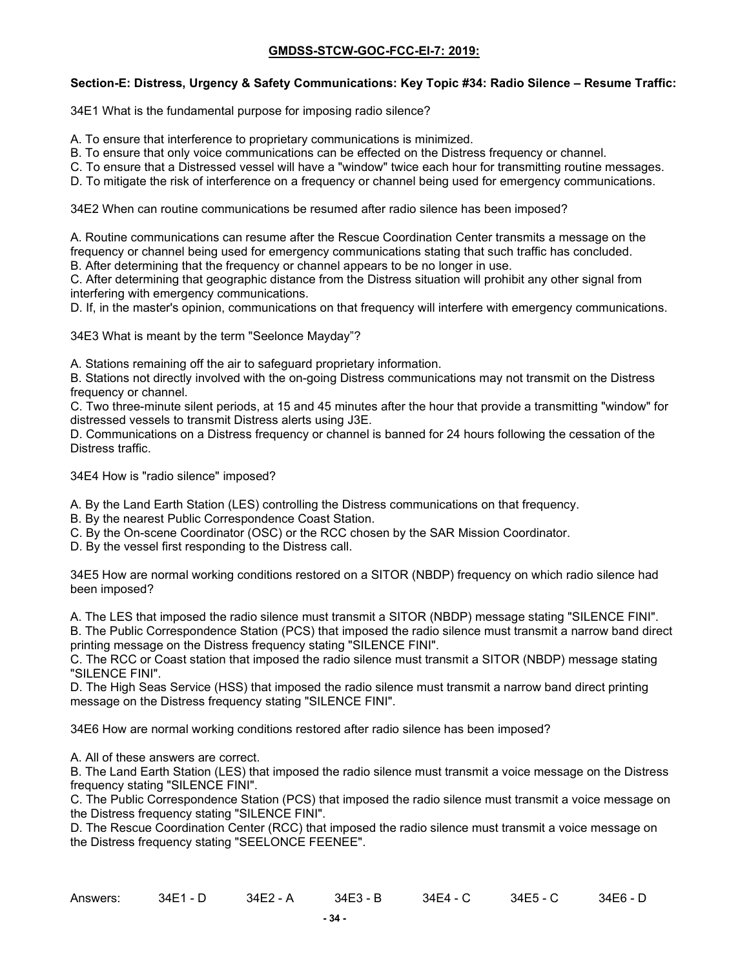### **Section-E: Distress, Urgency & Safety Communications: Key Topic #34: Radio Silence – Resume Traffic:**

34E1 What is the fundamental purpose for imposing radio silence?

- A. To ensure that interference to proprietary communications is minimized.
- B. To ensure that only voice communications can be effected on the Distress frequency or channel.
- C. To ensure that a Distressed vessel will have a "window" twice each hour for transmitting routine messages.
- D. To mitigate the risk of interference on a frequency or channel being used for emergency communications.

34E2 When can routine communications be resumed after radio silence has been imposed?

A. Routine communications can resume after the Rescue Coordination Center transmits a message on the frequency or channel being used for emergency communications stating that such traffic has concluded. B. After determining that the frequency or channel appears to be no longer in use.

C. After determining that geographic distance from the Distress situation will prohibit any other signal from interfering with emergency communications.

D. If, in the master's opinion, communications on that frequency will interfere with emergency communications.

34E3 What is meant by the term "Seelonce Mayday"?

A. Stations remaining off the air to safeguard proprietary information.

B. Stations not directly involved with the on-going Distress communications may not transmit on the Distress frequency or channel.

C. Two three-minute silent periods, at 15 and 45 minutes after the hour that provide a transmitting "window" for distressed vessels to transmit Distress alerts using J3E.

D. Communications on a Distress frequency or channel is banned for 24 hours following the cessation of the Distress traffic.

34E4 How is "radio silence" imposed?

A. By the Land Earth Station (LES) controlling the Distress communications on that frequency.

B. By the nearest Public Correspondence Coast Station.

C. By the On-scene Coordinator (OSC) or the RCC chosen by the SAR Mission Coordinator.

D. By the vessel first responding to the Distress call.

34E5 How are normal working conditions restored on a SITOR (NBDP) frequency on which radio silence had been imposed?

A. The LES that imposed the radio silence must transmit a SITOR (NBDP) message stating "SILENCE FINI".

B. The Public Correspondence Station (PCS) that imposed the radio silence must transmit a narrow band direct printing message on the Distress frequency stating "SILENCE FINI".

C. The RCC or Coast station that imposed the radio silence must transmit a SITOR (NBDP) message stating "SILENCE FINI".

D. The High Seas Service (HSS) that imposed the radio silence must transmit a narrow band direct printing message on the Distress frequency stating "SILENCE FINI".

34E6 How are normal working conditions restored after radio silence has been imposed?

A. All of these answers are correct.

B. The Land Earth Station (LES) that imposed the radio silence must transmit a voice message on the Distress frequency stating "SILENCE FINI".

C. The Public Correspondence Station (PCS) that imposed the radio silence must transmit a voice message on the Distress frequency stating "SILENCE FINI".

D. The Rescue Coordination Center (RCC) that imposed the radio silence must transmit a voice message on the Distress frequency stating "SEELONCE FEENEE".

| Answers: | 34E1 - D | 34E2 - A | 34E3 - B | $34E4 - C$ | $34E5 - C$ | 34E6 - D |
|----------|----------|----------|----------|------------|------------|----------|
|          |          |          |          |            |            |          |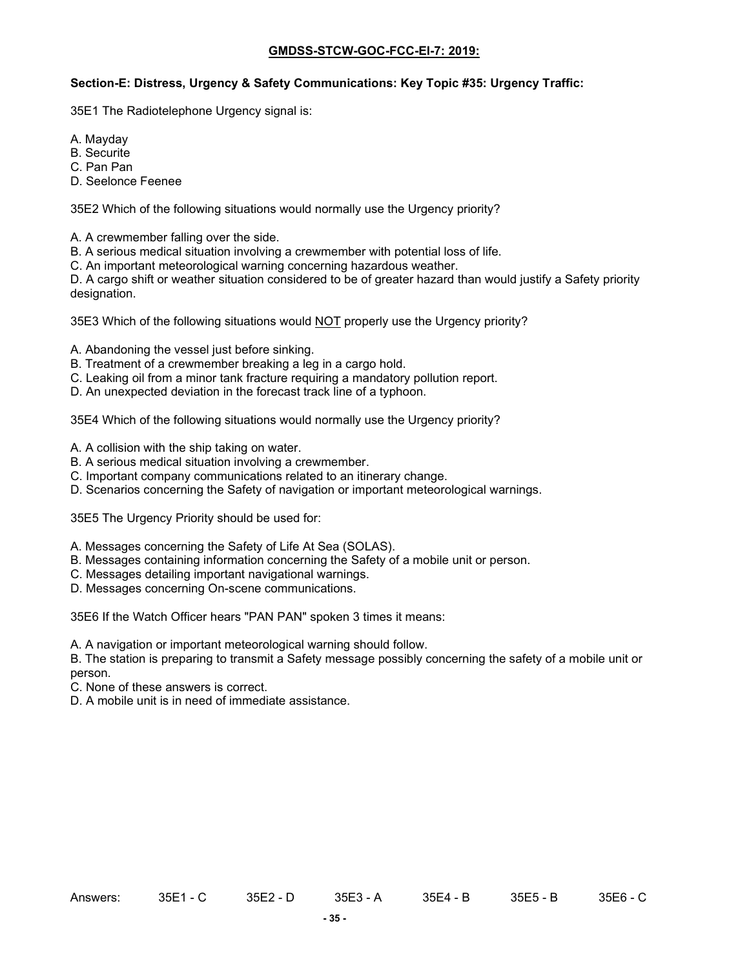#### **Section-E: Distress, Urgency & Safety Communications: Key Topic #35: Urgency Traffic:**

35E1 The Radiotelephone Urgency signal is:

- A. Mayday
- B. Securite
- C. Pan Pan
- D. Seelonce Feenee

35E2 Which of the following situations would normally use the Urgency priority?

A. A crewmember falling over the side.

B. A serious medical situation involving a crewmember with potential loss of life.

C. An important meteorological warning concerning hazardous weather.

D. A cargo shift or weather situation considered to be of greater hazard than would justify a Safety priority designation.

35E3 Which of the following situations would NOT properly use the Urgency priority?

A. Abandoning the vessel just before sinking.

- B. Treatment of a crewmember breaking a leg in a cargo hold.
- C. Leaking oil from a minor tank fracture requiring a mandatory pollution report.
- D. An unexpected deviation in the forecast track line of a typhoon.

35E4 Which of the following situations would normally use the Urgency priority?

- A. A collision with the ship taking on water.
- B. A serious medical situation involving a crewmember.
- C. Important company communications related to an itinerary change.
- D. Scenarios concerning the Safety of navigation or important meteorological warnings.

35E5 The Urgency Priority should be used for:

- A. Messages concerning the Safety of Life At Sea (SOLAS).
- B. Messages containing information concerning the Safety of a mobile unit or person.
- C. Messages detailing important navigational warnings.
- D. Messages concerning On-scene communications.

35E6 If the Watch Officer hears "PAN PAN" spoken 3 times it means:

A. A navigation or important meteorological warning should follow.

B. The station is preparing to transmit a Safety message possibly concerning the safety of a mobile unit or person.

C. None of these answers is correct.

D. A mobile unit is in need of immediate assistance.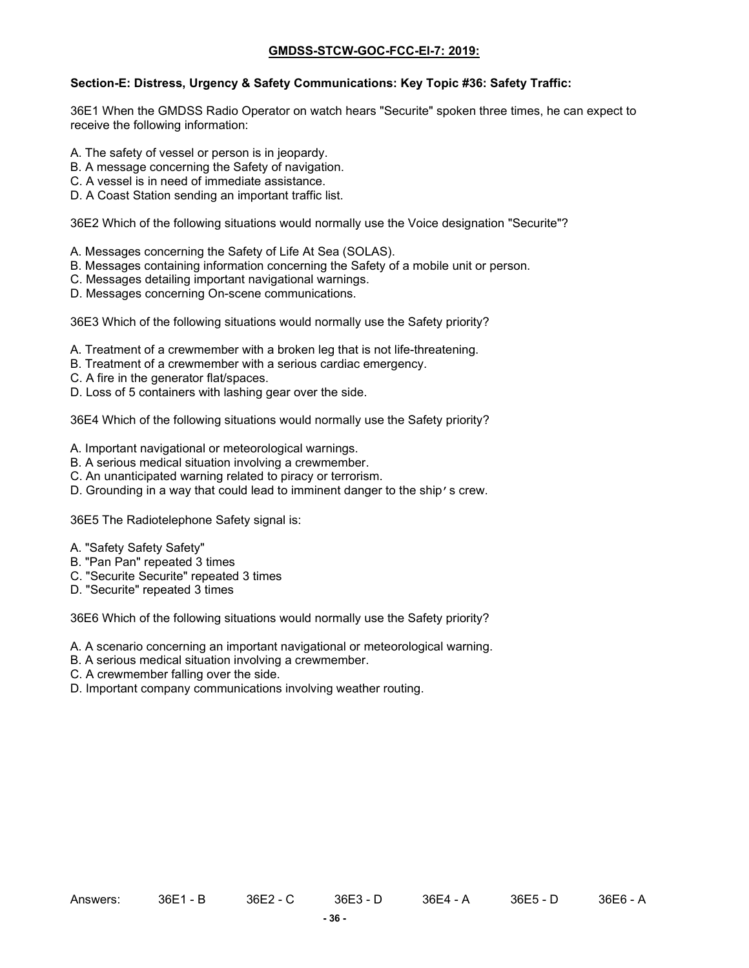### **Section-E: Distress, Urgency & Safety Communications: Key Topic #36: Safety Traffic:**

36E1 When the GMDSS Radio Operator on watch hears "Securite" spoken three times, he can expect to receive the following information:

- A. The safety of vessel or person is in jeopardy.
- B. A message concerning the Safety of navigation.
- C. A vessel is in need of immediate assistance.
- D. A Coast Station sending an important traffic list.

36E2 Which of the following situations would normally use the Voice designation "Securite"?

- A. Messages concerning the Safety of Life At Sea (SOLAS).
- B. Messages containing information concerning the Safety of a mobile unit or person.
- C. Messages detailing important navigational warnings.
- D. Messages concerning On-scene communications.

36E3 Which of the following situations would normally use the Safety priority?

- A. Treatment of a crewmember with a broken leg that is not life-threatening.
- B. Treatment of a crewmember with a serious cardiac emergency.
- C. A fire in the generator flat/spaces.
- D. Loss of 5 containers with lashing gear over the side.

36E4 Which of the following situations would normally use the Safety priority?

- A. Important navigational or meteorological warnings.
- B. A serious medical situation involving a crewmember.
- C. An unanticipated warning related to piracy or terrorism.
- D. Grounding in a way that could lead to imminent danger to the ship's crew.

36E5 The Radiotelephone Safety signal is:

- A. "Safety Safety Safety"
- B. "Pan Pan" repeated 3 times
- C. "Securite Securite" repeated 3 times
- D. "Securite" repeated 3 times

36E6 Which of the following situations would normally use the Safety priority?

- A. A scenario concerning an important navigational or meteorological warning.
- B. A serious medical situation involving a crewmember.
- C. A crewmember falling over the side.
- D. Important company communications involving weather routing.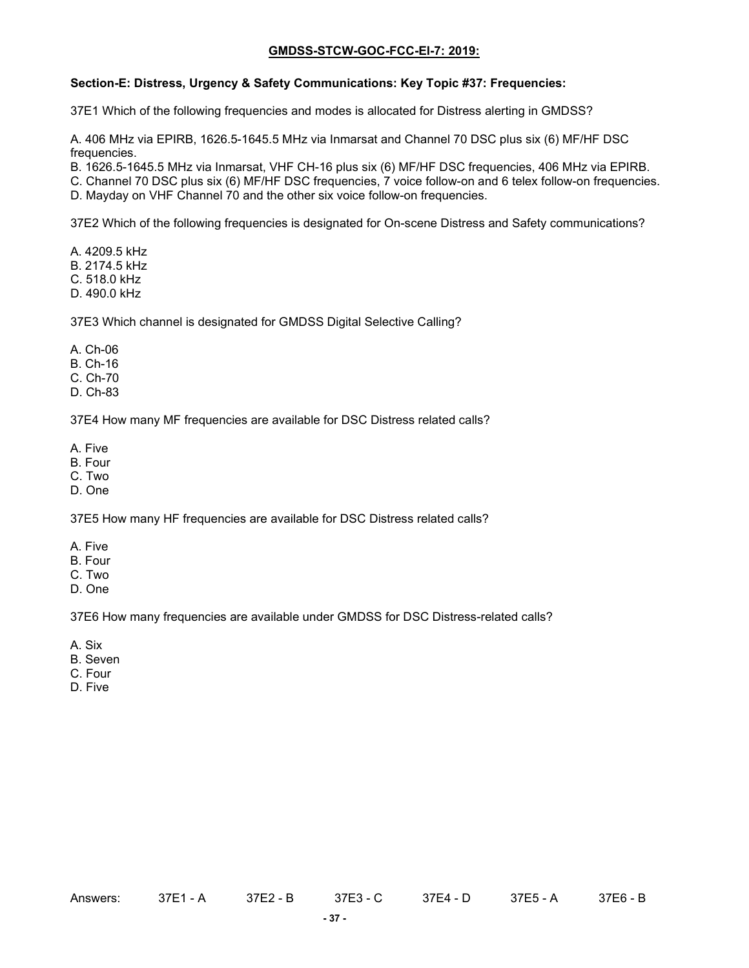#### **Section-E: Distress, Urgency & Safety Communications: Key Topic #37: Frequencies:**

37E1 Which of the following frequencies and modes is allocated for Distress alerting in GMDSS?

A. 406 MHz via EPIRB, 1626.5-1645.5 MHz via Inmarsat and Channel 70 DSC plus six (6) MF/HF DSC frequencies.

B. 1626.5-1645.5 MHz via Inmarsat, VHF CH-16 plus six (6) MF/HF DSC frequencies, 406 MHz via EPIRB.

C. Channel 70 DSC plus six (6) MF/HF DSC frequencies, 7 voice follow-on and 6 telex follow-on frequencies.

D. Mayday on VHF Channel 70 and the other six voice follow-on frequencies.

37E2 Which of the following frequencies is designated for On-scene Distress and Safety communications?

A. 4209.5 kHz B. 2174.5 kHz

C. 518.0 kHz

D. 490.0 kHz

37E3 Which channel is designated for GMDSS Digital Selective Calling?

A. Ch-06

B. Ch-16

C. Ch-70

D. Ch-83

37E4 How many MF frequencies are available for DSC Distress related calls?

A. Five

- B. Four
- C. Two
- D. One

37E5 How many HF frequencies are available for DSC Distress related calls?

- A. Five
- B. Four
- C. Two
- D. One

37E6 How many frequencies are available under GMDSS for DSC Distress-related calls?

- A. Six
- B. Seven
- C. Four
- D. Five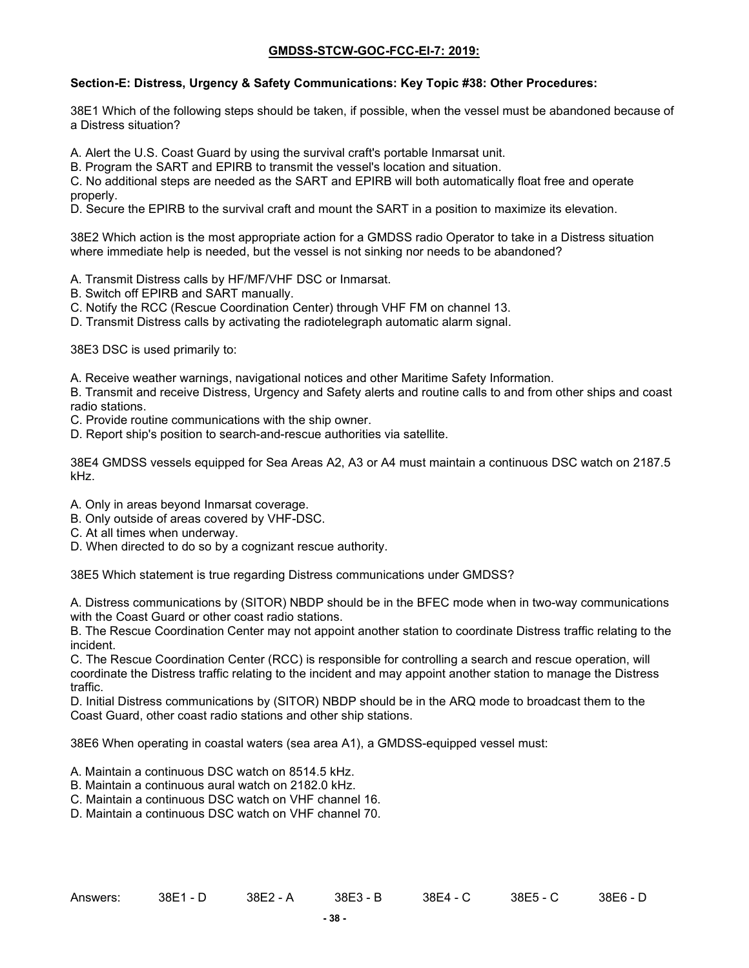### **Section-E: Distress, Urgency & Safety Communications: Key Topic #38: Other Procedures:**

38E1 Which of the following steps should be taken, if possible, when the vessel must be abandoned because of a Distress situation?

A. Alert the U.S. Coast Guard by using the survival craft's portable Inmarsat unit.

B. Program the SART and EPIRB to transmit the vessel's location and situation.

C. No additional steps are needed as the SART and EPIRB will both automatically float free and operate properly.

D. Secure the EPIRB to the survival craft and mount the SART in a position to maximize its elevation.

38E2 Which action is the most appropriate action for a GMDSS radio Operator to take in a Distress situation where immediate help is needed, but the vessel is not sinking nor needs to be abandoned?

A. Transmit Distress calls by HF/MF/VHF DSC or Inmarsat.

B. Switch off EPIRB and SART manually.

C. Notify the RCC (Rescue Coordination Center) through VHF FM on channel 13.

D. Transmit Distress calls by activating the radiotelegraph automatic alarm signal.

38E3 DSC is used primarily to:

A. Receive weather warnings, navigational notices and other Maritime Safety Information.

B. Transmit and receive Distress, Urgency and Safety alerts and routine calls to and from other ships and coast radio stations.

C. Provide routine communications with the ship owner.

D. Report ship's position to search-and-rescue authorities via satellite.

38E4 GMDSS vessels equipped for Sea Areas A2, A3 or A4 must maintain a continuous DSC watch on 2187.5 kHz.

- A. Only in areas beyond Inmarsat coverage.
- B. Only outside of areas covered by VHF-DSC.
- C. At all times when underway.
- D. When directed to do so by a cognizant rescue authority.

38E5 Which statement is true regarding Distress communications under GMDSS?

A. Distress communications by (SITOR) NBDP should be in the BFEC mode when in two-way communications with the Coast Guard or other coast radio stations.

B. The Rescue Coordination Center may not appoint another station to coordinate Distress traffic relating to the incident.

C. The Rescue Coordination Center (RCC) is responsible for controlling a search and rescue operation, will coordinate the Distress traffic relating to the incident and may appoint another station to manage the Distress traffic.

D. Initial Distress communications by (SITOR) NBDP should be in the ARQ mode to broadcast them to the Coast Guard, other coast radio stations and other ship stations.

38E6 When operating in coastal waters (sea area A1), a GMDSS-equipped vessel must:

- A. Maintain a continuous DSC watch on 8514.5 kHz.
- B. Maintain a continuous aural watch on 2182.0 kHz.
- C. Maintain a continuous DSC watch on VHF channel 16.

D. Maintain a continuous DSC watch on VHF channel 70.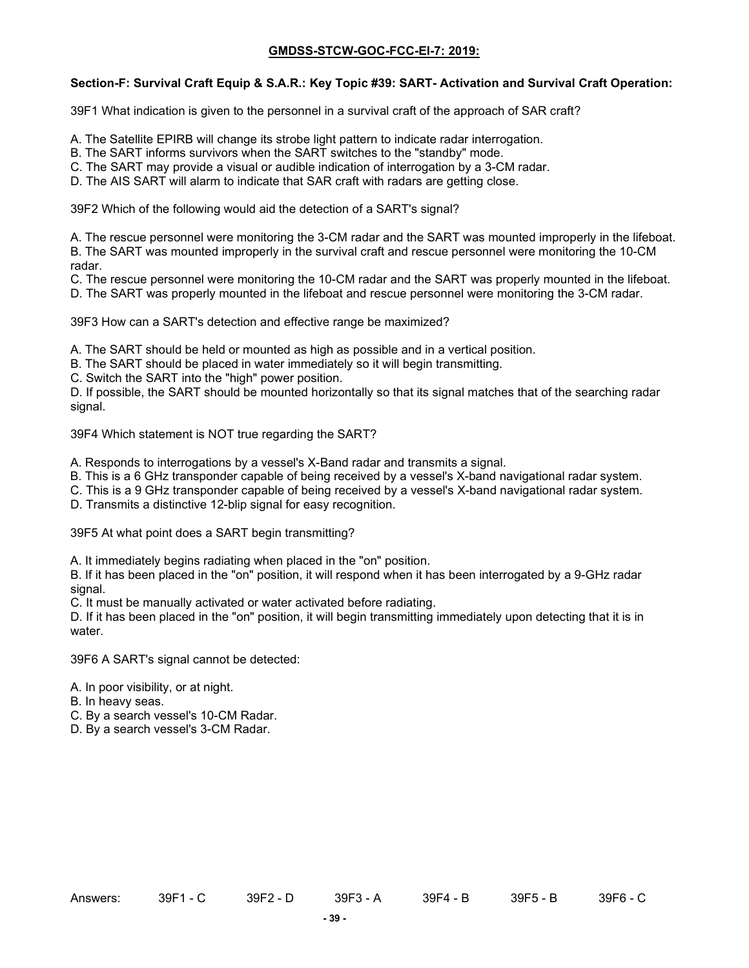# **Section-F: Survival Craft Equip & S.A.R.: Key Topic #39: SART- Activation and Survival Craft Operation:**

39F1 What indication is given to the personnel in a survival craft of the approach of SAR craft?

- A. The Satellite EPIRB will change its strobe light pattern to indicate radar interrogation.
- B. The SART informs survivors when the SART switches to the "standby" mode.
- C. The SART may provide a visual or audible indication of interrogation by a 3-CM radar.
- D. The AIS SART will alarm to indicate that SAR craft with radars are getting close.

39F2 Which of the following would aid the detection of a SART's signal?

A. The rescue personnel were monitoring the 3-CM radar and the SART was mounted improperly in the lifeboat. B. The SART was mounted improperly in the survival craft and rescue personnel were monitoring the 10-CM radar.

C. The rescue personnel were monitoring the 10-CM radar and the SART was properly mounted in the lifeboat.

D. The SART was properly mounted in the lifeboat and rescue personnel were monitoring the 3-CM radar.

39F3 How can a SART's detection and effective range be maximized?

A. The SART should be held or mounted as high as possible and in a vertical position.

B. The SART should be placed in water immediately so it will begin transmitting.

C. Switch the SART into the "high" power position.

D. If possible, the SART should be mounted horizontally so that its signal matches that of the searching radar signal.

39F4 Which statement is NOT true regarding the SART?

A. Responds to interrogations by a vessel's X-Band radar and transmits a signal.

B. This is a 6 GHz transponder capable of being received by a vessel's X-band navigational radar system.

C. This is a 9 GHz transponder capable of being received by a vessel's X-band navigational radar system.

D. Transmits a distinctive 12-blip signal for easy recognition.

39F5 At what point does a SART begin transmitting?

A. It immediately begins radiating when placed in the "on" position.

B. If it has been placed in the "on" position, it will respond when it has been interrogated by a 9-GHz radar signal.

C. It must be manually activated or water activated before radiating.

D. If it has been placed in the "on" position, it will begin transmitting immediately upon detecting that it is in water.

39F6 A SART's signal cannot be detected:

A. In poor visibility, or at night.

- B. In heavy seas.
- C. By a search vessel's 10-CM Radar.
- D. By a search vessel's 3-CM Radar.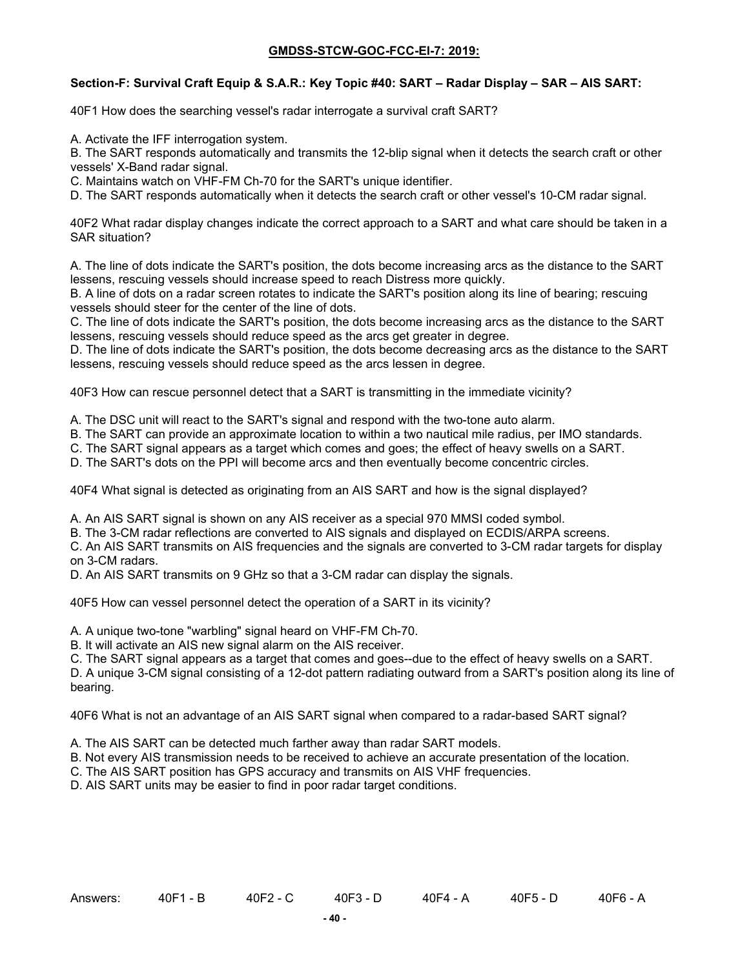### **Section-F: Survival Craft Equip & S.A.R.: Key Topic #40: SART – Radar Display – SAR – AIS SART:**

40F1 How does the searching vessel's radar interrogate a survival craft SART?

A. Activate the IFF interrogation system.

B. The SART responds automatically and transmits the 12-blip signal when it detects the search craft or other vessels' X-Band radar signal.

C. Maintains watch on VHF-FM Ch-70 for the SART's unique identifier.

D. The SART responds automatically when it detects the search craft or other vessel's 10-CM radar signal.

40F2 What radar display changes indicate the correct approach to a SART and what care should be taken in a SAR situation?

A. The line of dots indicate the SART's position, the dots become increasing arcs as the distance to the SART lessens, rescuing vessels should increase speed to reach Distress more quickly.

B. A line of dots on a radar screen rotates to indicate the SART's position along its line of bearing; rescuing vessels should steer for the center of the line of dots.

C. The line of dots indicate the SART's position, the dots become increasing arcs as the distance to the SART lessens, rescuing vessels should reduce speed as the arcs get greater in degree.

D. The line of dots indicate the SART's position, the dots become decreasing arcs as the distance to the SART lessens, rescuing vessels should reduce speed as the arcs lessen in degree.

40F3 How can rescue personnel detect that a SART is transmitting in the immediate vicinity?

A. The DSC unit will react to the SART's signal and respond with the two-tone auto alarm.

B. The SART can provide an approximate location to within a two nautical mile radius, per IMO standards.

C. The SART signal appears as a target which comes and goes; the effect of heavy swells on a SART.

D. The SART's dots on the PPI will become arcs and then eventually become concentric circles.

40F4 What signal is detected as originating from an AIS SART and how is the signal displayed?

A. An AIS SART signal is shown on any AIS receiver as a special 970 MMSI coded symbol.

B. The 3-CM radar reflections are converted to AIS signals and displayed on ECDIS/ARPA screens.

C. An AIS SART transmits on AIS frequencies and the signals are converted to 3-CM radar targets for display on 3-CM radars.

D. An AIS SART transmits on 9 GHz so that a 3-CM radar can display the signals.

40F5 How can vessel personnel detect the operation of a SART in its vicinity?

A. A unique two-tone "warbling" signal heard on VHF-FM Ch-70.

B. It will activate an AIS new signal alarm on the AIS receiver.

C. The SART signal appears as a target that comes and goes--due to the effect of heavy swells on a SART.

D. A unique 3-CM signal consisting of a 12-dot pattern radiating outward from a SART's position along its line of bearing.

40F6 What is not an advantage of an AIS SART signal when compared to a radar-based SART signal?

A. The AIS SART can be detected much farther away than radar SART models.

B. Not every AIS transmission needs to be received to achieve an accurate presentation of the location.

C. The AIS SART position has GPS accuracy and transmits on AIS VHF frequencies.

D. AIS SART units may be easier to find in poor radar target conditions.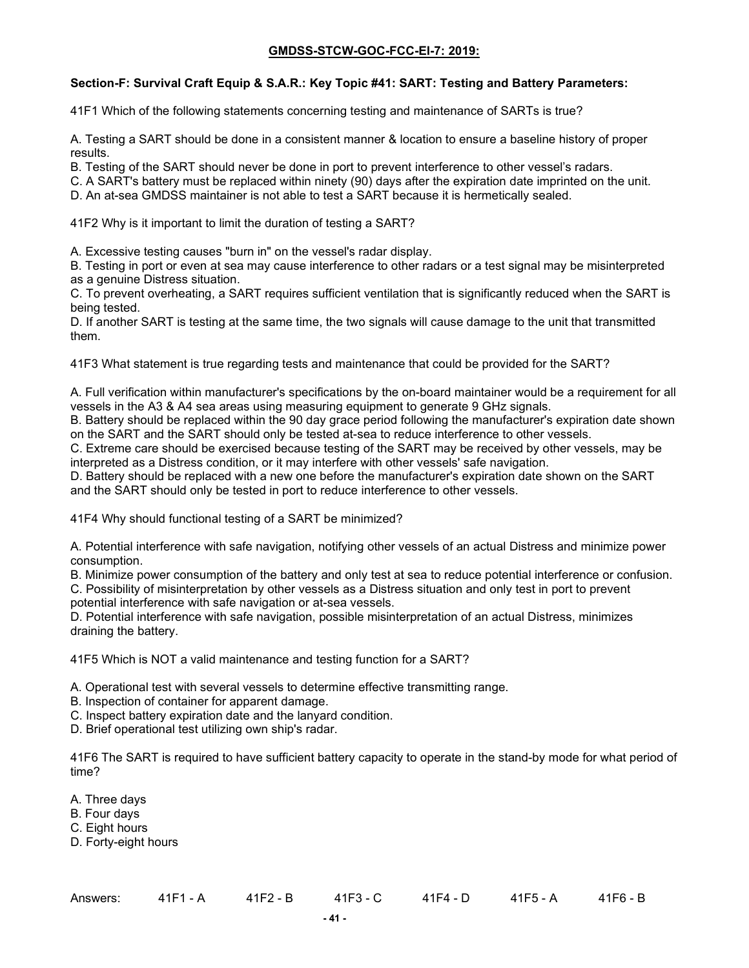# **Section-F: Survival Craft Equip & S.A.R.: Key Topic #41: SART: Testing and Battery Parameters:**

41F1 Which of the following statements concerning testing and maintenance of SARTs is true?

A. Testing a SART should be done in a consistent manner & location to ensure a baseline history of proper results.

B. Testing of the SART should never be done in port to prevent interference to other vessel's radars.

C. A SART's battery must be replaced within ninety (90) days after the expiration date imprinted on the unit.

D. An at-sea GMDSS maintainer is not able to test a SART because it is hermetically sealed.

41F2 Why is it important to limit the duration of testing a SART?

A. Excessive testing causes "burn in" on the vessel's radar display.

B. Testing in port or even at sea may cause interference to other radars or a test signal may be misinterpreted as a genuine Distress situation.

C. To prevent overheating, a SART requires sufficient ventilation that is significantly reduced when the SART is being tested.

D. If another SART is testing at the same time, the two signals will cause damage to the unit that transmitted them.

41F3 What statement is true regarding tests and maintenance that could be provided for the SART?

A. Full verification within manufacturer's specifications by the on-board maintainer would be a requirement for all vessels in the A3 & A4 sea areas using measuring equipment to generate 9 GHz signals.

B. Battery should be replaced within the 90 day grace period following the manufacturer's expiration date shown on the SART and the SART should only be tested at-sea to reduce interference to other vessels.

C. Extreme care should be exercised because testing of the SART may be received by other vessels, may be interpreted as a Distress condition, or it may interfere with other vessels' safe navigation.

D. Battery should be replaced with a new one before the manufacturer's expiration date shown on the SART and the SART should only be tested in port to reduce interference to other vessels.

41F4 Why should functional testing of a SART be minimized?

A. Potential interference with safe navigation, notifying other vessels of an actual Distress and minimize power consumption.

B. Minimize power consumption of the battery and only test at sea to reduce potential interference or confusion.

C. Possibility of misinterpretation by other vessels as a Distress situation and only test in port to prevent potential interference with safe navigation or at-sea vessels.

D. Potential interference with safe navigation, possible misinterpretation of an actual Distress, minimizes draining the battery.

41F5 Which is NOT a valid maintenance and testing function for a SART?

A. Operational test with several vessels to determine effective transmitting range.

- B. Inspection of container for apparent damage.
- C. Inspect battery expiration date and the lanyard condition.
- D. Brief operational test utilizing own ship's radar.

41F6 The SART is required to have sufficient battery capacity to operate in the stand-by mode for what period of time?

- A. Three days
- B. Four days
- C. Eight hours
- D. Forty-eight hours

| Answers: | 41F1 - A | 41F2 - B | 41F3 - C |  | 41F6 - B |
|----------|----------|----------|----------|--|----------|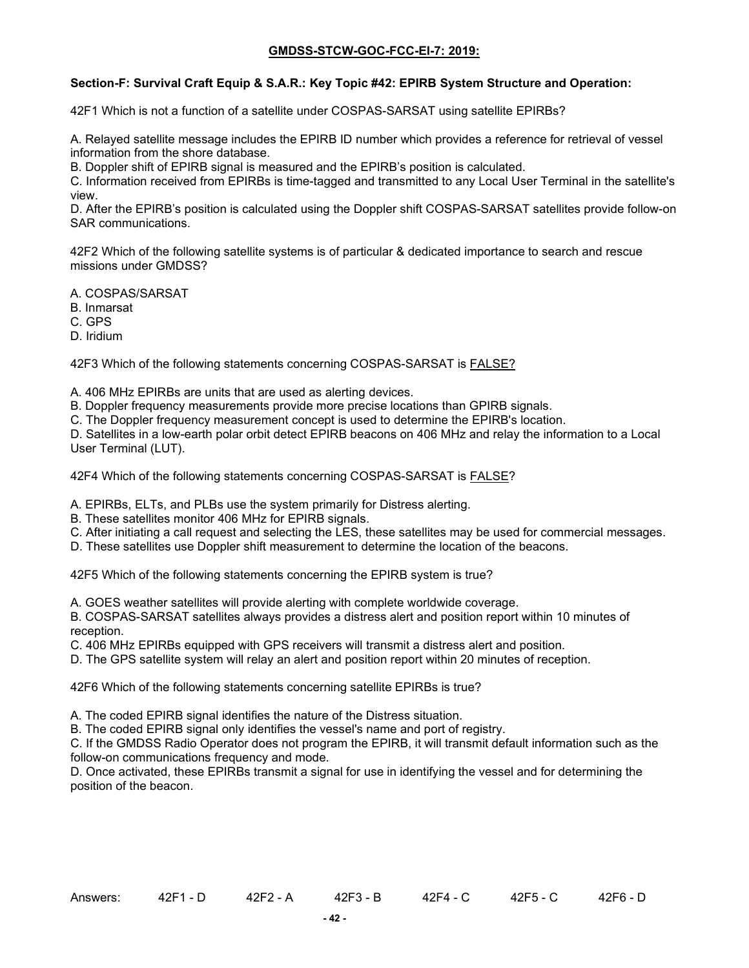### **Section-F: Survival Craft Equip & S.A.R.: Key Topic #42: EPIRB System Structure and Operation:**

42F1 Which is not a function of a satellite under COSPAS-SARSAT using satellite EPIRBs?

A. Relayed satellite message includes the EPIRB ID number which provides a reference for retrieval of vessel information from the shore database.

B. Doppler shift of EPIRB signal is measured and the EPIRB's position is calculated.

C. Information received from EPIRBs is time-tagged and transmitted to any Local User Terminal in the satellite's view.

D. After the EPIRB's position is calculated using the Doppler shift COSPAS-SARSAT satellites provide follow-on SAR communications.

42F2 Which of the following satellite systems is of particular & dedicated importance to search and rescue missions under GMDSS?

A. COSPAS/SARSAT

B. Inmarsat

C. GPS

D. Iridium

42F3 Which of the following statements concerning COSPAS-SARSAT is FALSE?

A. 406 MHz EPIRBs are units that are used as alerting devices.

B. Doppler frequency measurements provide more precise locations than GPIRB signals.

C. The Doppler frequency measurement concept is used to determine the EPIRB's location.

D. Satellites in a low-earth polar orbit detect EPIRB beacons on 406 MHz and relay the information to a Local User Terminal (LUT).

42F4 Which of the following statements concerning COSPAS-SARSAT is **FALSE?** 

A. EPIRBs, ELTs, and PLBs use the system primarily for Distress alerting.

- B. These satellites monitor 406 MHz for EPIRB signals.
- C. After initiating a call request and selecting the LES, these satellites may be used for commercial messages.
- D. These satellites use Doppler shift measurement to determine the location of the beacons.

42F5 Which of the following statements concerning the EPIRB system is true?

A. GOES weather satellites will provide alerting with complete worldwide coverage.

B. COSPAS-SARSAT satellites always provides a distress alert and position report within 10 minutes of reception.

C. 406 MHz EPIRBs equipped with GPS receivers will transmit a distress alert and position.

D. The GPS satellite system will relay an alert and position report within 20 minutes of reception.

42F6 Which of the following statements concerning satellite EPIRBs is true?

A. The coded EPIRB signal identifies the nature of the Distress situation.

B. The coded EPIRB signal only identifies the vessel's name and port of registry.

C. If the GMDSS Radio Operator does not program the EPIRB, it will transmit default information such as the follow-on communications frequency and mode.

D. Once activated, these EPIRBs transmit a signal for use in identifying the vessel and for determining the position of the beacon.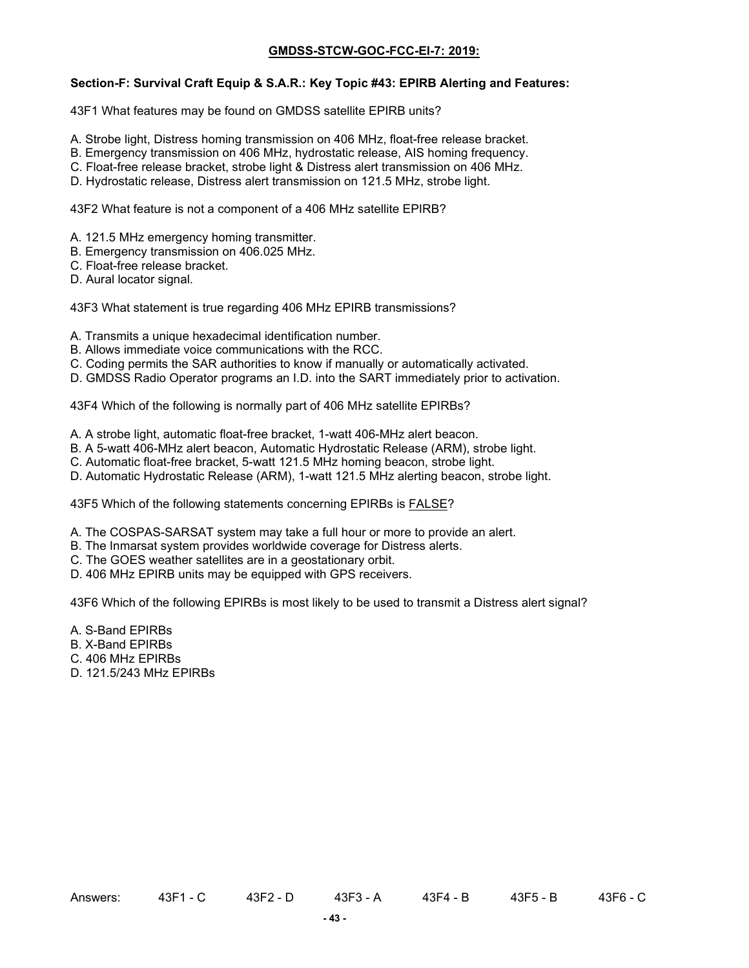#### **Section-F: Survival Craft Equip & S.A.R.: Key Topic #43: EPIRB Alerting and Features:**

43F1 What features may be found on GMDSS satellite EPIRB units?

- A. Strobe light, Distress homing transmission on 406 MHz, float-free release bracket.
- B. Emergency transmission on 406 MHz, hydrostatic release, AIS homing frequency.
- C. Float-free release bracket, strobe light & Distress alert transmission on 406 MHz.
- D. Hydrostatic release, Distress alert transmission on 121.5 MHz, strobe light.

43F2 What feature is not a component of a 406 MHz satellite EPIRB?

- A. 121.5 MHz emergency homing transmitter.
- B. Emergency transmission on 406.025 MHz.
- C. Float-free release bracket.
- D. Aural locator signal.

43F3 What statement is true regarding 406 MHz EPIRB transmissions?

- A. Transmits a unique hexadecimal identification number.
- B. Allows immediate voice communications with the RCC.
- C. Coding permits the SAR authorities to know if manually or automatically activated.
- D. GMDSS Radio Operator programs an I.D. into the SART immediately prior to activation.

43F4 Which of the following is normally part of 406 MHz satellite EPIRBs?

- A. A strobe light, automatic float-free bracket, 1-watt 406-MHz alert beacon.
- B. A 5-watt 406-MHz alert beacon, Automatic Hydrostatic Release (ARM), strobe light.
- C. Automatic float-free bracket, 5-watt 121.5 MHz homing beacon, strobe light.
- D. Automatic Hydrostatic Release (ARM), 1-watt 121.5 MHz alerting beacon, strobe light.

43F5 Which of the following statements concerning EPIRBs is **FALSE?** 

- A. The COSPAS-SARSAT system may take a full hour or more to provide an alert.
- B. The Inmarsat system provides worldwide coverage for Distress alerts.
- C. The GOES weather satellites are in a geostationary orbit.
- D. 406 MHz EPIRB units may be equipped with GPS receivers.

43F6 Which of the following EPIRBs is most likely to be used to transmit a Distress alert signal?

- A. S-Band EPIRBs
- B. X-Band EPIRBs
- C. 406 MHz EPIRBs
- D. 121.5/243 MHz EPIRBs

Answers: 43F1 - C 43F2 - D 43F3 - A 43F4 - B 43F5 - B 43F6 - C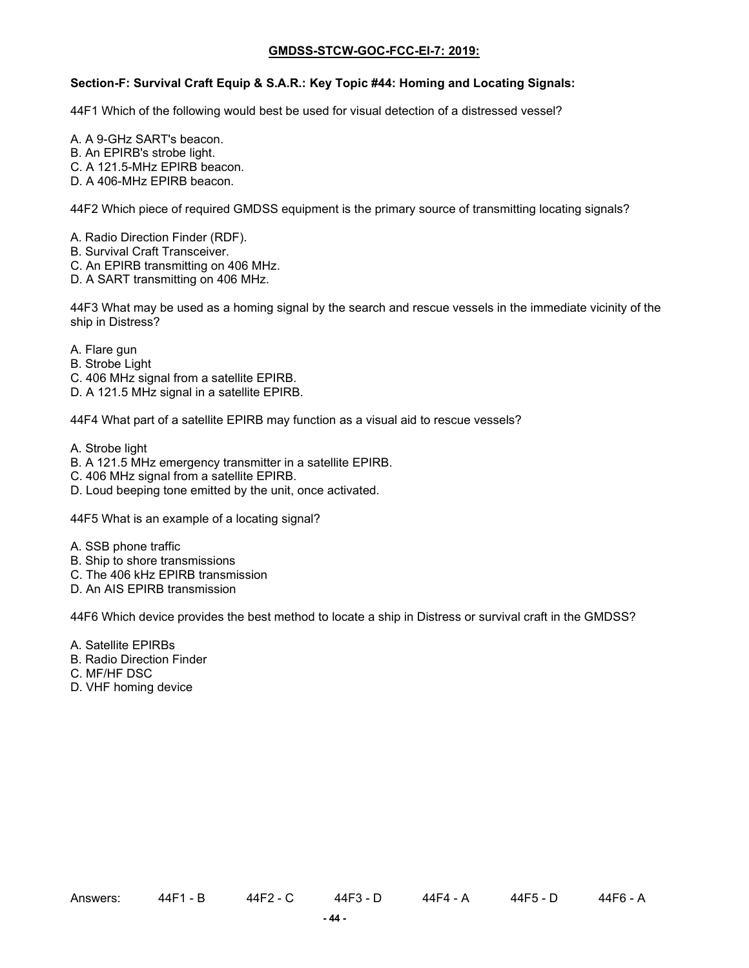### **Section-F: Survival Craft Equip & S.A.R.: Key Topic #44: Homing and Locating Signals:**

44F1 Which of the following would best be used for visual detection of a distressed vessel?

- A. A 9-GHz SART's beacon.
- B. An EPIRB's strobe light.
- C. A 121.5-MHz EPIRB beacon.
- D. A 406-MHz EPIRB beacon.

44F2 Which piece of required GMDSS equipment is the primary source of transmitting locating signals?

- A. Radio Direction Finder (RDF).
- B. Survival Craft Transceiver.
- C. An EPIRB transmitting on 406 MHz.
- D. A SART transmitting on 406 MHz.

44F3 What may be used as a homing signal by the search and rescue vessels in the immediate vicinity of the ship in Distress?

- A. Flare gun
- B. Strobe Light
- C. 406 MHz signal from a satellite EPIRB.
- D. A 121.5 MHz signal in a satellite EPIRB.

44F4 What part of a satellite EPIRB may function as a visual aid to rescue vessels?

- A. Strobe light
- B. A 121.5 MHz emergency transmitter in a satellite EPIRB.
- C. 406 MHz signal from a satellite EPIRB.
- D. Loud beeping tone emitted by the unit, once activated.

44F5 What is an example of a locating signal?

- A. SSB phone traffic
- B. Ship to shore transmissions
- C. The 406 kHz EPIRB transmission
- D. An AIS EPIRB transmission

44F6 Which device provides the best method to locate a ship in Distress or survival craft in the GMDSS?

- A. Satellite EPIRBs
- B. Radio Direction Finder
- C. MF/HF DSC
- D. VHF homing device

Answers: 44F1 - B 44F2 - C 44F3 - D 44F4 - A 44F5 - D 44F6 - A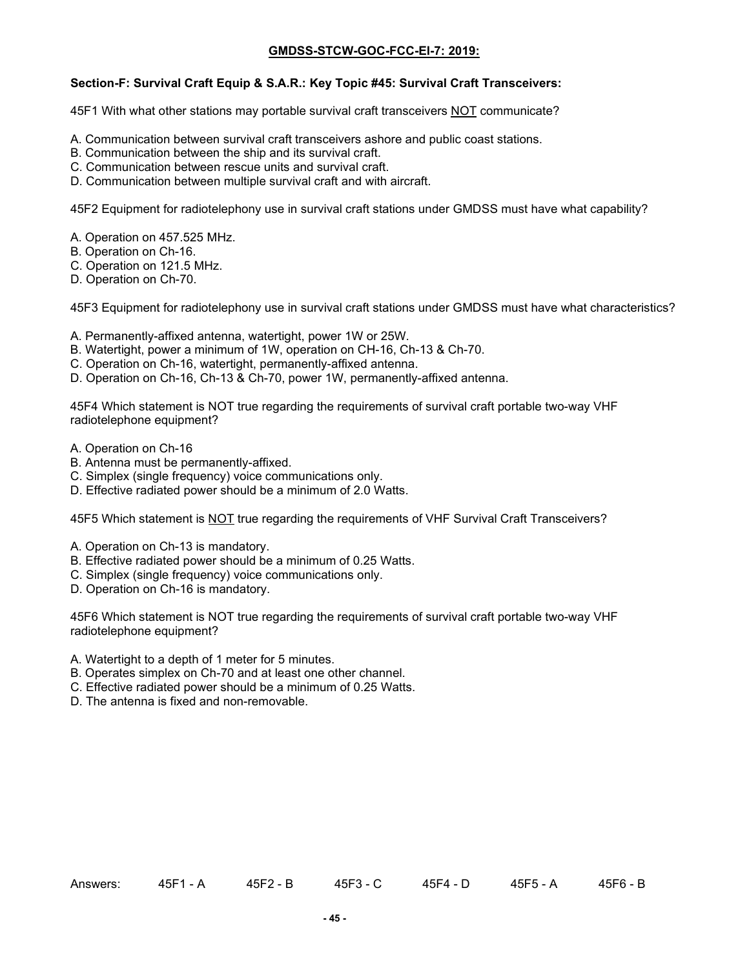#### **Section-F: Survival Craft Equip & S.A.R.: Key Topic #45: Survival Craft Transceivers:**

45F1 With what other stations may portable survival craft transceivers NOT communicate?

- A. Communication between survival craft transceivers ashore and public coast stations.
- B. Communication between the ship and its survival craft.
- C. Communication between rescue units and survival craft.
- D. Communication between multiple survival craft and with aircraft.

45F2 Equipment for radiotelephony use in survival craft stations under GMDSS must have what capability?

- A. Operation on 457.525 MHz.
- B. Operation on Ch-16.
- C. Operation on 121.5 MHz.
- D. Operation on Ch-70.

45F3 Equipment for radiotelephony use in survival craft stations under GMDSS must have what characteristics?

- A. Permanently-affixed antenna, watertight, power 1W or 25W.
- B. Watertight, power a minimum of 1W, operation on CH-16, Ch-13 & Ch-70.
- C. Operation on Ch-16, watertight, permanently-affixed antenna.
- D. Operation on Ch-16, Ch-13 & Ch-70, power 1W, permanently-affixed antenna.

45F4 Which statement is NOT true regarding the requirements of survival craft portable two-way VHF radiotelephone equipment?

- A. Operation on Ch-16
- B. Antenna must be permanently-affixed.
- C. Simplex (single frequency) voice communications only.
- D. Effective radiated power should be a minimum of 2.0 Watts.

45F5 Which statement is NOT true regarding the requirements of VHF Survival Craft Transceivers?

- A. Operation on Ch-13 is mandatory.
- B. Effective radiated power should be a minimum of 0.25 Watts.
- C. Simplex (single frequency) voice communications only.
- D. Operation on Ch-16 is mandatory.

45F6 Which statement is NOT true regarding the requirements of survival craft portable two-way VHF radiotelephone equipment?

- A. Watertight to a depth of 1 meter for 5 minutes.
- B. Operates simplex on Ch-70 and at least one other channel.
- C. Effective radiated power should be a minimum of 0.25 Watts.
- D. The antenna is fixed and non-removable.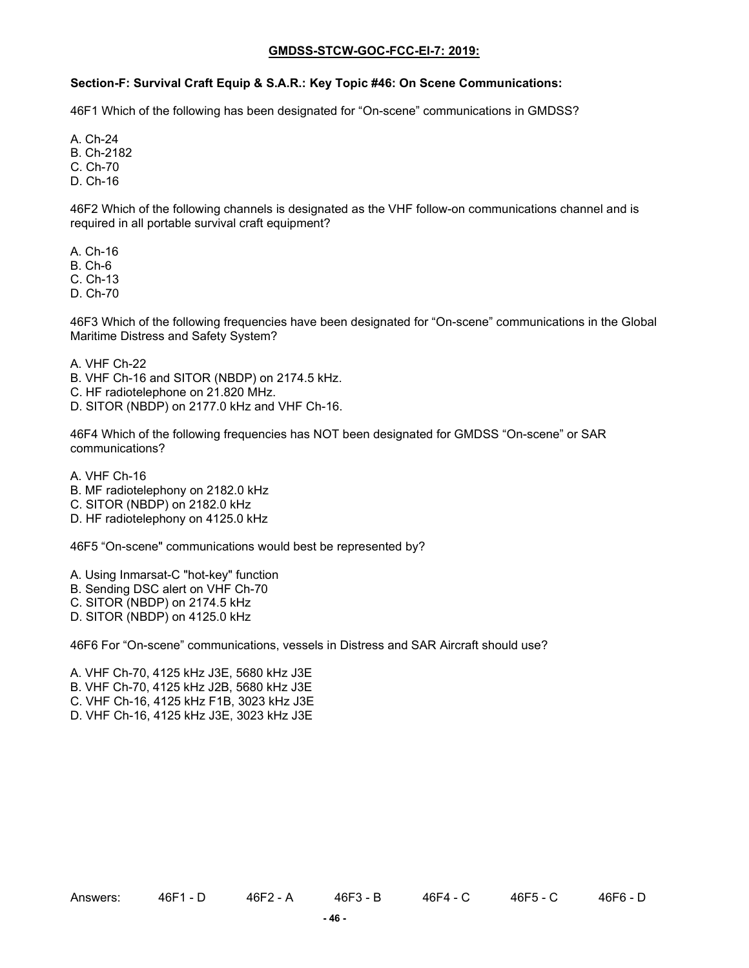#### **Section-F: Survival Craft Equip & S.A.R.: Key Topic #46: On Scene Communications:**

46F1 Which of the following has been designated for "On-scene" communications in GMDSS?

A. Ch-24

B. Ch-2182

C. Ch-70

D. Ch-16

46F2 Which of the following channels is designated as the VHF follow-on communications channel and is required in all portable survival craft equipment?

A. Ch-16

B. Ch-6

C. Ch-13

D. Ch-70

46F3 Which of the following frequencies have been designated for "On-scene" communications in the Global Maritime Distress and Safety System?

A. VHF Ch-22

B. VHF Ch-16 and SITOR (NBDP) on 2174.5 kHz.

C. HF radiotelephone on 21.820 MHz.

D. SITOR (NBDP) on 2177.0 kHz and VHF Ch-16.

46F4 Which of the following frequencies has NOT been designated for GMDSS "On-scene" or SAR communications?

A. VHF Ch-16

B. MF radiotelephony on 2182.0 kHz

C. SITOR (NBDP) on 2182.0 kHz

D. HF radiotelephony on 4125.0 kHz

46F5 "On-scene" communications would best be represented by?

A. Using Inmarsat-C "hot-key" function

B. Sending DSC alert on VHF Ch-70

C. SITOR (NBDP) on 2174.5 kHz

D. SITOR (NBDP) on 4125.0 kHz

46F6 For "On-scene" communications, vessels in Distress and SAR Aircraft should use?

A. VHF Ch-70, 4125 kHz J3E, 5680 kHz J3E B. VHF Ch-70, 4125 kHz J2B, 5680 kHz J3E C. VHF Ch-16, 4125 kHz F1B, 3023 kHz J3E D. VHF Ch-16, 4125 kHz J3E, 3023 kHz J3E

Answers: 46F1 - D 46F2 - A 46F3 - B 46F4 - C 46F5 - C 46F6 - D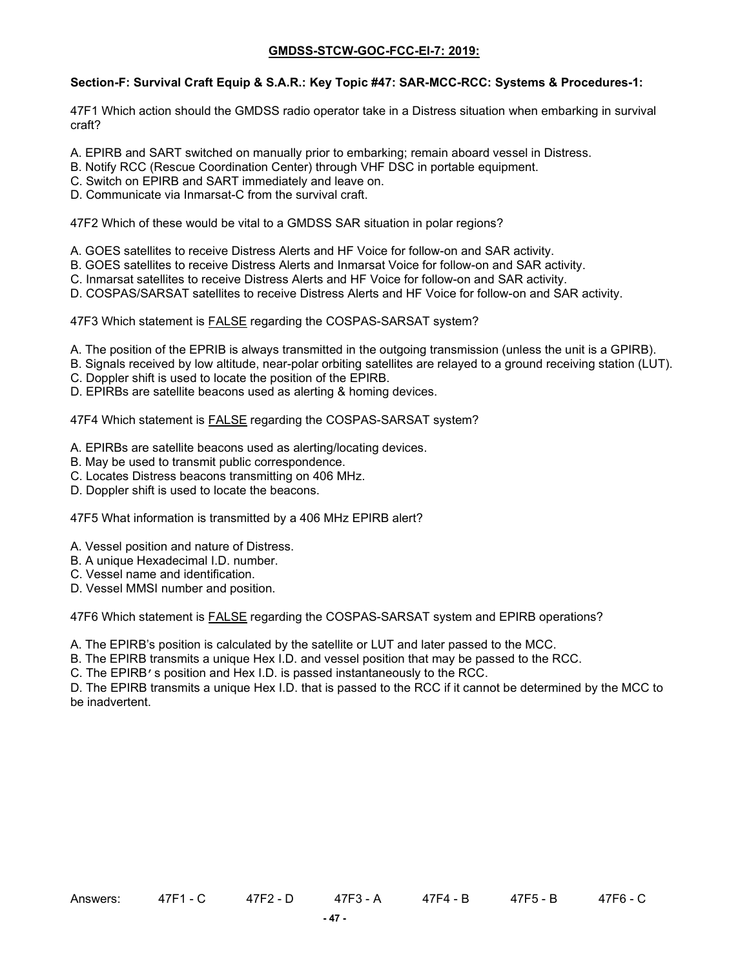# **Section-F: Survival Craft Equip & S.A.R.: Key Topic #47: SAR-MCC-RCC: Systems & Procedures-1:**

47F1 Which action should the GMDSS radio operator take in a Distress situation when embarking in survival craft?

- A. EPIRB and SART switched on manually prior to embarking; remain aboard vessel in Distress.
- B. Notify RCC (Rescue Coordination Center) through VHF DSC in portable equipment.
- C. Switch on EPIRB and SART immediately and leave on.
- D. Communicate via Inmarsat-C from the survival craft.

47F2 Which of these would be vital to a GMDSS SAR situation in polar regions?

- A. GOES satellites to receive Distress Alerts and HF Voice for follow-on and SAR activity.
- B. GOES satellites to receive Distress Alerts and Inmarsat Voice for follow-on and SAR activity.
- C. Inmarsat satellites to receive Distress Alerts and HF Voice for follow-on and SAR activity.
- D. COSPAS/SARSAT satellites to receive Distress Alerts and HF Voice for follow-on and SAR activity.

47F3 Which statement is **FALSE** regarding the COSPAS-SARSAT system?

- A. The position of the EPRIB is always transmitted in the outgoing transmission (unless the unit is a GPIRB).
- B. Signals received by low altitude, near-polar orbiting satellites are relayed to a ground receiving station (LUT).
- C. Doppler shift is used to locate the position of the EPIRB.
- D. EPIRBs are satellite beacons used as alerting & homing devices.

47F4 Which statement is FALSE regarding the COSPAS-SARSAT system?

- A. EPIRBs are satellite beacons used as alerting/locating devices.
- B. May be used to transmit public correspondence.
- C. Locates Distress beacons transmitting on 406 MHz.
- D. Doppler shift is used to locate the beacons.

47F5 What information is transmitted by a 406 MHz EPIRB alert?

- A. Vessel position and nature of Distress.
- B. A unique Hexadecimal I.D. number.
- C. Vessel name and identification.
- D. Vessel MMSI number and position.

47F6 Which statement is FALSE regarding the COSPAS-SARSAT system and EPIRB operations?

A. The EPIRB's position is calculated by the satellite or LUT and later passed to the MCC.

B. The EPIRB transmits a unique Hex I.D. and vessel position that may be passed to the RCC.

C. The EPIRB's position and Hex I.D. is passed instantaneously to the RCC.

D. The EPIRB transmits a unique Hex I.D. that is passed to the RCC if it cannot be determined by the MCC to be inadvertent.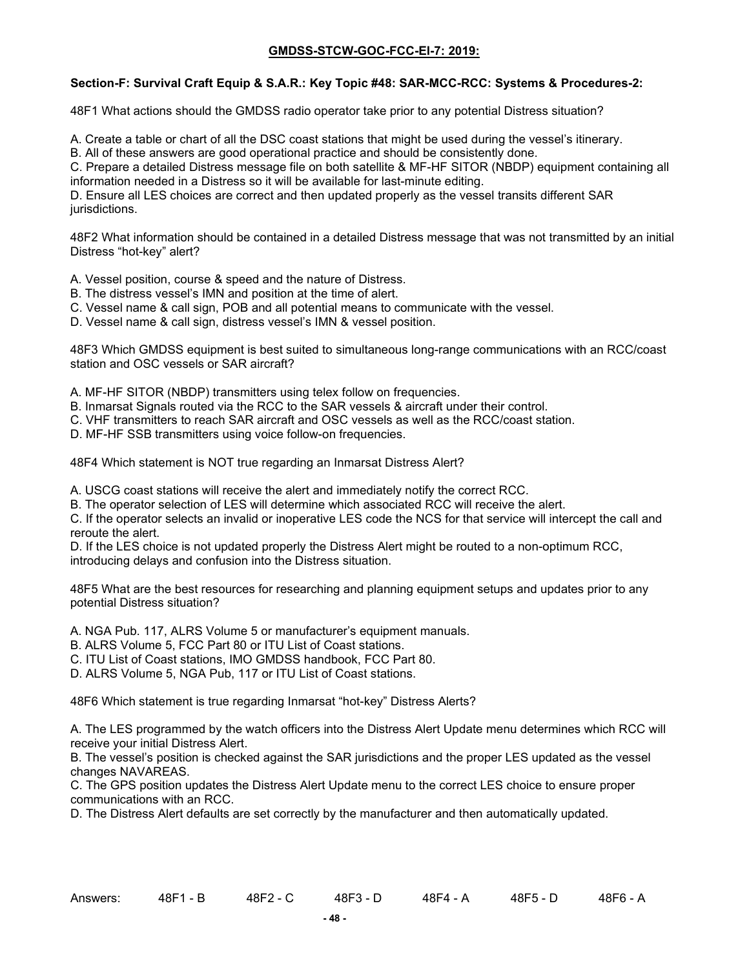### **Section-F: Survival Craft Equip & S.A.R.: Key Topic #48: SAR-MCC-RCC: Systems & Procedures-2:**

48F1 What actions should the GMDSS radio operator take prior to any potential Distress situation?

A. Create a table or chart of all the DSC coast stations that might be used during the vessel's itinerary.

B. All of these answers are good operational practice and should be consistently done.

C. Prepare a detailed Distress message file on both satellite & MF-HF SITOR (NBDP) equipment containing all information needed in a Distress so it will be available for last-minute editing.

D. Ensure all LES choices are correct and then updated properly as the vessel transits different SAR jurisdictions.

48F2 What information should be contained in a detailed Distress message that was not transmitted by an initial Distress "hot-key" alert?

- A. Vessel position, course & speed and the nature of Distress.
- B. The distress vessel's IMN and position at the time of alert.
- C. Vessel name & call sign, POB and all potential means to communicate with the vessel.
- D. Vessel name & call sign, distress vessel's IMN & vessel position.

48F3 Which GMDSS equipment is best suited to simultaneous long-range communications with an RCC/coast station and OSC vessels or SAR aircraft?

- A. MF-HF SITOR (NBDP) transmitters using telex follow on frequencies.
- B. Inmarsat Signals routed via the RCC to the SAR vessels & aircraft under their control.
- C. VHF transmitters to reach SAR aircraft and OSC vessels as well as the RCC/coast station.
- D. MF-HF SSB transmitters using voice follow-on frequencies.

48F4 Which statement is NOT true regarding an Inmarsat Distress Alert?

A. USCG coast stations will receive the alert and immediately notify the correct RCC.

B. The operator selection of LES will determine which associated RCC will receive the alert.

C. If the operator selects an invalid or inoperative LES code the NCS for that service will intercept the call and reroute the alert.

D. If the LES choice is not updated properly the Distress Alert might be routed to a non-optimum RCC, introducing delays and confusion into the Distress situation.

48F5 What are the best resources for researching and planning equipment setups and updates prior to any potential Distress situation?

- A. NGA Pub. 117, ALRS Volume 5 or manufacturer's equipment manuals.
- B. ALRS Volume 5, FCC Part 80 or ITU List of Coast stations.
- C. ITU List of Coast stations, IMO GMDSS handbook, FCC Part 80.
- D. ALRS Volume 5, NGA Pub, 117 or ITU List of Coast stations.

48F6 Which statement is true regarding Inmarsat "hot-key" Distress Alerts?

A. The LES programmed by the watch officers into the Distress Alert Update menu determines which RCC will receive your initial Distress Alert.

B. The vessel's position is checked against the SAR jurisdictions and the proper LES updated as the vessel changes NAVAREAS.

C. The GPS position updates the Distress Alert Update menu to the correct LES choice to ensure proper communications with an RCC.

D. The Distress Alert defaults are set correctly by the manufacturer and then automatically updated.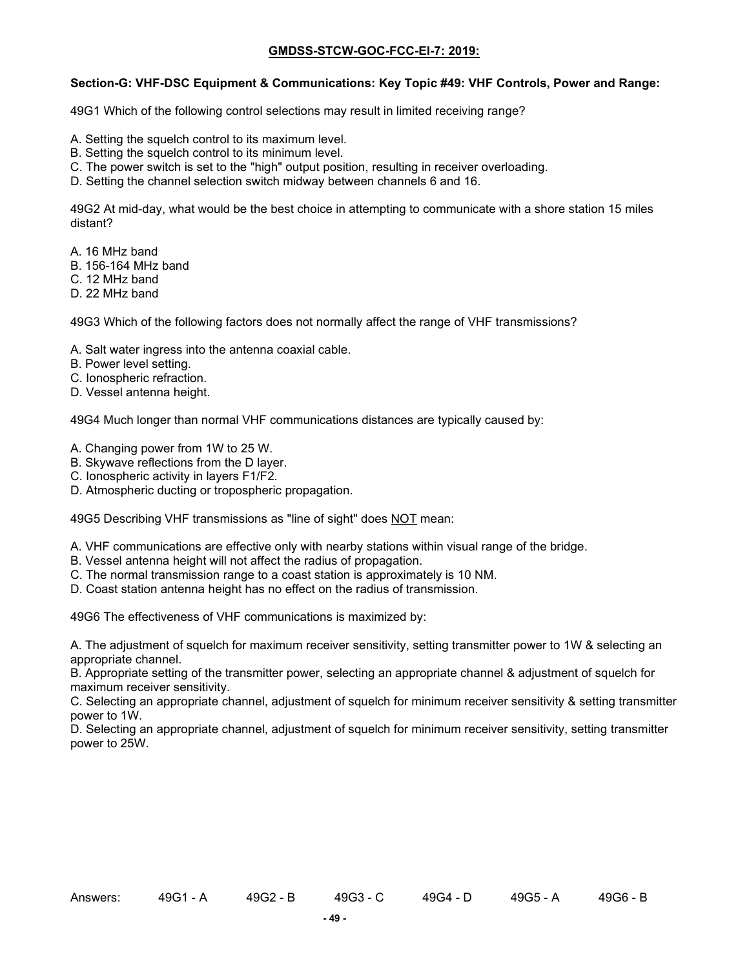### **Section-G: VHF-DSC Equipment & Communications: Key Topic #49: VHF Controls, Power and Range:**

49G1 Which of the following control selections may result in limited receiving range?

- A. Setting the squelch control to its maximum level.
- B. Setting the squelch control to its minimum level.
- C. The power switch is set to the "high" output position, resulting in receiver overloading.
- D. Setting the channel selection switch midway between channels 6 and 16.

49G2 At mid-day, what would be the best choice in attempting to communicate with a shore station 15 miles distant?

- A. 16 MHz band
- B. 156-164 MHz band
- C. 12 MHz band
- D. 22 MHz band

49G3 Which of the following factors does not normally affect the range of VHF transmissions?

- A. Salt water ingress into the antenna coaxial cable.
- B. Power level setting.
- C. Ionospheric refraction.
- D. Vessel antenna height.

49G4 Much longer than normal VHF communications distances are typically caused by:

- A. Changing power from 1W to 25 W.
- B. Skywave reflections from the D layer.
- C. Ionospheric activity in layers F1/F2.
- D. Atmospheric ducting or tropospheric propagation.

49G5 Describing VHF transmissions as "line of sight" does NOT mean:

- A. VHF communications are effective only with nearby stations within visual range of the bridge.
- B. Vessel antenna height will not affect the radius of propagation.
- C. The normal transmission range to a coast station is approximately is 10 NM.
- D. Coast station antenna height has no effect on the radius of transmission.

49G6 The effectiveness of VHF communications is maximized by:

A. The adjustment of squelch for maximum receiver sensitivity, setting transmitter power to 1W & selecting an appropriate channel.

B. Appropriate setting of the transmitter power, selecting an appropriate channel & adjustment of squelch for maximum receiver sensitivity.

C. Selecting an appropriate channel, adjustment of squelch for minimum receiver sensitivity & setting transmitter power to 1W.

D. Selecting an appropriate channel, adjustment of squelch for minimum receiver sensitivity, setting transmitter power to 25W.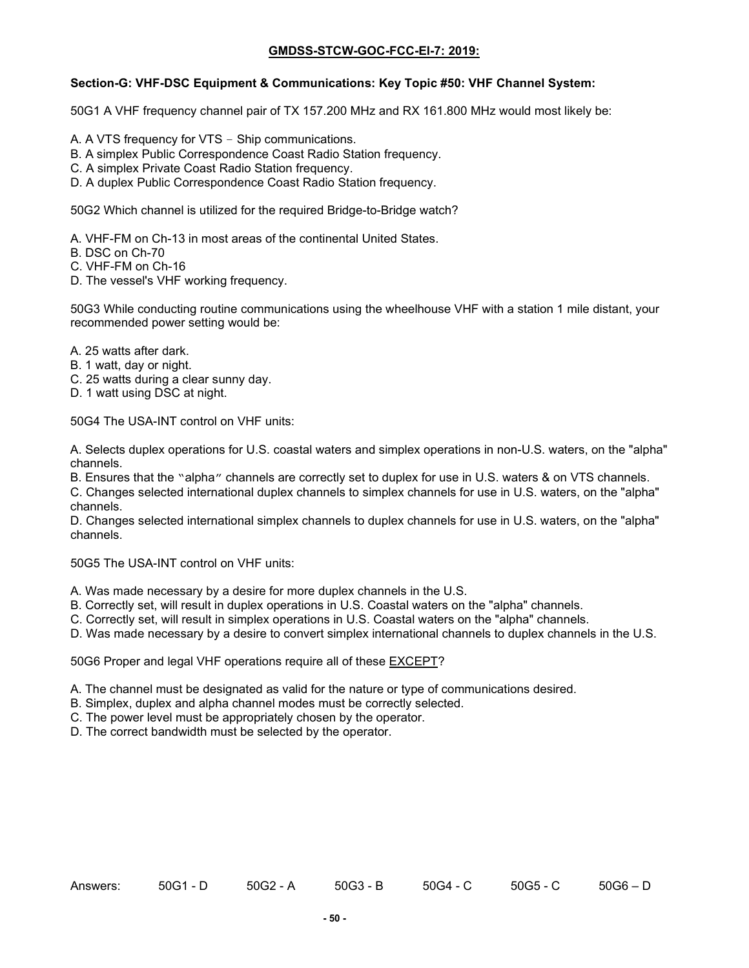#### **Section-G: VHF-DSC Equipment & Communications: Key Topic #50: VHF Channel System:**

50G1 A VHF frequency channel pair of TX 157.200 MHz and RX 161.800 MHz would most likely be:

- A. A VTS frequency for VTS Ship communications.
- B. A simplex Public Correspondence Coast Radio Station frequency.
- C. A simplex Private Coast Radio Station frequency.
- D. A duplex Public Correspondence Coast Radio Station frequency.

50G2 Which channel is utilized for the required Bridge-to-Bridge watch?

- A. VHF-FM on Ch-13 in most areas of the continental United States.
- B. DSC on Ch-70
- C. VHF-FM on Ch-16
- D. The vessel's VHF working frequency.

50G3 While conducting routine communications using the wheelhouse VHF with a station 1 mile distant, your recommended power setting would be:

- A. 25 watts after dark.
- B. 1 watt, day or night.
- C. 25 watts during a clear sunny day.
- D. 1 watt using DSC at night.

50G4 The USA-INT control on VHF units:

A. Selects duplex operations for U.S. coastal waters and simplex operations in non-U.S. waters, on the "alpha" channels.

B. Ensures that the "alpha" channels are correctly set to duplex for use in U.S. waters & on VTS channels.

C. Changes selected international duplex channels to simplex channels for use in U.S. waters, on the "alpha" channels.

D. Changes selected international simplex channels to duplex channels for use in U.S. waters, on the "alpha" channels.

50G5 The USA-INT control on VHF units:

- A. Was made necessary by a desire for more duplex channels in the U.S.
- B. Correctly set, will result in duplex operations in U.S. Coastal waters on the "alpha" channels.
- C. Correctly set, will result in simplex operations in U.S. Coastal waters on the "alpha" channels.

D. Was made necessary by a desire to convert simplex international channels to duplex channels in the U.S.

50G6 Proper and legal VHF operations require all of these EXCEPT?

- A. The channel must be designated as valid for the nature or type of communications desired.
- B. Simplex, duplex and alpha channel modes must be correctly selected.
- C. The power level must be appropriately chosen by the operator.
- D. The correct bandwidth must be selected by the operator.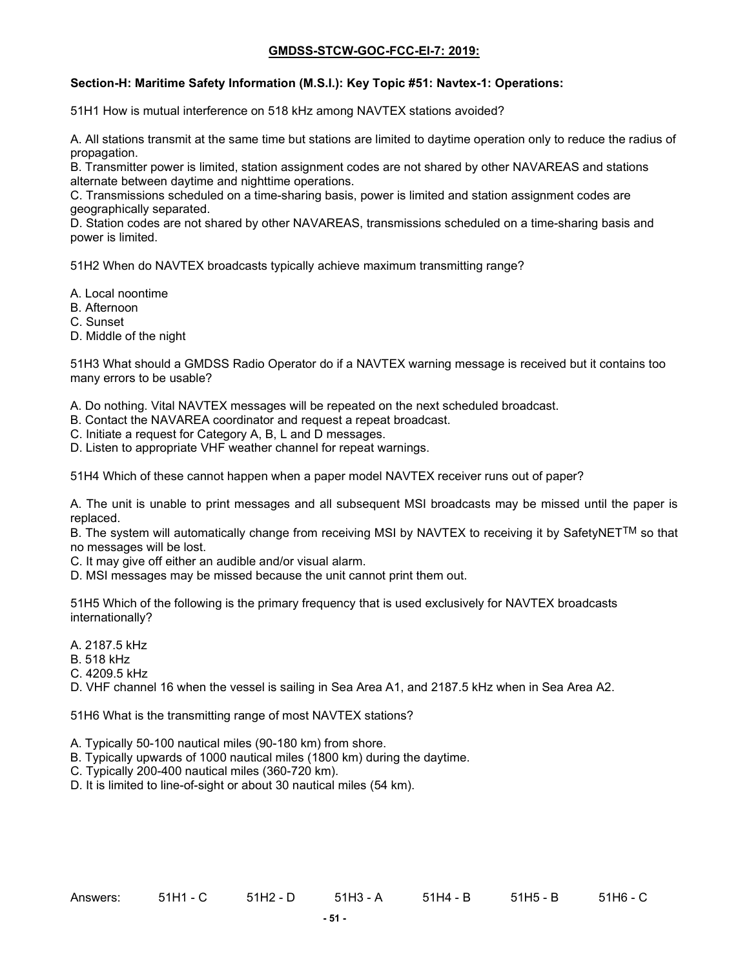### **Section-H: Maritime Safety Information (M.S.I.): Key Topic #51: Navtex-1: Operations:**

51H1 How is mutual interference on 518 kHz among NAVTEX stations avoided?

A. All stations transmit at the same time but stations are limited to daytime operation only to reduce the radius of propagation.

B. Transmitter power is limited, station assignment codes are not shared by other NAVAREAS and stations alternate between daytime and nighttime operations.

C. Transmissions scheduled on a time-sharing basis, power is limited and station assignment codes are geographically separated.

D. Station codes are not shared by other NAVAREAS, transmissions scheduled on a time-sharing basis and power is limited.

51H2 When do NAVTEX broadcasts typically achieve maximum transmitting range?

- A. Local noontime
- B. Afternoon
- C. Sunset
- D. Middle of the night

51H3 What should a GMDSS Radio Operator do if a NAVTEX warning message is received but it contains too many errors to be usable?

A. Do nothing. Vital NAVTEX messages will be repeated on the next scheduled broadcast.

- B. Contact the NAVAREA coordinator and request a repeat broadcast.
- C. Initiate a request for Category A, B, L and D messages.

D. Listen to appropriate VHF weather channel for repeat warnings.

51H4 Which of these cannot happen when a paper model NAVTEX receiver runs out of paper?

A. The unit is unable to print messages and all subsequent MSI broadcasts may be missed until the paper is replaced.

B. The system will automatically change from receiving MSI by NAVTEX to receiving it by SafetyNET<sup>TM</sup> so that no messages will be lost.

- C. It may give off either an audible and/or visual alarm.
- D. MSI messages may be missed because the unit cannot print them out.

51H5 Which of the following is the primary frequency that is used exclusively for NAVTEX broadcasts internationally?

- A. 2187.5 kHz
- B. 518 kHz
- C. 4209.5 kHz
- D. VHF channel 16 when the vessel is sailing in Sea Area A1, and 2187.5 kHz when in Sea Area A2.

51H6 What is the transmitting range of most NAVTEX stations?

- A. Typically 50-100 nautical miles (90-180 km) from shore.
- B. Typically upwards of 1000 nautical miles (1800 km) during the daytime.
- C. Typically 200-400 nautical miles (360-720 km).
- D. It is limited to line-of-sight or about 30 nautical miles (54 km).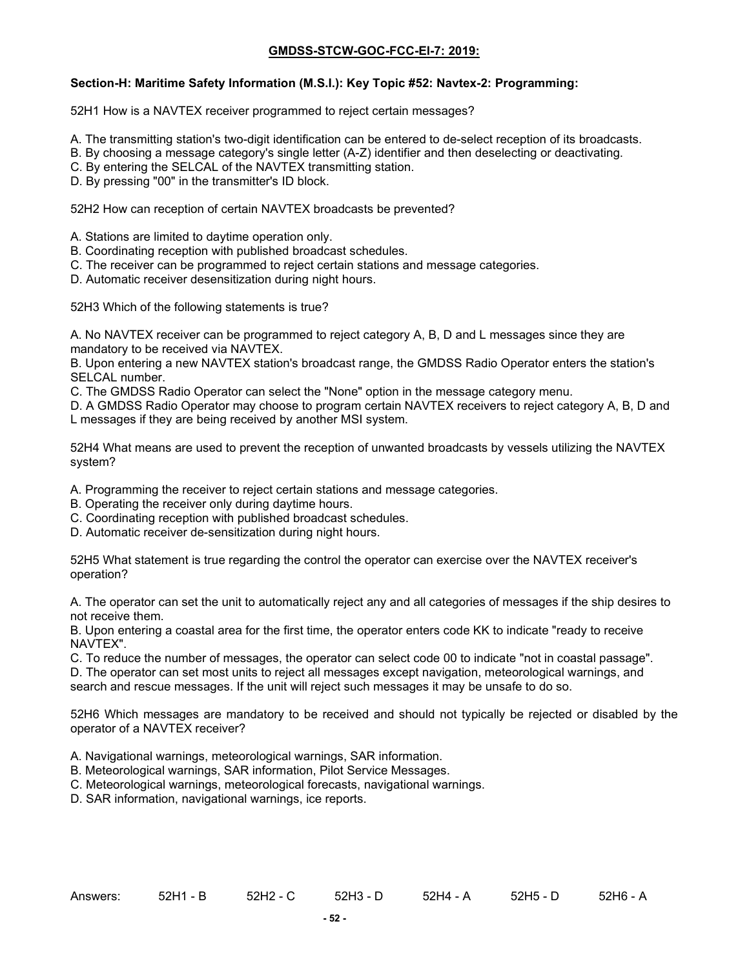### **Section-H: Maritime Safety Information (M.S.I.): Key Topic #52: Navtex-2: Programming:**

52H1 How is a NAVTEX receiver programmed to reject certain messages?

- A. The transmitting station's two-digit identification can be entered to de-select reception of its broadcasts.
- B. By choosing a message category's single letter (A-Z) identifier and then deselecting or deactivating.
- C. By entering the SELCAL of the NAVTEX transmitting station.
- D. By pressing "00" in the transmitter's ID block.

52H2 How can reception of certain NAVTEX broadcasts be prevented?

- A. Stations are limited to daytime operation only.
- B. Coordinating reception with published broadcast schedules.
- C. The receiver can be programmed to reject certain stations and message categories.
- D. Automatic receiver desensitization during night hours.

52H3 Which of the following statements is true?

A. No NAVTEX receiver can be programmed to reject category A, B, D and L messages since they are mandatory to be received via NAVTEX.

B. Upon entering a new NAVTEX station's broadcast range, the GMDSS Radio Operator enters the station's SELCAL number.

C. The GMDSS Radio Operator can select the "None" option in the message category menu.

D. A GMDSS Radio Operator may choose to program certain NAVTEX receivers to reject category A, B, D and L messages if they are being received by another MSI system.

52H4 What means are used to prevent the reception of unwanted broadcasts by vessels utilizing the NAVTEX system?

A. Programming the receiver to reject certain stations and message categories.

- B. Operating the receiver only during daytime hours.
- C. Coordinating reception with published broadcast schedules.
- D. Automatic receiver de-sensitization during night hours.

52H5 What statement is true regarding the control the operator can exercise over the NAVTEX receiver's operation?

A. The operator can set the unit to automatically reject any and all categories of messages if the ship desires to not receive them.

B. Upon entering a coastal area for the first time, the operator enters code KK to indicate "ready to receive NAVTEX".

C. To reduce the number of messages, the operator can select code 00 to indicate "not in coastal passage".

D. The operator can set most units to reject all messages except navigation, meteorological warnings, and search and rescue messages. If the unit will reject such messages it may be unsafe to do so.

52H6 Which messages are mandatory to be received and should not typically be rejected or disabled by the operator of a NAVTEX receiver?

- A. Navigational warnings, meteorological warnings, SAR information.
- B. Meteorological warnings, SAR information, Pilot Service Messages.
- C. Meteorological warnings, meteorological forecasts, navigational warnings.
- D. SAR information, navigational warnings, ice reports.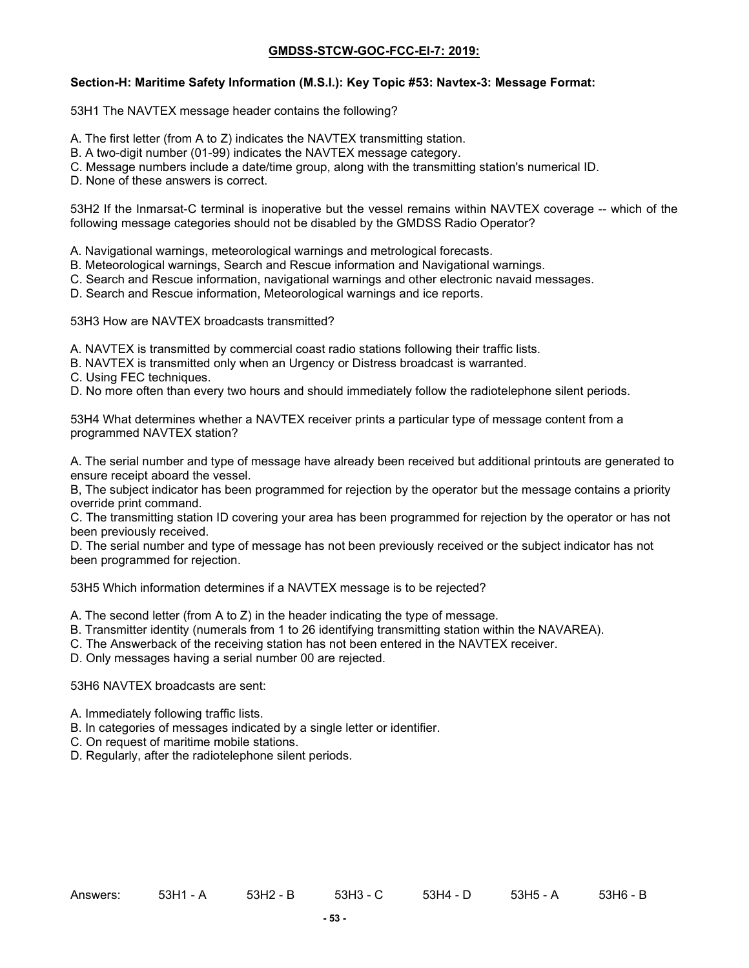#### **Section-H: Maritime Safety Information (M.S.I.): Key Topic #53: Navtex-3: Message Format:**

53H1 The NAVTEX message header contains the following?

- A. The first letter (from A to Z) indicates the NAVTEX transmitting station.
- B. A two-digit number (01-99) indicates the NAVTEX message category.
- C. Message numbers include a date/time group, along with the transmitting station's numerical ID.
- D. None of these answers is correct.

53H2 If the Inmarsat-C terminal is inoperative but the vessel remains within NAVTEX coverage -- which of the following message categories should not be disabled by the GMDSS Radio Operator?

A. Navigational warnings, meteorological warnings and metrological forecasts.

- B. Meteorological warnings, Search and Rescue information and Navigational warnings.
- C. Search and Rescue information, navigational warnings and other electronic navaid messages.
- D. Search and Rescue information, Meteorological warnings and ice reports.

53H3 How are NAVTEX broadcasts transmitted?

- A. NAVTEX is transmitted by commercial coast radio stations following their traffic lists.
- B. NAVTEX is transmitted only when an Urgency or Distress broadcast is warranted.
- C. Using FEC techniques.

D. No more often than every two hours and should immediately follow the radiotelephone silent periods.

53H4 What determines whether a NAVTEX receiver prints a particular type of message content from a programmed NAVTEX station?

A. The serial number and type of message have already been received but additional printouts are generated to ensure receipt aboard the vessel.

B, The subject indicator has been programmed for rejection by the operator but the message contains a priority override print command.

C. The transmitting station ID covering your area has been programmed for rejection by the operator or has not been previously received.

D. The serial number and type of message has not been previously received or the subject indicator has not been programmed for rejection.

53H5 Which information determines if a NAVTEX message is to be rejected?

- A. The second letter (from A to Z) in the header indicating the type of message.
- B. Transmitter identity (numerals from 1 to 26 identifying transmitting station within the NAVAREA).
- C. The Answerback of the receiving station has not been entered in the NAVTEX receiver.

D. Only messages having a serial number 00 are rejected.

#### 53H6 NAVTEX broadcasts are sent:

- A. Immediately following traffic lists.
- B. In categories of messages indicated by a single letter or identifier.
- C. On request of maritime mobile stations.
- D. Regularly, after the radiotelephone silent periods.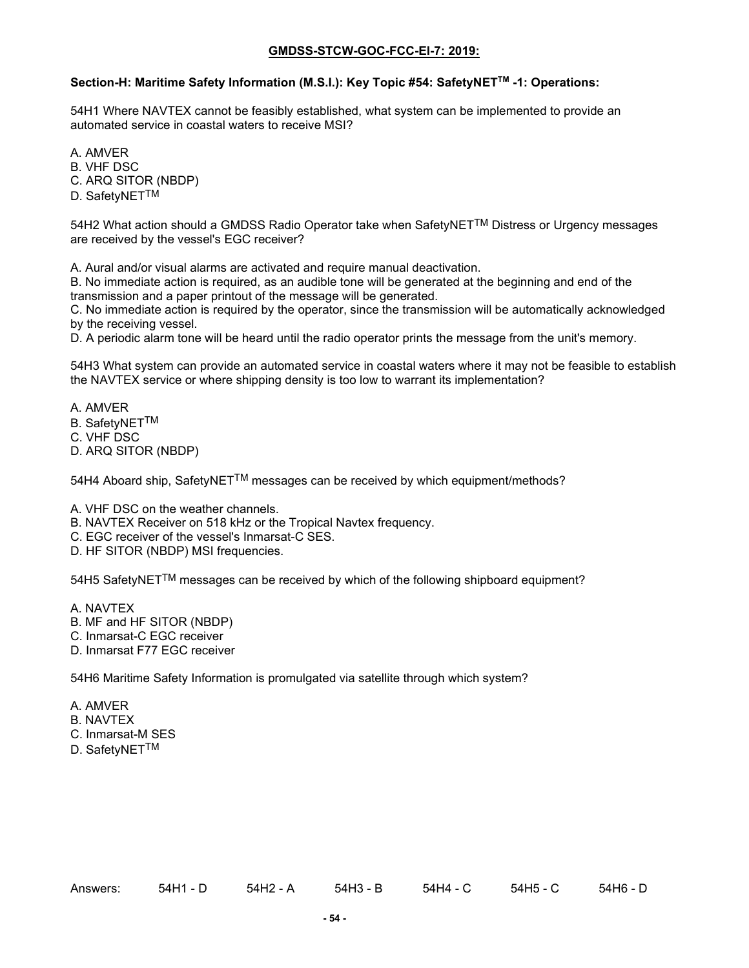### **Section-H: Maritime Safety Information (M.S.I.): Key Topic #54: SafetyNETTM -1: Operations:**

54H1 Where NAVTEX cannot be feasibly established, what system can be implemented to provide an automated service in coastal waters to receive MSI?

A. AMVER

B. VHF DSC

C. ARQ SITOR (NBDP)

D. SafetyNET<sup>TM</sup>

54H2 What action should a GMDSS Radio Operator take when SafetyNET<sup>TM</sup> Distress or Urgency messages are received by the vessel's EGC receiver?

A. Aural and/or visual alarms are activated and require manual deactivation.

B. No immediate action is required, as an audible tone will be generated at the beginning and end of the transmission and a paper printout of the message will be generated.

C. No immediate action is required by the operator, since the transmission will be automatically acknowledged by the receiving vessel.

D. A periodic alarm tone will be heard until the radio operator prints the message from the unit's memory.

54H3 What system can provide an automated service in coastal waters where it may not be feasible to establish the NAVTEX service or where shipping density is too low to warrant its implementation?

A. AMVER

- B. SafetyNET<sup>TM</sup>
- C. VHF DSC
- D. ARQ SITOR (NBDP)

54H4 Aboard ship, SafetyNETTM messages can be received by which equipment/methods?

A. VHF DSC on the weather channels.

- B. NAVTEX Receiver on 518 kHz or the Tropical Navtex frequency.
- C. EGC receiver of the vessel's Inmarsat-C SES.
- D. HF SITOR (NBDP) MSI frequencies.

54H5 SafetyNET<sup>TM</sup> messages can be received by which of the following shipboard equipment?

- A. NAVTEX
- B. MF and HF SITOR (NBDP)
- C. Inmarsat-C EGC receiver
- D. Inmarsat F77 EGC receiver

54H6 Maritime Safety Information is promulgated via satellite through which system?

- A. AMVER
- B. NAVTEX
- C. Inmarsat-M SES
- D. SafetyNET<sup>TM</sup>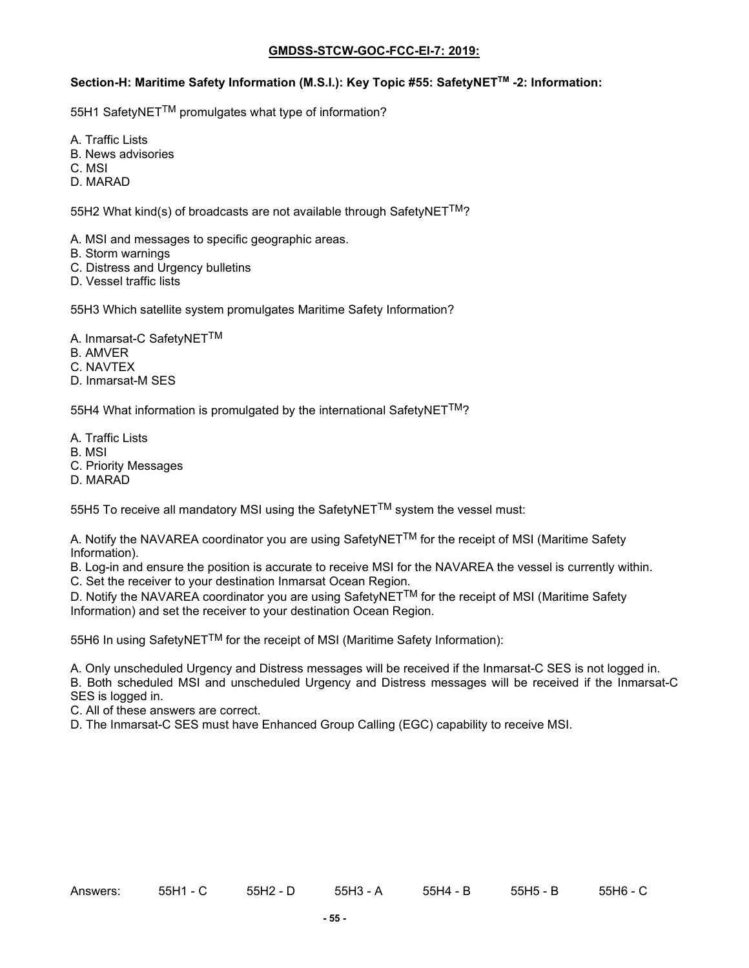### Section-H: Maritime Safety Information (M.S.I.): Key Topic #55: SafetyNET<sup>™</sup> -2: Information:

55H1 SafetyNETTM promulgates what type of information?

A. Traffic Lists

B. News advisories

C. MSI

D. MARAD

55H2 What kind(s) of broadcasts are not available through SafetyNET™?

A. MSI and messages to specific geographic areas.

- B. Storm warnings
- C. Distress and Urgency bulletins
- D. Vessel traffic lists

55H3 Which satellite system promulgates Maritime Safety Information?

- A. Inmarsat-C SafetyNETTM
- B. AMVER
- C. NAVTEX
- D. Inmarsat-M SES

55H4 What information is promulgated by the international SafetyNET<sup>TM</sup>?

- A. Traffic Lists
- B. MSI
- C. Priority Messages
- D. MARAD

55H5 To receive all mandatory MSI using the SafetyNET $^{TM}$  system the vessel must:

A. Notify the NAVAREA coordinator you are using SafetyNET<sup>TM</sup> for the receipt of MSI (Maritime Safety Information).

B. Log-in and ensure the position is accurate to receive MSI for the NAVAREA the vessel is currently within. C. Set the receiver to your destination Inmarsat Ocean Region.

D. Notify the NAVAREA coordinator you are using SafetyNET<sup>TM</sup> for the receipt of MSI (Maritime Safety Information) and set the receiver to your destination Ocean Region.

55H6 In using SafetyNET™ for the receipt of MSI (Maritime Safety Information):

A. Only unscheduled Urgency and Distress messages will be received if the Inmarsat-C SES is not logged in.

B. Both scheduled MSI and unscheduled Urgency and Distress messages will be received if the Inmarsat-C SES is logged in.

C. All of these answers are correct.

D. The Inmarsat-C SES must have Enhanced Group Calling (EGC) capability to receive MSI.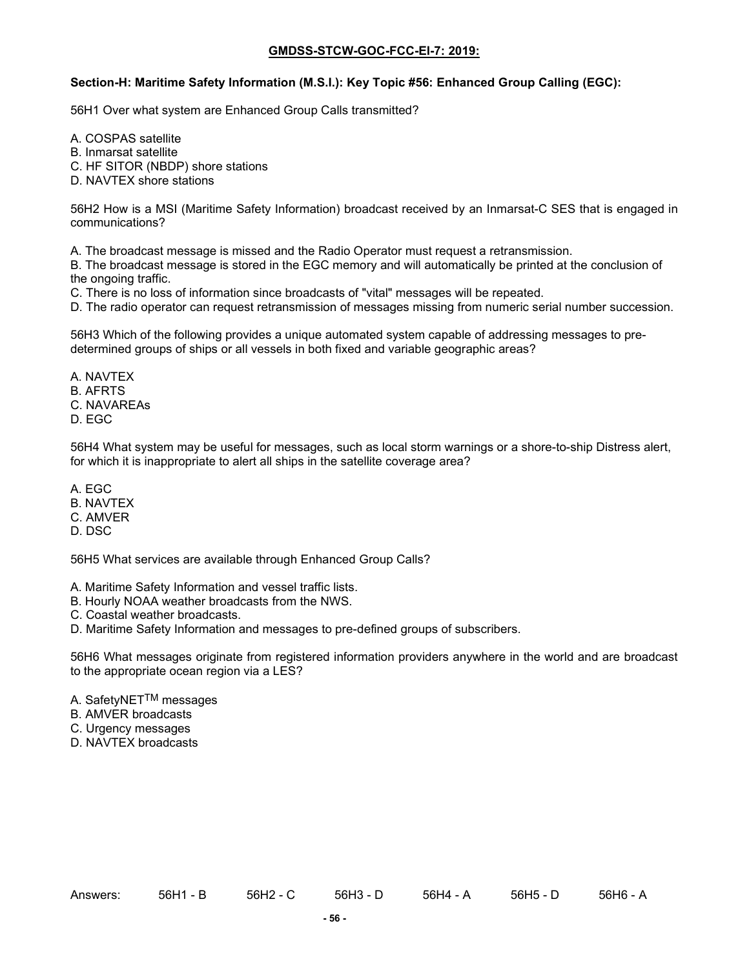#### **Section-H: Maritime Safety Information (M.S.I.): Key Topic #56: Enhanced Group Calling (EGC):**

56H1 Over what system are Enhanced Group Calls transmitted?

- A. COSPAS satellite
- B. Inmarsat satellite
- C. HF SITOR (NBDP) shore stations
- D. NAVTEX shore stations

56H2 How is a MSI (Maritime Safety Information) broadcast received by an Inmarsat-C SES that is engaged in communications?

A. The broadcast message is missed and the Radio Operator must request a retransmission.

B. The broadcast message is stored in the EGC memory and will automatically be printed at the conclusion of the ongoing traffic.

C. There is no loss of information since broadcasts of "vital" messages will be repeated.

D. The radio operator can request retransmission of messages missing from numeric serial number succession.

56H3 Which of the following provides a unique automated system capable of addressing messages to predetermined groups of ships or all vessels in both fixed and variable geographic areas?

- A. NAVTEX
- B. AFRTS
- C. NAVAREAs
- D. EGC

56H4 What system may be useful for messages, such as local storm warnings or a shore-to-ship Distress alert, for which it is inappropriate to alert all ships in the satellite coverage area?

- A. EGC
- B. NAVTEX
- C. AMVER
- D. DSC

56H5 What services are available through Enhanced Group Calls?

A. Maritime Safety Information and vessel traffic lists.

B. Hourly NOAA weather broadcasts from the NWS.

C. Coastal weather broadcasts.

D. Maritime Safety Information and messages to pre-defined groups of subscribers.

56H6 What messages originate from registered information providers anywhere in the world and are broadcast to the appropriate ocean region via a LES?

- A. SafetyNET<sup>TM</sup> messages
- B. AMVER broadcasts
- C. Urgency messages
- D. NAVTEX broadcasts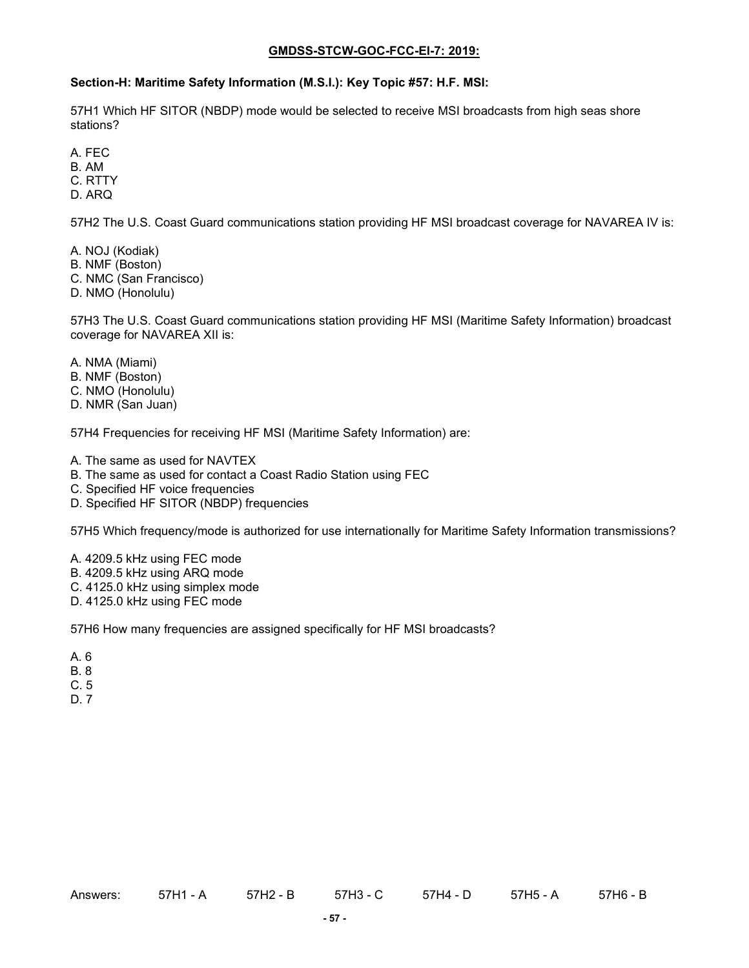#### **Section-H: Maritime Safety Information (M.S.I.): Key Topic #57: H.F. MSI:**

57H1 Which HF SITOR (NBDP) mode would be selected to receive MSI broadcasts from high seas shore stations?

A. FEC

B. AM

C. RTTY

D. ARQ

57H2 The U.S. Coast Guard communications station providing HF MSI broadcast coverage for NAVAREA IV is:

A. NOJ (Kodiak)

B. NMF (Boston)

C. NMC (San Francisco)

D. NMO (Honolulu)

57H3 The U.S. Coast Guard communications station providing HF MSI (Maritime Safety Information) broadcast coverage for NAVAREA XII is:

A. NMA (Miami)

B. NMF (Boston)

C. NMO (Honolulu)

D. NMR (San Juan)

57H4 Frequencies for receiving HF MSI (Maritime Safety Information) are:

A. The same as used for NAVTEX

B. The same as used for contact a Coast Radio Station using FEC

C. Specified HF voice frequencies

D. Specified HF SITOR (NBDP) frequencies

57H5 Which frequency/mode is authorized for use internationally for Maritime Safety Information transmissions?

A. 4209.5 kHz using FEC mode

B. 4209.5 kHz using ARQ mode

C. 4125.0 kHz using simplex mode

D. 4125.0 kHz using FEC mode

57H6 How many frequencies are assigned specifically for HF MSI broadcasts?

A. 6

B. 8

C. 5

D. 7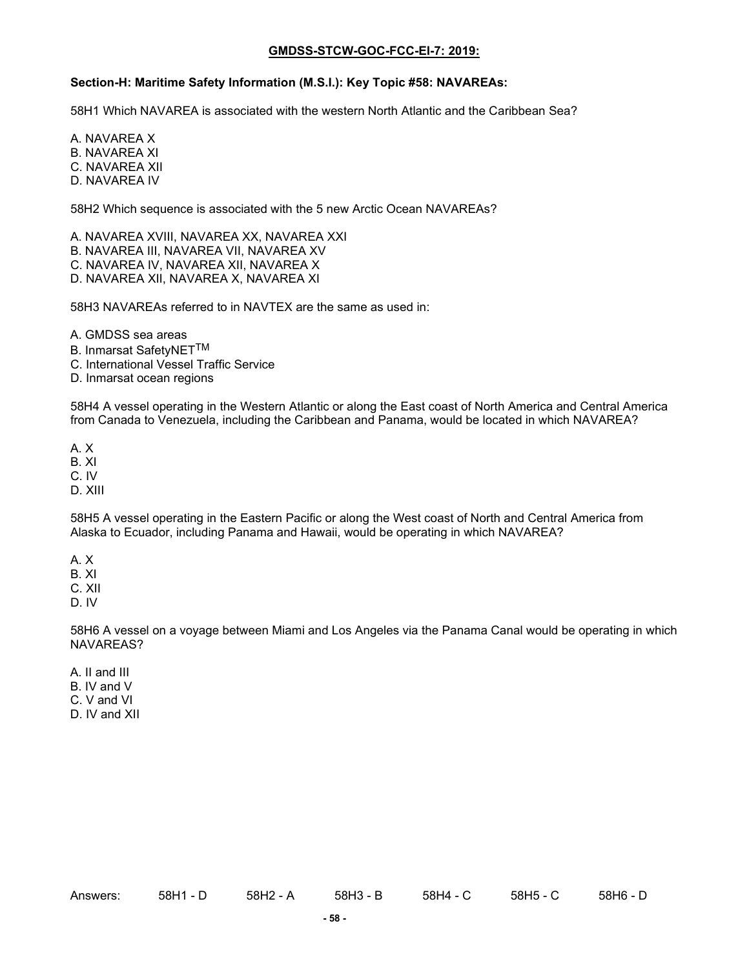#### **Section-H: Maritime Safety Information (M.S.I.): Key Topic #58: NAVAREAs:**

58H1 Which NAVAREA is associated with the western North Atlantic and the Caribbean Sea?

A. NAVAREA X B. NAVAREA XI C. NAVAREA XII D. NAVAREA IV

58H2 Which sequence is associated with the 5 new Arctic Ocean NAVAREAs?

A. NAVAREA XVIII, NAVAREA XX, NAVAREA XXI B. NAVAREA III, NAVAREA VII, NAVAREA XV C. NAVAREA IV, NAVAREA XII, NAVAREA X D. NAVAREA XII, NAVAREA X, NAVAREA XI

58H3 NAVAREAs referred to in NAVTEX are the same as used in:

A. GMDSS sea areas

B. Inmarsat SafetyNETTM

C. International Vessel Traffic Service

D. Inmarsat ocean regions

58H4 A vessel operating in the Western Atlantic or along the East coast of North America and Central America from Canada to Venezuela, including the Caribbean and Panama, would be located in which NAVAREA?

A. X

B. XI

C. IV

D. XIII

58H5 A vessel operating in the Eastern Pacific or along the West coast of North and Central America from Alaska to Ecuador, including Panama and Hawaii, would be operating in which NAVAREA?

A. X

B. XI

C. XII

D. IV

58H6 A vessel on a voyage between Miami and Los Angeles via the Panama Canal would be operating in which NAVAREAS?

A. II and III

B. IV and V

C. V and VI

D. IV and XII

Answers: 58H1 - D 58H2 - A 58H3 - B 58H4 - C 58H6 - D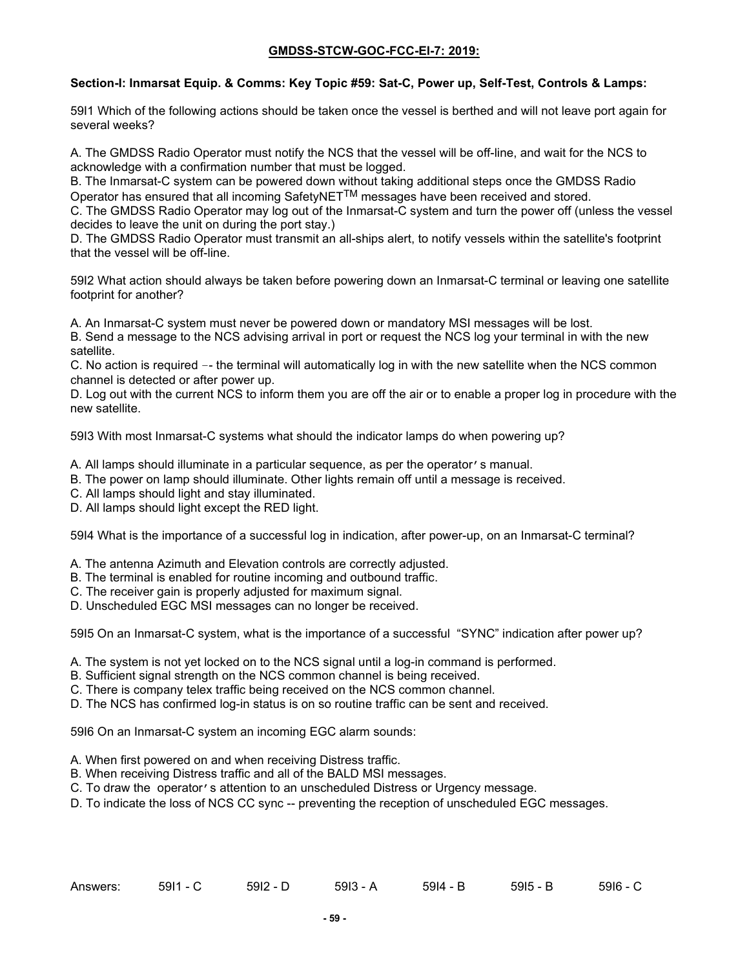# **Section-I: Inmarsat Equip. & Comms: Key Topic #59: Sat-C, Power up, Self-Test, Controls & Lamps:**

59I1 Which of the following actions should be taken once the vessel is berthed and will not leave port again for several weeks?

A. The GMDSS Radio Operator must notify the NCS that the vessel will be off-line, and wait for the NCS to acknowledge with a confirmation number that must be logged.

B. The Inmarsat-C system can be powered down without taking additional steps once the GMDSS Radio Operator has ensured that all incoming SafetyNETTM messages have been received and stored.

C. The GMDSS Radio Operator may log out of the Inmarsat-C system and turn the power off (unless the vessel decides to leave the unit on during the port stay.)

D. The GMDSS Radio Operator must transmit an all-ships alert, to notify vessels within the satellite's footprint that the vessel will be off-line.

59I2 What action should always be taken before powering down an Inmarsat-C terminal or leaving one satellite footprint for another?

A. An Inmarsat-C system must never be powered down or mandatory MSI messages will be lost.

B. Send a message to the NCS advising arrival in port or request the NCS log your terminal in with the new satellite.

C. No action is required –- the terminal will automatically log in with the new satellite when the NCS common channel is detected or after power up.

D. Log out with the current NCS to inform them you are off the air or to enable a proper log in procedure with the new satellite.

59I3 With most Inmarsat-C systems what should the indicator lamps do when powering up?

- A. All lamps should illuminate in a particular sequence, as per the operator's manual.
- B. The power on lamp should illuminate. Other lights remain off until a message is received.
- C. All lamps should light and stay illuminated.
- D. All lamps should light except the RED light.

59I4 What is the importance of a successful log in indication, after power-up, on an Inmarsat-C terminal?

- A. The antenna Azimuth and Elevation controls are correctly adjusted.
- B. The terminal is enabled for routine incoming and outbound traffic.
- C. The receiver gain is properly adjusted for maximum signal.
- D. Unscheduled EGC MSI messages can no longer be received.

59I5 On an Inmarsat-C system, what is the importance of a successful "SYNC" indication after power up?

- A. The system is not yet locked on to the NCS signal until a log-in command is performed.
- B. Sufficient signal strength on the NCS common channel is being received.
- C. There is company telex traffic being received on the NCS common channel.
- D. The NCS has confirmed log-in status is on so routine traffic can be sent and received.

59I6 On an Inmarsat-C system an incoming EGC alarm sounds:

- A. When first powered on and when receiving Distress traffic.
- B. When receiving Distress traffic and all of the BALD MSI messages.
- C. To draw the operator's attention to an unscheduled Distress or Urgency message.
- D. To indicate the loss of NCS CC sync -- preventing the reception of unscheduled EGC messages.

| $59I2 - D$<br>5911<br>Answers:<br>- A<br>5 - B<br>. - U | 5915<br>5914<br>5913 | 5916 - C |
|---------------------------------------------------------|----------------------|----------|
|---------------------------------------------------------|----------------------|----------|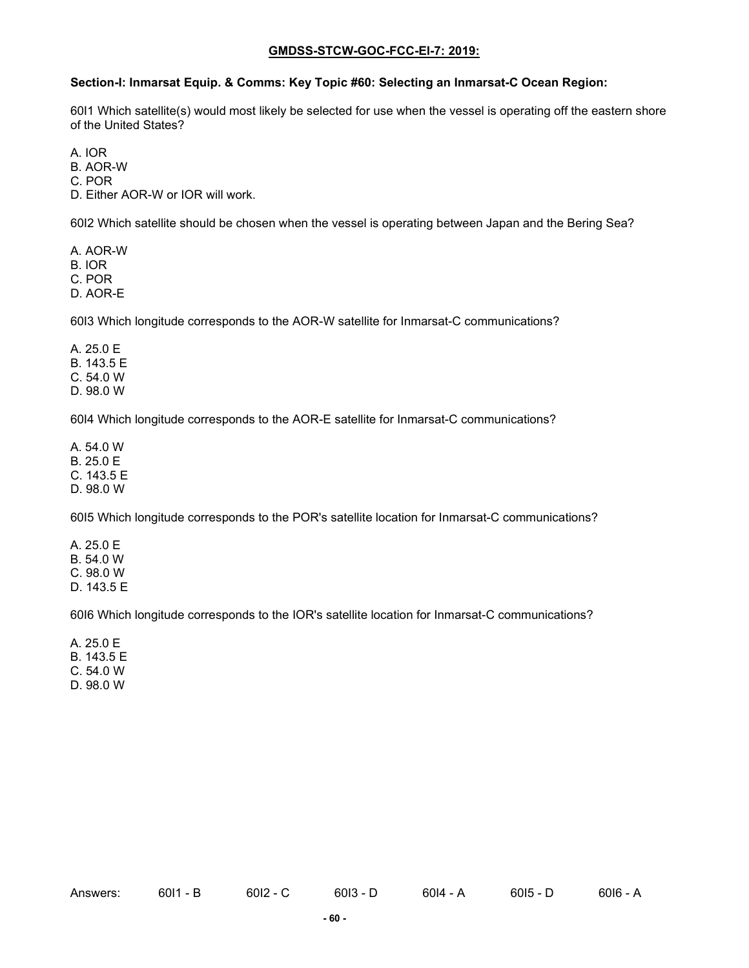# **Section-I: Inmarsat Equip. & Comms: Key Topic #60: Selecting an Inmarsat-C Ocean Region:**

60I1 Which satellite(s) would most likely be selected for use when the vessel is operating off the eastern shore of the United States?

A. IOR

B. AOR-W

C. POR

D. Either AOR-W or IOR will work.

60I2 Which satellite should be chosen when the vessel is operating between Japan and the Bering Sea?

A. AOR-W B. IOR C. POR D. AOR-E

60I3 Which longitude corresponds to the AOR-W satellite for Inmarsat-C communications?

A. 25.0 E B. 143.5 E C. 54.0 W D. 98.0 W

60I4 Which longitude corresponds to the AOR-E satellite for Inmarsat-C communications?

A. 54.0 W B. 25.0 E C. 143.5 E D. 98.0 W

60I5 Which longitude corresponds to the POR's satellite location for Inmarsat-C communications?

A. 25.0 E B. 54.0 W C. 98.0 W D. 143.5 E

60I6 Which longitude corresponds to the IOR's satellite location for Inmarsat-C communications?

A. 25.0 E B. 143.5 E C. 54.0 W D. 98.0 W

Answers: 60I1 - B 60I2 - C 60I3 - D 60I4 - A 60I5 - D 60I6 - A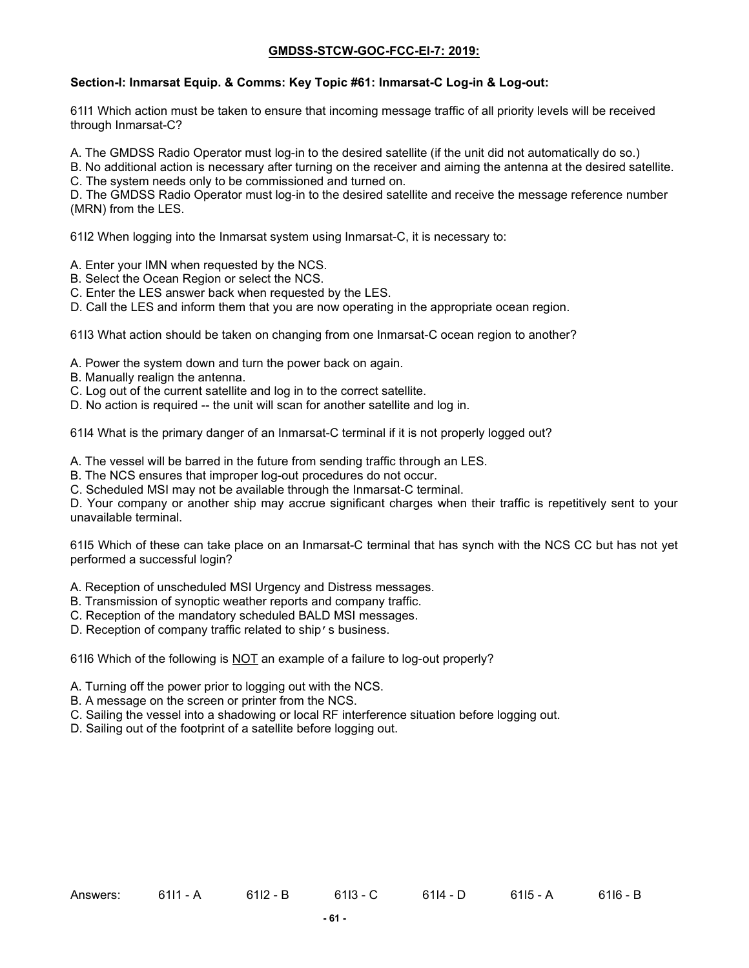# **Section-I: Inmarsat Equip. & Comms: Key Topic #61: Inmarsat-C Log-in & Log-out:**

61I1 Which action must be taken to ensure that incoming message traffic of all priority levels will be received through Inmarsat-C?

A. The GMDSS Radio Operator must log-in to the desired satellite (if the unit did not automatically do so.)

B. No additional action is necessary after turning on the receiver and aiming the antenna at the desired satellite.

C. The system needs only to be commissioned and turned on.

D. The GMDSS Radio Operator must log-in to the desired satellite and receive the message reference number (MRN) from the LES.

61I2 When logging into the Inmarsat system using Inmarsat-C, it is necessary to:

- A. Enter your IMN when requested by the NCS.
- B. Select the Ocean Region or select the NCS.
- C. Enter the LES answer back when requested by the LES.
- D. Call the LES and inform them that you are now operating in the appropriate ocean region.

61I3 What action should be taken on changing from one Inmarsat-C ocean region to another?

- A. Power the system down and turn the power back on again.
- B. Manually realign the antenna.
- C. Log out of the current satellite and log in to the correct satellite.
- D. No action is required -- the unit will scan for another satellite and log in.

61I4 What is the primary danger of an Inmarsat-C terminal if it is not properly logged out?

- A. The vessel will be barred in the future from sending traffic through an LES.
- B. The NCS ensures that improper log-out procedures do not occur.

C. Scheduled MSI may not be available through the Inmarsat-C terminal.

D. Your company or another ship may accrue significant charges when their traffic is repetitively sent to your unavailable terminal.

61I5 Which of these can take place on an Inmarsat-C terminal that has synch with the NCS CC but has not yet performed a successful login?

- A. Reception of unscheduled MSI Urgency and Distress messages.
- B. Transmission of synoptic weather reports and company traffic.
- C. Reception of the mandatory scheduled BALD MSI messages.
- D. Reception of company traffic related to ship's business.

61I6 Which of the following is NOT an example of a failure to log-out properly?

- A. Turning off the power prior to logging out with the NCS.
- B. A message on the screen or printer from the NCS.
- C. Sailing the vessel into a shadowing or local RF interference situation before logging out.
- D. Sailing out of the footprint of a satellite before logging out.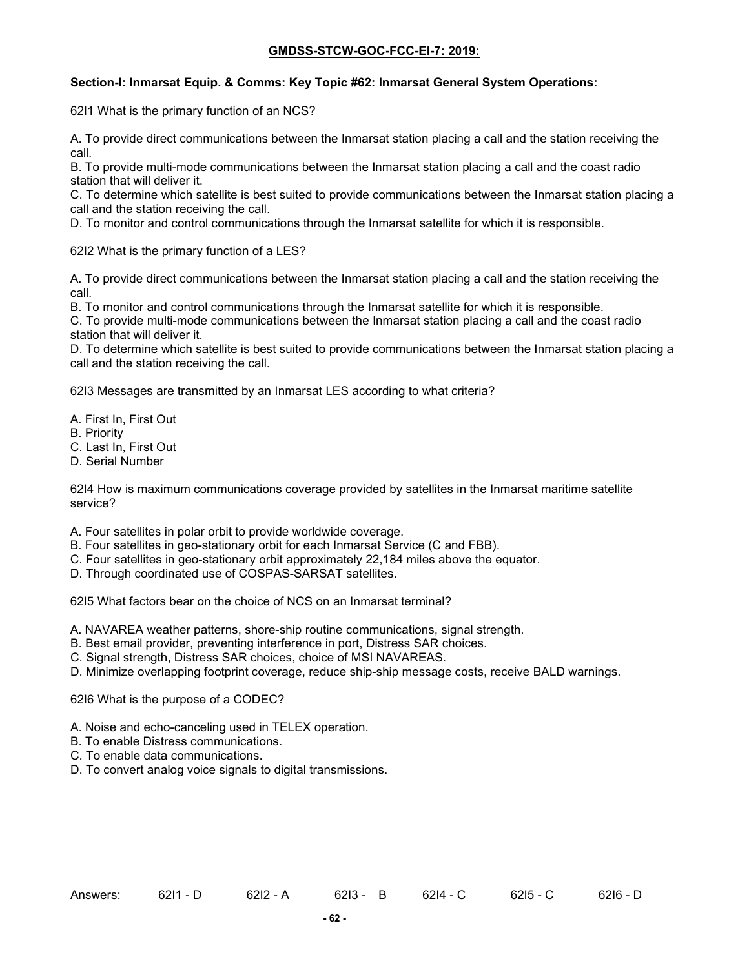### **Section-I: Inmarsat Equip. & Comms: Key Topic #62: Inmarsat General System Operations:**

62I1 What is the primary function of an NCS?

A. To provide direct communications between the Inmarsat station placing a call and the station receiving the call.

B. To provide multi-mode communications between the Inmarsat station placing a call and the coast radio station that will deliver it.

C. To determine which satellite is best suited to provide communications between the Inmarsat station placing a call and the station receiving the call.

D. To monitor and control communications through the Inmarsat satellite for which it is responsible.

62I2 What is the primary function of a LES?

A. To provide direct communications between the Inmarsat station placing a call and the station receiving the call.

B. To monitor and control communications through the Inmarsat satellite for which it is responsible.

C. To provide multi-mode communications between the Inmarsat station placing a call and the coast radio station that will deliver it.

D. To determine which satellite is best suited to provide communications between the Inmarsat station placing a call and the station receiving the call.

62I3 Messages are transmitted by an Inmarsat LES according to what criteria?

- A. First In, First Out
- B. Priority
- C. Last In, First Out
- D. Serial Number

62I4 How is maximum communications coverage provided by satellites in the Inmarsat maritime satellite service?

- A. Four satellites in polar orbit to provide worldwide coverage.
- B. Four satellites in geo-stationary orbit for each Inmarsat Service (C and FBB).
- C. Four satellites in geo-stationary orbit approximately 22,184 miles above the equator.
- D. Through coordinated use of COSPAS-SARSAT satellites.

62I5 What factors bear on the choice of NCS on an Inmarsat terminal?

- A. NAVAREA weather patterns, shore-ship routine communications, signal strength.
- B. Best email provider, preventing interference in port, Distress SAR choices.
- C. Signal strength, Distress SAR choices, choice of MSI NAVAREAS.
- D. Minimize overlapping footprint coverage, reduce ship-ship message costs, receive BALD warnings.

62I6 What is the purpose of a CODEC?

- A. Noise and echo-canceling used in TELEX operation.
- B. To enable Distress communications.
- C. To enable data communications.
- D. To convert analog voice signals to digital transmissions.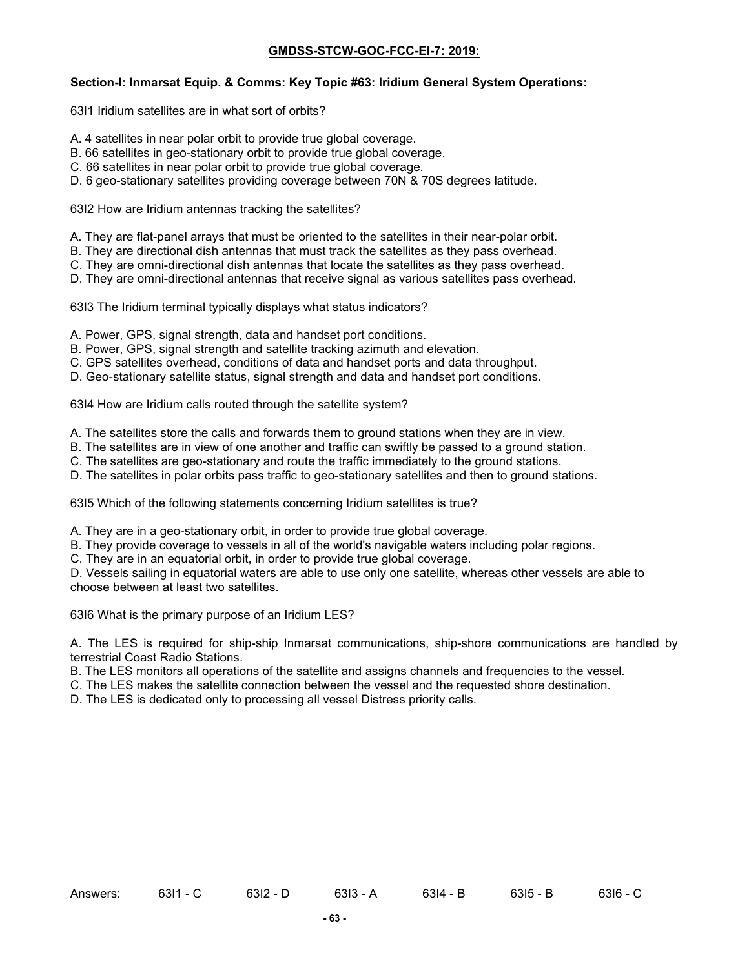#### **Section-I: Inmarsat Equip. & Comms: Key Topic #63: Iridium General System Operations:**

63I1 Iridium satellites are in what sort of orbits?

- A. 4 satellites in near polar orbit to provide true global coverage.
- B. 66 satellites in geo-stationary orbit to provide true global coverage.
- C. 66 satellites in near polar orbit to provide true global coverage.
- D. 6 geo-stationary satellites providing coverage between 70N & 70S degrees latitude.

63I2 How are Iridium antennas tracking the satellites?

- A. They are flat-panel arrays that must be oriented to the satellites in their near-polar orbit.
- B. They are directional dish antennas that must track the satellites as they pass overhead.
- C. They are omni-directional dish antennas that locate the satellites as they pass overhead.
- D. They are omni-directional antennas that receive signal as various satellites pass overhead.

63I3 The Iridium terminal typically displays what status indicators?

- A. Power, GPS, signal strength, data and handset port conditions.
- B. Power, GPS, signal strength and satellite tracking azimuth and elevation.
- C. GPS satellites overhead, conditions of data and handset ports and data throughput.
- D. Geo-stationary satellite status, signal strength and data and handset port conditions.

63I4 How are Iridium calls routed through the satellite system?

- A. The satellites store the calls and forwards them to ground stations when they are in view.
- B. The satellites are in view of one another and traffic can swiftly be passed to a ground station.
- C. The satellites are geo-stationary and route the traffic immediately to the ground stations.
- D. The satellites in polar orbits pass traffic to geo-stationary satellites and then to ground stations.

63I5 Which of the following statements concerning Iridium satellites is true?

A. They are in a geo-stationary orbit, in order to provide true global coverage.

- B. They provide coverage to vessels in all of the world's navigable waters including polar regions.
- C. They are in an equatorial orbit, in order to provide true global coverage.

D. Vessels sailing in equatorial waters are able to use only one satellite, whereas other vessels are able to choose between at least two satellites.

63I6 What is the primary purpose of an Iridium LES?

A. The LES is required for ship-ship Inmarsat communications, ship-shore communications are handled by terrestrial Coast Radio Stations.

- B. The LES monitors all operations of the satellite and assigns channels and frequencies to the vessel.
- C. The LES makes the satellite connection between the vessel and the requested shore destination.
- D. The LES is dedicated only to processing all vessel Distress priority calls.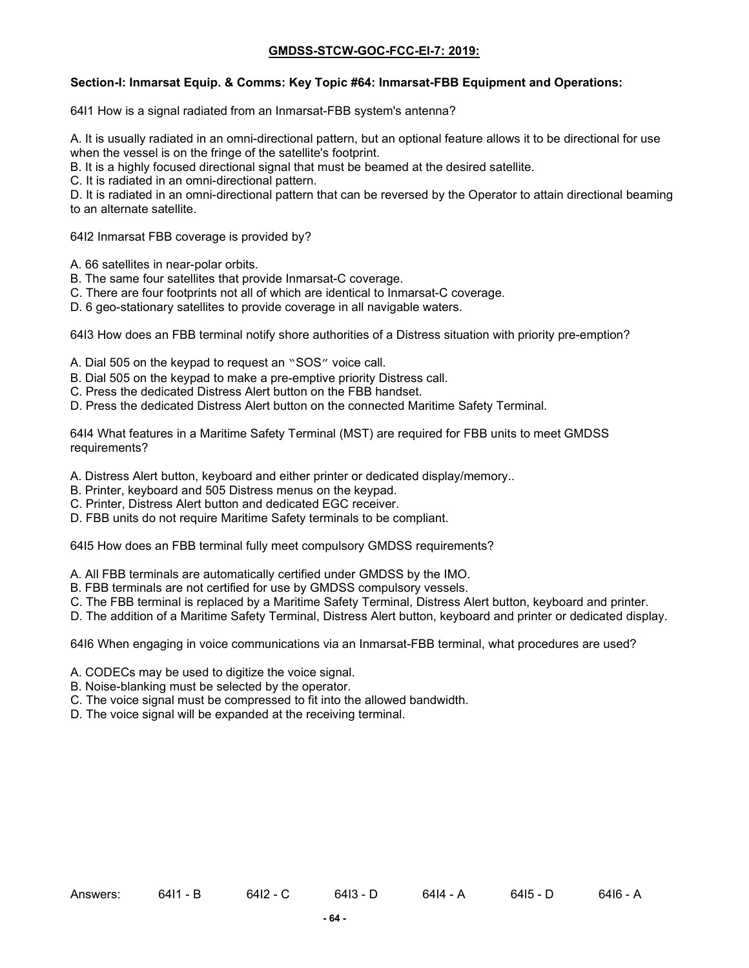#### **Section-I: Inmarsat Equip. & Comms: Key Topic #64: Inmarsat-FBB Equipment and Operations:**

64I1 How is a signal radiated from an Inmarsat-FBB system's antenna?

A. It is usually radiated in an omni-directional pattern, but an optional feature allows it to be directional for use when the vessel is on the fringe of the satellite's footprint.

B. It is a highly focused directional signal that must be beamed at the desired satellite.

C. It is radiated in an omni-directional pattern.

D. It is radiated in an omni-directional pattern that can be reversed by the Operator to attain directional beaming to an alternate satellite.

64I2 Inmarsat FBB coverage is provided by?

- A. 66 satellites in near-polar orbits.
- B. The same four satellites that provide Inmarsat-C coverage.
- C. There are four footprints not all of which are identical to Inmarsat-C coverage.
- D. 6 geo-stationary satellites to provide coverage in all navigable waters.

64I3 How does an FBB terminal notify shore authorities of a Distress situation with priority pre-emption?

A. Dial 505 on the keypad to request an "SOS" voice call.

- B. Dial 505 on the keypad to make a pre-emptive priority Distress call.
- C. Press the dedicated Distress Alert button on the FBB handset.
- D. Press the dedicated Distress Alert button on the connected Maritime Safety Terminal.

64I4 What features in a Maritime Safety Terminal (MST) are required for FBB units to meet GMDSS requirements?

- A. Distress Alert button, keyboard and either printer or dedicated display/memory..
- B. Printer, keyboard and 505 Distress menus on the keypad.
- C. Printer, Distress Alert button and dedicated EGC receiver.
- D. FBB units do not require Maritime Safety terminals to be compliant.

64I5 How does an FBB terminal fully meet compulsory GMDSS requirements?

- A. All FBB terminals are automatically certified under GMDSS by the IMO.
- B. FBB terminals are not certified for use by GMDSS compulsory vessels.
- C. The FBB terminal is replaced by a Maritime Safety Terminal, Distress Alert button, keyboard and printer.
- D. The addition of a Maritime Safety Terminal, Distress Alert button, keyboard and printer or dedicated display.

64I6 When engaging in voice communications via an Inmarsat-FBB terminal, what procedures are used?

- A. CODECs may be used to digitize the voice signal.
- B. Noise-blanking must be selected by the operator.
- C. The voice signal must be compressed to fit into the allowed bandwidth.
- D. The voice signal will be expanded at the receiving terminal.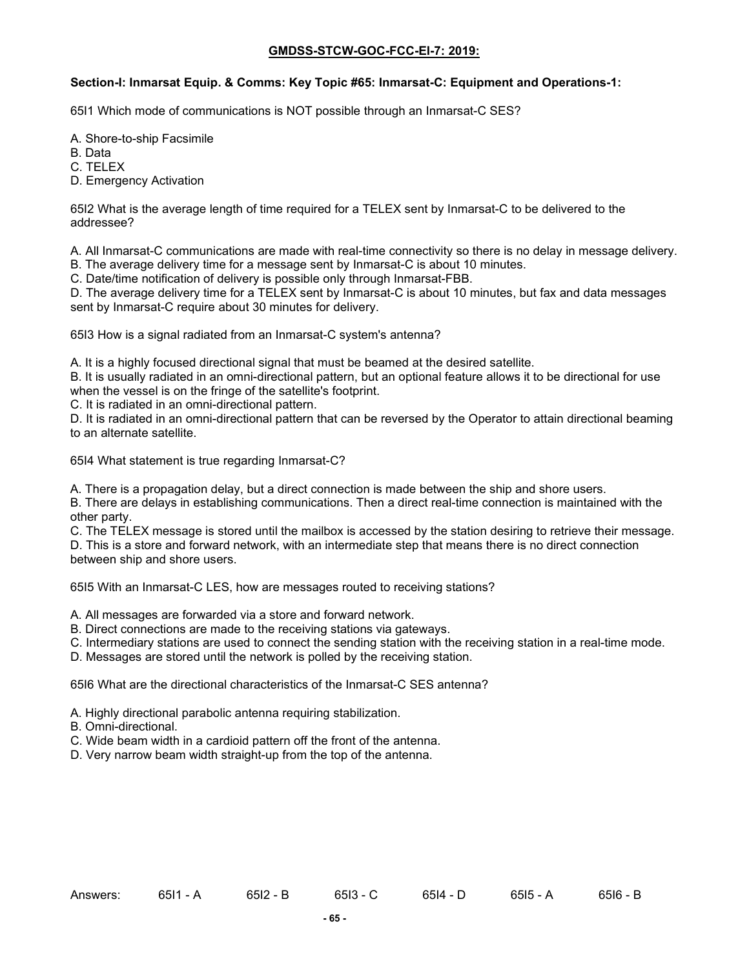### **Section-I: Inmarsat Equip. & Comms: Key Topic #65: Inmarsat-C: Equipment and Operations-1:**

65I1 Which mode of communications is NOT possible through an Inmarsat-C SES?

- A. Shore-to-ship Facsimile
- B. Data
- C. TELEX
- D. Emergency Activation

65I2 What is the average length of time required for a TELEX sent by Inmarsat-C to be delivered to the addressee?

A. All Inmarsat-C communications are made with real-time connectivity so there is no delay in message delivery.

- B. The average delivery time for a message sent by Inmarsat-C is about 10 minutes.
- C. Date/time notification of delivery is possible only through Inmarsat-FBB.

D. The average delivery time for a TELEX sent by Inmarsat-C is about 10 minutes, but fax and data messages sent by Inmarsat-C require about 30 minutes for delivery.

65I3 How is a signal radiated from an Inmarsat-C system's antenna?

A. It is a highly focused directional signal that must be beamed at the desired satellite.

B. It is usually radiated in an omni-directional pattern, but an optional feature allows it to be directional for use when the vessel is on the fringe of the satellite's footprint.

C. It is radiated in an omni-directional pattern.

D. It is radiated in an omni-directional pattern that can be reversed by the Operator to attain directional beaming to an alternate satellite.

65I4 What statement is true regarding Inmarsat-C?

A. There is a propagation delay, but a direct connection is made between the ship and shore users.

B. There are delays in establishing communications. Then a direct real-time connection is maintained with the other party.

C. The TELEX message is stored until the mailbox is accessed by the station desiring to retrieve their message. D. This is a store and forward network, with an intermediate step that means there is no direct connection between ship and shore users.

65I5 With an Inmarsat-C LES, how are messages routed to receiving stations?

- A. All messages are forwarded via a store and forward network.
- B. Direct connections are made to the receiving stations via gateways.
- C. Intermediary stations are used to connect the sending station with the receiving station in a real-time mode.

D. Messages are stored until the network is polled by the receiving station.

65I6 What are the directional characteristics of the Inmarsat-C SES antenna?

- A. Highly directional parabolic antenna requiring stabilization.
- B. Omni-directional.
- C. Wide beam width in a cardioid pattern off the front of the antenna.
- D. Very narrow beam width straight-up from the top of the antenna.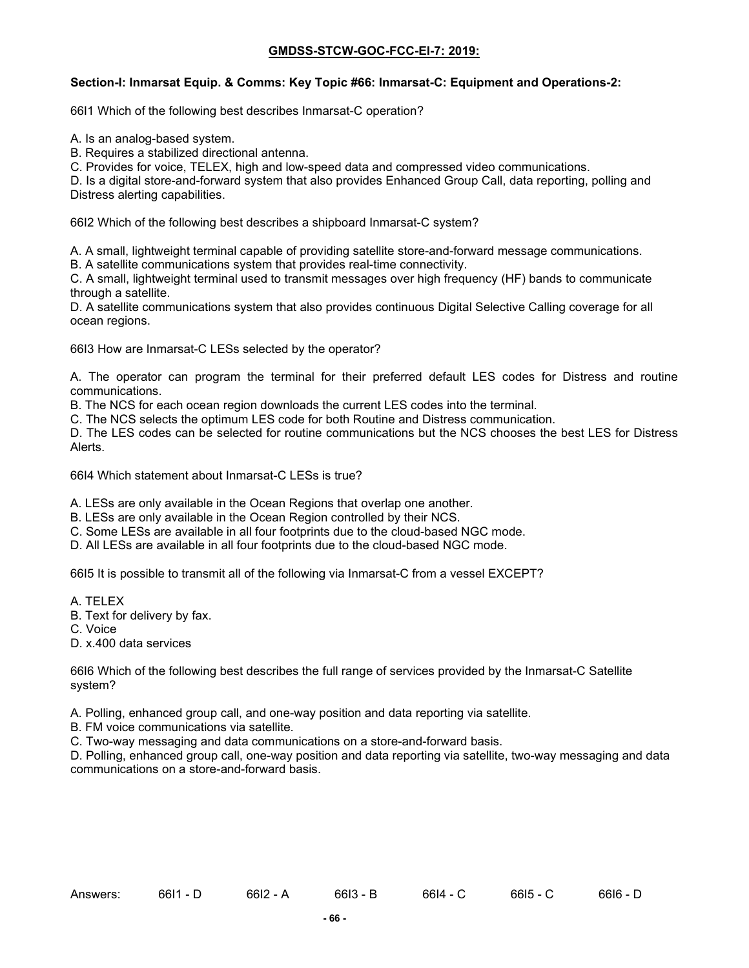### **Section-I: Inmarsat Equip. & Comms: Key Topic #66: Inmarsat-C: Equipment and Operations-2:**

66I1 Which of the following best describes Inmarsat-C operation?

A. Is an analog-based system.

B. Requires a stabilized directional antenna.

C. Provides for voice, TELEX, high and low-speed data and compressed video communications.

D. Is a digital store-and-forward system that also provides Enhanced Group Call, data reporting, polling and Distress alerting capabilities.

66I2 Which of the following best describes a shipboard Inmarsat-C system?

A. A small, lightweight terminal capable of providing satellite store-and-forward message communications.

B. A satellite communications system that provides real-time connectivity.

C. A small, lightweight terminal used to transmit messages over high frequency (HF) bands to communicate through a satellite.

D. A satellite communications system that also provides continuous Digital Selective Calling coverage for all ocean regions.

66I3 How are Inmarsat-C LESs selected by the operator?

A. The operator can program the terminal for their preferred default LES codes for Distress and routine communications.

B. The NCS for each ocean region downloads the current LES codes into the terminal.

C. The NCS selects the optimum LES code for both Routine and Distress communication.

D. The LES codes can be selected for routine communications but the NCS chooses the best LES for Distress Alerts.

66I4 Which statement about Inmarsat-C LESs is true?

A. LESs are only available in the Ocean Regions that overlap one another.

B. LESs are only available in the Ocean Region controlled by their NCS.

C. Some LESs are available in all four footprints due to the cloud-based NGC mode.

D. All LESs are available in all four footprints due to the cloud-based NGC mode.

66I5 It is possible to transmit all of the following via Inmarsat-C from a vessel EXCEPT?

- A. TELEX
- B. Text for delivery by fax.
- C. Voice

D. x.400 data services

66I6 Which of the following best describes the full range of services provided by the Inmarsat-C Satellite system?

A. Polling, enhanced group call, and one-way position and data reporting via satellite.

B. FM voice communications via satellite.

C. Two-way messaging and data communications on a store-and-forward basis.

D. Polling, enhanced group call, one-way position and data reporting via satellite, two-way messaging and data communications on a store-and-forward basis.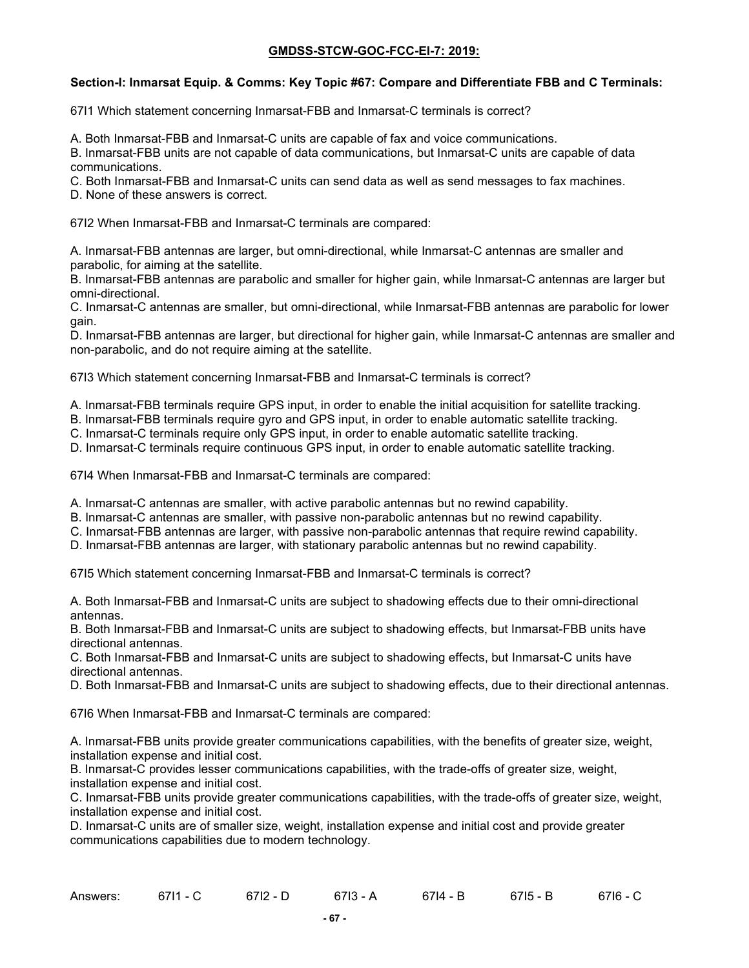#### **Section-I: Inmarsat Equip. & Comms: Key Topic #67: Compare and Differentiate FBB and C Terminals:**

67I1 Which statement concerning Inmarsat-FBB and Inmarsat-C terminals is correct?

A. Both Inmarsat-FBB and Inmarsat-C units are capable of fax and voice communications.

B. Inmarsat-FBB units are not capable of data communications, but Inmarsat-C units are capable of data communications.

C. Both Inmarsat-FBB and Inmarsat-C units can send data as well as send messages to fax machines.

D. None of these answers is correct.

67I2 When Inmarsat-FBB and Inmarsat-C terminals are compared:

A. Inmarsat-FBB antennas are larger, but omni-directional, while Inmarsat-C antennas are smaller and parabolic, for aiming at the satellite.

B. Inmarsat-FBB antennas are parabolic and smaller for higher gain, while Inmarsat-C antennas are larger but omni-directional.

C. Inmarsat-C antennas are smaller, but omni-directional, while Inmarsat-FBB antennas are parabolic for lower gain.

D. Inmarsat-FBB antennas are larger, but directional for higher gain, while Inmarsat-C antennas are smaller and non-parabolic, and do not require aiming at the satellite.

67I3 Which statement concerning Inmarsat-FBB and Inmarsat-C terminals is correct?

A. Inmarsat-FBB terminals require GPS input, in order to enable the initial acquisition for satellite tracking.

B. Inmarsat-FBB terminals require gyro and GPS input, in order to enable automatic satellite tracking.

C. Inmarsat-C terminals require only GPS input, in order to enable automatic satellite tracking.

D. Inmarsat-C terminals require continuous GPS input, in order to enable automatic satellite tracking.

67I4 When Inmarsat-FBB and Inmarsat-C terminals are compared:

A. Inmarsat-C antennas are smaller, with active parabolic antennas but no rewind capability.

B. Inmarsat-C antennas are smaller, with passive non-parabolic antennas but no rewind capability.

C. Inmarsat-FBB antennas are larger, with passive non-parabolic antennas that require rewind capability.

D. Inmarsat-FBB antennas are larger, with stationary parabolic antennas but no rewind capability.

67I5 Which statement concerning Inmarsat-FBB and Inmarsat-C terminals is correct?

A. Both Inmarsat-FBB and Inmarsat-C units are subject to shadowing effects due to their omni-directional antennas.

B. Both Inmarsat-FBB and Inmarsat-C units are subject to shadowing effects, but Inmarsat-FBB units have directional antennas.

C. Both Inmarsat-FBB and Inmarsat-C units are subject to shadowing effects, but Inmarsat-C units have directional antennas.

D. Both Inmarsat-FBB and Inmarsat-C units are subject to shadowing effects, due to their directional antennas.

67I6 When Inmarsat-FBB and Inmarsat-C terminals are compared:

A. Inmarsat-FBB units provide greater communications capabilities, with the benefits of greater size, weight, installation expense and initial cost.

B. Inmarsat-C provides lesser communications capabilities, with the trade-offs of greater size, weight, installation expense and initial cost.

C. Inmarsat-FBB units provide greater communications capabilities, with the trade-offs of greater size, weight, installation expense and initial cost.

D. Inmarsat-C units are of smaller size, weight, installation expense and initial cost and provide greater communications capabilities due to modern technology.

| Answers: | 3711<br>0711 - U | $6712 - D$ | $6713 - A$ | 6714 - B | 6715 - B | 6716 - C |
|----------|------------------|------------|------------|----------|----------|----------|
|----------|------------------|------------|------------|----------|----------|----------|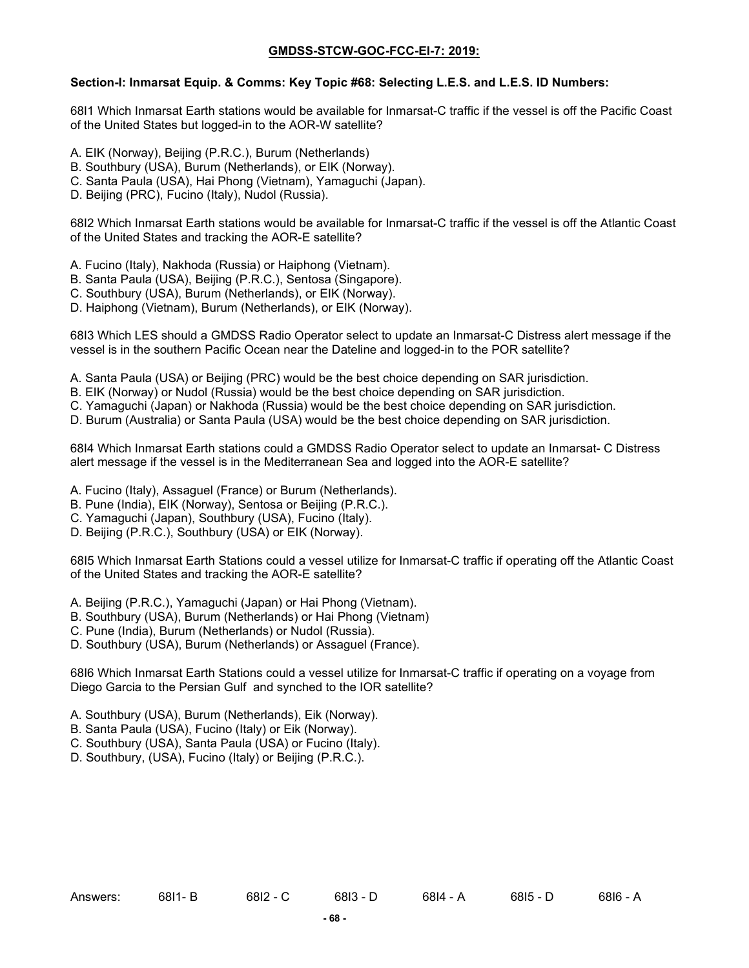### **Section-I: Inmarsat Equip. & Comms: Key Topic #68: Selecting L.E.S. and L.E.S. ID Numbers:**

68I1 Which Inmarsat Earth stations would be available for Inmarsat-C traffic if the vessel is off the Pacific Coast of the United States but logged-in to the AOR-W satellite?

- A. EIK (Norway), Beijing (P.R.C.), Burum (Netherlands)
- B. Southbury (USA), Burum (Netherlands), or EIK (Norway).
- C. Santa Paula (USA), Hai Phong (Vietnam), Yamaguchi (Japan).
- D. Beijing (PRC), Fucino (Italy), Nudol (Russia).

68I2 Which Inmarsat Earth stations would be available for Inmarsat-C traffic if the vessel is off the Atlantic Coast of the United States and tracking the AOR-E satellite?

- A. Fucino (Italy), Nakhoda (Russia) or Haiphong (Vietnam).
- B. Santa Paula (USA), Beijing (P.R.C.), Sentosa (Singapore).
- C. Southbury (USA), Burum (Netherlands), or EIK (Norway).
- D. Haiphong (Vietnam), Burum (Netherlands), or EIK (Norway).

68I3 Which LES should a GMDSS Radio Operator select to update an Inmarsat-C Distress alert message if the vessel is in the southern Pacific Ocean near the Dateline and logged-in to the POR satellite?

- A. Santa Paula (USA) or Beijing (PRC) would be the best choice depending on SAR jurisdiction.
- B. EIK (Norway) or Nudol (Russia) would be the best choice depending on SAR jurisdiction.
- C. Yamaguchi (Japan) or Nakhoda (Russia) would be the best choice depending on SAR jurisdiction.
- D. Burum (Australia) or Santa Paula (USA) would be the best choice depending on SAR jurisdiction.

68I4 Which Inmarsat Earth stations could a GMDSS Radio Operator select to update an Inmarsat- C Distress alert message if the vessel is in the Mediterranean Sea and logged into the AOR-E satellite?

- A. Fucino (Italy), Assaguel (France) or Burum (Netherlands).
- B. Pune (India), EIK (Norway), Sentosa or Beijing (P.R.C.).
- C. Yamaguchi (Japan), Southbury (USA), Fucino (Italy).
- D. Beijing (P.R.C.), Southbury (USA) or EIK (Norway).

68I5 Which Inmarsat Earth Stations could a vessel utilize for Inmarsat-C traffic if operating off the Atlantic Coast of the United States and tracking the AOR-E satellite?

- A. Beijing (P.R.C.), Yamaguchi (Japan) or Hai Phong (Vietnam).
- B. Southbury (USA), Burum (Netherlands) or Hai Phong (Vietnam)
- C. Pune (India), Burum (Netherlands) or Nudol (Russia).
- D. Southbury (USA), Burum (Netherlands) or Assaguel (France).

68I6 Which Inmarsat Earth Stations could a vessel utilize for Inmarsat-C traffic if operating on a voyage from Diego Garcia to the Persian Gulf and synched to the IOR satellite?

- A. Southbury (USA), Burum (Netherlands), Eik (Norway).
- B. Santa Paula (USA), Fucino (Italy) or Eik (Norway).
- C. Southbury (USA), Santa Paula (USA) or Fucino (Italy).
- D. Southbury, (USA), Fucino (Italy) or Beijing (P.R.C.).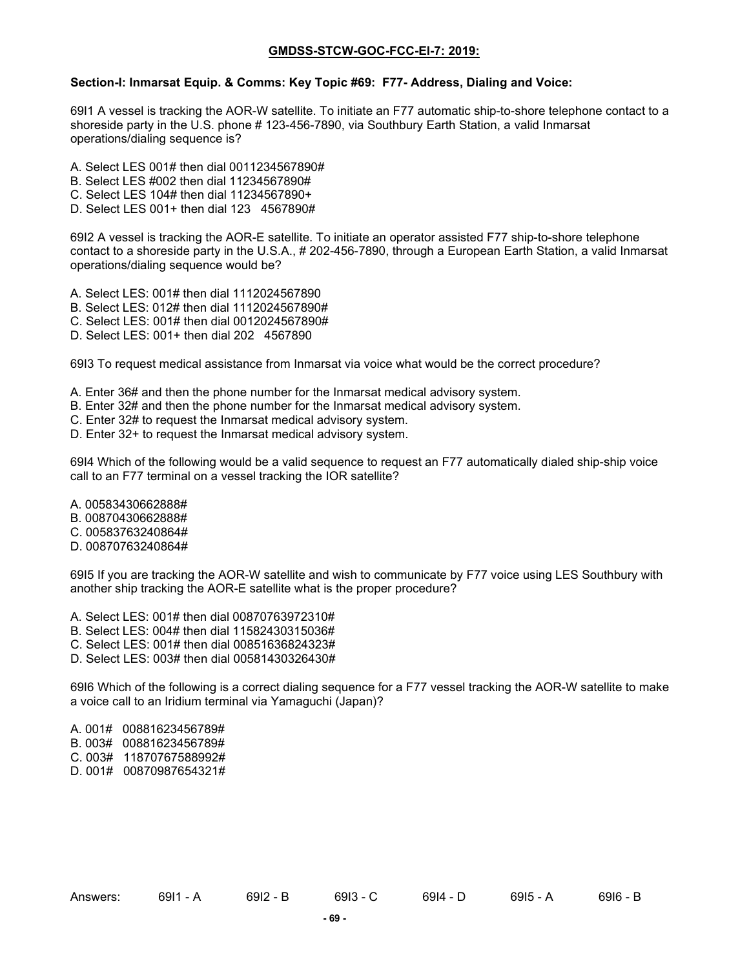#### **Section-I: Inmarsat Equip. & Comms: Key Topic #69: F77- Address, Dialing and Voice:**

69I1 A vessel is tracking the AOR-W satellite. To initiate an F77 automatic ship-to-shore telephone contact to a shoreside party in the U.S. phone # 123-456-7890, via Southbury Earth Station, a valid Inmarsat operations/dialing sequence is?

- A. Select LES 001# then dial 0011234567890#
- B. Select LES #002 then dial 11234567890#
- C. Select LES 104# then dial 11234567890+
- D. Select LES 001+ then dial 123 4567890#

69I2 A vessel is tracking the AOR-E satellite. To initiate an operator assisted F77 ship-to-shore telephone contact to a shoreside party in the U.S.A., # 202-456-7890, through a European Earth Station, a valid Inmarsat operations/dialing sequence would be?

- A. Select LES: 001# then dial 1112024567890
- B. Select LES: 012# then dial 1112024567890#
- C. Select LES: 001# then dial 0012024567890#
- D. Select LES: 001+ then dial 202 4567890

69I3 To request medical assistance from Inmarsat via voice what would be the correct procedure?

- A. Enter 36# and then the phone number for the Inmarsat medical advisory system.
- B. Enter 32# and then the phone number for the Inmarsat medical advisory system.
- C. Enter 32# to request the Inmarsat medical advisory system.
- D. Enter 32+ to request the Inmarsat medical advisory system.

69I4 Which of the following would be a valid sequence to request an F77 automatically dialed ship-ship voice call to an F77 terminal on a vessel tracking the IOR satellite?

- A. 00583430662888#
- B. 00870430662888#
- C. 00583763240864#
- D. 00870763240864#

69I5 If you are tracking the AOR-W satellite and wish to communicate by F77 voice using LES Southbury with another ship tracking the AOR-E satellite what is the proper procedure?

- A. Select LES: 001# then dial 00870763972310#
- B. Select LES: 004# then dial 11582430315036#
- C. Select LES: 001# then dial 00851636824323#
- D. Select LES: 003# then dial 00581430326430#

69I6 Which of the following is a correct dialing sequence for a F77 vessel tracking the AOR-W satellite to make a voice call to an Iridium terminal via Yamaguchi (Japan)?

- A. 001# 00881623456789#
- B. 003# 00881623456789#
- C. 003# 11870767588992#
- D. 001# 00870987654321#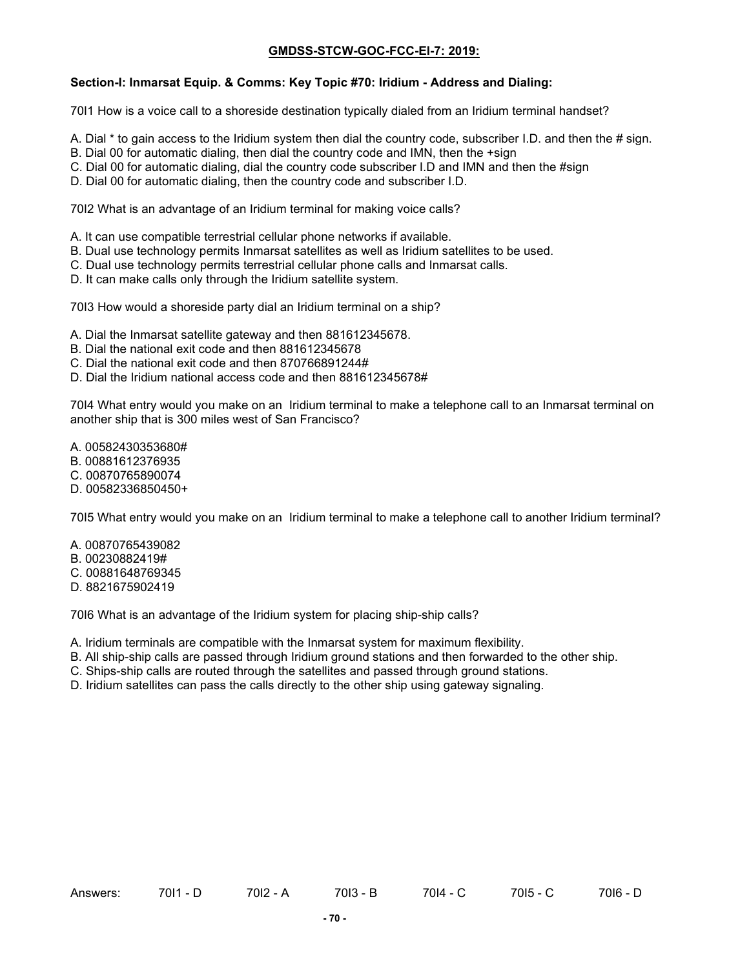### **Section-I: Inmarsat Equip. & Comms: Key Topic #70: Iridium - Address and Dialing:**

70I1 How is a voice call to a shoreside destination typically dialed from an Iridium terminal handset?

- A. Dial \* to gain access to the Iridium system then dial the country code, subscriber I.D. and then the # sign.
- B. Dial 00 for automatic dialing, then dial the country code and IMN, then the +sign
- C. Dial 00 for automatic dialing, dial the country code subscriber I.D and IMN and then the #sign
- D. Dial 00 for automatic dialing, then the country code and subscriber I.D.

70I2 What is an advantage of an Iridium terminal for making voice calls?

- A. It can use compatible terrestrial cellular phone networks if available.
- B. Dual use technology permits Inmarsat satellites as well as Iridium satellites to be used.
- C. Dual use technology permits terrestrial cellular phone calls and Inmarsat calls.
- D. It can make calls only through the Iridium satellite system.

70I3 How would a shoreside party dial an Iridium terminal on a ship?

- A. Dial the Inmarsat satellite gateway and then 881612345678.
- B. Dial the national exit code and then 881612345678
- C. Dial the national exit code and then 870766891244#
- D. Dial the Iridium national access code and then 881612345678#

70I4 What entry would you make on an Iridium terminal to make a telephone call to an Inmarsat terminal on another ship that is 300 miles west of San Francisco?

A. 00582430353680#

- B. 00881612376935
- C. 00870765890074
- D. 00582336850450+

70I5 What entry would you make on an Iridium terminal to make a telephone call to another Iridium terminal?

- A. 00870765439082
- B. 00230882419#
- C. 00881648769345
- D. 8821675902419

70I6 What is an advantage of the Iridium system for placing ship-ship calls?

- A. Iridium terminals are compatible with the Inmarsat system for maximum flexibility.
- B. All ship-ship calls are passed through Iridium ground stations and then forwarded to the other ship.
- C. Ships-ship calls are routed through the satellites and passed through ground stations.
- D. Iridium satellites can pass the calls directly to the other ship using gateway signaling.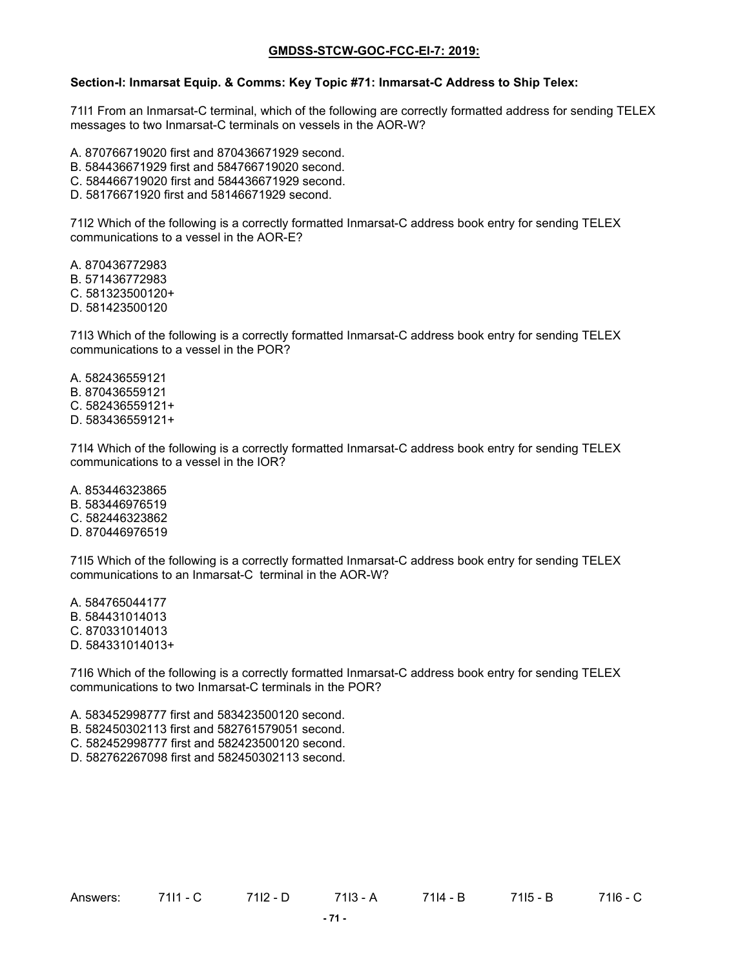#### **Section-I: Inmarsat Equip. & Comms: Key Topic #71: Inmarsat-C Address to Ship Telex:**

71I1 From an Inmarsat-C terminal, which of the following are correctly formatted address for sending TELEX messages to two Inmarsat-C terminals on vessels in the AOR-W?

- A. 870766719020 first and 870436671929 second.
- B. 584436671929 first and 584766719020 second.
- C. 584466719020 first and 584436671929 second.
- D. 58176671920 first and 58146671929 second.

71I2 Which of the following is a correctly formatted Inmarsat-C address book entry for sending TELEX communications to a vessel in the AOR-E?

A. 870436772983 B. 571436772983 C. 581323500120+ D. 581423500120

71I3 Which of the following is a correctly formatted Inmarsat-C address book entry for sending TELEX communications to a vessel in the POR?

A. 582436559121 B. 870436559121 C. 582436559121+ D. 583436559121+

71I4 Which of the following is a correctly formatted Inmarsat-C address book entry for sending TELEX communications to a vessel in the IOR?

A. 853446323865

- B. 583446976519 C. 582446323862
- D. 870446976519

71I5 Which of the following is a correctly formatted Inmarsat-C address book entry for sending TELEX communications to an Inmarsat-C terminal in the AOR-W?

A. 584765044177 B. 584431014013 C. 870331014013 D. 584331014013+

71I6 Which of the following is a correctly formatted Inmarsat-C address book entry for sending TELEX communications to two Inmarsat-C terminals in the POR?

A. 583452998777 first and 583423500120 second.

- B. 582450302113 first and 582761579051 second.
- C. 582452998777 first and 582423500120 second.
- D. 582762267098 first and 582450302113 second.

Answers: 7111 - C 7112 - D 7114 - B 7115 - B 7116 - C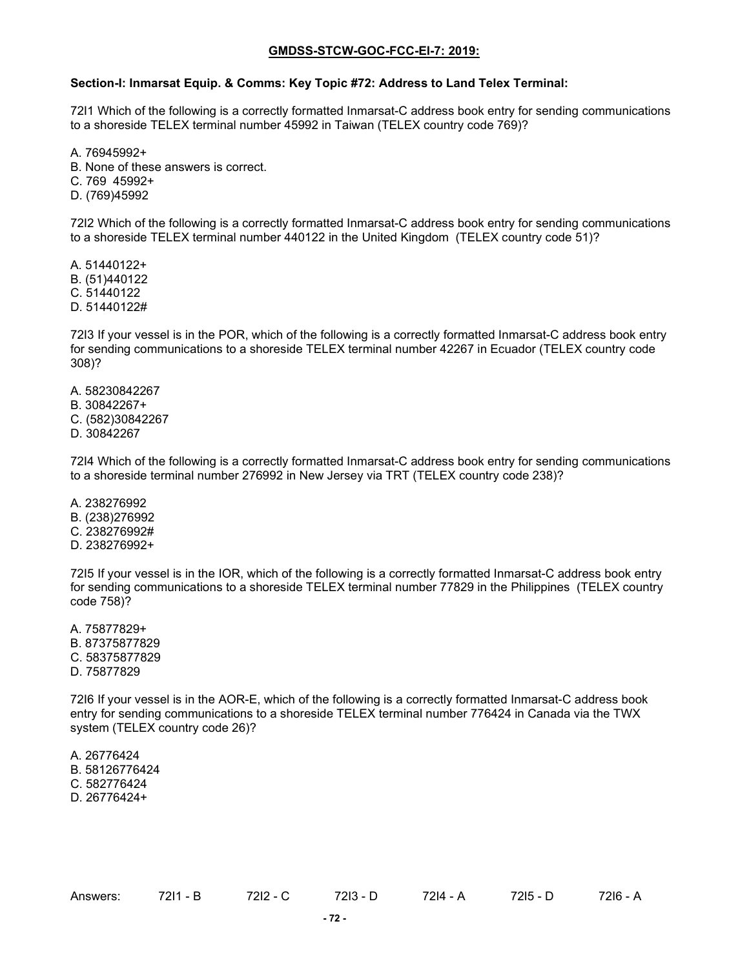#### **Section-I: Inmarsat Equip. & Comms: Key Topic #72: Address to Land Telex Terminal:**

72I1 Which of the following is a correctly formatted Inmarsat-C address book entry for sending communications to a shoreside TELEX terminal number 45992 in Taiwan (TELEX country code 769)?

A. 76945992+

B. None of these answers is correct.

C. 769 45992+

D. (769)45992

72I2 Which of the following is a correctly formatted Inmarsat-C address book entry for sending communications to a shoreside TELEX terminal number 440122 in the United Kingdom (TELEX country code 51)?

A. 51440122+ B. (51)440122 C. 51440122

D. 51440122#

72I3 If your vessel is in the POR, which of the following is a correctly formatted Inmarsat-C address book entry for sending communications to a shoreside TELEX terminal number 42267 in Ecuador (TELEX country code 308)?

A. 58230842267

B. 30842267+

C. (582)30842267

D. 30842267

72I4 Which of the following is a correctly formatted Inmarsat-C address book entry for sending communications to a shoreside terminal number 276992 in New Jersey via TRT (TELEX country code 238)?

A. 238276992 B. (238)276992 C. 238276992# D. 238276992+

72I5 If your vessel is in the IOR, which of the following is a correctly formatted Inmarsat-C address book entry for sending communications to a shoreside TELEX terminal number 77829 in the Philippines (TELEX country code 758)?

A. 75877829+ B. 87375877829 C. 58375877829 D. 75877829

72I6 If your vessel is in the AOR-E, which of the following is a correctly formatted Inmarsat-C address book entry for sending communications to a shoreside TELEX terminal number 776424 in Canada via the TWX system (TELEX country code 26)?

A. 26776424 B. 58126776424 C. 582776424 D. 26776424+

Answers: 72I1 - B 72I2 - C 72I3 - D 72I4 - A 72I5 - D 72I6 - A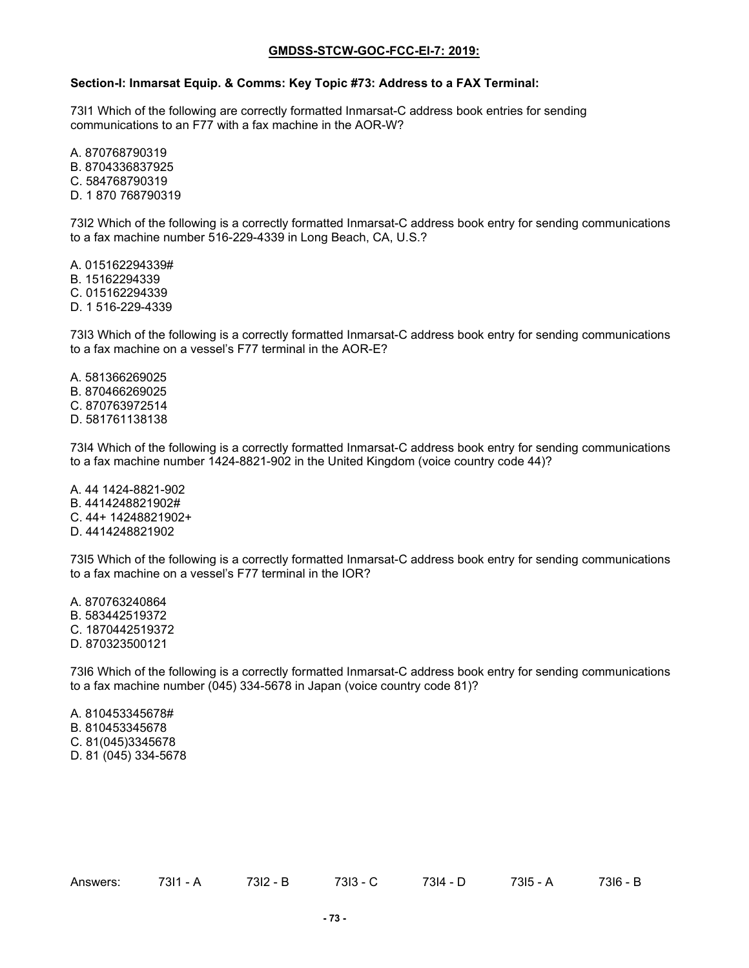#### **Section-I: Inmarsat Equip. & Comms: Key Topic #73: Address to a FAX Terminal:**

73I1 Which of the following are correctly formatted Inmarsat-C address book entries for sending communications to an F77 with a fax machine in the AOR-W?

A. 870768790319 B. 8704336837925 C. 584768790319 D. 1 870 768790319

73I2 Which of the following is a correctly formatted Inmarsat-C address book entry for sending communications to a fax machine number 516-229-4339 in Long Beach, CA, U.S.?

A. 015162294339# B. 15162294339 C. 015162294339 D. 1 516-229-4339

73I3 Which of the following is a correctly formatted Inmarsat-C address book entry for sending communications to a fax machine on a vessel's F77 terminal in the AOR-E?

A. 581366269025 B. 870466269025 C. 870763972514 D. 581761138138

73I4 Which of the following is a correctly formatted Inmarsat-C address book entry for sending communications to a fax machine number 1424-8821-902 in the United Kingdom (voice country code 44)?

A. 44 1424-8821-902 B. 4414248821902# C. 44+ 14248821902+ D. 4414248821902

73I5 Which of the following is a correctly formatted Inmarsat-C address book entry for sending communications to a fax machine on a vessel's F77 terminal in the IOR?

A. 870763240864 B. 583442519372 C. 1870442519372 D. 870323500121

73I6 Which of the following is a correctly formatted Inmarsat-C address book entry for sending communications to a fax machine number (045) 334-5678 in Japan (voice country code 81)?

A. 810453345678# B. 810453345678 C. 81(045)3345678 D. 81 (045) 334-5678

Answers: 73I1 - A 73I2 - B 73I3 - C 73I4 - D 73I5 - A 73I6 - B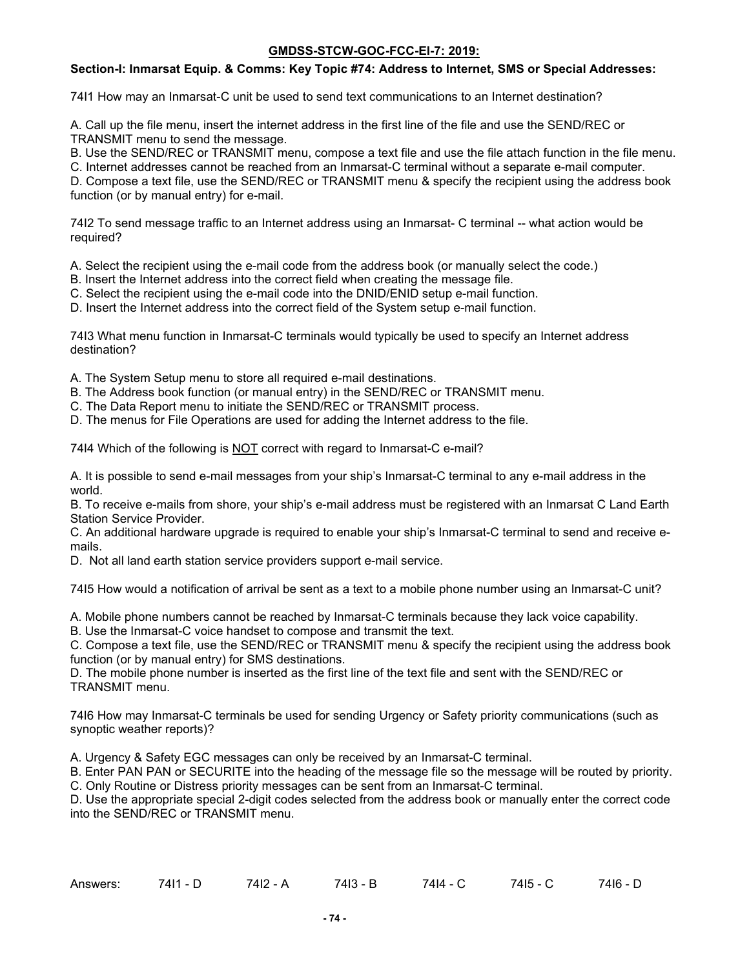## **Section-I: Inmarsat Equip. & Comms: Key Topic #74: Address to Internet, SMS or Special Addresses:**

74I1 How may an Inmarsat-C unit be used to send text communications to an Internet destination?

A. Call up the file menu, insert the internet address in the first line of the file and use the SEND/REC or TRANSMIT menu to send the message.

B. Use the SEND/REC or TRANSMIT menu, compose a text file and use the file attach function in the file menu.

C. Internet addresses cannot be reached from an Inmarsat-C terminal without a separate e-mail computer.

D. Compose a text file, use the SEND/REC or TRANSMIT menu & specify the recipient using the address book function (or by manual entry) for e-mail.

74I2 To send message traffic to an Internet address using an Inmarsat- C terminal -- what action would be required?

A. Select the recipient using the e-mail code from the address book (or manually select the code.)

B. Insert the Internet address into the correct field when creating the message file.

C. Select the recipient using the e-mail code into the DNID/ENID setup e-mail function.

D. Insert the Internet address into the correct field of the System setup e-mail function.

74I3 What menu function in Inmarsat-C terminals would typically be used to specify an Internet address destination?

A. The System Setup menu to store all required e-mail destinations.

- B. The Address book function (or manual entry) in the SEND/REC or TRANSMIT menu.
- C. The Data Report menu to initiate the SEND/REC or TRANSMIT process.
- D. The menus for File Operations are used for adding the Internet address to the file.

74I4 Which of the following is NOT correct with regard to Inmarsat-C e-mail?

A. It is possible to send e-mail messages from your ship's Inmarsat-C terminal to any e-mail address in the world.

B. To receive e-mails from shore, your ship's e-mail address must be registered with an Inmarsat C Land Earth Station Service Provider.

C. An additional hardware upgrade is required to enable your ship's Inmarsat-C terminal to send and receive emails.

D. Not all land earth station service providers support e-mail service.

74I5 How would a notification of arrival be sent as a text to a mobile phone number using an Inmarsat-C unit?

A. Mobile phone numbers cannot be reached by Inmarsat-C terminals because they lack voice capability.

B. Use the Inmarsat-C voice handset to compose and transmit the text.

C. Compose a text file, use the SEND/REC or TRANSMIT menu & specify the recipient using the address book function (or by manual entry) for SMS destinations.

D. The mobile phone number is inserted as the first line of the text file and sent with the SEND/REC or TRANSMIT menu.

74I6 How may Inmarsat-C terminals be used for sending Urgency or Safety priority communications (such as synoptic weather reports)?

A. Urgency & Safety EGC messages can only be received by an Inmarsat-C terminal.

B. Enter PAN PAN or SECURITE into the heading of the message file so the message will be routed by priority. C. Only Routine or Distress priority messages can be sent from an Inmarsat-C terminal.

D. Use the appropriate special 2-digit codes selected from the address book or manually enter the correct code into the SEND/REC or TRANSMIT menu.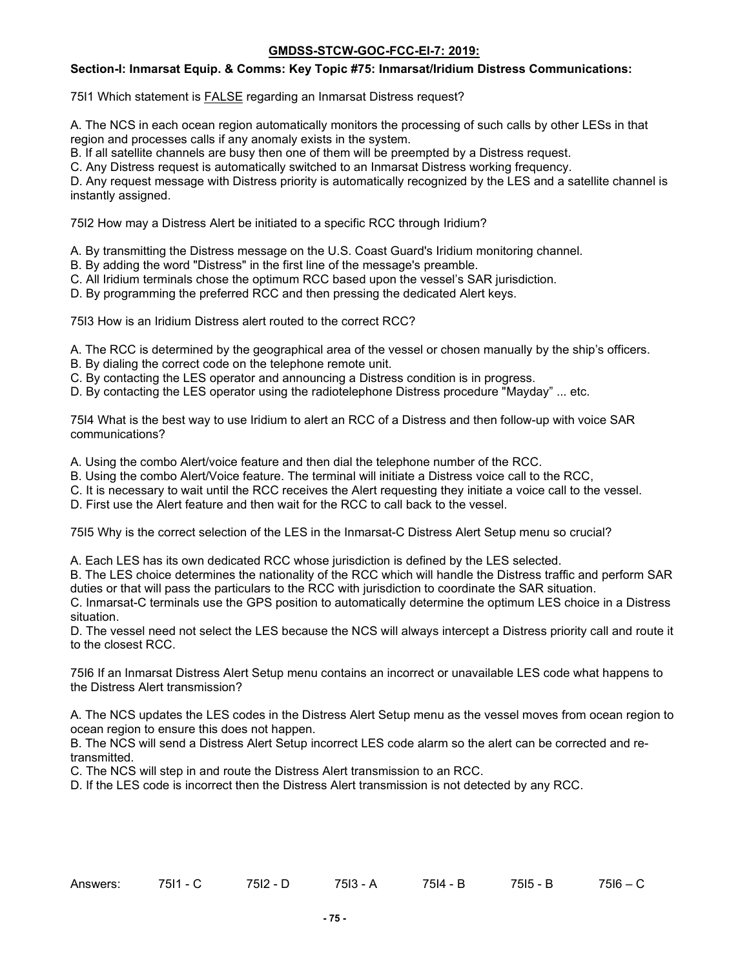### **Section-I: Inmarsat Equip. & Comms: Key Topic #75: Inmarsat/Iridium Distress Communications:**

75I1 Which statement is FALSE regarding an Inmarsat Distress request?

A. The NCS in each ocean region automatically monitors the processing of such calls by other LESs in that region and processes calls if any anomaly exists in the system.

B. If all satellite channels are busy then one of them will be preempted by a Distress request.

C. Any Distress request is automatically switched to an Inmarsat Distress working frequency.

D. Any request message with Distress priority is automatically recognized by the LES and a satellite channel is instantly assigned.

75I2 How may a Distress Alert be initiated to a specific RCC through Iridium?

- A. By transmitting the Distress message on the U.S. Coast Guard's Iridium monitoring channel.
- B. By adding the word "Distress" in the first line of the message's preamble.
- C. All Iridium terminals chose the optimum RCC based upon the vessel's SAR jurisdiction.
- D. By programming the preferred RCC and then pressing the dedicated Alert keys.

75I3 How is an Iridium Distress alert routed to the correct RCC?

- A. The RCC is determined by the geographical area of the vessel or chosen manually by the ship's officers.
- B. By dialing the correct code on the telephone remote unit.
- C. By contacting the LES operator and announcing a Distress condition is in progress.
- D. By contacting the LES operator using the radiotelephone Distress procedure "Mayday" ... etc.

75I4 What is the best way to use Iridium to alert an RCC of a Distress and then follow-up with voice SAR communications?

A. Using the combo Alert/voice feature and then dial the telephone number of the RCC.

- B. Using the combo Alert/Voice feature. The terminal will initiate a Distress voice call to the RCC,
- C. It is necessary to wait until the RCC receives the Alert requesting they initiate a voice call to the vessel.
- D. First use the Alert feature and then wait for the RCC to call back to the vessel.

75I5 Why is the correct selection of the LES in the Inmarsat-C Distress Alert Setup menu so crucial?

A. Each LES has its own dedicated RCC whose jurisdiction is defined by the LES selected.

B. The LES choice determines the nationality of the RCC which will handle the Distress traffic and perform SAR duties or that will pass the particulars to the RCC with jurisdiction to coordinate the SAR situation.

C. Inmarsat-C terminals use the GPS position to automatically determine the optimum LES choice in a Distress situation.

D. The vessel need not select the LES because the NCS will always intercept a Distress priority call and route it to the closest RCC.

75I6 If an Inmarsat Distress Alert Setup menu contains an incorrect or unavailable LES code what happens to the Distress Alert transmission?

A. The NCS updates the LES codes in the Distress Alert Setup menu as the vessel moves from ocean region to ocean region to ensure this does not happen.

B. The NCS will send a Distress Alert Setup incorrect LES code alarm so the alert can be corrected and retransmitted.

C. The NCS will step in and route the Distress Alert transmission to an RCC.

D. If the LES code is incorrect then the Distress Alert transmission is not detected by any RCC.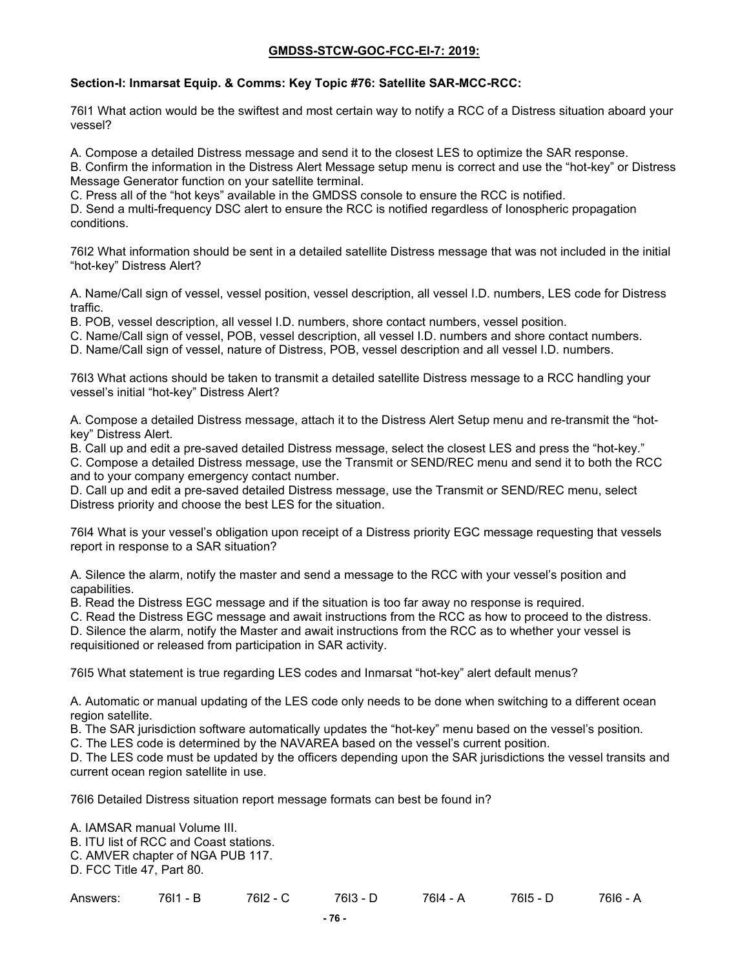## **Section-I: Inmarsat Equip. & Comms: Key Topic #76: Satellite SAR-MCC-RCC:**

76I1 What action would be the swiftest and most certain way to notify a RCC of a Distress situation aboard your vessel?

A. Compose a detailed Distress message and send it to the closest LES to optimize the SAR response.

B. Confirm the information in the Distress Alert Message setup menu is correct and use the "hot-key" or Distress Message Generator function on your satellite terminal.

C. Press all of the "hot keys" available in the GMDSS console to ensure the RCC is notified.

D. Send a multi-frequency DSC alert to ensure the RCC is notified regardless of Ionospheric propagation conditions.

76I2 What information should be sent in a detailed satellite Distress message that was not included in the initial "hot-key" Distress Alert?

A. Name/Call sign of vessel, vessel position, vessel description, all vessel I.D. numbers, LES code for Distress traffic.

B. POB, vessel description, all vessel I.D. numbers, shore contact numbers, vessel position.

C. Name/Call sign of vessel, POB, vessel description, all vessel I.D. numbers and shore contact numbers.

D. Name/Call sign of vessel, nature of Distress, POB, vessel description and all vessel I.D. numbers.

76I3 What actions should be taken to transmit a detailed satellite Distress message to a RCC handling your vessel's initial "hot-key" Distress Alert?

A. Compose a detailed Distress message, attach it to the Distress Alert Setup menu and re-transmit the "hotkey" Distress Alert.

B. Call up and edit a pre-saved detailed Distress message, select the closest LES and press the "hot-key."

C. Compose a detailed Distress message, use the Transmit or SEND/REC menu and send it to both the RCC and to your company emergency contact number.

D. Call up and edit a pre-saved detailed Distress message, use the Transmit or SEND/REC menu, select Distress priority and choose the best LES for the situation.

76I4 What is your vessel's obligation upon receipt of a Distress priority EGC message requesting that vessels report in response to a SAR situation?

A. Silence the alarm, notify the master and send a message to the RCC with your vessel's position and capabilities.

B. Read the Distress EGC message and if the situation is too far away no response is required.

C. Read the Distress EGC message and await instructions from the RCC as how to proceed to the distress.

D. Silence the alarm, notify the Master and await instructions from the RCC as to whether your vessel is requisitioned or released from participation in SAR activity.

76I5 What statement is true regarding LES codes and Inmarsat "hot-key" alert default menus?

A. Automatic or manual updating of the LES code only needs to be done when switching to a different ocean region satellite.

B. The SAR jurisdiction software automatically updates the "hot-key" menu based on the vessel's position.

C. The LES code is determined by the NAVAREA based on the vessel's current position.

D. The LES code must be updated by the officers depending upon the SAR jurisdictions the vessel transits and current ocean region satellite in use.

76I6 Detailed Distress situation report message formats can best be found in?

A. IAMSAR manual Volume III.

B. ITU list of RCC and Coast stations.

C. AMVER chapter of NGA PUB 117.

D. FCC Title 47, Part 80.

Answers: 76I1 - B 76I2 - C 76I3 - D 76I4 - A 76I5 - D 76I6 - A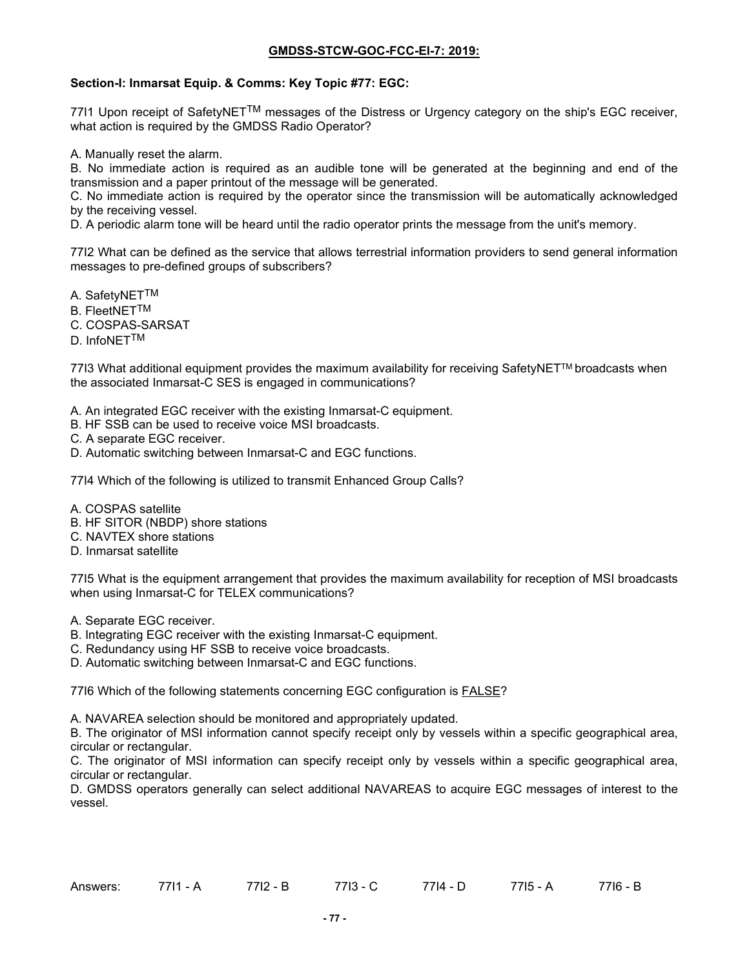### **Section-I: Inmarsat Equip. & Comms: Key Topic #77: EGC:**

7711 Upon receipt of SafetyNET<sup>TM</sup> messages of the Distress or Urgency category on the ship's EGC receiver, what action is required by the GMDSS Radio Operator?

A. Manually reset the alarm.

B. No immediate action is required as an audible tone will be generated at the beginning and end of the transmission and a paper printout of the message will be generated.

C. No immediate action is required by the operator since the transmission will be automatically acknowledged by the receiving vessel.

D. A periodic alarm tone will be heard until the radio operator prints the message from the unit's memory.

77I2 What can be defined as the service that allows terrestrial information providers to send general information messages to pre-defined groups of subscribers?

A. SafetyNETTM

B. FleetNETTM

C. COSPAS-SARSAT

D. InfoNETTM

77I3 What additional equipment provides the maximum availability for receiving SafetyNET™ broadcasts when the associated Inmarsat-C SES is engaged in communications?

A. An integrated EGC receiver with the existing Inmarsat-C equipment.

- B. HF SSB can be used to receive voice MSI broadcasts.
- C. A separate EGC receiver.
- D. Automatic switching between Inmarsat-C and EGC functions.

77I4 Which of the following is utilized to transmit Enhanced Group Calls?

A. COSPAS satellite

- B. HF SITOR (NBDP) shore stations
- C. NAVTEX shore stations
- D. Inmarsat satellite

77I5 What is the equipment arrangement that provides the maximum availability for reception of MSI broadcasts when using Inmarsat-C for TELEX communications?

- A. Separate EGC receiver.
- B. Integrating EGC receiver with the existing Inmarsat-C equipment.
- C. Redundancy using HF SSB to receive voice broadcasts.
- D. Automatic switching between Inmarsat-C and EGC functions.

77I6 Which of the following statements concerning EGC configuration is FALSE?

A. NAVAREA selection should be monitored and appropriately updated.

B. The originator of MSI information cannot specify receipt only by vessels within a specific geographical area, circular or rectangular.

C. The originator of MSI information can specify receipt only by vessels within a specific geographical area, circular or rectangular.

D. GMDSS operators generally can select additional NAVAREAS to acquire EGC messages of interest to the vessel.

| Answers: | 7714<br>1 - A | 7710<br>- B<br>14 | 7712<br>- 1 | 7714 .<br>$\overline{\phantom{a}}$ | 7715 - A | 77І6 - Ь |
|----------|---------------|-------------------|-------------|------------------------------------|----------|----------|
|          |               |                   |             |                                    |          |          |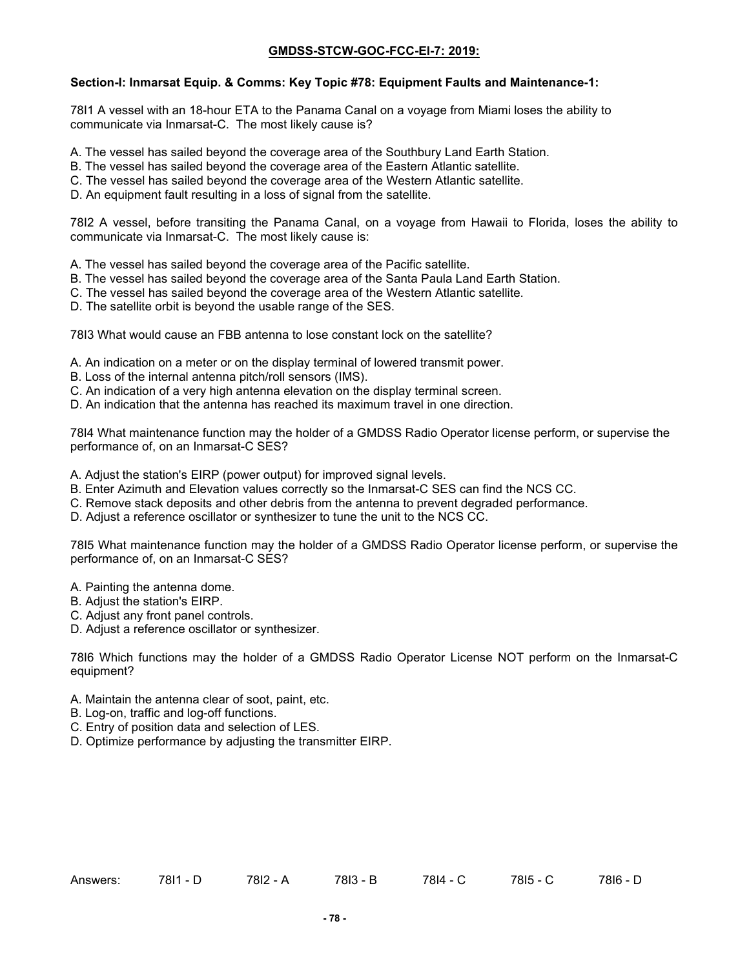### **Section-I: Inmarsat Equip. & Comms: Key Topic #78: Equipment Faults and Maintenance-1:**

78I1 A vessel with an 18-hour ETA to the Panama Canal on a voyage from Miami loses the ability to communicate via Inmarsat-C. The most likely cause is?

- A. The vessel has sailed beyond the coverage area of the Southbury Land Earth Station.
- B. The vessel has sailed beyond the coverage area of the Eastern Atlantic satellite.
- C. The vessel has sailed beyond the coverage area of the Western Atlantic satellite.
- D. An equipment fault resulting in a loss of signal from the satellite.

78I2 A vessel, before transiting the Panama Canal, on a voyage from Hawaii to Florida, loses the ability to communicate via Inmarsat-C. The most likely cause is:

- A. The vessel has sailed beyond the coverage area of the Pacific satellite.
- B. The vessel has sailed beyond the coverage area of the Santa Paula Land Earth Station.
- C. The vessel has sailed beyond the coverage area of the Western Atlantic satellite.
- D. The satellite orbit is beyond the usable range of the SES.

78I3 What would cause an FBB antenna to lose constant lock on the satellite?

- A. An indication on a meter or on the display terminal of lowered transmit power.
- B. Loss of the internal antenna pitch/roll sensors (IMS).
- C. An indication of a very high antenna elevation on the display terminal screen.
- D. An indication that the antenna has reached its maximum travel in one direction.

78I4 What maintenance function may the holder of a GMDSS Radio Operator license perform, or supervise the performance of, on an Inmarsat-C SES?

- A. Adjust the station's EIRP (power output) for improved signal levels.
- B. Enter Azimuth and Elevation values correctly so the Inmarsat-C SES can find the NCS CC.
- C. Remove stack deposits and other debris from the antenna to prevent degraded performance.
- D. Adjust a reference oscillator or synthesizer to tune the unit to the NCS CC.

78I5 What maintenance function may the holder of a GMDSS Radio Operator license perform, or supervise the performance of, on an Inmarsat-C SES?

- A. Painting the antenna dome.
- B. Adjust the station's EIRP.
- C. Adjust any front panel controls.
- D. Adjust a reference oscillator or synthesizer.

78I6 Which functions may the holder of a GMDSS Radio Operator License NOT perform on the Inmarsat-C equipment?

- A. Maintain the antenna clear of soot, paint, etc.
- B. Log-on, traffic and log-off functions.
- C. Entry of position data and selection of LES.
- D. Optimize performance by adjusting the transmitter EIRP.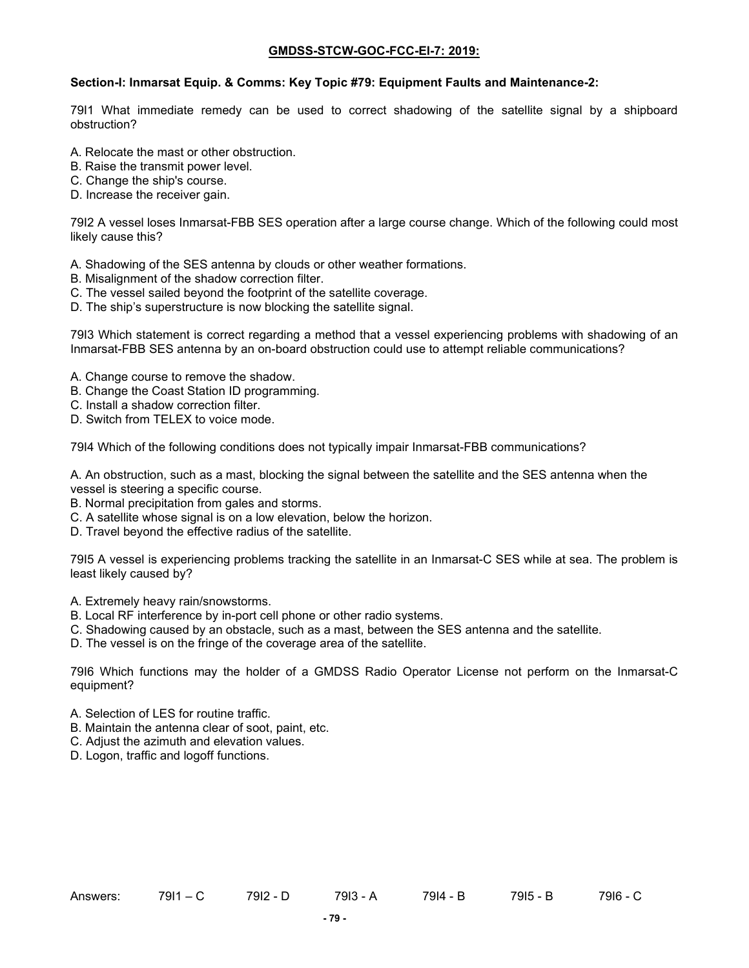#### **Section-I: Inmarsat Equip. & Comms: Key Topic #79: Equipment Faults and Maintenance-2:**

79I1 What immediate remedy can be used to correct shadowing of the satellite signal by a shipboard obstruction?

- A. Relocate the mast or other obstruction.
- B. Raise the transmit power level.
- C. Change the ship's course.
- D. Increase the receiver gain.

79I2 A vessel loses Inmarsat-FBB SES operation after a large course change. Which of the following could most likely cause this?

- A. Shadowing of the SES antenna by clouds or other weather formations.
- B. Misalignment of the shadow correction filter.
- C. The vessel sailed beyond the footprint of the satellite coverage.
- D. The ship's superstructure is now blocking the satellite signal.

79I3 Which statement is correct regarding a method that a vessel experiencing problems with shadowing of an Inmarsat-FBB SES antenna by an on-board obstruction could use to attempt reliable communications?

- A. Change course to remove the shadow.
- B. Change the Coast Station ID programming.
- C. Install a shadow correction filter.
- D. Switch from TELEX to voice mode.

79I4 Which of the following conditions does not typically impair Inmarsat-FBB communications?

A. An obstruction, such as a mast, blocking the signal between the satellite and the SES antenna when the vessel is steering a specific course.

- B. Normal precipitation from gales and storms.
- C. A satellite whose signal is on a low elevation, below the horizon.
- D. Travel beyond the effective radius of the satellite.

79I5 A vessel is experiencing problems tracking the satellite in an Inmarsat-C SES while at sea. The problem is least likely caused by?

- A. Extremely heavy rain/snowstorms.
- B. Local RF interference by in-port cell phone or other radio systems.
- C. Shadowing caused by an obstacle, such as a mast, between the SES antenna and the satellite.
- D. The vessel is on the fringe of the coverage area of the satellite.

79I6 Which functions may the holder of a GMDSS Radio Operator License not perform on the Inmarsat-C equipment?

- A. Selection of LES for routine traffic.
- B. Maintain the antenna clear of soot, paint, etc.
- C. Adjust the azimuth and elevation values.
- D. Logon, traffic and logoff functions.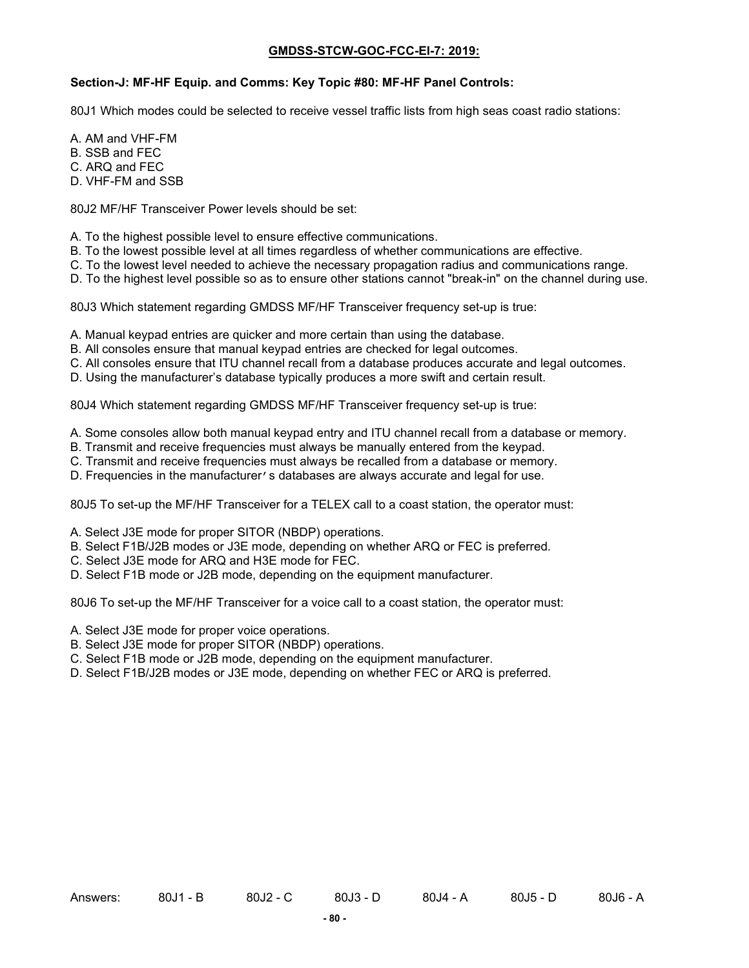#### **Section-J: MF-HF Equip. and Comms: Key Topic #80: MF-HF Panel Controls:**

80J1 Which modes could be selected to receive vessel traffic lists from high seas coast radio stations:

A. AM and VHF-FM

B. SSB and FEC

C. ARQ and FEC

D. VHF-FM and SSB

80J2 MF/HF Transceiver Power levels should be set:

- A. To the highest possible level to ensure effective communications.
- B. To the lowest possible level at all times regardless of whether communications are effective.
- C. To the lowest level needed to achieve the necessary propagation radius and communications range.
- D. To the highest level possible so as to ensure other stations cannot "break-in" on the channel during use.

80J3 Which statement regarding GMDSS MF/HF Transceiver frequency set-up is true:

- A. Manual keypad entries are quicker and more certain than using the database.
- B. All consoles ensure that manual keypad entries are checked for legal outcomes.
- C. All consoles ensure that ITU channel recall from a database produces accurate and legal outcomes.
- D. Using the manufacturer's database typically produces a more swift and certain result.

80J4 Which statement regarding GMDSS MF/HF Transceiver frequency set-up is true:

A. Some consoles allow both manual keypad entry and ITU channel recall from a database or memory.

- B. Transmit and receive frequencies must always be manually entered from the keypad.
- C. Transmit and receive frequencies must always be recalled from a database or memory.
- D. Frequencies in the manufacturer's databases are always accurate and legal for use.

80J5 To set-up the MF/HF Transceiver for a TELEX call to a coast station, the operator must:

- A. Select J3E mode for proper SITOR (NBDP) operations.
- B. Select F1B/J2B modes or J3E mode, depending on whether ARQ or FEC is preferred.
- C. Select J3E mode for ARQ and H3E mode for FEC.
- D. Select F1B mode or J2B mode, depending on the equipment manufacturer.

80J6 To set-up the MF/HF Transceiver for a voice call to a coast station, the operator must:

- A. Select J3E mode for proper voice operations.
- B. Select J3E mode for proper SITOR (NBDP) operations.
- C. Select F1B mode or J2B mode, depending on the equipment manufacturer.
- D. Select F1B/J2B modes or J3E mode, depending on whether FEC or ARQ is preferred.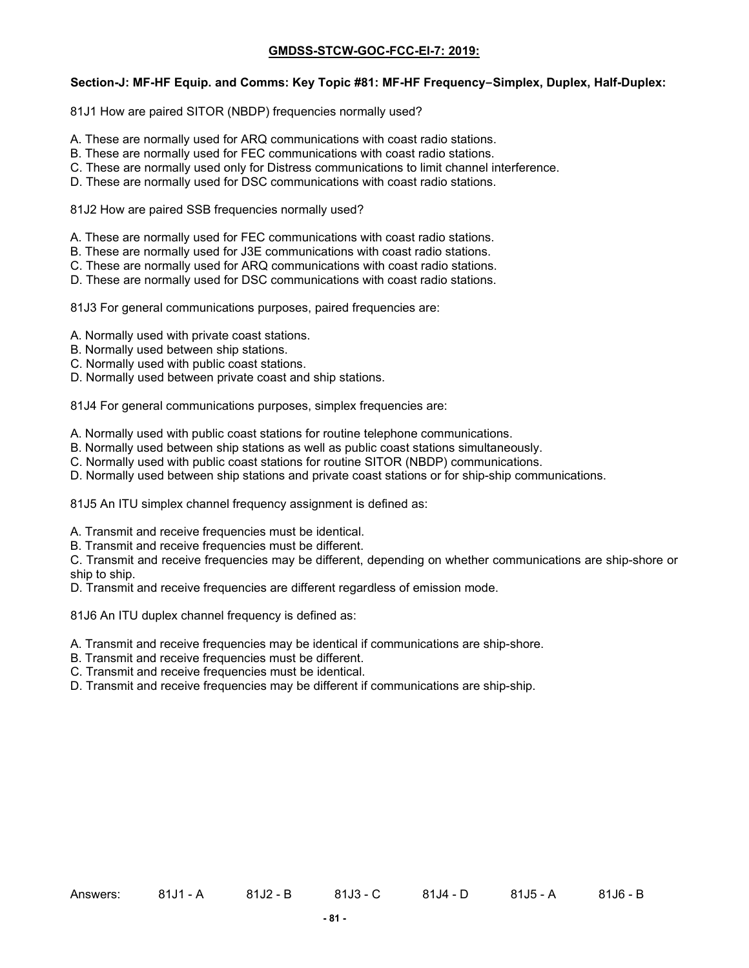#### **Section-J: MF-HF Equip. and Comms: Key Topic #81: MF-HF Frequency–Simplex, Duplex, Half-Duplex:**

81J1 How are paired SITOR (NBDP) frequencies normally used?

- A. These are normally used for ARQ communications with coast radio stations.
- B. These are normally used for FEC communications with coast radio stations.
- C. These are normally used only for Distress communications to limit channel interference.
- D. These are normally used for DSC communications with coast radio stations.

81J2 How are paired SSB frequencies normally used?

- A. These are normally used for FEC communications with coast radio stations.
- B. These are normally used for J3E communications with coast radio stations.
- C. These are normally used for ARQ communications with coast radio stations.
- D. These are normally used for DSC communications with coast radio stations.

81J3 For general communications purposes, paired frequencies are:

- A. Normally used with private coast stations.
- B. Normally used between ship stations.
- C. Normally used with public coast stations.
- D. Normally used between private coast and ship stations.

81J4 For general communications purposes, simplex frequencies are:

- A. Normally used with public coast stations for routine telephone communications.
- B. Normally used between ship stations as well as public coast stations simultaneously.
- C. Normally used with public coast stations for routine SITOR (NBDP) communications.
- D. Normally used between ship stations and private coast stations or for ship-ship communications.

81J5 An ITU simplex channel frequency assignment is defined as:

- A. Transmit and receive frequencies must be identical.
- B. Transmit and receive frequencies must be different.

C. Transmit and receive frequencies may be different, depending on whether communications are ship-shore or ship to ship.

D. Transmit and receive frequencies are different regardless of emission mode.

81J6 An ITU duplex channel frequency is defined as:

- A. Transmit and receive frequencies may be identical if communications are ship-shore.
- B. Transmit and receive frequencies must be different.
- C. Transmit and receive frequencies must be identical.
- D. Transmit and receive frequencies may be different if communications are ship-ship.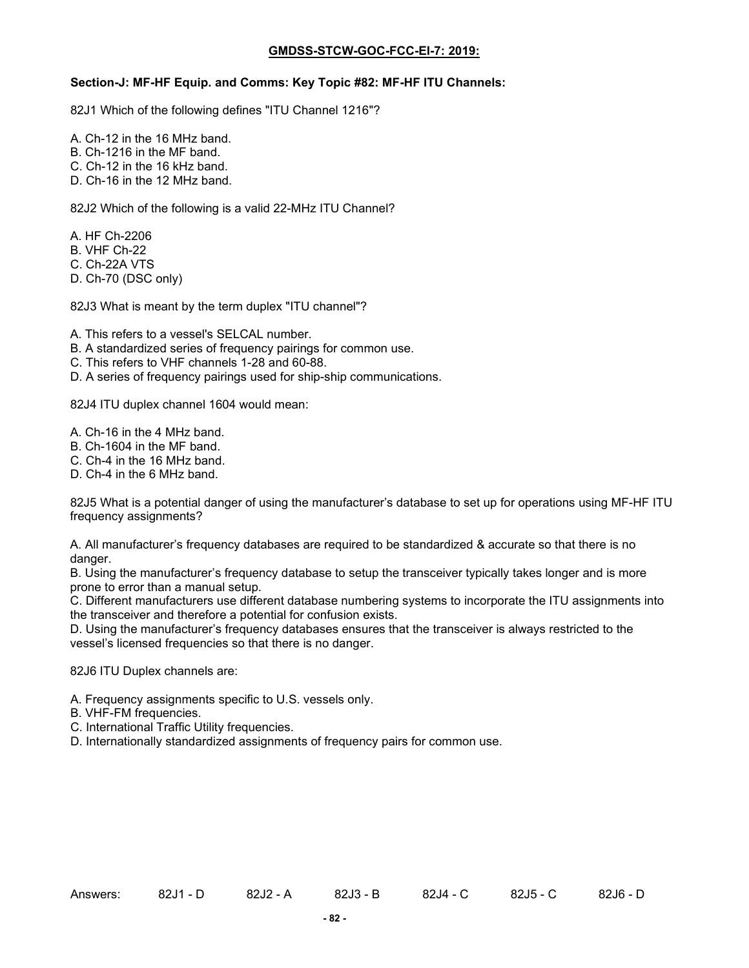#### **Section-J: MF-HF Equip. and Comms: Key Topic #82: MF-HF ITU Channels:**

82J1 Which of the following defines "ITU Channel 1216"?

A. Ch-12 in the 16 MHz band.

B. Ch-1216 in the MF band.

C. Ch-12 in the 16 kHz band.

D. Ch-16 in the 12 MHz band.

82J2 Which of the following is a valid 22-MHz ITU Channel?

A. HF Ch-2206

B. VHF Ch-22

C. Ch-22A VTS

D. Ch-70 (DSC only)

82J3 What is meant by the term duplex "ITU channel"?

A. This refers to a vessel's SELCAL number.

- B. A standardized series of frequency pairings for common use.
- C. This refers to VHF channels 1-28 and 60-88.
- D. A series of frequency pairings used for ship-ship communications.

82J4 ITU duplex channel 1604 would mean:

- A. Ch-16 in the 4 MHz band.
- B. Ch-1604 in the MF band.
- C. Ch-4 in the 16 MHz band.
- D. Ch-4 in the 6 MHz band.

82J5 What is a potential danger of using the manufacturer's database to set up for operations using MF-HF ITU frequency assignments?

A. All manufacturer's frequency databases are required to be standardized & accurate so that there is no danger.

B. Using the manufacturer's frequency database to setup the transceiver typically takes longer and is more prone to error than a manual setup.

C. Different manufacturers use different database numbering systems to incorporate the ITU assignments into the transceiver and therefore a potential for confusion exists.

D. Using the manufacturer's frequency databases ensures that the transceiver is always restricted to the vessel's licensed frequencies so that there is no danger.

82J6 ITU Duplex channels are:

A. Frequency assignments specific to U.S. vessels only.

B. VHF-FM frequencies.

C. International Traffic Utility frequencies.

D. Internationally standardized assignments of frequency pairs for common use.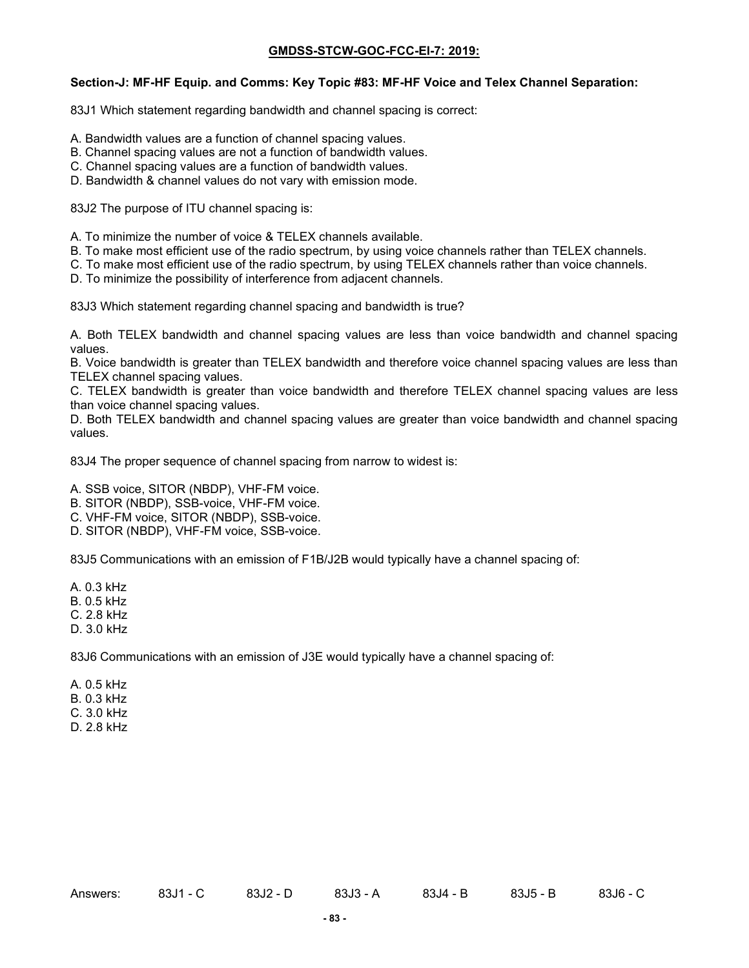#### **Section-J: MF-HF Equip. and Comms: Key Topic #83: MF-HF Voice and Telex Channel Separation:**

83J1 Which statement regarding bandwidth and channel spacing is correct:

- A. Bandwidth values are a function of channel spacing values.
- B. Channel spacing values are not a function of bandwidth values.
- C. Channel spacing values are a function of bandwidth values.
- D. Bandwidth & channel values do not vary with emission mode.

83J2 The purpose of ITU channel spacing is:

- A. To minimize the number of voice & TELEX channels available.
- B. To make most efficient use of the radio spectrum, by using voice channels rather than TELEX channels.
- C. To make most efficient use of the radio spectrum, by using TELEX channels rather than voice channels.
- D. To minimize the possibility of interference from adjacent channels.

83J3 Which statement regarding channel spacing and bandwidth is true?

A. Both TELEX bandwidth and channel spacing values are less than voice bandwidth and channel spacing values.

B. Voice bandwidth is greater than TELEX bandwidth and therefore voice channel spacing values are less than TELEX channel spacing values.

C. TELEX bandwidth is greater than voice bandwidth and therefore TELEX channel spacing values are less than voice channel spacing values.

D. Both TELEX bandwidth and channel spacing values are greater than voice bandwidth and channel spacing values.

83J4 The proper sequence of channel spacing from narrow to widest is:

A. SSB voice, SITOR (NBDP), VHF-FM voice.

B. SITOR (NBDP), SSB-voice, VHF-FM voice.

C. VHF-FM voice, SITOR (NBDP), SSB-voice.

D. SITOR (NBDP), VHF-FM voice, SSB-voice.

83J5 Communications with an emission of F1B/J2B would typically have a channel spacing of:

A. 0.3 kHz

B. 0.5 kHz

C. 2.8 kHz

D. 3.0 kHz

83J6 Communications with an emission of J3E would typically have a channel spacing of:

A. 0.5 kHz B. 0.3 kHz C. 3.0 kHz D. 2.8 kHz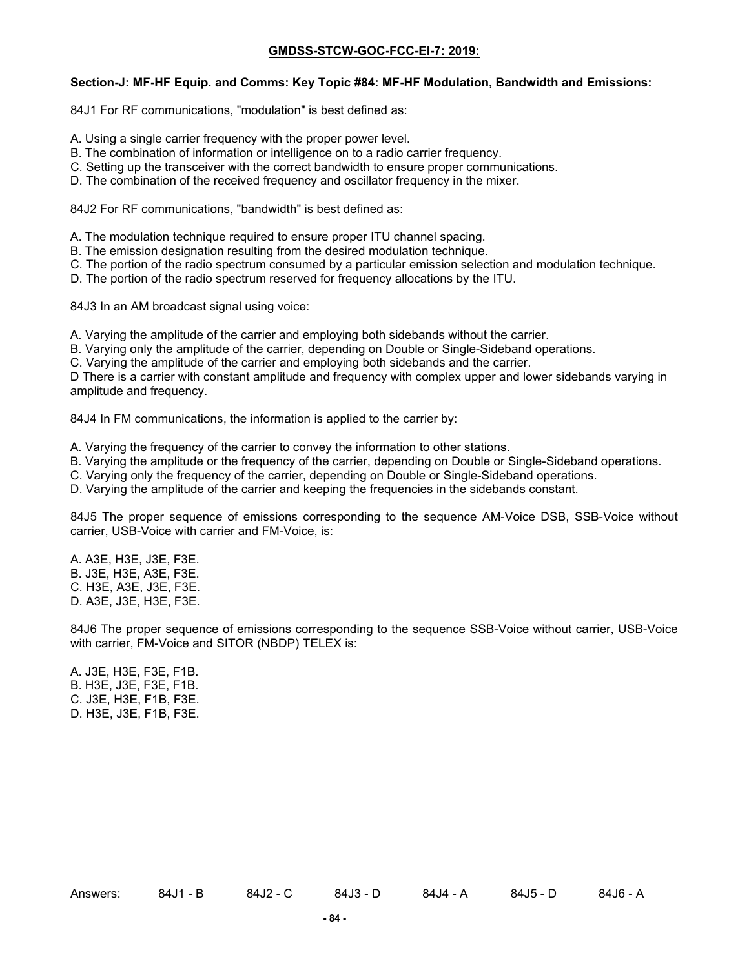#### **Section-J: MF-HF Equip. and Comms: Key Topic #84: MF-HF Modulation, Bandwidth and Emissions:**

84J1 For RF communications, "modulation" is best defined as:

- A. Using a single carrier frequency with the proper power level.
- B. The combination of information or intelligence on to a radio carrier frequency.
- C. Setting up the transceiver with the correct bandwidth to ensure proper communications.
- D. The combination of the received frequency and oscillator frequency in the mixer.

84J2 For RF communications, "bandwidth" is best defined as:

- A. The modulation technique required to ensure proper ITU channel spacing.
- B. The emission designation resulting from the desired modulation technique.
- C. The portion of the radio spectrum consumed by a particular emission selection and modulation technique.
- D. The portion of the radio spectrum reserved for frequency allocations by the ITU.

84J3 In an AM broadcast signal using voice:

- A. Varying the amplitude of the carrier and employing both sidebands without the carrier.
- B. Varying only the amplitude of the carrier, depending on Double or Single-Sideband operations.
- C. Varying the amplitude of the carrier and employing both sidebands and the carrier.

D There is a carrier with constant amplitude and frequency with complex upper and lower sidebands varying in amplitude and frequency.

84J4 In FM communications, the information is applied to the carrier by:

- A. Varying the frequency of the carrier to convey the information to other stations.
- B. Varying the amplitude or the frequency of the carrier, depending on Double or Single-Sideband operations.
- C. Varying only the frequency of the carrier, depending on Double or Single-Sideband operations.
- D. Varying the amplitude of the carrier and keeping the frequencies in the sidebands constant.

84J5 The proper sequence of emissions corresponding to the sequence AM-Voice DSB, SSB-Voice without carrier, USB-Voice with carrier and FM-Voice, is:

A. A3E, H3E, J3E, F3E. B. J3E, H3E, A3E, F3E. C. H3E, A3E, J3E, F3E. D. A3E, J3E, H3E, F3E.

84J6 The proper sequence of emissions corresponding to the sequence SSB-Voice without carrier, USB-Voice with carrier, FM-Voice and SITOR (NBDP) TELEX is:

A. J3E, H3E, F3E, F1B. B. H3E, J3E, F3E, F1B. C. J3E, H3E, F1B, F3E. D. H3E, J3E, F1B, F3E.

Answers: 84J1 - B 84J2 - C 84J3 - D 84J4 - A 84J5 - D 84J6 - A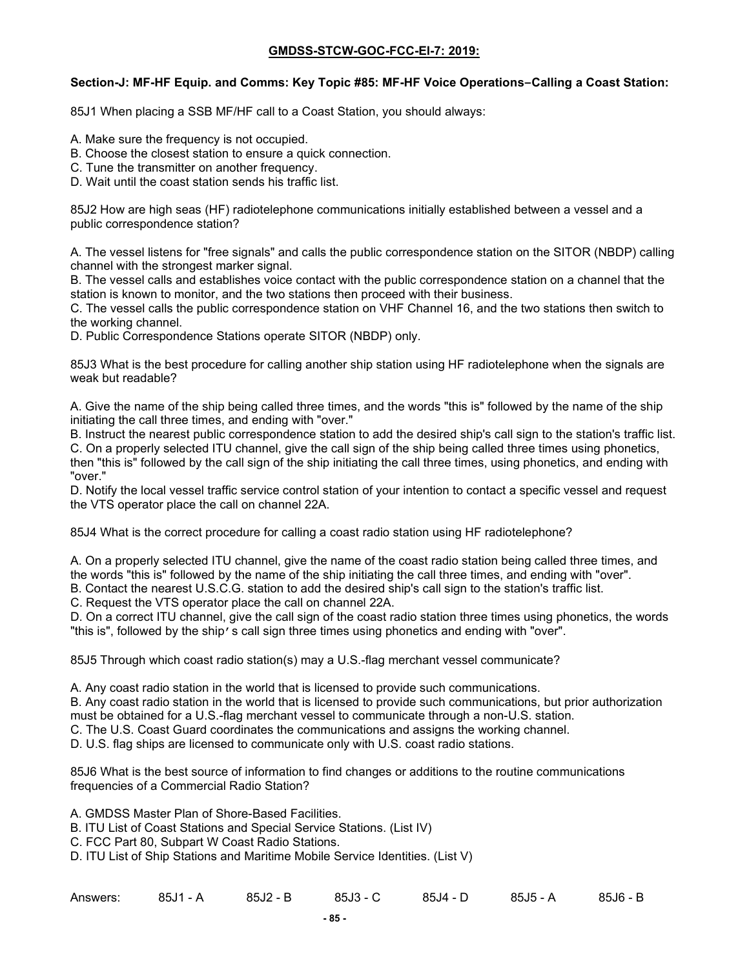#### **Section-J: MF-HF Equip. and Comms: Key Topic #85: MF-HF Voice Operations–Calling a Coast Station:**

85J1 When placing a SSB MF/HF call to a Coast Station, you should always:

- A. Make sure the frequency is not occupied.
- B. Choose the closest station to ensure a quick connection.
- C. Tune the transmitter on another frequency.
- D. Wait until the coast station sends his traffic list.

85J2 How are high seas (HF) radiotelephone communications initially established between a vessel and a public correspondence station?

A. The vessel listens for "free signals" and calls the public correspondence station on the SITOR (NBDP) calling channel with the strongest marker signal.

B. The vessel calls and establishes voice contact with the public correspondence station on a channel that the station is known to monitor, and the two stations then proceed with their business.

C. The vessel calls the public correspondence station on VHF Channel 16, and the two stations then switch to the working channel.

D. Public Correspondence Stations operate SITOR (NBDP) only.

85J3 What is the best procedure for calling another ship station using HF radiotelephone when the signals are weak but readable?

A. Give the name of the ship being called three times, and the words "this is" followed by the name of the ship initiating the call three times, and ending with "over."

B. Instruct the nearest public correspondence station to add the desired ship's call sign to the station's traffic list. C. On a properly selected ITU channel, give the call sign of the ship being called three times using phonetics, then "this is" followed by the call sign of the ship initiating the call three times, using phonetics, and ending with "over."

D. Notify the local vessel traffic service control station of your intention to contact a specific vessel and request the VTS operator place the call on channel 22A.

85J4 What is the correct procedure for calling a coast radio station using HF radiotelephone?

A. On a properly selected ITU channel, give the name of the coast radio station being called three times, and the words "this is" followed by the name of the ship initiating the call three times, and ending with "over".

B. Contact the nearest U.S.C.G. station to add the desired ship's call sign to the station's traffic list.

C. Request the VTS operator place the call on channel 22A.

D. On a correct ITU channel, give the call sign of the coast radio station three times using phonetics, the words "this is", followed by the ship's call sign three times using phonetics and ending with "over".

85J5 Through which coast radio station(s) may a U.S.-flag merchant vessel communicate?

A. Any coast radio station in the world that is licensed to provide such communications.

B. Any coast radio station in the world that is licensed to provide such communications, but prior authorization must be obtained for a U.S.-flag merchant vessel to communicate through a non-U.S. station.

C. The U.S. Coast Guard coordinates the communications and assigns the working channel.

D. U.S. flag ships are licensed to communicate only with U.S. coast radio stations.

85J6 What is the best source of information to find changes or additions to the routine communications frequencies of a Commercial Radio Station?

A. GMDSS Master Plan of Shore-Based Facilities.

B. ITU List of Coast Stations and Special Service Stations. (List IV)

C. FCC Part 80, Subpart W Coast Radio Stations.

D. ITU List of Ship Stations and Maritime Mobile Service Identities. (List V)

| Answers: | 85J1 - A | 85J2 - B | 85J3 - C | $85J4 -$<br>ுப | $85J5 - A$ | 85J6 - Ь |
|----------|----------|----------|----------|----------------|------------|----------|
|----------|----------|----------|----------|----------------|------------|----------|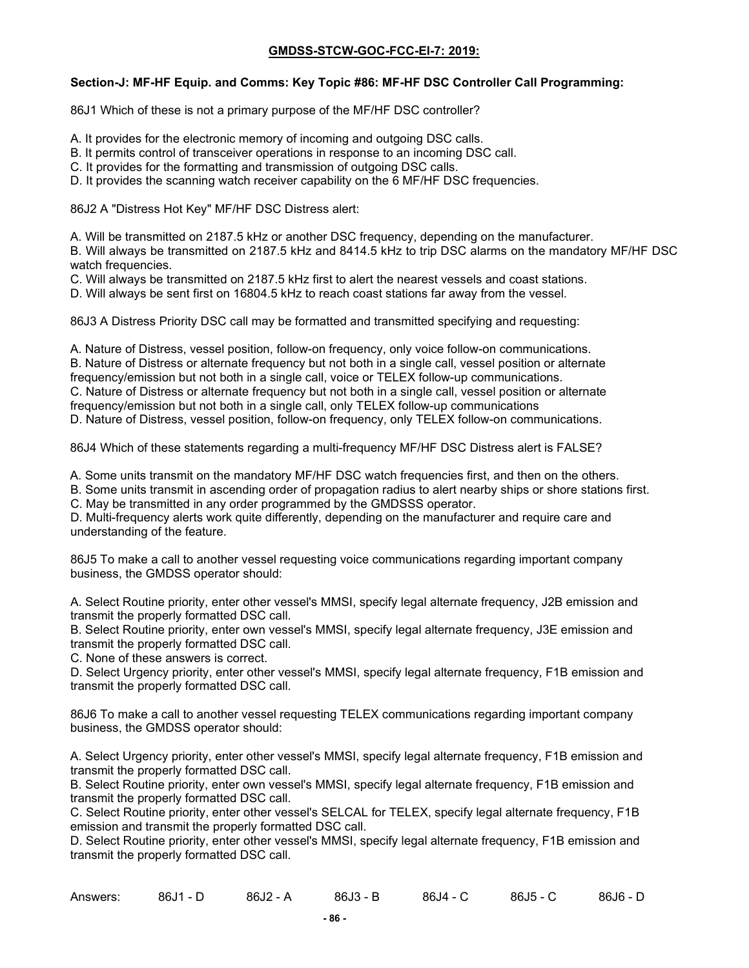### **Section-J: MF-HF Equip. and Comms: Key Topic #86: MF-HF DSC Controller Call Programming:**

86J1 Which of these is not a primary purpose of the MF/HF DSC controller?

- A. It provides for the electronic memory of incoming and outgoing DSC calls.
- B. It permits control of transceiver operations in response to an incoming DSC call.
- C. It provides for the formatting and transmission of outgoing DSC calls.
- D. It provides the scanning watch receiver capability on the 6 MF/HF DSC frequencies.

86J2 A "Distress Hot Key" MF/HF DSC Distress alert:

A. Will be transmitted on 2187.5 kHz or another DSC frequency, depending on the manufacturer.

B. Will always be transmitted on 2187.5 kHz and 8414.5 kHz to trip DSC alarms on the mandatory MF/HF DSC watch frequencies.

C. Will always be transmitted on 2187.5 kHz first to alert the nearest vessels and coast stations.

D. Will always be sent first on 16804.5 kHz to reach coast stations far away from the vessel.

86J3 A Distress Priority DSC call may be formatted and transmitted specifying and requesting:

A. Nature of Distress, vessel position, follow-on frequency, only voice follow-on communications. B. Nature of Distress or alternate frequency but not both in a single call, vessel position or alternate frequency/emission but not both in a single call, voice or TELEX follow-up communications. C. Nature of Distress or alternate frequency but not both in a single call, vessel position or alternate frequency/emission but not both in a single call, only TELEX follow-up communications D. Nature of Distress, vessel position, follow-on frequency, only TELEX follow-on communications.

86J4 Which of these statements regarding a multi-frequency MF/HF DSC Distress alert is FALSE?

A. Some units transmit on the mandatory MF/HF DSC watch frequencies first, and then on the others.

B. Some units transmit in ascending order of propagation radius to alert nearby ships or shore stations first.

C. May be transmitted in any order programmed by the GMDSSS operator.

D. Multi-frequency alerts work quite differently, depending on the manufacturer and require care and understanding of the feature.

86J5 To make a call to another vessel requesting voice communications regarding important company business, the GMDSS operator should:

A. Select Routine priority, enter other vessel's MMSI, specify legal alternate frequency, J2B emission and transmit the properly formatted DSC call.

B. Select Routine priority, enter own vessel's MMSI, specify legal alternate frequency, J3E emission and transmit the properly formatted DSC call.

C. None of these answers is correct.

D. Select Urgency priority, enter other vessel's MMSI, specify legal alternate frequency, F1B emission and transmit the properly formatted DSC call.

86J6 To make a call to another vessel requesting TELEX communications regarding important company business, the GMDSS operator should:

A. Select Urgency priority, enter other vessel's MMSI, specify legal alternate frequency, F1B emission and transmit the properly formatted DSC call.

B. Select Routine priority, enter own vessel's MMSI, specify legal alternate frequency, F1B emission and transmit the properly formatted DSC call.

C. Select Routine priority, enter other vessel's SELCAL for TELEX, specify legal alternate frequency, F1B emission and transmit the properly formatted DSC call.

D. Select Routine priority, enter other vessel's MMSI, specify legal alternate frequency, F1B emission and transmit the properly formatted DSC call.

| Answers: | $86J1 - D$ | 86J2 - A | 86J3 - B | 86J4 - C | $86J5 - C$ | $86J6 - D$ |
|----------|------------|----------|----------|----------|------------|------------|
|          |            |          |          |          |            |            |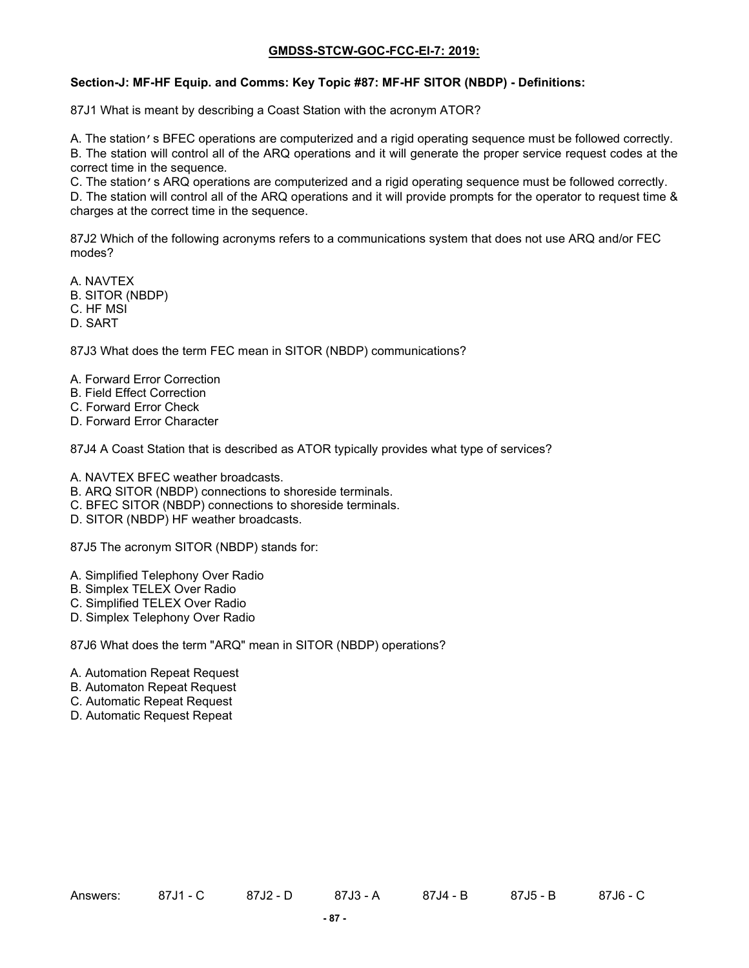### **Section-J: MF-HF Equip. and Comms: Key Topic #87: MF-HF SITOR (NBDP) - Definitions:**

87J1 What is meant by describing a Coast Station with the acronym ATOR?

A. The station's BFEC operations are computerized and a rigid operating sequence must be followed correctly. B. The station will control all of the ARQ operations and it will generate the proper service request codes at the correct time in the sequence.

C. The station's ARQ operations are computerized and a rigid operating sequence must be followed correctly.

D. The station will control all of the ARQ operations and it will provide prompts for the operator to request time & charges at the correct time in the sequence.

87J2 Which of the following acronyms refers to a communications system that does not use ARQ and/or FEC modes?

A. NAVTEX B. SITOR (NBDP) C. HF MSI

D. SART

87J3 What does the term FEC mean in SITOR (NBDP) communications?

- A. Forward Error Correction
- B. Field Effect Correction
- C. Forward Error Check
- D. Forward Error Character

87J4 A Coast Station that is described as ATOR typically provides what type of services?

A. NAVTEX BFEC weather broadcasts.

- B. ARQ SITOR (NBDP) connections to shoreside terminals.
- C. BFEC SITOR (NBDP) connections to shoreside terminals.
- D. SITOR (NBDP) HF weather broadcasts.

87J5 The acronym SITOR (NBDP) stands for:

- A. Simplified Telephony Over Radio
- B. Simplex TELEX Over Radio
- C. Simplified TELEX Over Radio
- D. Simplex Telephony Over Radio

87J6 What does the term "ARQ" mean in SITOR (NBDP) operations?

- A. Automation Repeat Request
- B. Automaton Repeat Request
- C. Automatic Repeat Request
- D. Automatic Request Repeat

Answers: 87J1 - C 87J2 - D 87J3 - A 87J4 - B 87J5 - B 87J6 - C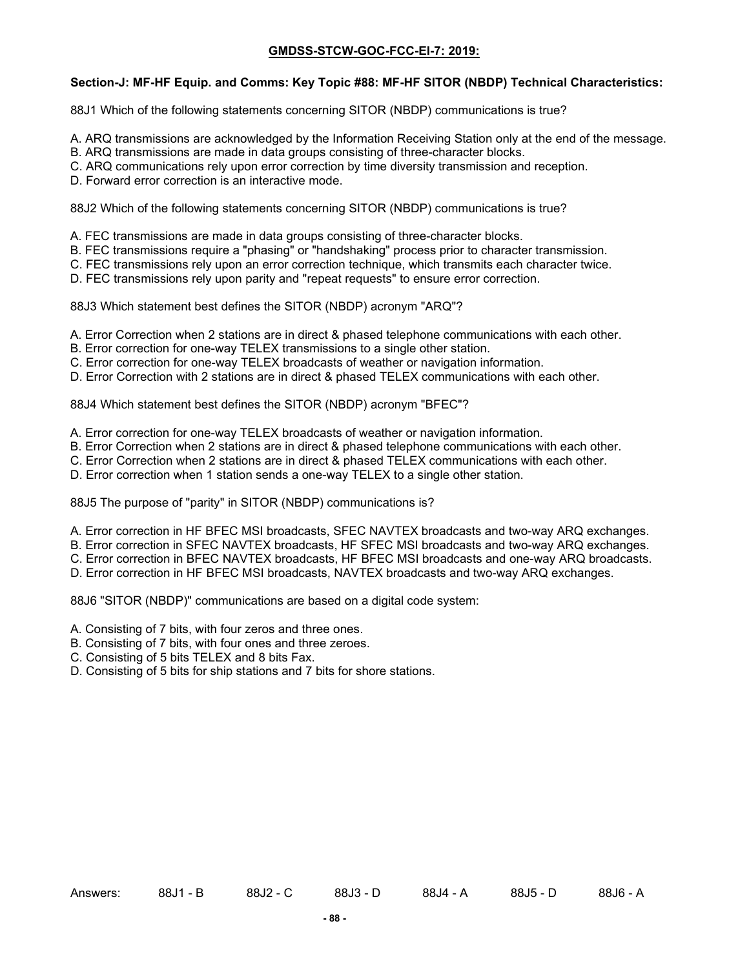## **Section-J: MF-HF Equip. and Comms: Key Topic #88: MF-HF SITOR (NBDP) Technical Characteristics:**

88J1 Which of the following statements concerning SITOR (NBDP) communications is true?

- A. ARQ transmissions are acknowledged by the Information Receiving Station only at the end of the message.
- B. ARQ transmissions are made in data groups consisting of three-character blocks.
- C. ARQ communications rely upon error correction by time diversity transmission and reception.
- D. Forward error correction is an interactive mode.

88J2 Which of the following statements concerning SITOR (NBDP) communications is true?

- A. FEC transmissions are made in data groups consisting of three-character blocks.
- B. FEC transmissions require a "phasing" or "handshaking" process prior to character transmission.
- C. FEC transmissions rely upon an error correction technique, which transmits each character twice.
- D. FEC transmissions rely upon parity and "repeat requests" to ensure error correction.

88J3 Which statement best defines the SITOR (NBDP) acronym "ARQ"?

- A. Error Correction when 2 stations are in direct & phased telephone communications with each other.
- B. Error correction for one-way TELEX transmissions to a single other station.
- C. Error correction for one-way TELEX broadcasts of weather or navigation information.
- D. Error Correction with 2 stations are in direct & phased TELEX communications with each other.

88J4 Which statement best defines the SITOR (NBDP) acronym "BFEC"?

- A. Error correction for one-way TELEX broadcasts of weather or navigation information.
- B. Error Correction when 2 stations are in direct & phased telephone communications with each other.
- C. Error Correction when 2 stations are in direct & phased TELEX communications with each other.
- D. Error correction when 1 station sends a one-way TELEX to a single other station.

88J5 The purpose of "parity" in SITOR (NBDP) communications is?

- A. Error correction in HF BFEC MSI broadcasts, SFEC NAVTEX broadcasts and two-way ARQ exchanges.
- B. Error correction in SFEC NAVTEX broadcasts, HF SFEC MSI broadcasts and two-way ARQ exchanges.
- C. Error correction in BFEC NAVTEX broadcasts, HF BFEC MSI broadcasts and one-way ARQ broadcasts.
- D. Error correction in HF BFEC MSI broadcasts, NAVTEX broadcasts and two-way ARQ exchanges.

88J6 "SITOR (NBDP)" communications are based on a digital code system:

- A. Consisting of 7 bits, with four zeros and three ones.
- B. Consisting of 7 bits, with four ones and three zeroes.
- C. Consisting of 5 bits TELEX and 8 bits Fax.
- D. Consisting of 5 bits for ship stations and 7 bits for shore stations.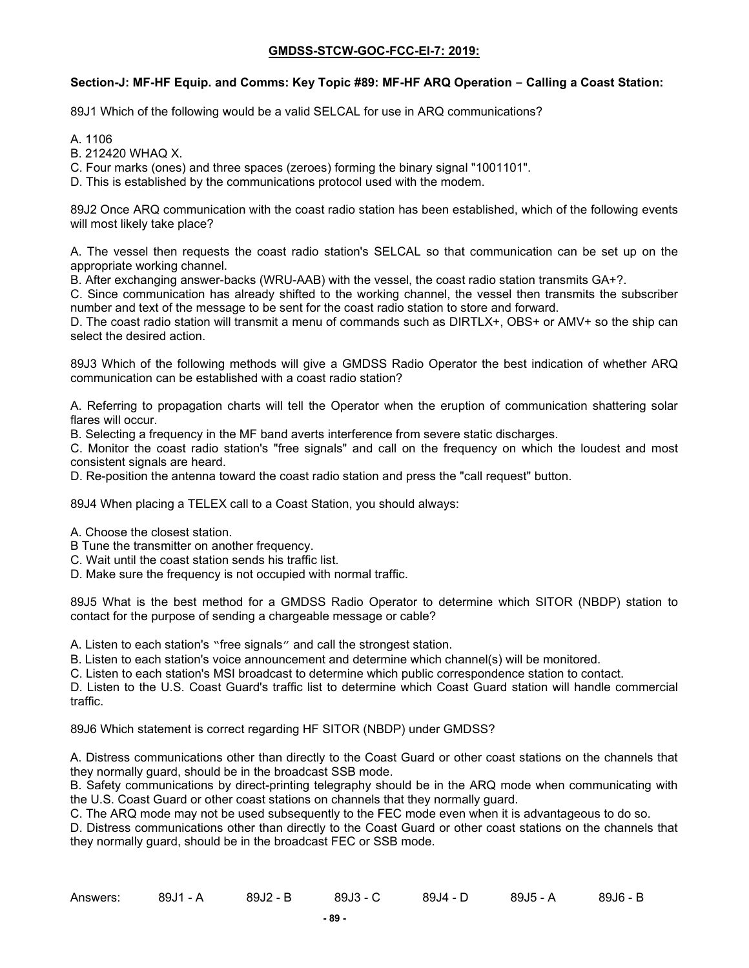### **Section-J: MF-HF Equip. and Comms: Key Topic #89: MF-HF ARQ Operation – Calling a Coast Station:**

89J1 Which of the following would be a valid SELCAL for use in ARQ communications?

A. 1106

B. 212420 WHAQ X.

C. Four marks (ones) and three spaces (zeroes) forming the binary signal "1001101".

D. This is established by the communications protocol used with the modem.

89J2 Once ARQ communication with the coast radio station has been established, which of the following events will most likely take place?

A. The vessel then requests the coast radio station's SELCAL so that communication can be set up on the appropriate working channel.

B. After exchanging answer-backs (WRU-AAB) with the vessel, the coast radio station transmits GA+?.

C. Since communication has already shifted to the working channel, the vessel then transmits the subscriber number and text of the message to be sent for the coast radio station to store and forward.

D. The coast radio station will transmit a menu of commands such as DIRTLX+, OBS+ or AMV+ so the ship can select the desired action.

89J3 Which of the following methods will give a GMDSS Radio Operator the best indication of whether ARQ communication can be established with a coast radio station?

A. Referring to propagation charts will tell the Operator when the eruption of communication shattering solar flares will occur.

B. Selecting a frequency in the MF band averts interference from severe static discharges.

C. Monitor the coast radio station's "free signals" and call on the frequency on which the loudest and most consistent signals are heard.

D. Re-position the antenna toward the coast radio station and press the "call request" button.

89J4 When placing a TELEX call to a Coast Station, you should always:

A. Choose the closest station.

- B Tune the transmitter on another frequency.
- C. Wait until the coast station sends his traffic list.
- D. Make sure the frequency is not occupied with normal traffic.

89J5 What is the best method for a GMDSS Radio Operator to determine which SITOR (NBDP) station to contact for the purpose of sending a chargeable message or cable?

A. Listen to each station's "free signals" and call the strongest station.

B. Listen to each station's voice announcement and determine which channel(s) will be monitored.

C. Listen to each station's MSI broadcast to determine which public correspondence station to contact.

D. Listen to the U.S. Coast Guard's traffic list to determine which Coast Guard station will handle commercial traffic.

89J6 Which statement is correct regarding HF SITOR (NBDP) under GMDSS?

A. Distress communications other than directly to the Coast Guard or other coast stations on the channels that they normally guard, should be in the broadcast SSB mode.

B. Safety communications by direct-printing telegraphy should be in the ARQ mode when communicating with the U.S. Coast Guard or other coast stations on channels that they normally guard.

C. The ARQ mode may not be used subsequently to the FEC mode even when it is advantageous to do so.

D. Distress communications other than directly to the Coast Guard or other coast stations on the channels that they normally guard, should be in the broadcast FEC or SSB mode.

| Answers: | 89J1 - A | 89J2 - B | 89J3 - C | 89J4 - D | 89J5 - A | 89J6 - B |
|----------|----------|----------|----------|----------|----------|----------|
|----------|----------|----------|----------|----------|----------|----------|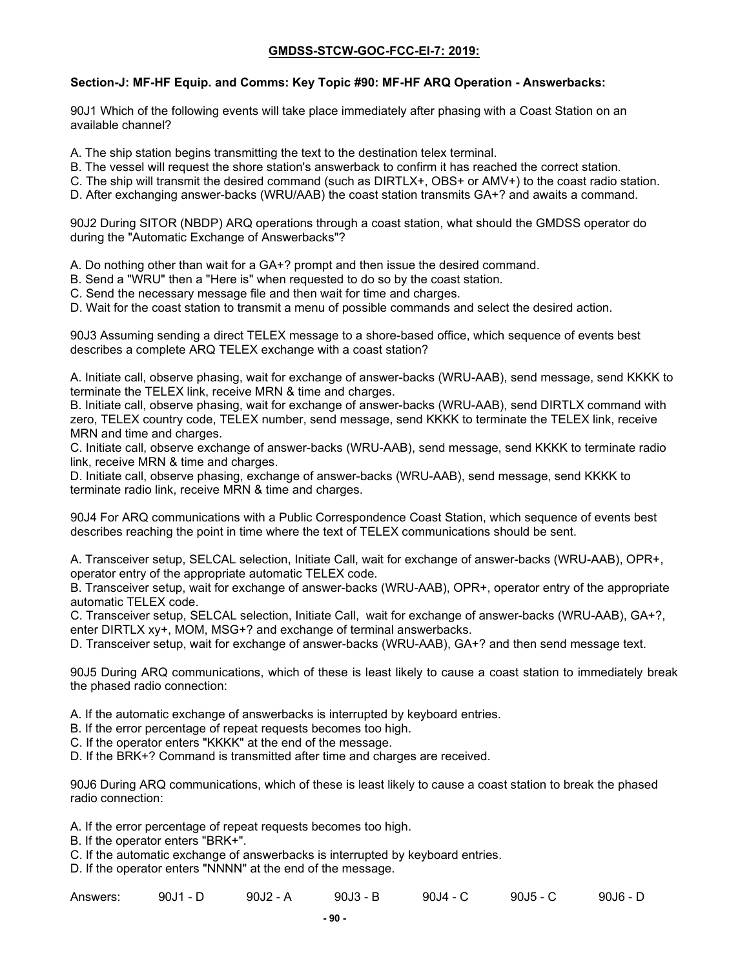# **Section-J: MF-HF Equip. and Comms: Key Topic #90: MF-HF ARQ Operation - Answerbacks:**

90J1 Which of the following events will take place immediately after phasing with a Coast Station on an available channel?

A. The ship station begins transmitting the text to the destination telex terminal.

B. The vessel will request the shore station's answerback to confirm it has reached the correct station.

C. The ship will transmit the desired command (such as DIRTLX+, OBS+ or AMV+) to the coast radio station.

D. After exchanging answer-backs (WRU/AAB) the coast station transmits GA+? and awaits a command.

90J2 During SITOR (NBDP) ARQ operations through a coast station, what should the GMDSS operator do during the "Automatic Exchange of Answerbacks"?

A. Do nothing other than wait for a GA+? prompt and then issue the desired command.

B. Send a "WRU" then a "Here is" when requested to do so by the coast station.

C. Send the necessary message file and then wait for time and charges.

D. Wait for the coast station to transmit a menu of possible commands and select the desired action.

90J3 Assuming sending a direct TELEX message to a shore-based office, which sequence of events best describes a complete ARQ TELEX exchange with a coast station?

A. Initiate call, observe phasing, wait for exchange of answer-backs (WRU-AAB), send message, send KKKK to terminate the TELEX link, receive MRN & time and charges.

B. Initiate call, observe phasing, wait for exchange of answer-backs (WRU-AAB), send DIRTLX command with zero, TELEX country code, TELEX number, send message, send KKKK to terminate the TELEX link, receive MRN and time and charges.

C. Initiate call, observe exchange of answer-backs (WRU-AAB), send message, send KKKK to terminate radio link, receive MRN & time and charges.

D. Initiate call, observe phasing, exchange of answer-backs (WRU-AAB), send message, send KKKK to terminate radio link, receive MRN & time and charges.

90J4 For ARQ communications with a Public Correspondence Coast Station, which sequence of events best describes reaching the point in time where the text of TELEX communications should be sent.

A. Transceiver setup, SELCAL selection, Initiate Call, wait for exchange of answer-backs (WRU-AAB), OPR+, operator entry of the appropriate automatic TELEX code.

B. Transceiver setup, wait for exchange of answer-backs (WRU-AAB), OPR+, operator entry of the appropriate automatic TELEX code.

C. Transceiver setup, SELCAL selection, Initiate Call, wait for exchange of answer-backs (WRU-AAB), GA+?, enter DIRTLX xy+, MOM, MSG+? and exchange of terminal answerbacks.

D. Transceiver setup, wait for exchange of answer-backs (WRU-AAB), GA+? and then send message text.

90J5 During ARQ communications, which of these is least likely to cause a coast station to immediately break the phased radio connection:

A. If the automatic exchange of answerbacks is interrupted by keyboard entries.

B. If the error percentage of repeat requests becomes too high.

- C. If the operator enters "KKKK" at the end of the message.
- D. If the BRK+? Command is transmitted after time and charges are received.

90J6 During ARQ communications, which of these is least likely to cause a coast station to break the phased radio connection:

A. If the error percentage of repeat requests becomes too high.

B. If the operator enters "BRK+".

C. If the automatic exchange of answerbacks is interrupted by keyboard entries.

D. If the operator enters "NNNN" at the end of the message.

| Answers: | $90J1 - D$ | 90J2 - A | $90J3 - B$ | 90J4 - C | 90J5 - | 90J6 - L |
|----------|------------|----------|------------|----------|--------|----------|
|----------|------------|----------|------------|----------|--------|----------|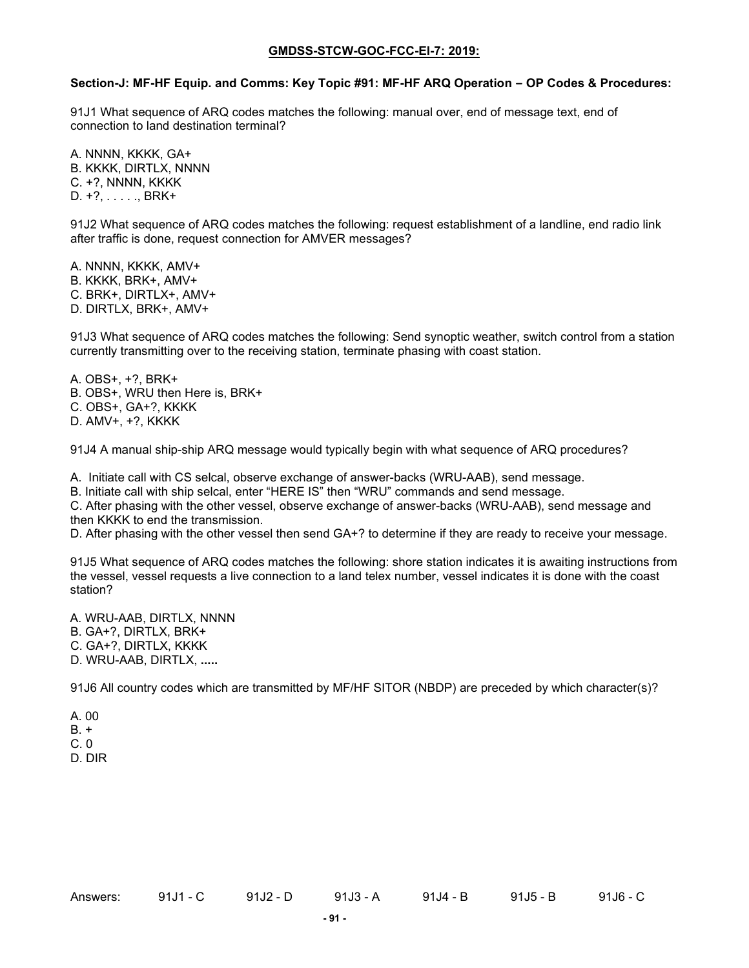#### **Section-J: MF-HF Equip. and Comms: Key Topic #91: MF-HF ARQ Operation – OP Codes & Procedures:**

91J1 What sequence of ARQ codes matches the following: manual over, end of message text, end of connection to land destination terminal?

A. NNNN, KKKK, GA+ B. KKKK, DIRTLX, NNNN C. +?, NNNN, KKKK D. +?, . . . . ., BRK+

91J2 What sequence of ARQ codes matches the following: request establishment of a landline, end radio link after traffic is done, request connection for AMVER messages?

A. NNNN, KKKK, AMV+ B. KKKK, BRK+, AMV+ C. BRK+, DIRTLX+, AMV+ D. DIRTLX, BRK+, AMV+

91J3 What sequence of ARQ codes matches the following: Send synoptic weather, switch control from a station currently transmitting over to the receiving station, terminate phasing with coast station.

A. OBS+, +?, BRK+ B. OBS+, WRU then Here is, BRK+ C. OBS+, GA+?, KKKK D. AMV+, +?, KKKK

91J4 A manual ship-ship ARQ message would typically begin with what sequence of ARQ procedures?

A. Initiate call with CS selcal, observe exchange of answer-backs (WRU-AAB), send message.

B. Initiate call with ship selcal, enter "HERE IS" then "WRU" commands and send message.

C. After phasing with the other vessel, observe exchange of answer-backs (WRU-AAB), send message and then KKKK to end the transmission.

D. After phasing with the other vessel then send GA+? to determine if they are ready to receive your message.

91J5 What sequence of ARQ codes matches the following: shore station indicates it is awaiting instructions from the vessel, vessel requests a live connection to a land telex number, vessel indicates it is done with the coast station?

A. WRU-AAB, DIRTLX, NNNN

B. GA+?, DIRTLX, BRK+

C. GA+?, DIRTLX, KKKK

D. WRU-AAB, DIRTLX, **.....**

91J6 All country codes which are transmitted by MF/HF SITOR (NBDP) are preceded by which character(s)?

- A. 00
- $B. +$
- $C. 0$
- D. DIR

Answers: 91J1 - C 91J2 - D 91J3 - A 91J5 - B 91J6 - C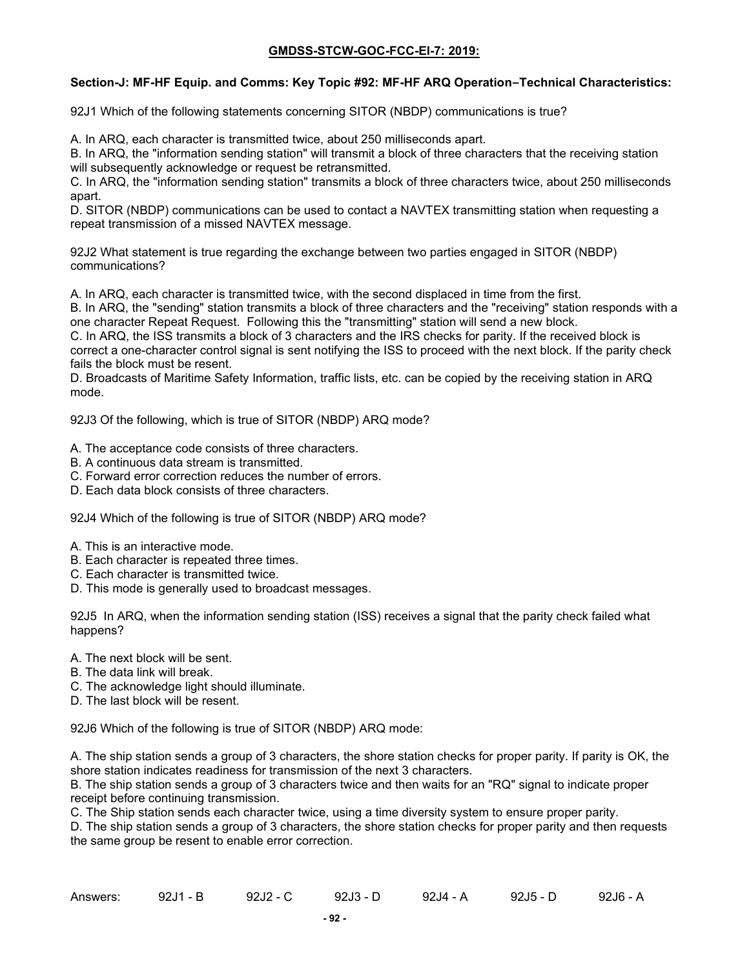## **Section-J: MF-HF Equip. and Comms: Key Topic #92: MF-HF ARQ Operation–Technical Characteristics:**

92J1 Which of the following statements concerning SITOR (NBDP) communications is true?

A. In ARQ, each character is transmitted twice, about 250 milliseconds apart.

B. In ARQ, the "information sending station" will transmit a block of three characters that the receiving station will subsequently acknowledge or request be retransmitted.

C. In ARQ, the "information sending station" transmits a block of three characters twice, about 250 milliseconds apart.

D. SITOR (NBDP) communications can be used to contact a NAVTEX transmitting station when requesting a repeat transmission of a missed NAVTEX message.

92J2 What statement is true regarding the exchange between two parties engaged in SITOR (NBDP) communications?

A. In ARQ, each character is transmitted twice, with the second displaced in time from the first.

B. In ARQ, the "sending" station transmits a block of three characters and the "receiving" station responds with a one character Repeat Request. Following this the "transmitting" station will send a new block.

C. In ARQ, the ISS transmits a block of 3 characters and the IRS checks for parity. If the received block is correct a one-character control signal is sent notifying the ISS to proceed with the next block. If the parity check fails the block must be resent.

D. Broadcasts of Maritime Safety Information, traffic lists, etc. can be copied by the receiving station in ARQ mode.

92J3 Of the following, which is true of SITOR (NBDP) ARQ mode?

A. The acceptance code consists of three characters.

- B. A continuous data stream is transmitted.
- C. Forward error correction reduces the number of errors.
- D. Each data block consists of three characters.

92J4 Which of the following is true of SITOR (NBDP) ARQ mode?

- A. This is an interactive mode.
- B. Each character is repeated three times.
- C. Each character is transmitted twice.
- D. This mode is generally used to broadcast messages.

92J5 In ARQ, when the information sending station (ISS) receives a signal that the parity check failed what happens?

- A. The next block will be sent.
- B. The data link will break.
- C. The acknowledge light should illuminate.
- D. The last block will be resent.

92J6 Which of the following is true of SITOR (NBDP) ARQ mode:

A. The ship station sends a group of 3 characters, the shore station checks for proper parity. If parity is OK, the shore station indicates readiness for transmission of the next 3 characters.

B. The ship station sends a group of 3 characters twice and then waits for an "RQ" signal to indicate proper receipt before continuing transmission.

C. The Ship station sends each character twice, using a time diversity system to ensure proper parity.

D. The ship station sends a group of 3 characters, the shore station checks for proper parity and then requests the same group be resent to enable error correction.

| Answers: | $92J1 - B$ | $92J2 - C$ | $92J3 - D$ | 92J4 - A | $92J5 - D$ | 92J6 - A |
|----------|------------|------------|------------|----------|------------|----------|
|----------|------------|------------|------------|----------|------------|----------|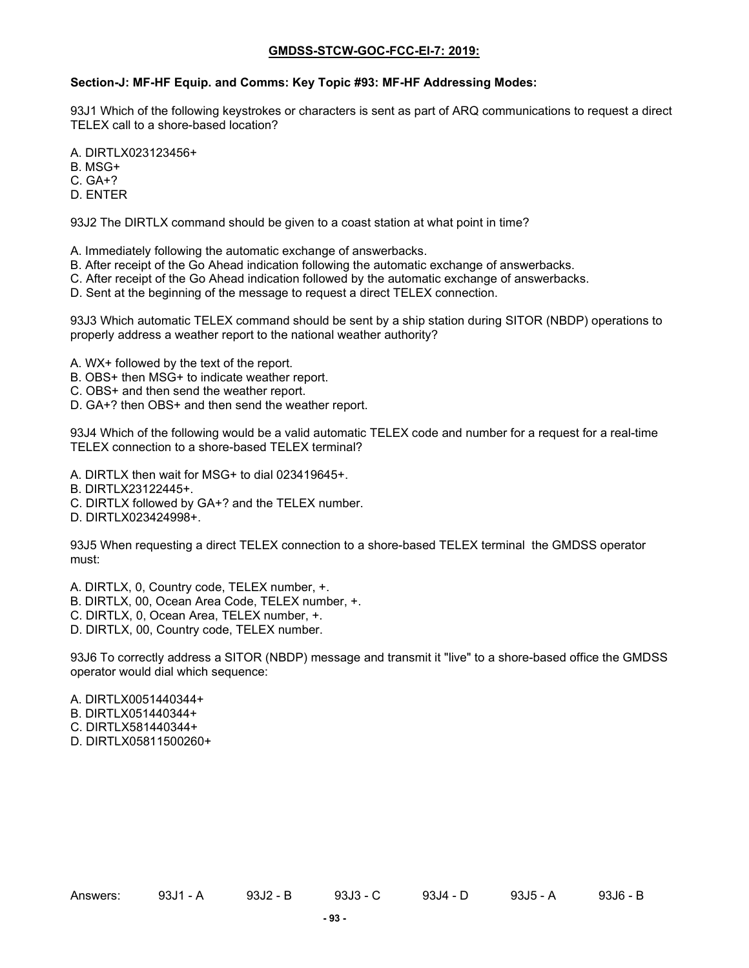# **Section-J: MF-HF Equip. and Comms: Key Topic #93: MF-HF Addressing Modes:**

93J1 Which of the following keystrokes or characters is sent as part of ARQ communications to request a direct TELEX call to a shore-based location?

A. DIRTLX023123456+

B. MSG+

- C. GA+?
- D. ENTER

93J2 The DIRTLX command should be given to a coast station at what point in time?

A. Immediately following the automatic exchange of answerbacks.

- B. After receipt of the Go Ahead indication following the automatic exchange of answerbacks.
- C. After receipt of the Go Ahead indication followed by the automatic exchange of answerbacks.
- D. Sent at the beginning of the message to request a direct TELEX connection.

93J3 Which automatic TELEX command should be sent by a ship station during SITOR (NBDP) operations to properly address a weather report to the national weather authority?

- A. WX+ followed by the text of the report.
- B. OBS+ then MSG+ to indicate weather report.
- C. OBS+ and then send the weather report.
- D. GA+? then OBS+ and then send the weather report.

93J4 Which of the following would be a valid automatic TELEX code and number for a request for a real-time TELEX connection to a shore-based TELEX terminal?

- A. DIRTLX then wait for MSG+ to dial 023419645+.
- B. DIRTLX23122445+.
- C. DIRTLX followed by GA+? and the TELEX number.
- D. DIRTLX023424998+.

93J5 When requesting a direct TELEX connection to a shore-based TELEX terminal the GMDSS operator must:

A. DIRTLX, 0, Country code, TELEX number, +.

- B. DIRTLX, 00, Ocean Area Code, TELEX number, +.
- C. DIRTLX, 0, Ocean Area, TELEX number, +.
- D. DIRTLX, 00, Country code, TELEX number.

93J6 To correctly address a SITOR (NBDP) message and transmit it "live" to a shore-based office the GMDSS operator would dial which sequence:

- A. DIRTLX0051440344+
- B. DIRTLX051440344+
- C. DIRTLX581440344+
- D. DIRTLX05811500260+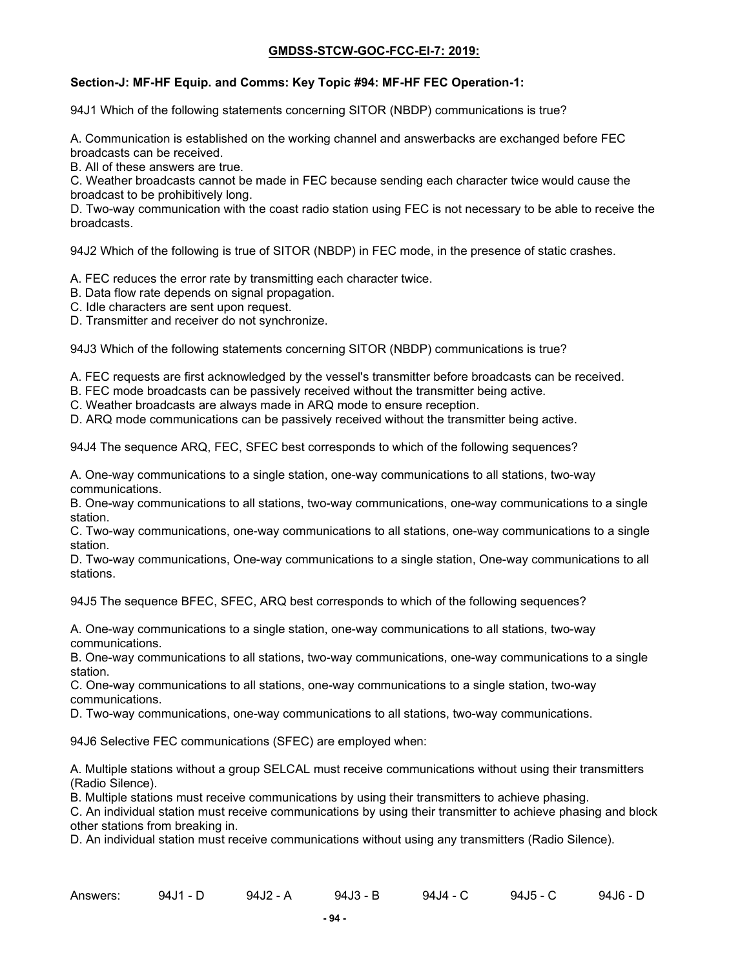## **Section-J: MF-HF Equip. and Comms: Key Topic #94: MF-HF FEC Operation-1:**

94J1 Which of the following statements concerning SITOR (NBDP) communications is true?

A. Communication is established on the working channel and answerbacks are exchanged before FEC broadcasts can be received.

B. All of these answers are true.

C. Weather broadcasts cannot be made in FEC because sending each character twice would cause the broadcast to be prohibitively long.

D. Two-way communication with the coast radio station using FEC is not necessary to be able to receive the broadcasts.

94J2 Which of the following is true of SITOR (NBDP) in FEC mode, in the presence of static crashes.

A. FEC reduces the error rate by transmitting each character twice.

- B. Data flow rate depends on signal propagation.
- C. Idle characters are sent upon request.

D. Transmitter and receiver do not synchronize.

94J3 Which of the following statements concerning SITOR (NBDP) communications is true?

A. FEC requests are first acknowledged by the vessel's transmitter before broadcasts can be received.

B. FEC mode broadcasts can be passively received without the transmitter being active.

C. Weather broadcasts are always made in ARQ mode to ensure reception.

D. ARQ mode communications can be passively received without the transmitter being active.

94J4 The sequence ARQ, FEC, SFEC best corresponds to which of the following sequences?

A. One-way communications to a single station, one-way communications to all stations, two-way communications.

B. One-way communications to all stations, two-way communications, one-way communications to a single station.

C. Two-way communications, one-way communications to all stations, one-way communications to a single station.

D. Two-way communications, One-way communications to a single station, One-way communications to all stations.

94J5 The sequence BFEC, SFEC, ARQ best corresponds to which of the following sequences?

A. One-way communications to a single station, one-way communications to all stations, two-way communications.

B. One-way communications to all stations, two-way communications, one-way communications to a single station.

C. One-way communications to all stations, one-way communications to a single station, two-way communications.

D. Two-way communications, one-way communications to all stations, two-way communications.

94J6 Selective FEC communications (SFEC) are employed when:

A. Multiple stations without a group SELCAL must receive communications without using their transmitters (Radio Silence).

B. Multiple stations must receive communications by using their transmitters to achieve phasing.

C. An individual station must receive communications by using their transmitter to achieve phasing and block other stations from breaking in.

D. An individual station must receive communications without using any transmitters (Radio Silence).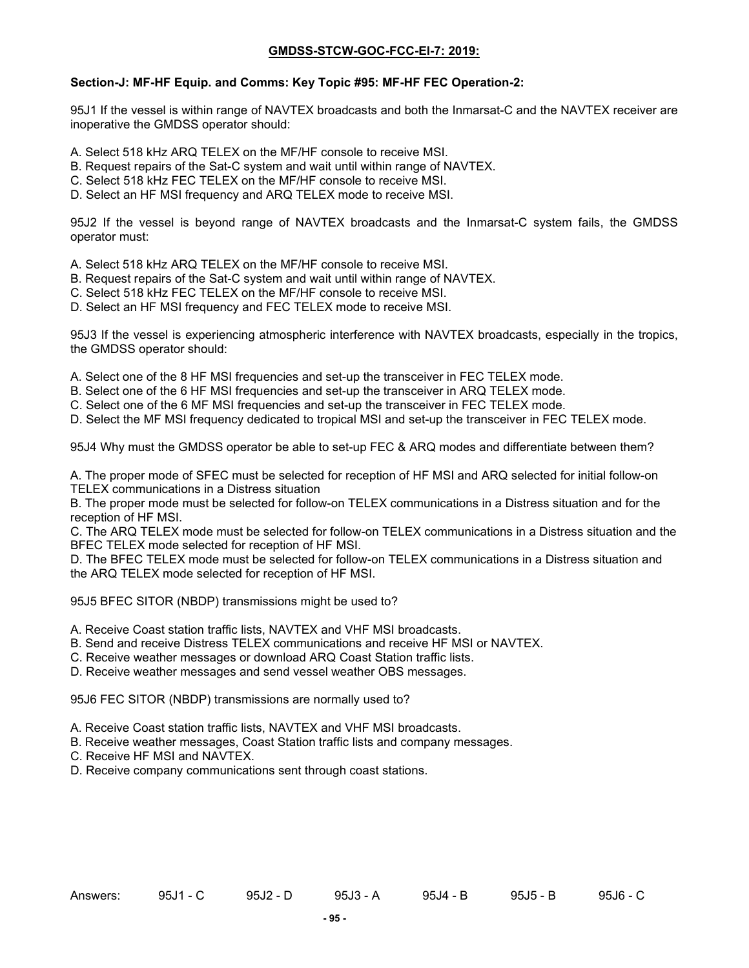#### **Section-J: MF-HF Equip. and Comms: Key Topic #95: MF-HF FEC Operation-2:**

95J1 If the vessel is within range of NAVTEX broadcasts and both the Inmarsat-C and the NAVTEX receiver are inoperative the GMDSS operator should:

- A. Select 518 kHz ARQ TELEX on the MF/HF console to receive MSI.
- B. Request repairs of the Sat-C system and wait until within range of NAVTEX.
- C. Select 518 kHz FEC TELEX on the MF/HF console to receive MSI.
- D. Select an HF MSI frequency and ARQ TELEX mode to receive MSI.

95J2 If the vessel is beyond range of NAVTEX broadcasts and the Inmarsat-C system fails, the GMDSS operator must:

- A. Select 518 kHz ARQ TELEX on the MF/HF console to receive MSI.
- B. Request repairs of the Sat-C system and wait until within range of NAVTEX.
- C. Select 518 kHz FEC TELEX on the MF/HF console to receive MSI.
- D. Select an HF MSI frequency and FEC TELEX mode to receive MSI.

95J3 If the vessel is experiencing atmospheric interference with NAVTEX broadcasts, especially in the tropics, the GMDSS operator should:

- A. Select one of the 8 HF MSI frequencies and set-up the transceiver in FEC TELEX mode.
- B. Select one of the 6 HF MSI frequencies and set-up the transceiver in ARQ TELEX mode.
- C. Select one of the 6 MF MSI frequencies and set-up the transceiver in FEC TELEX mode.
- D. Select the MF MSI frequency dedicated to tropical MSI and set-up the transceiver in FEC TELEX mode.

95J4 Why must the GMDSS operator be able to set-up FEC & ARQ modes and differentiate between them?

A. The proper mode of SFEC must be selected for reception of HF MSI and ARQ selected for initial follow-on TELEX communications in a Distress situation

B. The proper mode must be selected for follow-on TELEX communications in a Distress situation and for the reception of HF MSI.

C. The ARQ TELEX mode must be selected for follow-on TELEX communications in a Distress situation and the BFEC TELEX mode selected for reception of HF MSI.

D. The BFEC TELEX mode must be selected for follow-on TELEX communications in a Distress situation and the ARQ TELEX mode selected for reception of HF MSI.

- 95J5 BFEC SITOR (NBDP) transmissions might be used to?
- A. Receive Coast station traffic lists, NAVTEX and VHF MSI broadcasts.
- B. Send and receive Distress TELEX communications and receive HF MSI or NAVTEX.
- C. Receive weather messages or download ARQ Coast Station traffic lists.
- D. Receive weather messages and send vessel weather OBS messages.

95J6 FEC SITOR (NBDP) transmissions are normally used to?

A. Receive Coast station traffic lists, NAVTEX and VHF MSI broadcasts.

B. Receive weather messages, Coast Station traffic lists and company messages.

- C. Receive HF MSI and NAVTEX.
- D. Receive company communications sent through coast stations.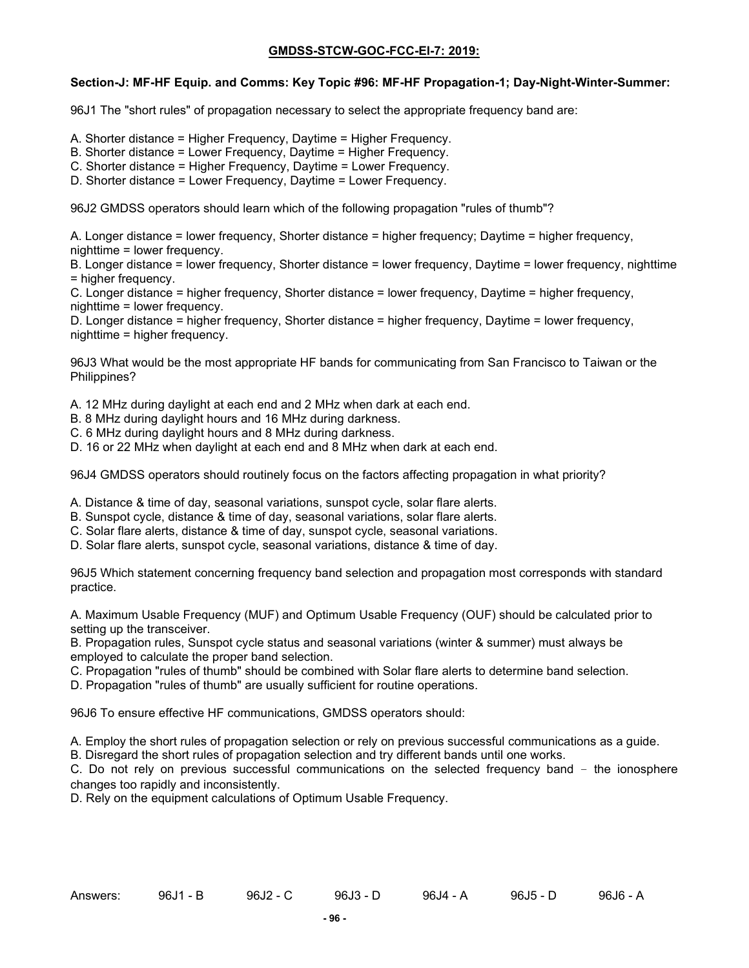### **Section-J: MF-HF Equip. and Comms: Key Topic #96: MF-HF Propagation-1; Day-Night-Winter-Summer:**

96J1 The "short rules" of propagation necessary to select the appropriate frequency band are:

- A. Shorter distance = Higher Frequency, Daytime = Higher Frequency.
- B. Shorter distance = Lower Frequency, Daytime = Higher Frequency.
- C. Shorter distance = Higher Frequency, Daytime = Lower Frequency.
- D. Shorter distance = Lower Frequency, Daytime = Lower Frequency.

96J2 GMDSS operators should learn which of the following propagation "rules of thumb"?

A. Longer distance = lower frequency, Shorter distance = higher frequency; Daytime = higher frequency, nighttime = lower frequency.

B. Longer distance = lower frequency, Shorter distance = lower frequency, Daytime = lower frequency, nighttime = higher frequency.

C. Longer distance = higher frequency, Shorter distance = lower frequency, Daytime = higher frequency, nighttime = lower frequency.

D. Longer distance = higher frequency, Shorter distance = higher frequency, Daytime = lower frequency, nighttime = higher frequency.

96J3 What would be the most appropriate HF bands for communicating from San Francisco to Taiwan or the Philippines?

A. 12 MHz during daylight at each end and 2 MHz when dark at each end.

- B. 8 MHz during daylight hours and 16 MHz during darkness.
- C. 6 MHz during daylight hours and 8 MHz during darkness.
- D. 16 or 22 MHz when daylight at each end and 8 MHz when dark at each end.

96J4 GMDSS operators should routinely focus on the factors affecting propagation in what priority?

A. Distance & time of day, seasonal variations, sunspot cycle, solar flare alerts.

- B. Sunspot cycle, distance & time of day, seasonal variations, solar flare alerts.
- C. Solar flare alerts, distance & time of day, sunspot cycle, seasonal variations.
- D. Solar flare alerts, sunspot cycle, seasonal variations, distance & time of day.

96J5 Which statement concerning frequency band selection and propagation most corresponds with standard practice.

A. Maximum Usable Frequency (MUF) and Optimum Usable Frequency (OUF) should be calculated prior to setting up the transceiver.

B. Propagation rules, Sunspot cycle status and seasonal variations (winter & summer) must always be employed to calculate the proper band selection.

- C. Propagation "rules of thumb" should be combined with Solar flare alerts to determine band selection.
- D. Propagation "rules of thumb" are usually sufficient for routine operations.

96J6 To ensure effective HF communications, GMDSS operators should:

A. Employ the short rules of propagation selection or rely on previous successful communications as a guide.

B. Disregard the short rules of propagation selection and try different bands until one works.

C. Do not rely on previous successful communications on the selected frequency band – the ionosphere changes too rapidly and inconsistently.

D. Rely on the equipment calculations of Optimum Usable Frequency.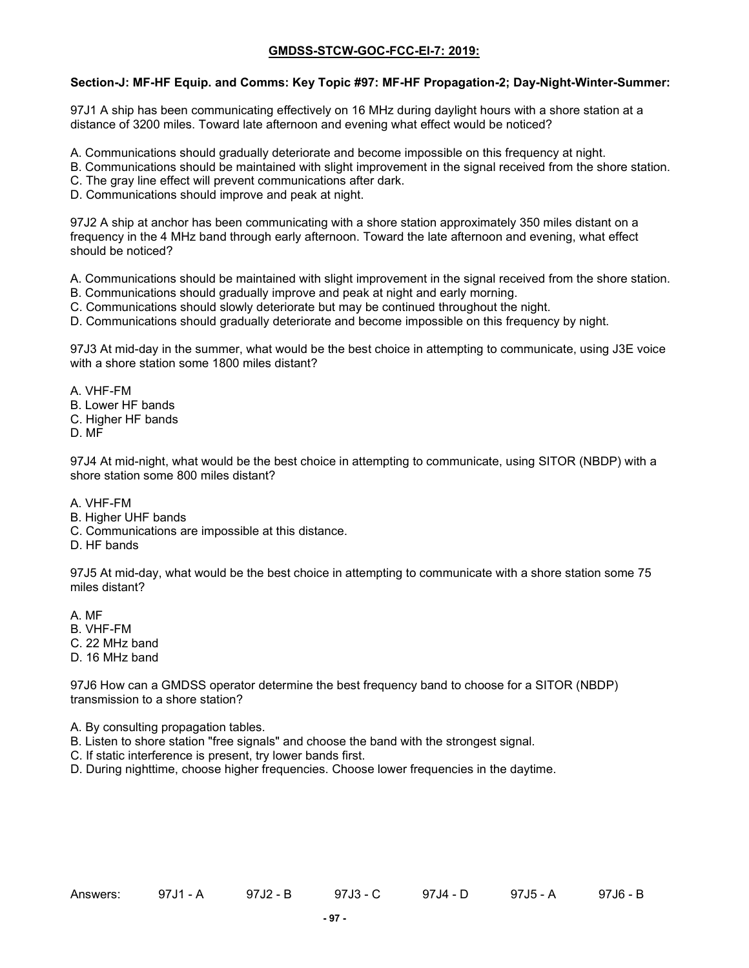### **Section-J: MF-HF Equip. and Comms: Key Topic #97: MF-HF Propagation-2; Day-Night-Winter-Summer:**

97J1 A ship has been communicating effectively on 16 MHz during daylight hours with a shore station at a distance of 3200 miles. Toward late afternoon and evening what effect would be noticed?

A. Communications should gradually deteriorate and become impossible on this frequency at night.

- B. Communications should be maintained with slight improvement in the signal received from the shore station.
- C. The gray line effect will prevent communications after dark.
- D. Communications should improve and peak at night.

97J2 A ship at anchor has been communicating with a shore station approximately 350 miles distant on a frequency in the 4 MHz band through early afternoon. Toward the late afternoon and evening, what effect should be noticed?

A. Communications should be maintained with slight improvement in the signal received from the shore station.

- B. Communications should gradually improve and peak at night and early morning.
- C. Communications should slowly deteriorate but may be continued throughout the night.
- D. Communications should gradually deteriorate and become impossible on this frequency by night.

97J3 At mid-day in the summer, what would be the best choice in attempting to communicate, using J3E voice with a shore station some 1800 miles distant?

A. VHF-FM

- B. Lower HF bands
- C. Higher HF bands

D. MF

97J4 At mid-night, what would be the best choice in attempting to communicate, using SITOR (NBDP) with a shore station some 800 miles distant?

- A. VHF-FM
- B. Higher UHF bands
- C. Communications are impossible at this distance.
- D. HF bands

97J5 At mid-day, what would be the best choice in attempting to communicate with a shore station some 75 miles distant?

A. MF

- B. VHF-FM
- C. 22 MHz band
- D. 16 MHz band

97J6 How can a GMDSS operator determine the best frequency band to choose for a SITOR (NBDP) transmission to a shore station?

- A. By consulting propagation tables.
- B. Listen to shore station "free signals" and choose the band with the strongest signal.
- C. If static interference is present, try lower bands first.
- D. During nighttime, choose higher frequencies. Choose lower frequencies in the daytime.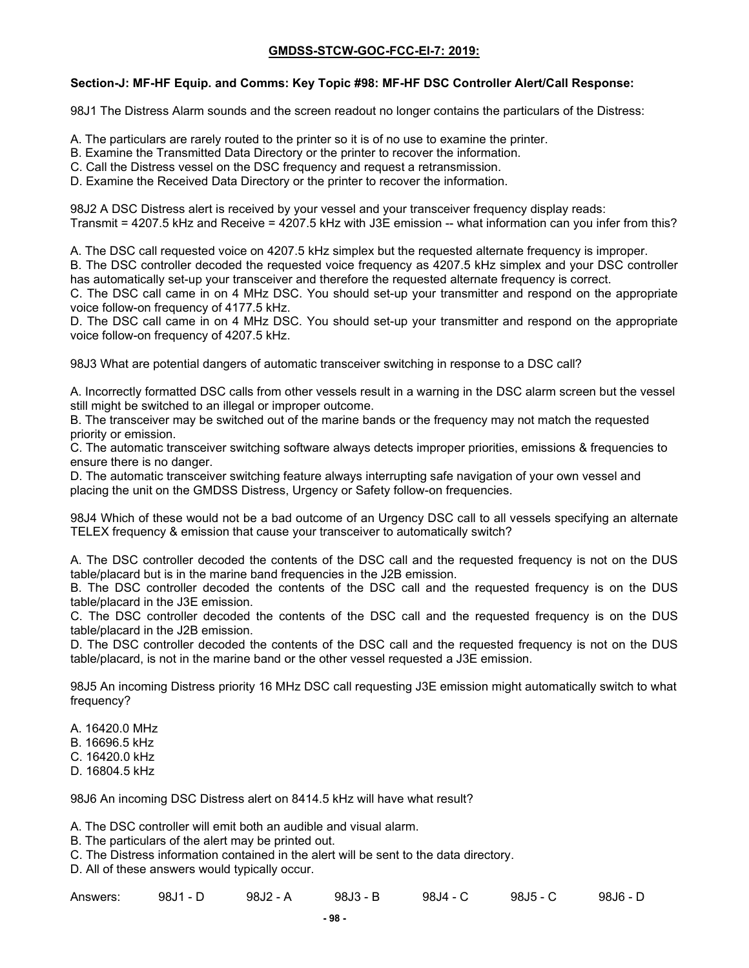### **Section-J: MF-HF Equip. and Comms: Key Topic #98: MF-HF DSC Controller Alert/Call Response:**

98J1 The Distress Alarm sounds and the screen readout no longer contains the particulars of the Distress:

- A. The particulars are rarely routed to the printer so it is of no use to examine the printer.
- B. Examine the Transmitted Data Directory or the printer to recover the information.
- C. Call the Distress vessel on the DSC frequency and request a retransmission.
- D. Examine the Received Data Directory or the printer to recover the information.

98J2 A DSC Distress alert is received by your vessel and your transceiver frequency display reads: Transmit = 4207.5 kHz and Receive = 4207.5 kHz with J3E emission -- what information can you infer from this?

A. The DSC call requested voice on 4207.5 kHz simplex but the requested alternate frequency is improper.

B. The DSC controller decoded the requested voice frequency as 4207.5 kHz simplex and your DSC controller has automatically set-up your transceiver and therefore the requested alternate frequency is correct.

C. The DSC call came in on 4 MHz DSC. You should set-up your transmitter and respond on the appropriate voice follow-on frequency of 4177.5 kHz.

D. The DSC call came in on 4 MHz DSC. You should set-up your transmitter and respond on the appropriate voice follow-on frequency of 4207.5 kHz.

98J3 What are potential dangers of automatic transceiver switching in response to a DSC call?

A. Incorrectly formatted DSC calls from other vessels result in a warning in the DSC alarm screen but the vessel still might be switched to an illegal or improper outcome.

B. The transceiver may be switched out of the marine bands or the frequency may not match the requested priority or emission.

C. The automatic transceiver switching software always detects improper priorities, emissions & frequencies to ensure there is no danger.

D. The automatic transceiver switching feature always interrupting safe navigation of your own vessel and placing the unit on the GMDSS Distress, Urgency or Safety follow-on frequencies.

98J4 Which of these would not be a bad outcome of an Urgency DSC call to all vessels specifying an alternate TELEX frequency & emission that cause your transceiver to automatically switch?

A. The DSC controller decoded the contents of the DSC call and the requested frequency is not on the DUS table/placard but is in the marine band frequencies in the J2B emission.

B. The DSC controller decoded the contents of the DSC call and the requested frequency is on the DUS table/placard in the J3E emission.

C. The DSC controller decoded the contents of the DSC call and the requested frequency is on the DUS table/placard in the J2B emission.

D. The DSC controller decoded the contents of the DSC call and the requested frequency is not on the DUS table/placard, is not in the marine band or the other vessel requested a J3E emission.

98J5 An incoming Distress priority 16 MHz DSC call requesting J3E emission might automatically switch to what frequency?

A. 16420.0 MHz

- B. 16696.5 kHz
- C. 16420.0 kHz
- D. 16804.5 kHz

98J6 An incoming DSC Distress alert on 8414.5 kHz will have what result?

A. The DSC controller will emit both an audible and visual alarm.

B. The particulars of the alert may be printed out.

C. The Distress information contained in the alert will be sent to the data directory.

D. All of these answers would typically occur.

| Answers: | 98J1 - D | 98J2 - A | 98J3 - B | 98J4 - C | 98J5 - C | 98J6 - D |
|----------|----------|----------|----------|----------|----------|----------|
|----------|----------|----------|----------|----------|----------|----------|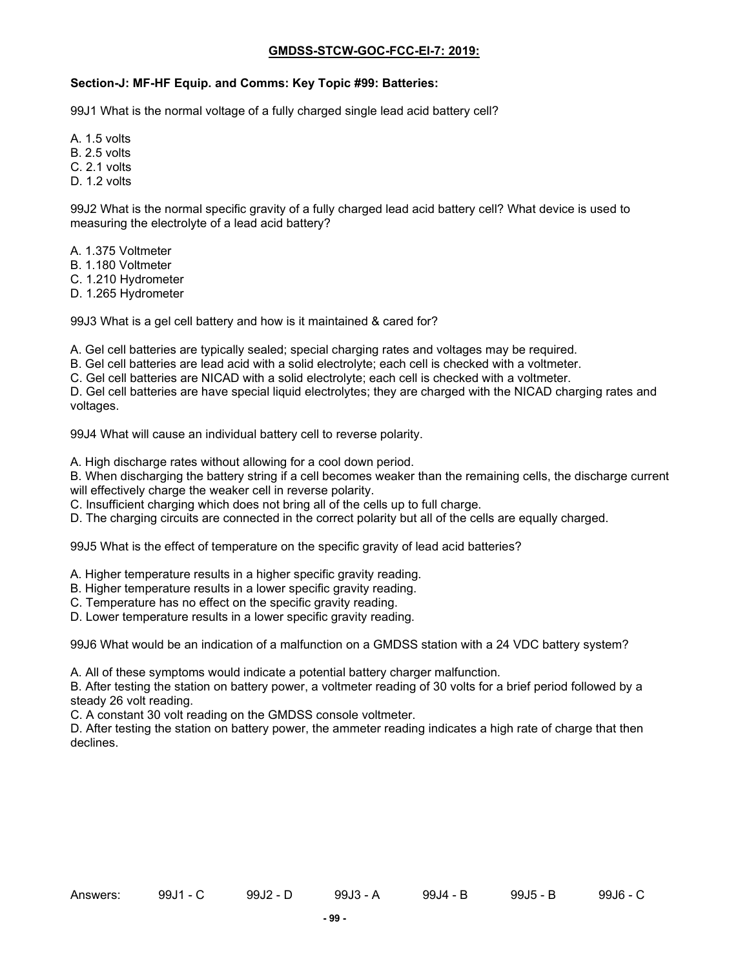#### **Section-J: MF-HF Equip. and Comms: Key Topic #99: Batteries:**

99J1 What is the normal voltage of a fully charged single lead acid battery cell?

- A. 1.5 volts
- B. 2.5 volts
- C. 2.1 volts
- D. 1.2 volts

99J2 What is the normal specific gravity of a fully charged lead acid battery cell? What device is used to measuring the electrolyte of a lead acid battery?

- A. 1.375 Voltmeter
- B. 1.180 Voltmeter
- C. 1.210 Hydrometer
- D. 1.265 Hydrometer

99J3 What is a gel cell battery and how is it maintained & cared for?

A. Gel cell batteries are typically sealed; special charging rates and voltages may be required.

B. Gel cell batteries are lead acid with a solid electrolyte; each cell is checked with a voltmeter.

C. Gel cell batteries are NICAD with a solid electrolyte; each cell is checked with a voltmeter.

D. Gel cell batteries are have special liquid electrolytes; they are charged with the NICAD charging rates and voltages.

99J4 What will cause an individual battery cell to reverse polarity.

A. High discharge rates without allowing for a cool down period.

B. When discharging the battery string if a cell becomes weaker than the remaining cells, the discharge current will effectively charge the weaker cell in reverse polarity.

C. Insufficient charging which does not bring all of the cells up to full charge.

D. The charging circuits are connected in the correct polarity but all of the cells are equally charged.

99J5 What is the effect of temperature on the specific gravity of lead acid batteries?

A. Higher temperature results in a higher specific gravity reading.

B. Higher temperature results in a lower specific gravity reading.

C. Temperature has no effect on the specific gravity reading.

D. Lower temperature results in a lower specific gravity reading.

99J6 What would be an indication of a malfunction on a GMDSS station with a 24 VDC battery system?

A. All of these symptoms would indicate a potential battery charger malfunction.

B. After testing the station on battery power, a voltmeter reading of 30 volts for a brief period followed by a steady 26 volt reading.

C. A constant 30 volt reading on the GMDSS console voltmeter.

D. After testing the station on battery power, the ammeter reading indicates a high rate of charge that then declines.